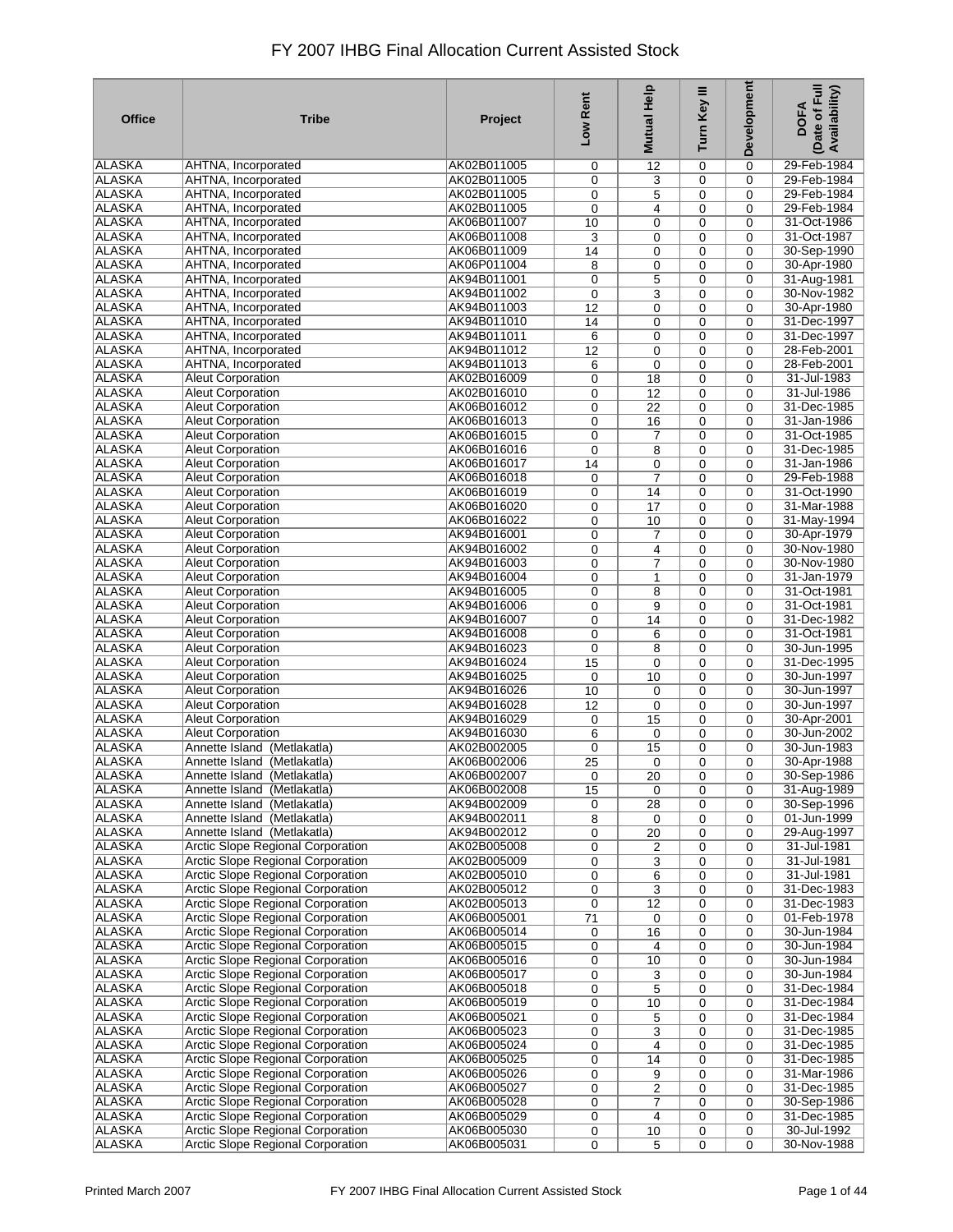| <b>Office</b> | <b>Tribe</b>                             | Project     | Low Rent | Mutual Help     | Turn Key III | Development | Date of Full<br>Availability)<br><b>DOFA</b> |
|---------------|------------------------------------------|-------------|----------|-----------------|--------------|-------------|----------------------------------------------|
| <b>ALASKA</b> | AHTNA, Incorporated                      | AK02B011005 | 0        | 12              | 0            | 0           | 29-Feb-1984                                  |
| <b>ALASKA</b> | AHTNA, Incorporated                      | AK02B011005 | 0        | 3               | 0            | $\mathbf 0$ | 29-Feb-1984                                  |
| <b>ALASKA</b> | AHTNA, Incorporated                      | AK02B011005 | 0        | 5               | 0            | 0           | 29-Feb-1984                                  |
| <b>ALASKA</b> | AHTNA, Incorporated                      | AK02B011005 | 0        | $\overline{4}$  | 0            | $\mathbf 0$ | 29-Feb-1984                                  |
| <b>ALASKA</b> | AHTNA, Incorporated                      | AK06B011007 | 10       | $\mathbf 0$     | 0            | 0           | 31-Oct-1986                                  |
| <b>ALASKA</b> | <b>AHTNA, Incorporated</b>               | AK06B011008 | 3        | 0               | 0            | 0           | 31-Oct-1987                                  |
| <b>ALASKA</b> | AHTNA, Incorporated                      | AK06B011009 | 14       | 0               | 0            | 0           | 30-Sep-1990                                  |
| <b>ALASKA</b> | AHTNA, Incorporated                      | AK06P011004 | 8        | 0               | 0            | $\mathbf 0$ | 30-Apr-1980                                  |
| <b>ALASKA</b> | AHTNA, Incorporated                      | AK94B011001 | 0        | 5               | 0            | 0           | 31-Aug-1981                                  |
| <b>ALASKA</b> | AHTNA, Incorporated                      | AK94B011002 | 0        | 3               | 0            | 0           | 30-Nov-1982                                  |
| <b>ALASKA</b> | AHTNA, Incorporated                      | AK94B011003 | 12       | 0               | 0            | 0           | 30-Apr-1980                                  |
| <b>ALASKA</b> | AHTNA, Incorporated                      | AK94B011010 | 14       | 0               | 0            | 0           | 31-Dec-1997                                  |
| <b>ALASKA</b> | AHTNA, Incorporated                      | AK94B011011 | 6        | 0               | 0            | 0           | 31-Dec-1997                                  |
| <b>ALASKA</b> | AHTNA, Incorporated                      | AK94B011012 | 12       | 0               | 0            | $\mathbf 0$ | 28-Feb-2001                                  |
| <b>ALASKA</b> | AHTNA, Incorporated                      | AK94B011013 | 6        | 0               | 0            | $\mathbf 0$ | 28-Feb-2001                                  |
| <b>ALASKA</b> | <b>Aleut Corporation</b>                 | AK02B016009 | 0        | 18              | 0            | $\mathbf 0$ | 31-Jul-1983                                  |
| <b>ALASKA</b> | <b>Aleut Corporation</b>                 | AK02B016010 | 0        | 12              | 0            | $\mathbf 0$ | 31-Jul-1986                                  |
| <b>ALASKA</b> | <b>Aleut Corporation</b>                 | AK06B016012 | 0        | 22              | 0            | $\mathbf 0$ | 31-Dec-1985                                  |
| <b>ALASKA</b> | <b>Aleut Corporation</b>                 | AK06B016013 | 0        | 16              | 0            | $\mathbf 0$ | 31-Jan-1986                                  |
| <b>ALASKA</b> | <b>Aleut Corporation</b>                 | AK06B016015 | 0        | $\overline{7}$  | 0            | $\mathbf 0$ | 31-Oct-1985                                  |
| <b>ALASKA</b> | <b>Aleut Corporation</b>                 | AK06B016016 | 0        | 8               | 0            | 0           | 31-Dec-1985                                  |
| <b>ALASKA</b> | <b>Aleut Corporation</b>                 | AK06B016017 | 14       | 0               | 0            | 0           | 31-Jan-1986                                  |
| <b>ALASKA</b> | <b>Aleut Corporation</b>                 | AK06B016018 | 0        | $\overline{7}$  | $\mathbf 0$  | $\mathbf 0$ | 29-Feb-1988                                  |
| <b>ALASKA</b> | <b>Aleut Corporation</b>                 | AK06B016019 | 0        | 14              | 0            | 0           | 31-Oct-1990                                  |
| <b>ALASKA</b> | <b>Aleut Corporation</b>                 | AK06B016020 | 0        | 17              | 0            | 0           | 31-Mar-1988                                  |
| <b>ALASKA</b> | <b>Aleut Corporation</b>                 | AK06B016022 | 0        | 10              | 0            | 0           | 31-May-1994                                  |
| <b>ALASKA</b> | <b>Aleut Corporation</b>                 | AK94B016001 | 0        | $\overline{7}$  | 0            | $\mathbf 0$ | 30-Apr-1979                                  |
| <b>ALASKA</b> | <b>Aleut Corporation</b>                 | AK94B016002 | 0        | 4               | 0            | 0           | 30-Nov-1980                                  |
| <b>ALASKA</b> | <b>Aleut Corporation</b>                 | AK94B016003 | 0        | 7               | 0            | $\mathbf 0$ | 30-Nov-1980                                  |
| <b>ALASKA</b> | <b>Aleut Corporation</b>                 | AK94B016004 | 0        | 1               | 0            | 0           | 31-Jan-1979                                  |
| <b>ALASKA</b> | <b>Aleut Corporation</b>                 | AK94B016005 | 0        | 8               | 0            | 0           | 31-Oct-1981                                  |
| <b>ALASKA</b> | <b>Aleut Corporation</b>                 | AK94B016006 | 0        | 9               | 0            | 0           | 31-Oct-1981                                  |
| <b>ALASKA</b> | <b>Aleut Corporation</b>                 | AK94B016007 | 0        | 14              | 0            | 0           | 31-Dec-1982                                  |
| <b>ALASKA</b> | <b>Aleut Corporation</b>                 | AK94B016008 | 0        | 6               | 0            | 0           | 31-Oct-1981                                  |
| <b>ALASKA</b> | <b>Aleut Corporation</b>                 | AK94B016023 | 0        | 8               | 0            | 0           | 30-Jun-1995                                  |
| <b>ALASKA</b> | <b>Aleut Corporation</b>                 | AK94B016024 | 15       | 0               | 0            | 0           | 31-Dec-1995                                  |
| <b>ALASKA</b> | <b>Aleut Corporation</b>                 | AK94B016025 | 0        | 10              | 0            | 0           | 30-Jun-1997                                  |
| <b>ALASKA</b> | <b>Aleut Corporation</b>                 | AK94B016026 | 10       | 0               | 0            | 0           | 30-Jun-1997                                  |
| <b>ALASKA</b> | <b>Aleut Corporation</b>                 | AK94B016028 | 12       | $\mathbf 0$     | 0            | $\mathbf 0$ | 30-Jun-1997                                  |
| <b>ALASKA</b> | <b>Aleut Corporation</b>                 | AK94B016029 | 0        | 15              | 0            | $\mathbf 0$ | 30-Apr-2001                                  |
| <b>ALASKA</b> | <b>Aleut Corporation</b>                 | AK94B016030 | 6        | $\mathbf 0$     | 0            | $\mathbf 0$ | 30-Jun-2002                                  |
| <b>ALASKA</b> | Annette Island (Metlakatla)              | AK02B002005 | 0        | 15              | 0            | 0           | 30-Jun-1983                                  |
| <b>ALASKA</b> | Annette Island (Metlakatla)              | AK06B002006 | 25       | $\mathbf 0$     | 0            | 0           | 30-Apr-1988                                  |
| <b>ALASKA</b> | Annette Island (Metlakatla)              | AK06B002007 | 0        | $\overline{20}$ | 0            | 0           | 30-Sep-1986                                  |
| ALASKA        | Annette Island (Metlakatla)              | AK06B002008 | 15       | 0               | 0            | 0           | 31-Aug-1989                                  |
| ALASKA        | Annette Island (Metlakatla)              | AK94B002009 | 0        | 28              | 0            | 0           | 30-Sep-1996                                  |
| ALASKA        | Annette Island (Metlakatla)              | AK94B002011 | 8        | 0               | 0            | 0           | 01-Jun-1999                                  |
| <b>ALASKA</b> | Annette Island (Metlakatla)              | AK94B002012 | 0        | 20              | $\mathbf 0$  | $\mathbf 0$ | 29-Aug-1997                                  |
| ALASKA        | Arctic Slope Regional Corporation        | AK02B005008 | 0        | 2               | 0            | 0           | 31-Jul-1981                                  |
| <b>ALASKA</b> | Arctic Slope Regional Corporation        | AK02B005009 | 0        | 3               | 0            | 0           | 31-Jul-1981                                  |
| <b>ALASKA</b> | Arctic Slope Regional Corporation        | AK02B005010 | 0        | 6               | 0            | 0           | 31-Jul-1981                                  |
| ALASKA        | Arctic Slope Regional Corporation        | AK02B005012 | 0        | 3               | 0            | 0           | 31-Dec-1983                                  |
| <b>ALASKA</b> | Arctic Slope Regional Corporation        | AK02B005013 | 0        | 12              | 0            | 0           | 31-Dec-1983                                  |
| <b>ALASKA</b> | Arctic Slope Regional Corporation        | AK06B005001 | 71       | 0               | 0            | 0           | 01-Feb-1978                                  |
| <b>ALASKA</b> | Arctic Slope Regional Corporation        | AK06B005014 | 0        | 16              | 0            | 0           | 30-Jun-1984                                  |
| <b>ALASKA</b> | Arctic Slope Regional Corporation        | AK06B005015 | 0        | 4               | 0            | 0           | 30-Jun-1984                                  |
| <b>ALASKA</b> | <b>Arctic Slope Regional Corporation</b> | AK06B005016 | 0        | 10              | 0            | 0           | 30-Jun-1984                                  |
| <b>ALASKA</b> | Arctic Slope Regional Corporation        | AK06B005017 | 0        | 3               | 0            | 0           | 30-Jun-1984                                  |
| <b>ALASKA</b> | Arctic Slope Regional Corporation        | AK06B005018 | 0        | 5               | 0            | 0           | 31-Dec-1984                                  |
| <b>ALASKA</b> | Arctic Slope Regional Corporation        | AK06B005019 | 0        | 10              | 0            | 0           | 31-Dec-1984                                  |
| <b>ALASKA</b> | Arctic Slope Regional Corporation        | AK06B005021 | 0        | 5               | 0            | 0           | 31-Dec-1984                                  |
| ALASKA        | Arctic Slope Regional Corporation        | AK06B005023 | 0        | 3               | 0            | 0           | 31-Dec-1985                                  |
| <b>ALASKA</b> | Arctic Slope Regional Corporation        | AK06B005024 | 0        | $\overline{4}$  | 0            | 0           | 31-Dec-1985                                  |
| <b>ALASKA</b> | Arctic Slope Regional Corporation        | AK06B005025 | 0        | 14              | 0            | 0           | 31-Dec-1985                                  |
| ALASKA        | Arctic Slope Regional Corporation        | AK06B005026 | 0        | 9               | 0            | 0           | 31-Mar-1986                                  |
| <b>ALASKA</b> | Arctic Slope Regional Corporation        | AK06B005027 | 0        | 2               | 0            | 0           | 31-Dec-1985                                  |
| <b>ALASKA</b> | <b>Arctic Slope Regional Corporation</b> | AK06B005028 | 0        | $\overline{7}$  | 0            | 0           | 30-Sep-1986                                  |
| ALASKA        | Arctic Slope Regional Corporation        | AK06B005029 | 0        | 4               | 0            | 0           | 31-Dec-1985                                  |
| <b>ALASKA</b> | Arctic Slope Regional Corporation        | AK06B005030 | 0        | 10              | 0            | 0           | 30-Jul-1992                                  |
| <b>ALASKA</b> | <b>Arctic Slope Regional Corporation</b> | AK06B005031 | 0        | 5               | 0            | 0           | 30-Nov-1988                                  |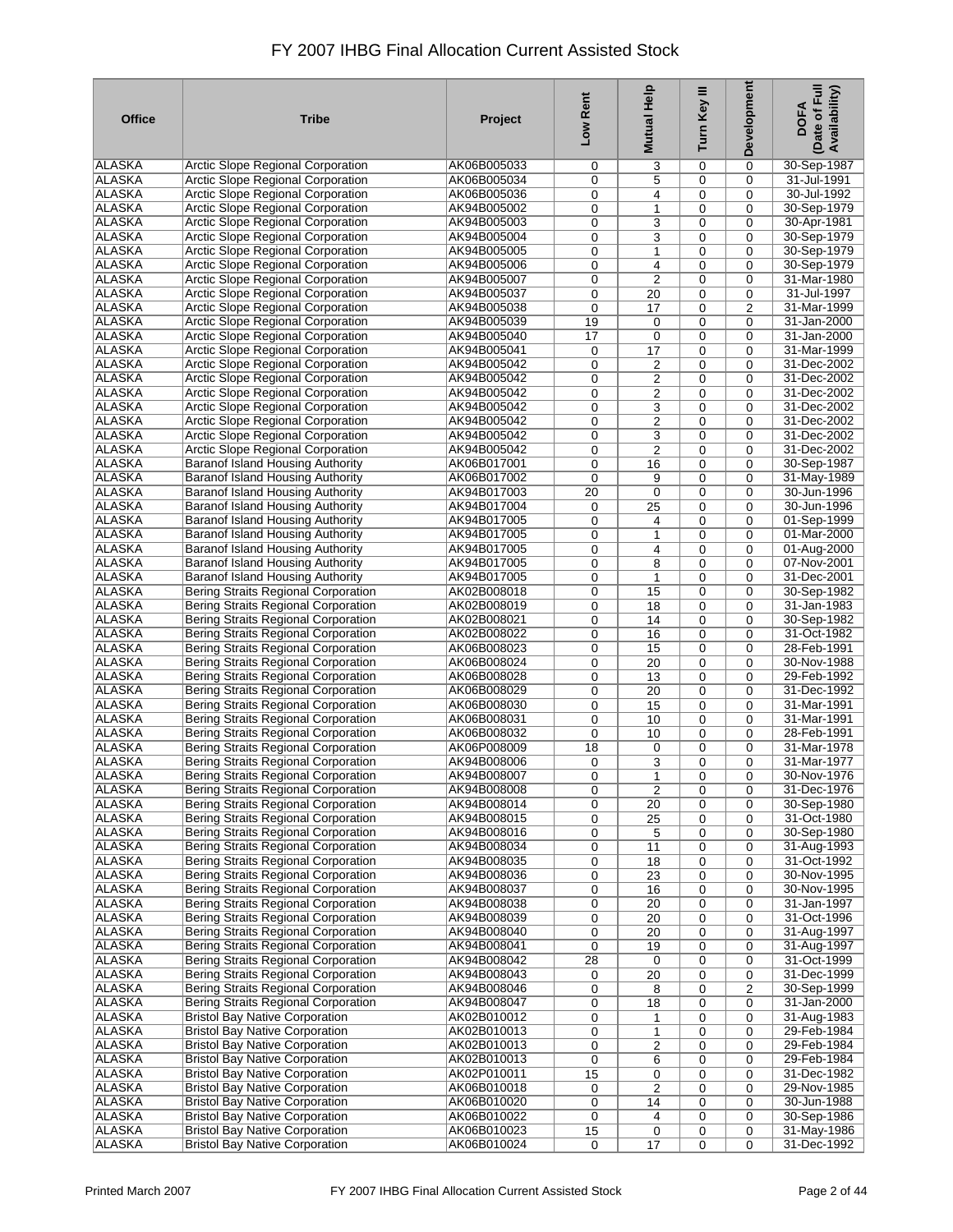| <b>Office</b> | <b>Tribe</b>                               | Project     | Low Rent | Mutual Help             | Turn Key III | Development | Date of Full<br>Availability)<br><b>DOFA</b> |
|---------------|--------------------------------------------|-------------|----------|-------------------------|--------------|-------------|----------------------------------------------|
| <b>ALASKA</b> | <b>Arctic Slope Regional Corporation</b>   | AK06B005033 | 0        | 3                       | 0            | 0           | 30-Sep-1987                                  |
| <b>ALASKA</b> | Arctic Slope Regional Corporation          | AK06B005034 | 0        | 5                       | 0            | $\mathbf 0$ | 31-Jul-1991                                  |
| ALASKA        | Arctic Slope Regional Corporation          | AK06B005036 | 0        | 4                       | 0            | 0           | 30-Jul-1992                                  |
| ALASKA        | Arctic Slope Regional Corporation          | AK94B005002 | 0        | 1                       | 0            | $\mathbf 0$ | 30-Sep-1979                                  |
| <b>ALASKA</b> | <b>Arctic Slope Regional Corporation</b>   | AK94B005003 | 0        | 3                       | 0            | 0           | 30-Apr-1981                                  |
| <b>ALASKA</b> | Arctic Slope Regional Corporation          | AK94B005004 | 0        | 3                       | 0            | 0           | 30-Sep-1979                                  |
| <b>ALASKA</b> | <b>Arctic Slope Regional Corporation</b>   | AK94B005005 | 0        | 1                       | 0            | 0           | 30-Sep-1979                                  |
| <b>ALASKA</b> | <b>Arctic Slope Regional Corporation</b>   | AK94B005006 | 0        | 4                       | 0            | 0           | 30-Sep-1979                                  |
| <b>ALASKA</b> | Arctic Slope Regional Corporation          | AK94B005007 | 0        | $\overline{2}$          | 0            | 0           | 31-Mar-1980                                  |
| <b>ALASKA</b> | Arctic Slope Regional Corporation          | AK94B005037 | 0        | 20                      | 0            | 0           | 31-Jul-1997                                  |
| <b>ALASKA</b> | Arctic Slope Regional Corporation          | AK94B005038 | 0        | 17                      | 0            | 2           | 31-Mar-1999                                  |
| <b>ALASKA</b> | <b>Arctic Slope Regional Corporation</b>   | AK94B005039 | 19       | 0                       | $\mathbf 0$  | 0           | 31-Jan-2000                                  |
| <b>ALASKA</b> | Arctic Slope Regional Corporation          | AK94B005040 | 17       | $\mathbf 0$             | 0            | 0           | 31-Jan-2000                                  |
| <b>ALASKA</b> | Arctic Slope Regional Corporation          | AK94B005041 | 0        | 17                      | 0            | $\mathbf 0$ | 31-Mar-1999                                  |
| <b>ALASKA</b> | Arctic Slope Regional Corporation          | AK94B005042 | 0        | $\overline{2}$          | 0            | 0           | 31-Dec-2002                                  |
| <b>ALASKA</b> | <b>Arctic Slope Regional Corporation</b>   | AK94B005042 | 0        | 2                       | 0            | $\mathbf 0$ | 31-Dec-2002                                  |
| <b>ALASKA</b> | Arctic Slope Regional Corporation          | AK94B005042 | 0        | $\overline{2}$          | 0            | $\mathbf 0$ | 31-Dec-2002                                  |
| ALASKA        | Arctic Slope Regional Corporation          | AK94B005042 | 0        | 3                       | 0            | $\mathbf 0$ | 31-Dec-2002                                  |
| ALASKA        | Arctic Slope Regional Corporation          | AK94B005042 | 0        | $\overline{2}$          | 0            | $\mathbf 0$ | 31-Dec-2002                                  |
| <b>ALASKA</b> | <b>Arctic Slope Regional Corporation</b>   | AK94B005042 | 0        | 3                       | 0            | 0           | 31-Dec-2002                                  |
| ALASKA        | Arctic Slope Regional Corporation          | AK94B005042 | 0        | $\overline{2}$          | $\mathbf 0$  | 0           | 31-Dec-2002                                  |
| ALASKA        | Baranof Island Housing Authority           | AK06B017001 | 0        | 16                      | 0            | 0           | 30-Sep-1987                                  |
| ALASKA        | Baranof Island Housing Authority           | AK06B017002 | 0        | 9                       | $\mathbf 0$  | $\mathbf 0$ | 31-May-1989                                  |
| ALASKA        | Baranof Island Housing Authority           | AK94B017003 | 20       | $\mathbf 0$             | 0            | 0           | 30-Jun-1996                                  |
| ALASKA        | Baranof Island Housing Authority           | AK94B017004 | 0        | 25                      | 0            | 0           | 30-Jun-1996                                  |
| <b>ALASKA</b> | Baranof Island Housing Authority           | AK94B017005 | 0        | 4                       | 0            | 0           | 01-Sep-1999                                  |
| <b>ALASKA</b> | Baranof Island Housing Authority           | AK94B017005 | 0        | 1                       | 0            | $\mathbf 0$ | 01-Mar-2000                                  |
| <b>ALASKA</b> | Baranof Island Housing Authority           | AK94B017005 | 0        | $\overline{4}$          | 0            | 0           | 01-Aug-2000                                  |
| <b>ALASKA</b> | Baranof Island Housing Authority           | AK94B017005 | 0        | 8                       | 0            | $\mathbf 0$ | 07-Nov-2001                                  |
| <b>ALASKA</b> | Baranof Island Housing Authority           | AK94B017005 | 0        | 1                       | 0            | 0           | 31-Dec-2001                                  |
| <b>ALASKA</b> | <b>Bering Straits Regional Corporation</b> | AK02B008018 | 0        | 15                      | 0            | 0           | 30-Sep-1982                                  |
| <b>ALASKA</b> | Bering Straits Regional Corporation        | AK02B008019 | 0        | 18                      | 0            | 0           | 31-Jan-1983                                  |
| <b>ALASKA</b> | Bering Straits Regional Corporation        | AK02B008021 | 0        | 14                      | 0            | 0           | 30-Sep-1982                                  |
| <b>ALASKA</b> | <b>Bering Straits Regional Corporation</b> | AK02B008022 | 0        | 16                      | 0            | 0           | 31-Oct-1982                                  |
| <b>ALASKA</b> | <b>Bering Straits Regional Corporation</b> | AK06B008023 | 0        | 15                      | 0            | 0           | 28-Feb-1991                                  |
| <b>ALASKA</b> | Bering Straits Regional Corporation        | AK06B008024 | 0        | 20                      | 0            | 0           | 30-Nov-1988                                  |
| ALASKA        | Bering Straits Regional Corporation        | AK06B008028 | 0        | 13                      | $\mathbf 0$  | 0           | 29-Feb-1992                                  |
| ALASKA        | <b>Bering Straits Regional Corporation</b> | AK06B008029 | 0        | 20                      | 0            | 0           | 31-Dec-1992                                  |
| <b>ALASKA</b> | Bering Straits Regional Corporation        | AK06B008030 | 0        | 15                      | 0            | 0           | 31-Mar-1991                                  |
| <b>ALASKA</b> | Bering Straits Regional Corporation        | AK06B008031 | 0        | 10                      | 0            | $\Omega$    | 31-Mar-1991                                  |
| <b>ALASKA</b> | <b>Bering Straits Regional Corporation</b> | AK06B008032 | 0        | 10                      | 0            | $\mathbf 0$ | 28-Feb-1991                                  |
| <b>ALASKA</b> | Bering Straits Regional Corporation        | AK06P008009 | 18       | 0                       | 0            | $\mathbf 0$ | 31-Mar-1978                                  |
| <b>ALASKA</b> | Bering Straits Regional Corporation        | AK94B008006 | 0        | 3                       | 0            | 0           | 31-Mar-1977                                  |
| <b>ALASKA</b> | <b>Bering Straits Regional Corporation</b> | AK94B008007 | 0        | 1                       | 0            | 0           | 30-Nov-1976                                  |
| ALASKA        | Bering Straits Regional Corporation        | AK94B008008 | 0        | $\overline{2}$          | 0            | 0           | 31-Dec-1976                                  |
| ALASKA        | Bering Straits Regional Corporation        | AK94B008014 | 0        | 20                      | 0            | 0           | 30-Sep-1980                                  |
| ALASKA        | <b>Bering Straits Regional Corporation</b> | AK94B008015 | 0        | 25                      | 0            | 0           | 31-Oct-1980                                  |
| ALASKA        | <b>Bering Straits Regional Corporation</b> | AK94B008016 | 0        | 5                       | $\mathbf 0$  | $\mathbf 0$ | 30-Sep-1980                                  |
| ALASKA        | Bering Straits Regional Corporation        | AK94B008034 | 0        | 11                      | 0            | 0           | 31-Aug-1993                                  |
| <b>ALASKA</b> | <b>Bering Straits Regional Corporation</b> | AK94B008035 | 0        | 18                      | 0            | 0           | 31-Oct-1992                                  |
| <b>ALASKA</b> | <b>Bering Straits Regional Corporation</b> | AK94B008036 | 0        | 23                      | 0            | 0           | 30-Nov-1995                                  |
| ALASKA        | Bering Straits Regional Corporation        | AK94B008037 | 0        | 16                      | 0            | 0           | 30-Nov-1995                                  |
| <b>ALASKA</b> | <b>Bering Straits Regional Corporation</b> | AK94B008038 | 0        | 20                      | 0            | $\mathbf 0$ | 31-Jan-1997                                  |
| <b>ALASKA</b> | Bering Straits Regional Corporation        | AK94B008039 | 0        | 20                      | 0            | 0           | 31-Oct-1996                                  |
| <b>ALASKA</b> | <b>Bering Straits Regional Corporation</b> | AK94B008040 | 0        | 20                      | 0            | 0           | 31-Aug-1997                                  |
| <b>ALASKA</b> | <b>Bering Straits Regional Corporation</b> | AK94B008041 | 0        | 19                      | 0            | 0           | 31-Aug-1997                                  |
| <b>ALASKA</b> | <b>Bering Straits Regional Corporation</b> | AK94B008042 | 28       | 0                       | 0            | 0           | 31-Oct-1999                                  |
| <b>ALASKA</b> | <b>Bering Straits Regional Corporation</b> | AK94B008043 | 0        | 20                      | 0            | 0           | 31-Dec-1999                                  |
| <b>ALASKA</b> | <b>Bering Straits Regional Corporation</b> | AK94B008046 | 0        | 8                       | 0            | 2           | 30-Sep-1999                                  |
| <b>ALASKA</b> | <b>Bering Straits Regional Corporation</b> | AK94B008047 | 0        | 18                      | 0            | 0           | 31-Jan-2000                                  |
| <b>ALASKA</b> | <b>Bristol Bay Native Corporation</b>      | AK02B010012 | 0        | 1                       | 0            | 0           | 31-Aug-1983                                  |
| ALASKA        | <b>Bristol Bay Native Corporation</b>      | AK02B010013 | 0        | 1                       | 0            | 0           | 29-Feb-1984                                  |
| <b>ALASKA</b> | <b>Bristol Bay Native Corporation</b>      | AK02B010013 | 0        | $\overline{\mathbf{c}}$ | 0            | 0           | 29-Feb-1984                                  |
| <b>ALASKA</b> | <b>Bristol Bay Native Corporation</b>      | AK02B010013 | 0        | 6                       | 0            | 0           | 29-Feb-1984                                  |
| ALASKA        | <b>Bristol Bay Native Corporation</b>      | AK02P010011 | 15       | 0                       | 0            | 0           | 31-Dec-1982                                  |
| <b>ALASKA</b> | <b>Bristol Bay Native Corporation</b>      | AK06B010018 | 0        | $\overline{c}$          | 0            | 0           | 29-Nov-1985                                  |
| <b>ALASKA</b> | <b>Bristol Bay Native Corporation</b>      | AK06B010020 | 0        | 14                      | 0            | 0           | 30-Jun-1988                                  |
| ALASKA        | <b>Bristol Bay Native Corporation</b>      | AK06B010022 | 0        | 4                       | 0            | 0           | 30-Sep-1986                                  |
| <b>ALASKA</b> | <b>Bristol Bay Native Corporation</b>      | AK06B010023 | 15       | 0                       | 0            | 0           | 31-May-1986                                  |
| ALASKA        | <b>Bristol Bay Native Corporation</b>      | AK06B010024 | 0        | 17                      | 0            | 0           | 31-Dec-1992                                  |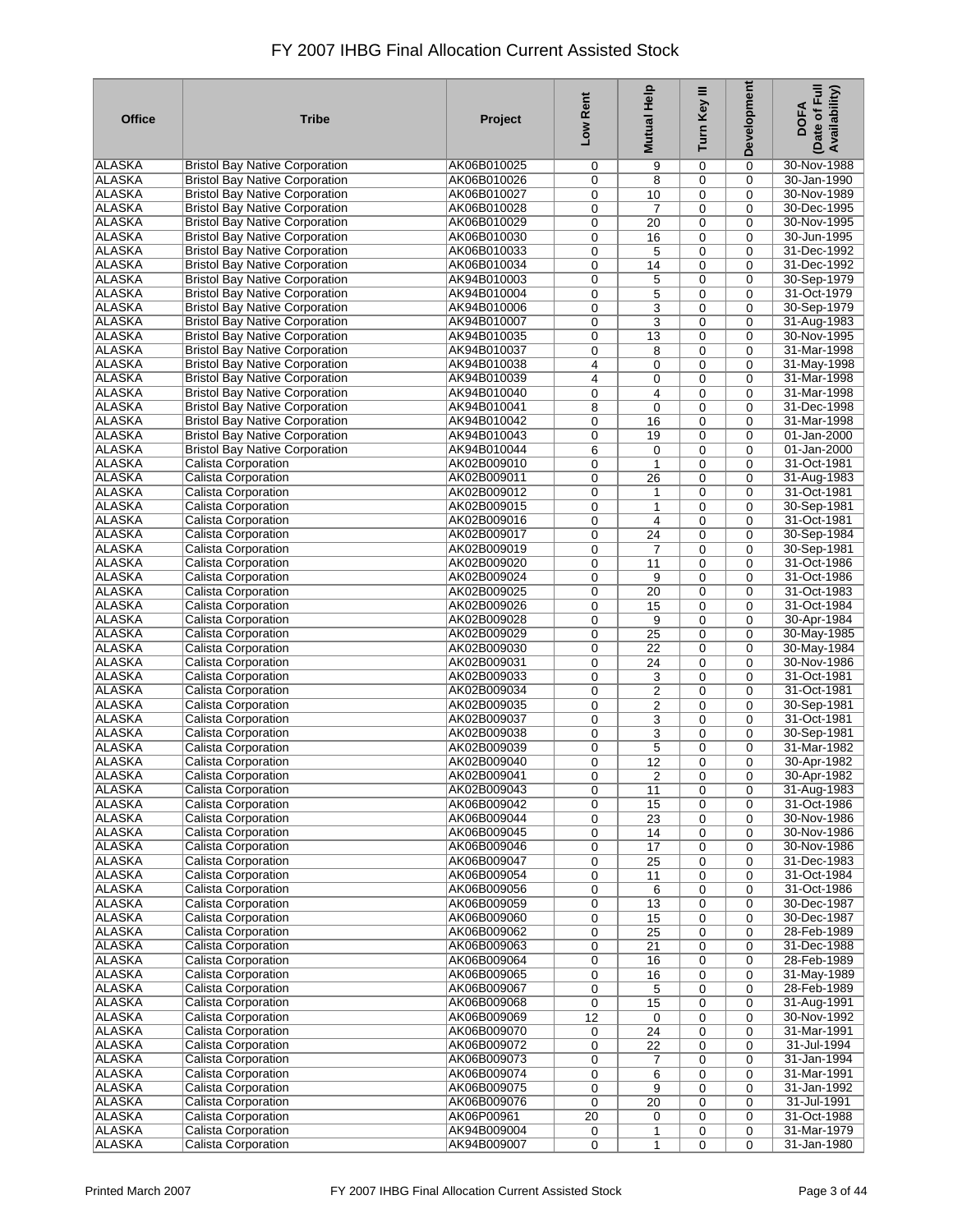| <b>Office</b> | <b>Tribe</b>                          | Project     | Low Rent | <b>Mutual Help</b>      | Turn Key III | Development | (Date of Full<br>Availability)<br><b>DOFA</b> |
|---------------|---------------------------------------|-------------|----------|-------------------------|--------------|-------------|-----------------------------------------------|
| <b>ALASKA</b> | <b>Bristol Bay Native Corporation</b> | AK06B010025 | 0        | 9                       | 0            | 0           | 30-Nov-1988                                   |
| <b>ALASKA</b> | <b>Bristol Bay Native Corporation</b> | AK06B010026 | 0        | 8                       | 0            | 0           | 30-Jan-1990                                   |
| <b>ALASKA</b> | <b>Bristol Bay Native Corporation</b> | AK06B010027 | 0        | 10                      | 0            | 0           | 30-Nov-1989                                   |
| <b>ALASKA</b> | <b>Bristol Bay Native Corporation</b> | AK06B010028 | 0        | 7                       | 0            | 0           | 30-Dec-1995                                   |
| <b>ALASKA</b> | <b>Bristol Bay Native Corporation</b> | AK06B010029 | 0        | 20                      | 0            | 0           | 30-Nov-1995                                   |
| <b>ALASKA</b> | <b>Bristol Bay Native Corporation</b> | AK06B010030 | 0        | 16                      | 0            | 0           | 30-Jun-1995                                   |
| <b>ALASKA</b> | <b>Bristol Bay Native Corporation</b> | AK06B010033 | 0        | 5                       | 0            | 0           | 31-Dec-1992                                   |
| <b>ALASKA</b> | <b>Bristol Bay Native Corporation</b> | AK06B010034 | 0        | 14                      | 0            | $\mathbf 0$ | 31-Dec-1992                                   |
| <b>ALASKA</b> | <b>Bristol Bay Native Corporation</b> | AK94B010003 | 0        | 5                       | $\mathbf 0$  | $\mathbf 0$ | 30-Sep-1979                                   |
| <b>ALASKA</b> | <b>Bristol Bay Native Corporation</b> | AK94B010004 | 0        | 5                       | 0            | $\mathbf 0$ | 31-Oct-1979                                   |
| <b>ALASKA</b> | <b>Bristol Bay Native Corporation</b> | AK94B010006 | 0        | 3                       | 0            | $\mathbf 0$ | 30-Sep-1979                                   |
| <b>ALASKA</b> | <b>Bristol Bay Native Corporation</b> | AK94B010007 | 0        | 3                       | 0            | $\mathbf 0$ | 31-Aug-1983                                   |
| <b>ALASKA</b> | <b>Bristol Bay Native Corporation</b> | AK94B010035 | 0        | 13                      | 0            | $\mathbf 0$ | 30-Nov-1995                                   |
| <b>ALASKA</b> | <b>Bristol Bay Native Corporation</b> | AK94B010037 | 0        | 8                       | 0            | $\mathbf 0$ | 31-Mar-1998                                   |
| <b>ALASKA</b> | <b>Bristol Bay Native Corporation</b> | AK94B010038 | 4        | 0                       | 0            | 0           | 31-May-1998                                   |
| ALASKA        | <b>Bristol Bay Native Corporation</b> | AK94B010039 | 4        | 0                       | 0            | 0           | 31-Mar-1998                                   |
| <b>ALASKA</b> | <b>Bristol Bay Native Corporation</b> | AK94B010040 | 0        | $\overline{4}$          | $\mathbf 0$  | $\mathbf 0$ | 31-Mar-1998                                   |
| ALASKA        | <b>Bristol Bay Native Corporation</b> | AK94B010041 | 8        | $\mathbf 0$             | 0            | 0           | 31-Dec-1998                                   |
| <b>ALASKA</b> | <b>Bristol Bay Native Corporation</b> | AK94B010042 | 0        | 16                      | 0            | 0           | 31-Mar-1998                                   |
| <b>ALASKA</b> | <b>Bristol Bay Native Corporation</b> | AK94B010043 | 0        | 19                      | 0            | 0           | 01-Jan-2000                                   |
| <b>ALASKA</b> | <b>Bristol Bay Native Corporation</b> | AK94B010044 | 6        | 0                       | 0            | 0           | 01-Jan-2000                                   |
| <b>ALASKA</b> | <b>Calista Corporation</b>            | AK02B009010 | 0        | $\mathbf{1}$            | 0            | 0           | 31-Oct-1981                                   |
| <b>ALASKA</b> | Calista Corporation                   | AK02B009011 | 0        | 26                      | 0            | $\mathbf 0$ | 31-Aug-1983                                   |
| <b>ALASKA</b> | <b>Calista Corporation</b>            | AK02B009012 | 0        | $\mathbf{1}$            | 0            | 0           | 31-Oct-1981                                   |
| <b>ALASKA</b> | Calista Corporation                   | AK02B009015 | 0        | 1                       | 0            | 0           | 30-Sep-1981                                   |
| <b>ALASKA</b> | Calista Corporation                   | AK02B009016 | 0        | 4                       | 0            | 0           | 31-Oct-1981                                   |
| <b>ALASKA</b> | <b>Calista Corporation</b>            | AK02B009017 | 0        | 24                      | 0            | 0           | 30-Sep-1984                                   |
| <b>ALASKA</b> | <b>Calista Corporation</b>            | AK02B009019 | 0        | $\overline{7}$          | 0            | 0           | 30-Sep-1981                                   |
| <b>ALASKA</b> | <b>Calista Corporation</b>            | AK02B009020 | 0        | 11                      | 0            | 0           | 31-Oct-1986                                   |
| <b>ALASKA</b> | Calista Corporation                   | AK02B009024 | 0        | 9                       | 0            | 0           | 31-Oct-1986                                   |
| <b>ALASKA</b> | <b>Calista Corporation</b>            | AK02B009025 | 0        | 20                      | 0            | 0           | 31-Oct-1983                                   |
| <b>ALASKA</b> | <b>Calista Corporation</b>            | AK02B009026 | 0        | 15                      | 0            | 0           | 31-Oct-1984                                   |
| <b>ALASKA</b> | <b>Calista Corporation</b>            | AK02B009028 | 0        | 9                       | 0            | $\mathbf 0$ | 30-Apr-1984                                   |
| <b>ALASKA</b> | <b>Calista Corporation</b>            | AK02B009029 | 0        | 25                      | $\mathbf 0$  | $\mathbf 0$ | 30-May-1985                                   |
| <b>ALASKA</b> | <b>Calista Corporation</b>            | AK02B009030 | 0        | 22                      | 0            | $\mathbf 0$ | 30-May-1984                                   |
| <b>ALASKA</b> | <b>Calista Corporation</b>            | AK02B009031 | 0        | 24                      | 0            | $\mathbf 0$ | 30-Nov-1986                                   |
| <b>ALASKA</b> | <b>Calista Corporation</b>            | AK02B009033 | 0        | 3                       | 0            | $\mathbf 0$ | 31-Oct-1981                                   |
| <b>ALASKA</b> | Calista Corporation                   | AK02B009034 | 0        | $\overline{\mathbf{c}}$ | 0            | $\mathbf 0$ | 31-Oct-1981                                   |
| <b>ALASKA</b> | Calista Corporation                   | AK02B009035 | 0        | $\overline{\mathbf{c}}$ | 0            | $\mathbf 0$ | 30-Sep-1981                                   |
| <b>ALASKA</b> | <b>Calista Corporation</b>            | AK02B009037 | 0        | 3                       | $\mathbf 0$  | 0           | 31-Oct-1981                                   |
| <b>ALASKA</b> | Calista Corporation                   | AK02B009038 | 0        | 3                       | 0            | 0           | 30-Sep-1981                                   |
| ALASKA        | Calista Corporation                   | AK02B009039 | 0        | 5                       | 0            | $\mathbf 0$ | 31-Mar-1982                                   |
| <b>ALASKA</b> | Calista Corporation                   | AK02B009040 | 0        | 12                      | 0            | 0           | 30-Apr-1982                                   |
| ALASKA        | Calista Corporation                   | AK02B009041 | 0        | $\overline{2}$          | 0            | 0           | 30-Apr-1982                                   |
| <b>ALASKA</b> | Calista Corporation                   | AK02B009043 | 0        | 11                      | 0            | 0           | 31-Aug-1983                                   |
| <b>ALASKA</b> | <b>Calista Corporation</b>            | AK06B009042 | 0        | 15                      | 0            | 0           | 31-Oct-1986                                   |
| <b>ALASKA</b> | <b>Calista Corporation</b>            | AK06B009044 | 0        | 23                      | 0            | $\mathbf 0$ | 30-Nov-1986                                   |
| <b>ALASKA</b> | <b>Calista Corporation</b>            | AK06B009045 | 0        | 14                      | 0            | 0           | 30-Nov-1986                                   |
| <b>ALASKA</b> | Calista Corporation                   | AK06B009046 | 0        | 17                      | 0            | 0           | 30-Nov-1986                                   |
| <b>ALASKA</b> | <b>Calista Corporation</b>            | AK06B009047 | 0        | 25                      | 0            | 0           | 31-Dec-1983                                   |
| <b>ALASKA</b> | <b>Calista Corporation</b>            | AK06B009054 | 0        | 11                      | 0            | 0           | 31-Oct-1984                                   |
| <b>ALASKA</b> | Calista Corporation                   | AK06B009056 | 0        | 6                       | 0            | 0           | 31-Oct-1986                                   |
| <b>ALASKA</b> | Calista Corporation                   | AK06B009059 | 0        | 13                      | 0            | 0           | 30-Dec-1987                                   |
| <b>ALASKA</b> | <b>Calista Corporation</b>            | AK06B009060 | 0        | 15                      | 0            | 0           | 30-Dec-1987                                   |
| <b>ALASKA</b> | <b>Calista Corporation</b>            | AK06B009062 | 0        | 25                      | 0            | 0           | 28-Feb-1989                                   |
| <b>ALASKA</b> | Calista Corporation                   | AK06B009063 | 0        | 21                      | 0            | 0           | 31-Dec-1988                                   |
| ALASKA        | <b>Calista Corporation</b>            | AK06B009064 | 0        | 16                      | 0            | 0           | 28-Feb-1989                                   |
| <b>ALASKA</b> | <b>Calista Corporation</b>            | AK06B009065 | 0        | 16                      | 0            | 0           | 31-May-1989                                   |
| <b>ALASKA</b> | <b>Calista Corporation</b>            | AK06B009067 | 0        | 5                       | $\mathbf 0$  | $\mathbf 0$ | 28-Feb-1989                                   |
| <b>ALASKA</b> | <b>Calista Corporation</b>            | AK06B009068 | 0        | 15                      | 0            | $\mathbf 0$ | 31-Aug-1991                                   |
| <b>ALASKA</b> | <b>Calista Corporation</b>            | AK06B009069 | 12       | $\mathbf 0$             | 0            | $\mathbf 0$ | 30-Nov-1992                                   |
| ALASKA        | <b>Calista Corporation</b>            | AK06B009070 | 0        | 24                      | 0            | $\mathbf 0$ | 31-Mar-1991                                   |
| <b>ALASKA</b> | <b>Calista Corporation</b>            | AK06B009072 | 0        | 22                      | 0            | 0           | 31-Jul-1994                                   |
| <b>ALASKA</b> | <b>Calista Corporation</b>            | AK06B009073 | 0        | 7                       | 0            | 0           | 31-Jan-1994                                   |
| ALASKA        | Calista Corporation                   | AK06B009074 | 0        | 6                       | $\mathbf 0$  | 0           | 31-Mar-1991                                   |
| <b>ALASKA</b> | <b>Calista Corporation</b>            | AK06B009075 | 0        | 9                       | 0            | 0           | 31-Jan-1992                                   |
| <b>ALASKA</b> | <b>Calista Corporation</b>            | AK06B009076 | 0        | 20                      | $\mathbf 0$  | $\mathbf 0$ | 31-Jul-1991                                   |
| ALASKA        | <b>Calista Corporation</b>            | AK06P00961  | 20       | 0                       | 0            | 0           | 31-Oct-1988                                   |
| <b>ALASKA</b> | <b>Calista Corporation</b>            | AK94B009004 | 0        | 1                       | 0            | 0           | 31-Mar-1979                                   |
| <b>ALASKA</b> | <b>Calista Corporation</b>            | AK94B009007 | 0        | $\mathbf{1}$            | 0            | 0           | 31-Jan-1980                                   |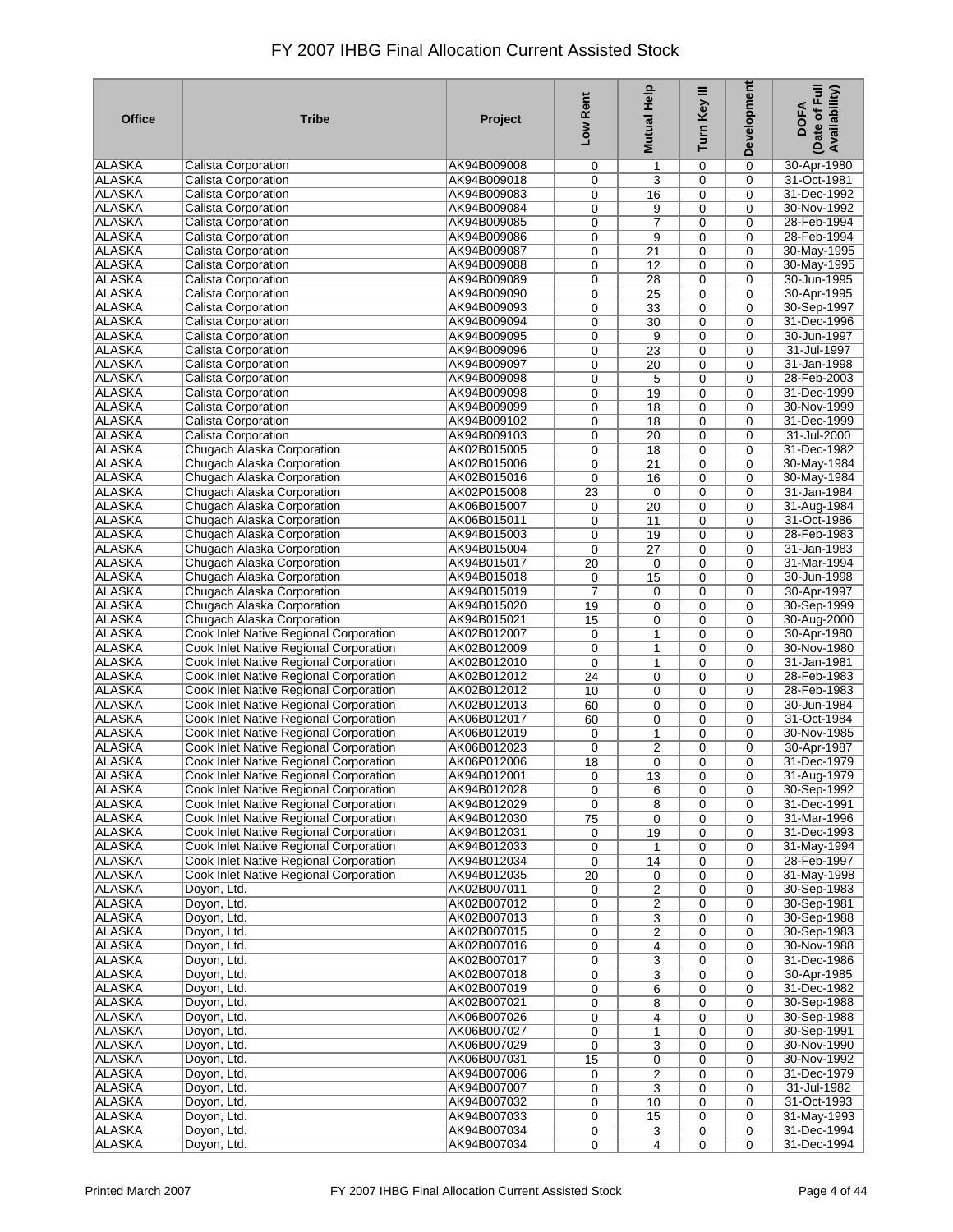| <b>Office</b>                  | <b>Tribe</b>                                                                     | Project                    | Low Rent  | Mutual Help             | Turn Key III     | Development                | Date of Full<br>Availability)<br><b>DOFA</b> |
|--------------------------------|----------------------------------------------------------------------------------|----------------------------|-----------|-------------------------|------------------|----------------------------|----------------------------------------------|
| <b>ALASKA</b>                  | Calista Corporation                                                              | AK94B009008                | 0         | 1                       | 0                | 0                          | 30-Apr-1980                                  |
| <b>ALASKA</b>                  | <b>Calista Corporation</b>                                                       | AK94B009018                | 0         | 3                       | 0                | $\mathbf 0$                | 31-Oct-1981                                  |
| <b>ALASKA</b>                  | <b>Calista Corporation</b>                                                       | AK94B009083                | 0         | 16                      | 0                | 0                          | 31-Dec-1992                                  |
| ALASKA                         | <b>Calista Corporation</b>                                                       | AK94B009084                | 0         | 9                       | 0                | $\mathbf 0$                | 30-Nov-1992                                  |
| <b>ALASKA</b>                  | <b>Calista Corporation</b>                                                       | AK94B009085                | 0         | $\overline{7}$          | 0                | 0                          | 28-Feb-1994                                  |
| <b>ALASKA</b>                  | <b>Calista Corporation</b>                                                       | AK94B009086                | 0         | 9                       | 0                | 0                          | 28-Feb-1994                                  |
| <b>ALASKA</b>                  | <b>Calista Corporation</b>                                                       | AK94B009087                | 0         | 21                      | 0                | 0                          | 30-May-1995                                  |
| <b>ALASKA</b>                  | Calista Corporation                                                              | AK94B009088                | 0         | 12                      | 0                | 0                          | 30-May-1995                                  |
| <b>ALASKA</b>                  | <b>Calista Corporation</b>                                                       | AK94B009089                | 0         | 28                      | 0                | $\Omega$                   | 30-Jun-1995                                  |
| <b>ALASKA</b>                  | <b>Calista Corporation</b>                                                       | AK94B009090                | 0         | 25                      | 0                | $\mathbf 0$                | 30-Apr-1995                                  |
| <b>ALASKA</b>                  | <b>Calista Corporation</b>                                                       | AK94B009093                | 0         | 33                      | 0                | 0                          | 30-Sep-1997                                  |
| <b>ALASKA</b>                  | <b>Calista Corporation</b>                                                       | AK94B009094                | 0         | 30                      | $\mathbf 0$      | $\mathbf 0$                | 31-Dec-1996                                  |
| <b>ALASKA</b>                  | <b>Calista Corporation</b>                                                       | AK94B009095                | 0         | 9                       | 0                | 0                          | 30-Jun-1997                                  |
| <b>ALASKA</b>                  | <b>Calista Corporation</b>                                                       | AK94B009096                | 0         | 23                      | 0                | $\mathbf 0$                | 31-Jul-1997                                  |
| <b>ALASKA</b>                  | <b>Calista Corporation</b>                                                       | AK94B009097                | 0         | 20                      | 0                | $\Omega$                   | 31-Jan-1998                                  |
| <b>ALASKA</b>                  | <b>Calista Corporation</b>                                                       | AK94B009098                | 0         | 5                       | 0                | $\mathbf 0$                | 28-Feb-2003                                  |
| ALASKA                         | <b>Calista Corporation</b>                                                       | AK94B009098                | 0         | 19                      | $\mathbf 0$      | $\mathbf 0$                | 31-Dec-1999                                  |
| <b>ALASKA</b>                  | <b>Calista Corporation</b>                                                       | AK94B009099                | 0         | 18                      | 0                | $\mathbf 0$                | 30-Nov-1999                                  |
| <b>ALASKA</b>                  | <b>Calista Corporation</b>                                                       | AK94B009102                | 0         | 18                      | $\mathbf 0$      | $\mathbf 0$                | 31-Dec-1999                                  |
| <b>ALASKA</b>                  | Calista Corporation                                                              | AK94B009103                | 0         | 20                      | 0                | $\mathbf 0$                | 31-Jul-2000                                  |
| <b>ALASKA</b>                  | Chugach Alaska Corporation                                                       | AK02B015005                | 0         | 18                      | $\mathbf 0$      | 0                          | 31-Dec-1982                                  |
| ALASKA                         | Chugach Alaska Corporation                                                       | AK02B015006                | 0         | 21                      | 0                | $\mathbf 0$                | 30-May-1984                                  |
| <b>ALASKA</b>                  | Chugach Alaska Corporation                                                       | AK02B015016                | 0         | 16                      | $\mathbf 0$      | $\mathbf 0$                | 30-May-1984                                  |
| ALASKA                         | Chugach Alaska Corporation                                                       | AK02P015008                | 23        | 0                       | 0                | $\Omega$                   | 31-Jan-1984                                  |
| ALASKA                         | Chugach Alaska Corporation                                                       | AK06B015007                | 0         | 20                      | 0                | 0                          | 31-Aug-1984                                  |
| <b>ALASKA</b>                  | Chugach Alaska Corporation                                                       | AK06B015011                | 0         | 11                      | 0                | 0                          | 31-Oct-1986                                  |
| <b>ALASKA</b>                  | Chugach Alaska Corporation                                                       | AK94B015003                | 0         | 19                      | 0                | $\mathbf 0$                | 28-Feb-1983                                  |
| <b>ALASKA</b>                  | Chugach Alaska Corporation                                                       | AK94B015004                | 0         | $\overline{27}$         | 0                | 0                          | 31-Jan-1983                                  |
| <b>ALASKA</b>                  | Chugach Alaska Corporation                                                       | AK94B015017                | 20        | 0                       | 0                | $\mathbf 0$                | 31-Mar-1994                                  |
| <b>ALASKA</b>                  | Chugach Alaska Corporation                                                       | AK94B015018                | 0         | 15                      | 0                | 0                          | 30-Jun-1998                                  |
| <b>ALASKA</b>                  | Chugach Alaska Corporation                                                       | AK94B015019                | 7         | 0                       | 0                | 0                          | 30-Apr-1997                                  |
| <b>ALASKA</b>                  | Chugach Alaska Corporation                                                       | AK94B015020                | 19        | 0                       | 0                | 0                          | 30-Sep-1999                                  |
| <b>ALASKA</b><br><b>ALASKA</b> | Chugach Alaska Corporation                                                       | AK94B015021                | 15        | 0                       | 0                | 0                          | 30-Aug-2000                                  |
| <b>ALASKA</b>                  | Cook Inlet Native Regional Corporation                                           | AK02B012007<br>AK02B012009 | 0         | 1                       | 0                | $\mathbf 0$<br>$\mathbf 0$ | 30-Apr-1980<br>30-Nov-1980                   |
| <b>ALASKA</b>                  | Cook Inlet Native Regional Corporation                                           |                            | 0         | 1                       | 0                |                            | 31-Jan-1981                                  |
| <b>ALASKA</b>                  | Cook Inlet Native Regional Corporation<br>Cook Inlet Native Regional Corporation | AK02B012010<br>AK02B012012 | 0         | $\mathbf{1}$            | 0<br>$\mathbf 0$ | 0                          | 28-Feb-1983                                  |
| <b>ALASKA</b>                  | Cook Inlet Native Regional Corporation                                           | AK02B012012                | 24<br>10  | 0<br>$\mathbf 0$        | 0                | 0<br>0                     | 28-Feb-1983                                  |
| <b>ALASKA</b>                  | <b>Cook Inlet Native Regional Corporation</b>                                    | AK02B012013                | 60        | 0                       | 0                | $\mathbf 0$                | 30-Jun-1984                                  |
| <b>ALASKA</b>                  | Cook Inlet Native Regional Corporation                                           | AK06B012017                | 60        | 0                       | $\mathbf 0$      | $\Omega$                   | 31-Oct-1984                                  |
| <b>ALASKA</b>                  | Cook Inlet Native Regional Corporation                                           | AK06B012019                | 0         | 1                       | 0                | $\mathbf 0$                | 30-Nov-1985                                  |
| <b>ALASKA</b>                  | Cook Inlet Native Regional Corporation                                           | AK06B012023                | 0         | 2                       | 0                | $\mathbf 0$                | 30-Apr-1987                                  |
| <b>ALASKA</b>                  | Cook Inlet Native Regional Corporation                                           | AK06P012006                | 18        | $\mathbf 0$             | 0                | 0                          | 31-Dec-1979                                  |
| <b>ALASKA</b>                  | Cook Inlet Native Regional Corporation                                           | AK94B012001                | $\pmb{0}$ | $\overline{13}$         | 0                | 0                          | 31-Aug-1979                                  |
| ALASKA                         | Cook Inlet Native Regional Corporation                                           | AK94B012028                | 0         | 6                       | 0                | 0                          | 30-Sep-1992                                  |
| ALASKA                         | Cook Inlet Native Regional Corporation                                           | AK94B012029                | 0         | 8                       | 0                | 0                          | 31-Dec-1991                                  |
| <b>ALASKA</b>                  | Cook Inlet Native Regional Corporation                                           | AK94B012030                | 75        | 0                       | 0                | 0                          | 31-Mar-1996                                  |
| <b>ALASKA</b>                  | Cook Inlet Native Regional Corporation                                           | AK94B012031                | 0         | 19                      | $\mathbf 0$      | $\mathbf 0$                | 31-Dec-1993                                  |
| ALASKA                         | Cook Inlet Native Regional Corporation                                           | AK94B012033                | 0         | 1                       | 0                | 0                          | 31-May-1994                                  |
| <b>ALASKA</b>                  | Cook Inlet Native Regional Corporation                                           | AK94B012034                | 0         | 14                      | 0                | 0                          | 28-Feb-1997                                  |
| <b>ALASKA</b>                  | Cook Inlet Native Regional Corporation                                           | AK94B012035                | 20        | 0                       | 0                | 0                          | 31-May-1998                                  |
| ALASKA                         | Doyon, Ltd.                                                                      | AK02B007011                | 0         | $\overline{\mathbf{c}}$ | 0                | $\mathbf 0$                | 30-Sep-1983                                  |
| <b>ALASKA</b>                  | Doyon, Ltd.                                                                      | AK02B007012                | 0         | 2                       | 0                | $\mathbf 0$                | 30-Sep-1981                                  |
| <b>ALASKA</b>                  | Doyon, Ltd.                                                                      | AK02B007013                | 0         | 3                       | 0                | 0                          | 30-Sep-1988                                  |
| <b>ALASKA</b>                  | Doyon, Ltd.                                                                      | AK02B007015                | 0         | $\overline{\mathbf{c}}$ | 0                | 0                          | 30-Sep-1983                                  |
| <b>ALASKA</b>                  | Doyon, Ltd.                                                                      | AK02B007016                | 0         | 4                       | 0                | 0                          | 30-Nov-1988                                  |
| <b>ALASKA</b>                  | Doyon, Ltd.                                                                      | AK02B007017                | 0         | 3                       | 0                | 0                          | 31-Dec-1986                                  |
| <b>ALASKA</b>                  | Doyon, Ltd.                                                                      | AK02B007018                | 0         | 3                       | 0                | 0                          | 30-Apr-1985                                  |
| <b>ALASKA</b>                  | Doyon, Ltd.                                                                      | AK02B007019                | 0         | 6                       | 0                | 0                          | 31-Dec-1982                                  |
| <b>ALASKA</b>                  | Doyon, Ltd.                                                                      | AK02B007021                | 0         | 8                       | 0                | 0                          | 30-Sep-1988                                  |
| <b>ALASKA</b>                  | Doyon, Ltd.                                                                      | AK06B007026                | 0         | 4                       | 0                | 0                          | 30-Sep-1988                                  |
| ALASKA                         | Doyon, Ltd.                                                                      | AK06B007027                | 0         | 1                       | 0                | 0                          | 30-Sep-1991                                  |
| ALASKA                         | Doyon, Ltd.                                                                      | AK06B007029                | 0         | 3                       | 0                | 0                          | 30-Nov-1990                                  |
| <b>ALASKA</b>                  | Doyon, Ltd.                                                                      | AK06B007031                | 15        | 0                       | 0                | 0                          | 30-Nov-1992                                  |
| ALASKA                         | Doyon, Ltd.                                                                      | AK94B007006                | 0         | $\overline{\mathbf{c}}$ | 0                | $\mathbf 0$                | 31-Dec-1979                                  |
| <b>ALASKA</b>                  | Doyon, Ltd.                                                                      | AK94B007007                | 0         | 3                       | 0                | 0                          | 31-Jul-1982                                  |
| <b>ALASKA</b>                  | Doyon, Ltd.                                                                      | AK94B007032                | 0         | 10                      | 0                | 0                          | 31-Oct-1993                                  |
| ALASKA<br><b>ALASKA</b>        | Doyon, Ltd.<br>Doyon, Ltd.                                                       | AK94B007033<br>AK94B007034 | 0         | 15                      | 0                | 0<br>0                     | 31-May-1993<br>31-Dec-1994                   |
| <b>ALASKA</b>                  | Doyon, Ltd.                                                                      | AK94B007034                | 0<br>0    | 3<br>$\overline{4}$     | 0<br>0           | $\mathbf 0$                | 31-Dec-1994                                  |
|                                |                                                                                  |                            |           |                         |                  |                            |                                              |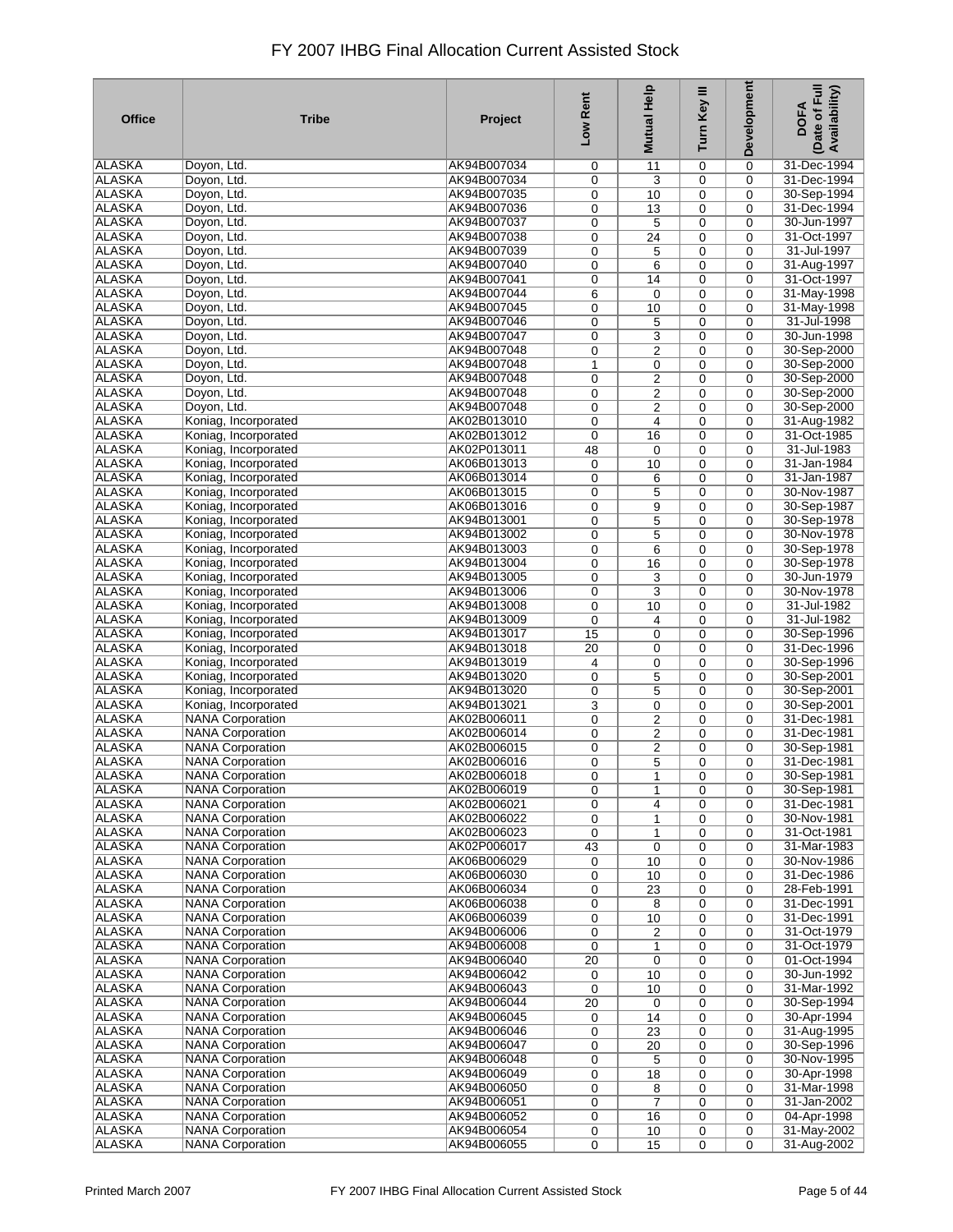| <b>Office</b>                  | <b>Tribe</b>                                       | Project                    | Low Rent | Help<br><b>Mutual</b>       | Turn Key III     | Development      | Date of Full<br>Availability)<br><b>DOFA</b> |
|--------------------------------|----------------------------------------------------|----------------------------|----------|-----------------------------|------------------|------------------|----------------------------------------------|
| ALASKA                         | Doyon, Ltd.                                        | AK94B007034                | 0        | 11                          | 0                | 0                | 31-Dec-1994                                  |
| <b>ALASKA</b>                  | Doyon, Ltd.                                        | AK94B007034                | 0        | 3                           | $\mathbf 0$      | $\mathbf 0$      | 31-Dec-1994                                  |
| <b>ALASKA</b>                  | Doyon, Ltd.                                        | AK94B007035                | 0        | 10                          | 0                | 0                | 30-Sep-1994                                  |
| ALASKA                         | Doyon, Ltd.                                        | AK94B007036                | 0        | 13                          | 0                | 0                | 31-Dec-1994                                  |
| ALASKA                         | Doyon, Ltd.                                        | AK94B007037                | 0        | 5                           | 0                | $\mathbf 0$      | 30-Jun-1997                                  |
| <b>ALASKA</b>                  | Doyon, Ltd.                                        | AK94B007038                | 0        | 24                          | 0                | $\mathbf 0$      | 31-Oct-1997                                  |
| <b>ALASKA</b><br><b>ALASKA</b> | Doyon, Ltd.<br>Doyon, Ltd.                         | AK94B007039<br>AK94B007040 | 0        | 5                           | 0                | 0                | 31-Jul-1997                                  |
| <b>ALASKA</b>                  | Doyon, Ltd.                                        | AK94B007041                | 0<br>0   | 6<br>14                     | 0<br>0           | 0<br>0           | 31-Aug-1997<br>31-Oct-1997                   |
| <b>ALASKA</b>                  | Doyon, Ltd.                                        | AK94B007044                | 6        | 0                           | 0                | 0                | 31-May-1998                                  |
| <b>ALASKA</b>                  | Doyon, Ltd.                                        | AK94B007045                | 0        | 10                          | 0                | $\mathbf 0$      | 31-May-1998                                  |
| <b>ALASKA</b>                  | Doyon, Ltd.                                        | AK94B007046                | 0        | 5                           | 0                | 0                | 31-Jul-1998                                  |
| <b>ALASKA</b>                  | Doyon, Ltd.                                        | AK94B007047                | 0        | 3                           | 0                | $\mathbf 0$      | 30-Jun-1998                                  |
| <b>ALASKA</b>                  | Doyon, Ltd.                                        | AK94B007048                | 0        | $\overline{\mathbf{c}}$     | 0                | $\mathbf 0$      | 30-Sep-2000                                  |
| <b>ALASKA</b>                  | Doyon, Ltd.                                        | AK94B007048                | 1        | 0                           | 0                | 0                | 30-Sep-2000                                  |
| <b>ALASKA</b>                  | Doyon, Ltd.                                        | AK94B007048                | 0        | $\overline{\mathbf{c}}$     | 0                | 0                | 30-Sep-2000                                  |
| <b>ALASKA</b>                  | Doyon, Ltd.                                        | AK94B007048                | 0        | 2                           | 0                | $\mathbf 0$      | 30-Sep-2000                                  |
| <b>ALASKA</b>                  | Doyon, Ltd.                                        | AK94B007048                | 0        | $\overline{2}$              | 0                | $\mathbf 0$      | 30-Sep-2000                                  |
| <b>ALASKA</b>                  | Koniag, Incorporated                               | AK02B013010                | 0        | $\overline{4}$              | $\mathbf 0$      | $\mathbf 0$      | 31-Aug-1982                                  |
| <b>ALASKA</b>                  | Koniag, Incorporated                               | AK02B013012                | 0        | 16                          | 0                | $\mathbf 0$      | 31-Oct-1985                                  |
| <b>ALASKA</b>                  | Koniag, Incorporated                               | AK02P013011                | 48       | 0                           | 0                | $\mathbf 0$      | $31 -$ Jul-1983                              |
| <b>ALASKA</b>                  | Koniag, Incorporated                               | AK06B013013                | 0        | 10                          | 0                | $\mathbf 0$      | 31-Jan-1984                                  |
| <b>ALASKA</b>                  | Koniag, Incorporated                               | AK06B013014                | 0        | 6                           | $\mathbf 0$      | $\mathbf 0$      | 31-Jan-1987                                  |
| <b>ALASKA</b><br><b>ALASKA</b> | Koniag, Incorporated                               | AK06B013015<br>AK06B013016 | 0        | 5                           | 0                | $\Omega$         | 30-Nov-1987                                  |
| <b>ALASKA</b>                  | Koniag, Incorporated<br>Koniag, Incorporated       | AK94B013001                | 0<br>0   | 9<br>5                      | $\mathbf 0$<br>0 | 0<br>$\mathbf 0$ | 30-Sep-1987<br>30-Sep-1978                   |
| <b>ALASKA</b>                  | Koniag, Incorporated                               | AK94B013002                | 0        | 5                           | $\mathbf 0$      | $\mathbf 0$      | 30-Nov-1978                                  |
| <b>ALASKA</b>                  | Koniag, Incorporated                               | AK94B013003                | 0        | 6                           | 0                | 0                | 30-Sep-1978                                  |
| <b>ALASKA</b>                  | Koniag, Incorporated                               | AK94B013004                | 0        | 16                          | 0                | 0                | 30-Sep-1978                                  |
| <b>ALASKA</b>                  | Koniag, Incorporated                               | AK94B013005                | 0        | 3                           | 0                | $\mathbf 0$      | 30-Jun-1979                                  |
| <b>ALASKA</b>                  | Koniag, Incorporated                               | AK94B013006                | 0        | 3                           | 0                | $\mathbf 0$      | 30-Nov-1978                                  |
| <b>ALASKA</b>                  | Koniag, Incorporated                               | AK94B013008                | 0        | 10                          | 0                | 0                | 31-Jul-1982                                  |
| <b>ALASKA</b>                  | Koniag, Incorporated                               | AK94B013009                | 0        | 4                           | 0                | 0                | 31-Jul-1982                                  |
| <b>ALASKA</b>                  | Koniag, Incorporated                               | AK94B013017                | 15       | 0                           | 0                | 0                | 30-Sep-1996                                  |
| <b>ALASKA</b>                  | Koniag, Incorporated                               | AK94B013018                | 20       | 0                           | 0                | 0                | 31-Dec-1996                                  |
| <b>ALASKA</b>                  | Koniag, Incorporated                               | AK94B013019                | 4        | 0                           | 0                | $\mathbf 0$      | 30-Sep-1996                                  |
| <b>ALASKA</b>                  | Koniag, Incorporated                               | AK94B013020                | 0        | 5                           | 0                | 0                | 30-Sep-2001                                  |
| <b>ALASKA</b>                  | Koniag, Incorporated                               | AK94B013020                | 0        | 5                           | 0                | $\mathbf 0$      | 30-Sep-2001                                  |
| <b>ALASKA</b>                  | Koniag, Incorporated                               | AK94B013021                | 3        | 0                           | 0                | 0                | 30-Sep-2001                                  |
| <b>ALASKA</b><br><b>ALASKA</b> | <b>NANA Corporation</b><br><b>NANA Corporation</b> | AK02B006011                | 0        | $\overline{2}$              | $\mathbf 0$      | 0<br>0           | 31-Dec-1981<br>31-Dec-1981                   |
| <b>ALASKA</b>                  | <b>NANA Corporation</b>                            | AK02B006014<br>AK02B006015 | 0<br>0   | 2<br>2                      | 0<br>0           | $\mathbf 0$      | 30-Sep-1981                                  |
| ALASKA                         | <b>NANA Corporation</b>                            | AK02B006016                | 0        | 5                           | 0                | 0                | 31-Dec-1981                                  |
| <b>ALASKA</b>                  | <b>NANA Corporation</b>                            | AK02B006018                | 0        | 1                           | 0                | 0                | 30-Sep-1981                                  |
| <b>ALASKA</b>                  | <b>NANA Corporation</b>                            | AK02B006019                | 0        | 1                           | $\mathbf 0$      | $\mathbf 0$      | 30-Sep-1981                                  |
| <b>ALASKA</b>                  | <b>NANA Corporation</b>                            | AK02B006021                | 0        | 4                           | $\mathbf 0$      | 0                | 31-Dec-1981                                  |
| <b>ALASKA</b>                  | <b>NANA Corporation</b>                            | AK02B006022                | 0        | 1                           | 0                | 0                | 30-Nov-1981                                  |
| <b>ALASKA</b>                  | <b>NANA Corporation</b>                            | AK02B006023                | 0        | $\mathbf{1}$                | $\mathbf 0$      | $\mathbf 0$      | 31-Oct-1981                                  |
| ALASKA                         | <b>NANA Corporation</b>                            | AK02P006017                | 43       | $\mathbf 0$                 | 0                | 0                | 31-Mar-1983                                  |
| ALASKA                         | <b>NANA Corporation</b>                            | AK06B006029                | 0        | 10                          | $\mathbf 0$      | $\mathbf 0$      | 30-Nov-1986                                  |
| <b>ALASKA</b>                  | <b>NANA Corporation</b>                            | AK06B006030                | 0        | 10                          | 0                | 0                | 31-Dec-1986                                  |
| ALASKA                         | <b>NANA Corporation</b>                            | AK06B006034                | 0        | 23                          | $\mathbf 0$      | $\mathbf 0$      | 28-Feb-1991                                  |
| <b>ALASKA</b>                  | <b>NANA Corporation</b>                            | AK06B006038                | 0        | 8                           | 0                | 0                | 31-Dec-1991                                  |
| <b>ALASKA</b>                  | <b>NANA Corporation</b><br><b>NANA Corporation</b> | AK06B006039                | 0        | 10                          | 0                | 0                | 31-Dec-1991                                  |
| <b>ALASKA</b><br><b>ALASKA</b> | <b>NANA Corporation</b>                            | AK94B006006<br>AK94B006008 | 0        | 2                           | 0                | $\mathbf 0$      | 31-Oct-1979<br>31-Oct-1979                   |
| <b>ALASKA</b>                  | <b>NANA Corporation</b>                            | AK94B006040                | 0<br>20  | $\mathbf{1}$<br>$\mathbf 0$ | 0<br>0           | 0<br>0           | 01-Oct-1994                                  |
| <b>ALASKA</b>                  | <b>NANA Corporation</b>                            | AK94B006042                | 0        | 10                          | 0                | 0                | 30-Jun-1992                                  |
| <b>ALASKA</b>                  | <b>NANA Corporation</b>                            | AK94B006043                | 0        | 10                          | 0                | 0                | 31-Mar-1992                                  |
| <b>ALASKA</b>                  | <b>NANA Corporation</b>                            | AK94B006044                | 20       | 0                           | 0                | 0                | 30-Sep-1994                                  |
| <b>ALASKA</b>                  | <b>NANA Corporation</b>                            | AK94B006045                | 0        | 14                          | 0                | 0                | 30-Apr-1994                                  |
| <b>ALASKA</b>                  | <b>NANA Corporation</b>                            | AK94B006046                | 0        | 23                          | 0                | 0                | 31-Aug-1995                                  |
| <b>ALASKA</b>                  | <b>NANA Corporation</b>                            | AK94B006047                | 0        | 20                          | 0                | 0                | 30-Sep-1996                                  |
| <b>ALASKA</b>                  | <b>NANA Corporation</b>                            | AK94B006048                | 0        | 5                           | 0                | 0                | 30-Nov-1995                                  |
| <b>ALASKA</b>                  | <b>NANA Corporation</b>                            | AK94B006049                | 0        | 18                          | 0                | $\mathbf 0$      | 30-Apr-1998                                  |
| <b>ALASKA</b>                  | <b>NANA Corporation</b>                            | AK94B006050                | 0        | 8                           | 0                | 0                | 31-Mar-1998                                  |
| <b>ALASKA</b>                  | <b>NANA Corporation</b>                            | AK94B006051                | 0        | $\overline{7}$              | 0                | 0                | 31-Jan-2002                                  |
| <b>ALASKA</b>                  | <b>NANA</b> Corporation                            | AK94B006052                | 0        | 16                          | 0                | $\mathbf 0$      | 04-Apr-1998                                  |
| <b>ALASKA</b>                  | <b>NANA Corporation</b>                            | AK94B006054                | 0        | 10                          | 0                | 0                | 31-May-2002                                  |
| <b>ALASKA</b>                  | <b>NANA Corporation</b>                            | AK94B006055                | 0        | 15                          | 0                | 0                | 31-Aug-2002                                  |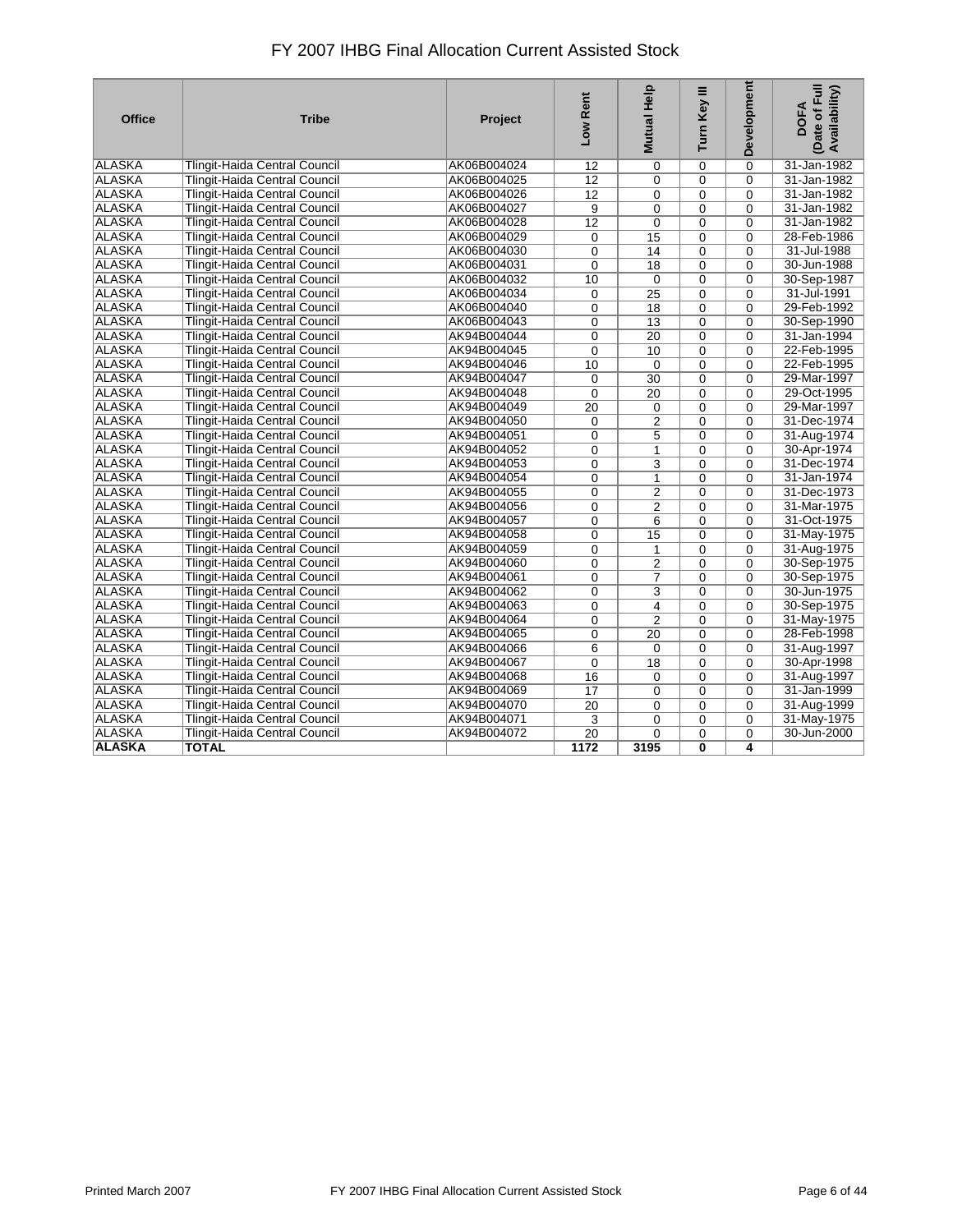| <b>Office</b> | <b>Tribe</b>                         | <b>Project</b> | Low Rent        | <b>Mutual Help</b> | Turn Key III   | <b>Development</b> | Date of Full<br>Availability)<br><b>DOFA</b> |
|---------------|--------------------------------------|----------------|-----------------|--------------------|----------------|--------------------|----------------------------------------------|
| ALASKA        | <b>Tlingit-Haida Central Council</b> | AK06B004024    | 12              | $\mathbf 0$        | $\Omega$       | $\Omega$           | 31-Jan-1982                                  |
| <b>ALASKA</b> | <b>Tlingit-Haida Central Council</b> | AK06B004025    | $\overline{12}$ | $\mathbf 0$        | 0              | $\Omega$           | 31-Jan-1982                                  |
| <b>ALASKA</b> | <b>Tlingit-Haida Central Council</b> | AK06B004026    | $\overline{12}$ | $\mathbf 0$        | $\Omega$       | $\Omega$           | 31-Jan-1982                                  |
| <b>ALASKA</b> | Tlingit-Haida Central Council        | AK06B004027    | $\overline{9}$  | 0                  | 0              | $\Omega$           | 31-Jan-1982                                  |
| <b>ALASKA</b> | Tlingit-Haida Central Council        | AK06B004028    | 12              | $\Omega$           | $\Omega$       | $\Omega$           | 31-Jan-1982                                  |
| <b>ALASKA</b> | Tlingit-Haida Central Council        | AK06B004029    | 0               | 15                 | 0              | $\Omega$           | 28-Feb-1986                                  |
| <b>ALASKA</b> | Tlingit-Haida Central Council        | AK06B004030    | 0               | 14                 | 0              | $\Omega$           | 31-Jul-1988                                  |
| <b>ALASKA</b> | Tlingit-Haida Central Council        | AK06B004031    | 0               | 18                 | $\mathbf 0$    | $\Omega$           | 30-Jun-1988                                  |
| <b>ALASKA</b> | Tlingit-Haida Central Council        | AK06B004032    | 10              | $\mathbf 0$        | $\Omega$       | $\Omega$           | 30-Sep-1987                                  |
| <b>ALASKA</b> | <b>Tlingit-Haida Central Council</b> | AK06B004034    | 0               | $\overline{25}$    | $\Omega$       | $\Omega$           | 31-Jul-1991                                  |
| <b>ALASKA</b> | Tlingit-Haida Central Council        | AK06B004040    | 0               | 18                 | 0              | $\Omega$           | 29-Feb-1992                                  |
| <b>ALASKA</b> | Tlingit-Haida Central Council        | AK06B004043    | 0               | 13                 | $\Omega$       | 0                  | 30-Sep-1990                                  |
| <b>ALASKA</b> | Tlingit-Haida Central Council        | AK94B004044    | 0               | $\overline{20}$    | 0              | $\Omega$           | 31-Jan-1994                                  |
| <b>ALASKA</b> | Tlingit-Haida Central Council        | AK94B004045    | 0               | 10                 | $\mathbf 0$    | $\Omega$           | 22-Feb-1995                                  |
| <b>ALASKA</b> | <b>Tlingit-Haida Central Council</b> | AK94B004046    | 10              | $\Omega$           | $\Omega$       | $\Omega$           | 22-Feb-1995                                  |
| <b>ALASKA</b> | Tlingit-Haida Central Council        | AK94B004047    | $\mathbf 0$     | $\overline{30}$    | 0              | $\overline{0}$     | 29-Mar-1997                                  |
| <b>ALASKA</b> | <b>Tlingit-Haida Central Council</b> | AK94B004048    | $\Omega$        | 20                 | $\Omega$       | $\Omega$           | 29-Oct-1995                                  |
| <b>ALASKA</b> | Tlingit-Haida Central Council        | AK94B004049    | 20              | $\mathbf 0$        | 0              | $\Omega$           | 29-Mar-1997                                  |
| <b>ALASKA</b> | <b>Tlingit-Haida Central Council</b> | AK94B004050    | 0               | 2                  | $\Omega$       | $\Omega$           | 31-Dec-1974                                  |
| <b>ALASKA</b> | Tlingit-Haida Central Council        | AK94B004051    | 0               | 5                  | 0              | $\overline{0}$     | 31-Aug-1974                                  |
| <b>ALASKA</b> | Tlingit-Haida Central Council        | AK94B004052    | 0               | $\mathbf{1}$       | $\Omega$       | $\Omega$           | 30-Apr-1974                                  |
| <b>ALASKA</b> | <b>Tlingit-Haida Central Council</b> | AK94B004053    | 0               | 3                  | $\Omega$       | $\Omega$           | 31-Dec-1974                                  |
| <b>ALASKA</b> | Tlingit-Haida Central Council        | AK94B004054    | 0               | $\mathbf{1}$       | 0              | $\Omega$           | 31-Jan-1974                                  |
| <b>ALASKA</b> | <b>Tlingit-Haida Central Council</b> | AK94B004055    | 0               | $\overline{2}$     | $\Omega$       | $\Omega$           | 31-Dec-1973                                  |
| <b>ALASKA</b> | Tlingit-Haida Central Council        | AK94B004056    | 0               | 2                  | 0              | $\Omega$           | 31-Mar-1975                                  |
| <b>ALASKA</b> | Tlingit-Haida Central Council        | AK94B004057    | $\overline{0}$  | $\overline{6}$     | $\overline{0}$ | $\Omega$           | 31-Oct-1975                                  |
| <b>ALASKA</b> | <b>Tlingit-Haida Central Council</b> | AK94B004058    | 0               | 15                 | $\Omega$       | $\Omega$           | 31-May-1975                                  |
| <b>ALASKA</b> | Tlingit-Haida Central Council        | AK94B004059    | 0               | $\mathbf{1}$       | $\Omega$       | $\Omega$           | 31-Aug-1975                                  |
| <b>ALASKA</b> | <b>Tlingit-Haida Central Council</b> | AK94B004060    | 0               | 2                  | 0              | $\Omega$           | 30-Sep-1975                                  |
| <b>ALASKA</b> | Tlingit-Haida Central Council        | AK94B004061    | 0               | $\overline{7}$     | 0              | $\Omega$           | 30-Sep-1975                                  |
| <b>ALASKA</b> | <b>Tlingit-Haida Central Council</b> | AK94B004062    | 0               | 3                  | $\Omega$       | $\Omega$           | 30-Jun-1975                                  |
| <b>ALASKA</b> | Tlingit-Haida Central Council        | AK94B004063    | 0               | 4                  | 0              | $\Omega$           | 30-Sep-1975                                  |
| <b>ALASKA</b> | Tlingit-Haida Central Council        | AK94B004064    | 0               | $\overline{2}$     | $\overline{0}$ | $\Omega$           | 31-May-1975                                  |
| <b>ALASKA</b> | <b>Tlingit-Haida Central Council</b> | AK94B004065    | 0               | 20                 | $\Omega$       | $\Omega$           | 28-Feb-1998                                  |
| <b>ALASKA</b> | Tlingit-Haida Central Council        | AK94B004066    | $\overline{6}$  | $\mathbf 0$        | $\overline{0}$ | $\Omega$           | 31-Aug-1997                                  |
| <b>ALASKA</b> | <b>Tlingit-Haida Central Council</b> | AK94B004067    | 0               | 18                 | $\Omega$       | $\Omega$           | 30-Apr-1998                                  |
| <b>ALASKA</b> | Tlingit-Haida Central Council        | AK94B004068    | 16              | $\mathbf 0$        | 0              | $\Omega$           | 31-Aug-1997                                  |
| <b>ALASKA</b> | <b>Tlingit-Haida Central Council</b> | AK94B004069    | $\overline{17}$ | 0                  | 0              | $\Omega$           | 31-Jan-1999                                  |
| <b>ALASKA</b> | Tlingit-Haida Central Council        | AK94B004070    | 20              | $\mathbf 0$        | $\mathbf 0$    | $\mathbf 0$        | 31-Aug-1999                                  |
| <b>ALASKA</b> | <b>Tlingit-Haida Central Council</b> | AK94B004071    | 3               | 0                  | 0              | $\Omega$           | 31-May-1975                                  |
| <b>ALASKA</b> | <b>Tlingit-Haida Central Council</b> | AK94B004072    | $\overline{20}$ | $\Omega$           | $\Omega$       | $\Omega$           | 30-Jun-2000                                  |
| <b>ALASKA</b> | <b>TOTAL</b>                         |                | 1172            | 3195               | 0              | 4                  |                                              |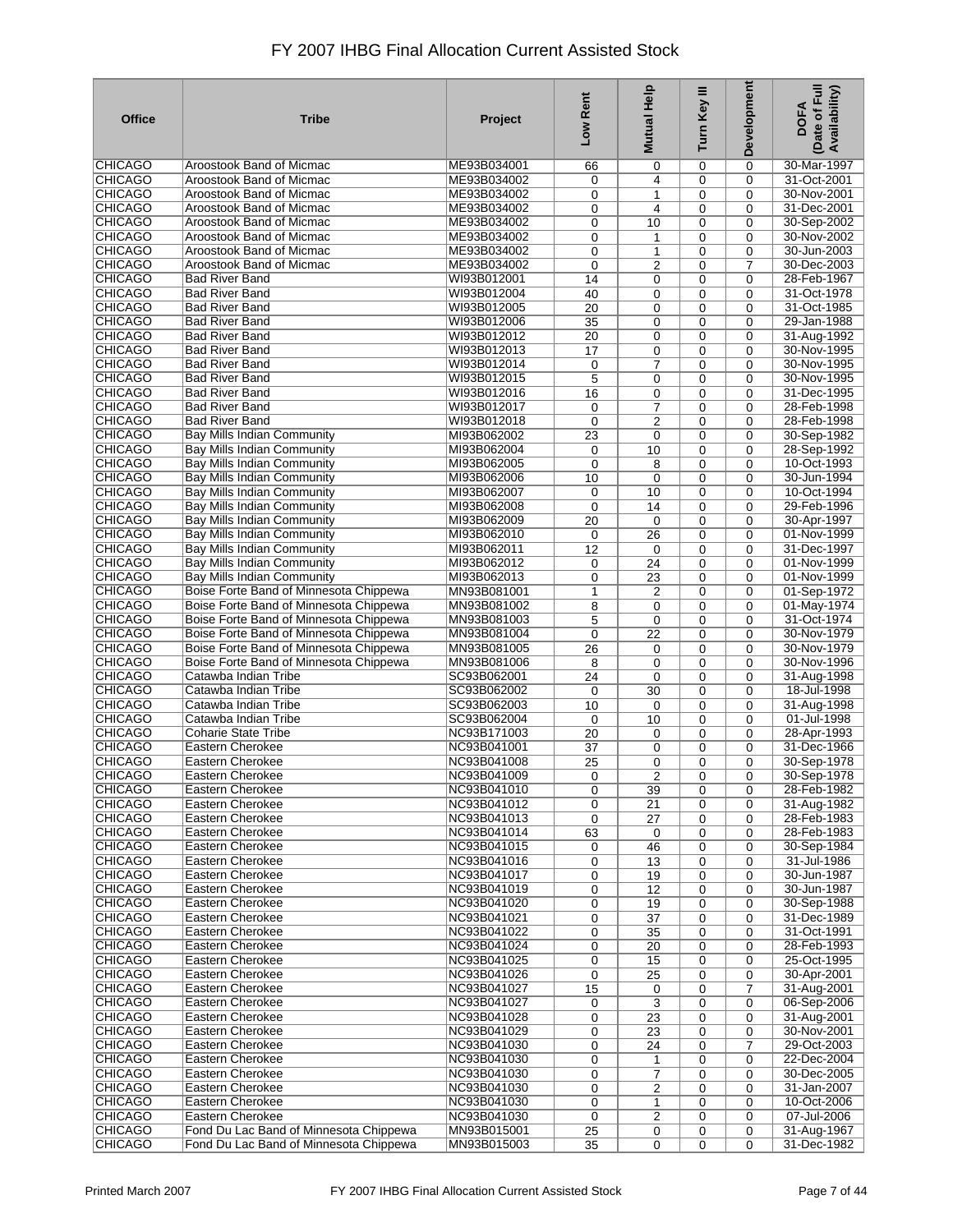| <b>Office</b>                    | <b>Tribe</b>                                                                     | Project                    | Low Rent              | Help<br><b>Mutual</b>   | Turn Key III     | Development          | Date of Full<br>Availability)<br><b>DOFA</b> |
|----------------------------------|----------------------------------------------------------------------------------|----------------------------|-----------------------|-------------------------|------------------|----------------------|----------------------------------------------|
| CHICAGO                          | Aroostook Band of Micmac                                                         | ME93B034001                | 66                    | 0                       | 0                | 0                    | 30-Mar-1997                                  |
| <b>CHICAGO</b>                   | Aroostook Band of Micmac                                                         | ME93B034002                | 0                     | 4                       | 0                | 0                    | 31-Oct-2001                                  |
| <b>CHICAGO</b>                   | <b>Aroostook Band of Micmac</b>                                                  | ME93B034002                | 0                     | 1                       | 0                | $\Omega$             | 30-Nov-2001                                  |
| <b>CHICAGO</b><br><b>CHICAGO</b> | Aroostook Band of Micmac<br>Aroostook Band of Micmac                             | ME93B034002<br>ME93B034002 | 0<br>0                | $\overline{4}$<br>10    | 0<br>0           | 0<br>0               | 31-Dec-2001<br>30-Sep-2002                   |
| <b>CHICAGO</b>                   | Aroostook Band of Micmac                                                         | ME93B034002                | 0                     | 1                       | 0                | 0                    | 30-Nov-2002                                  |
| <b>CHICAGO</b>                   | Aroostook Band of Micmac                                                         | ME93B034002                | 0                     | 1                       | 0                | 0                    | 30-Jun-2003                                  |
| <b>CHICAGO</b>                   | Aroostook Band of Micmac                                                         | ME93B034002                | 0                     | 2                       | 0                | 7                    | 30-Dec-2003                                  |
| <b>CHICAGO</b>                   | <b>Bad River Band</b>                                                            | WI93B012001                | 14                    | $\mathbf 0$             | 0                | $\Omega$             | 28-Feb-1967                                  |
| <b>CHICAGO</b>                   | <b>Bad River Band</b>                                                            | WI93B012004                | 40                    | 0                       | 0                | 0                    | 31-Oct-1978                                  |
| <b>CHICAGO</b>                   | <b>Bad River Band</b>                                                            | WI93B012005                | 20                    | $\mathbf 0$             | 0                | $\Omega$             | 31-Oct-1985                                  |
| <b>CHICAGO</b>                   | <b>Bad River Band</b>                                                            | WI93B012006                | 35                    | 0                       | $\mathbf 0$      | $\mathbf 0$          | 29-Jan-1988                                  |
| <b>CHICAGO</b><br><b>CHICAGO</b> | <b>Bad River Band</b><br><b>Bad River Band</b>                                   | WI93B012012<br>WI93B012013 | $\overline{20}$<br>17 | 0<br>0                  | 0<br>0           | 0<br>$\mathbf 0$     | 31-Aug-1992<br>30-Nov-1995                   |
| <b>CHICAGO</b>                   | <b>Bad River Band</b>                                                            | WI93B012014                | 0                     | $\overline{7}$          | 0                | $\Omega$             | 30-Nov-1995                                  |
| <b>CHICAGO</b>                   | <b>Bad River Band</b>                                                            | WI93B012015                | 5                     | 0                       | 0                | 0                    | 30-Nov-1995                                  |
| <b>CHICAGO</b>                   | <b>Bad River Band</b>                                                            | WI93B012016                | 16                    | 0                       | $\mathbf 0$      | 0                    | 31-Dec-1995                                  |
| <b>CHICAGO</b>                   | <b>Bad River Band</b>                                                            | WI93B012017                | 0                     | $\overline{7}$          | 0                | 0                    | 28-Feb-1998                                  |
| <b>CHICAGO</b>                   | <b>Bad River Band</b>                                                            | WI93B012018                | $\mathbf 0$           | 2                       | $\mathbf 0$      | 0                    | 28-Feb-1998                                  |
| <b>CHICAGO</b>                   | Bay Mills Indian Community                                                       | MI93B062002                | 23                    | $\mathbf 0$             | 0                | $\Omega$             | 30-Sep-1982                                  |
| <b>CHICAGO</b>                   | <b>Bay Mills Indian Community</b>                                                | MI93B062004                | 0                     | 10                      | $\mathbf 0$      | 0                    | 28-Sep-1992                                  |
| <b>CHICAGO</b>                   | Bay Mills Indian Community                                                       | MI93B062005<br>MI93B062006 | $\mathbf 0$           | 8                       | 0                | $\Omega$             | 10-Oct-1993                                  |
| <b>CHICAGO</b><br><b>CHICAGO</b> | Bay Mills Indian Community<br><b>Bay Mills Indian Community</b>                  | MI93B062007                | 10<br>$\mathbf 0$     | $\mathbf 0$<br>10       | $\mathbf 0$<br>0 | $\Omega$<br>$\Omega$ | 30-Jun-1994<br>10-Oct-1994                   |
| <b>CHICAGO</b>                   | Bay Mills Indian Community                                                       | MI93B062008                | 0                     | 14                      | 0                | 0                    | 29-Feb-1996                                  |
| <b>CHICAGO</b>                   | Bay Mills Indian Community                                                       | MI93B062009                | 20                    | $\mathbf 0$             | 0                | $\Omega$             | 30-Apr-1997                                  |
| <b>CHICAGO</b>                   | Bay Mills Indian Community                                                       | MI93B062010                | $\mathbf 0$           | 26                      | 0                | 0                    | 01-Nov-1999                                  |
| <b>CHICAGO</b>                   | <b>Bay Mills Indian Community</b>                                                | MI93B062011                | 12                    | $\mathbf 0$             | 0                | $\Omega$             | 31-Dec-1997                                  |
| <b>CHICAGO</b>                   | Bay Mills Indian Community                                                       | MI93B062012                | 0                     | 24                      | 0                | 0                    | 01-Nov-1999                                  |
| <b>CHICAGO</b>                   | <b>Bay Mills Indian Community</b>                                                | MI93B062013                | 0                     | 23                      | 0                | 0                    | 01-Nov-1999                                  |
| <b>CHICAGO</b>                   | Boise Forte Band of Minnesota Chippewa                                           | MN93B081001                | 1                     | 2                       | 0                | 0                    | 01-Sep-1972                                  |
| <b>CHICAGO</b><br><b>CHICAGO</b> | Boise Forte Band of Minnesota Chippewa<br>Boise Forte Band of Minnesota Chippewa | MN93B081002<br>MN93B081003 | 8                     | 0<br>$\mathbf 0$        | 0<br>$\mathbf 0$ | 0<br>$\mathbf 0$     | 01-May-1974<br>31-Oct-1974                   |
| <b>CHICAGO</b>                   | Boise Forte Band of Minnesota Chippewa                                           | MN93B081004                | 5<br>0                | 22                      | 0                | $\Omega$             | 30-Nov-1979                                  |
| <b>CHICAGO</b>                   | Boise Forte Band of Minnesota Chippewa                                           | MN93B081005                | 26                    | 0                       | 0                | $\mathbf 0$          | 30-Nov-1979                                  |
| <b>CHICAGO</b>                   | Boise Forte Band of Minnesota Chippewa                                           | MN93B081006                | 8                     | 0                       | 0                | 0                    | 30-Nov-1996                                  |
| <b>CHICAGO</b>                   | Catawba Indian Tribe                                                             | SC93B062001                | 24                    | $\mathbf 0$             | $\mathbf 0$      | $\mathbf 0$          | 31-Aug-1998                                  |
| <b>CHICAGO</b>                   | Catawba Indian Tribe                                                             | SC93B062002                | 0                     | 30                      | $\mathbf 0$      | 0                    | 18-Jul-1998                                  |
| <b>CHICAGO</b>                   | Catawba Indian Tribe                                                             | SC93B062003                | 10                    | $\mathbf 0$             | $\mathbf 0$      | $\mathbf 0$          | 31-Aug-1998                                  |
| <b>CHICAGO</b>                   | Catawba Indian Tribe                                                             | SC93B062004                | 0                     | 10                      | 0                | 0                    | 01-Jul-1998                                  |
| <b>CHICAGO</b><br><b>CHICAGO</b> | Coharie State Tribe                                                              | NC93B171003<br>NC93B041001 | 20                    | 0                       | 0                | $\mathbf 0$          | 28-Apr-1993                                  |
| <b>CHICAGO</b>                   | Eastern Cherokee<br>Eastern Cherokee                                             | NC93B041008                | 37<br>25              | 0<br>$\mathbf 0$        | 0<br>0           | 0<br>0               | 31-Dec-1966<br>30-Sep-1978                   |
| <b>CHICAGO</b>                   | Eastern Cherokee                                                                 | NC93B041009                | 0                     | $\boldsymbol{2}$        | 0                | 0                    | 30-Sep-1978                                  |
| <b>CHICAGO</b>                   | Eastern Cherokee                                                                 | NC93B041010                | $\mathbf 0$           | 39                      | 0                | 0                    | 28-Feb-1982                                  |
| <b>CHICAGO</b>                   | Eastern Cherokee                                                                 | NC93B041012                | 0                     | 21                      | 0                | 0                    | 31-Aug-1982                                  |
| <b>CHICAGO</b>                   | Eastern Cherokee                                                                 | NC93B041013                | 0                     | 27                      | 0                | 0                    | 28-Feb-1983                                  |
| <b>CHICAGO</b>                   | Eastern Cherokee                                                                 | NC93B041014                | 63                    | 0                       | $\mathbf 0$      | $\mathbf 0$          | 28-Feb-1983                                  |
| <b>CHICAGO</b>                   | Eastern Cherokee                                                                 | NC93B041015                | 0                     | 46                      | 0                | $\mathbf 0$          | 30-Sep-1984                                  |
| <b>CHICAGO</b>                   | Eastern Cherokee                                                                 | NC93B041016                | 0                     | 13                      | $\mathbf 0$      | $\mathbf 0$          | 31-Jul-1986                                  |
| <b>CHICAGO</b><br><b>CHICAGO</b> | Eastern Cherokee<br>Eastern Cherokee                                             | NC93B041017<br>NC93B041019 | 0<br>0                | 19<br>12                | 0<br>$\mathbf 0$ | 0<br>$\mathbf 0$     | 30-Jun-1987<br>30-Jun-1987                   |
| <b>CHICAGO</b>                   | Eastern Cherokee                                                                 | NC93B041020                | 0                     | 19                      | 0                | 0                    | 30-Sep-1988                                  |
| <b>CHICAGO</b>                   | Eastern Cherokee                                                                 | NC93B041021                | 0                     | $\overline{37}$         | 0                | $\mathbf 0$          | 31-Dec-1989                                  |
| <b>CHICAGO</b>                   | Eastern Cherokee                                                                 | NC93B041022                | 0                     | 35                      | 0                | 0                    | 31-Oct-1991                                  |
| <b>CHICAGO</b>                   | Eastern Cherokee                                                                 | NC93B041024                | 0                     | 20                      | 0                | 0                    | 28-Feb-1993                                  |
| <b>CHICAGO</b>                   | Eastern Cherokee                                                                 | NC93B041025                | 0                     | 15                      | 0                | 0                    | 25-Oct-1995                                  |
| <b>CHICAGO</b>                   | Eastern Cherokee                                                                 | NC93B041026                | 0                     | 25                      | 0                | 0                    | 30-Apr-2001                                  |
| <b>CHICAGO</b>                   | Eastern Cherokee                                                                 | NC93B041027                | 15                    | 0                       | 0                | $\overline{7}$       | 31-Aug-2001                                  |
| <b>CHICAGO</b><br><b>CHICAGO</b> | Eastern Cherokee                                                                 | NC93B041027<br>NC93B041028 | 0                     | 3                       | 0                | 0                    | 06-Sep-2006                                  |
| <b>CHICAGO</b>                   | Eastern Cherokee<br>Eastern Cherokee                                             | NC93B041029                | 0<br>0                | 23<br>23                | 0<br>0           | $\mathbf 0$<br>0     | 31-Aug-2001<br>30-Nov-2001                   |
| <b>CHICAGO</b>                   | Eastern Cherokee                                                                 | NC93B041030                | 0                     | 24                      | 0                | $\overline{7}$       | 29-Oct-2003                                  |
| <b>CHICAGO</b>                   | Eastern Cherokee                                                                 | NC93B041030                | 0                     | 1                       | 0                | 0                    | 22-Dec-2004                                  |
| <b>CHICAGO</b>                   | Eastern Cherokee                                                                 | NC93B041030                | 0                     | $\overline{7}$          | $\mathbf 0$      | $\mathbf 0$          | 30-Dec-2005                                  |
| <b>CHICAGO</b>                   | Eastern Cherokee                                                                 | NC93B041030                | 0                     | $\overline{\mathbf{c}}$ | 0                | 0                    | 31-Jan-2007                                  |
| <b>CHICAGO</b>                   | Eastern Cherokee                                                                 | NC93B041030                | 0                     | 1                       | $\mathbf 0$      | $\mathbf 0$          | 10-Oct-2006                                  |
| <b>CHICAGO</b>                   | <b>Eastern Cherokee</b>                                                          | NC93B041030                | 0                     | 2                       | 0                | $\mathbf 0$          | 07-Jul-2006                                  |
| <b>CHICAGO</b>                   | Fond Du Lac Band of Minnesota Chippewa                                           | MN93B015001                | 25                    | 0                       | $\mathbf 0$      | 0                    | 31-Aug-1967                                  |
| <b>CHICAGO</b>                   | Fond Du Lac Band of Minnesota Chippewa                                           | MN93B015003                | 35                    | $\mathbf 0$             | 0                | 0                    | 31-Dec-1982                                  |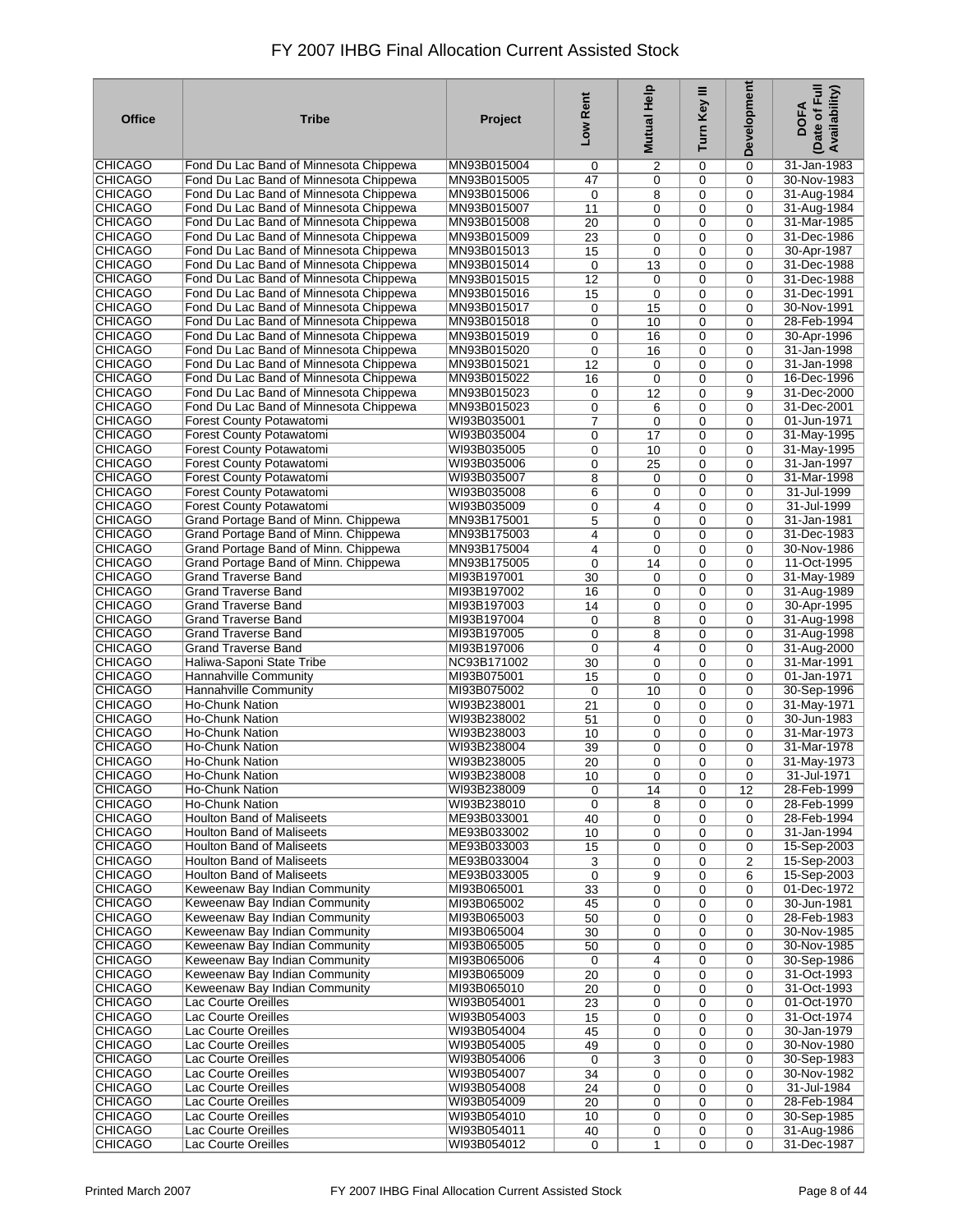| <b>Office</b>                    | <b>Tribe</b>                                                                     | Project                    | Low Rent        | Help<br><b>Mutual</b> | Turn Key III     | Development         | Date of Full<br>Availability)<br><b>DOFA</b> |
|----------------------------------|----------------------------------------------------------------------------------|----------------------------|-----------------|-----------------------|------------------|---------------------|----------------------------------------------|
| CHICAGO                          | Fond Du Lac Band of Minnesota Chippewa                                           | MN93B015004                | 0               | 2                     | 0                | 0                   | 31-Jan-1983                                  |
| <b>CHICAGO</b>                   | Fond Du Lac Band of Minnesota Chippewa                                           | MN93B015005                | 47              | 0                     | 0                | $\mathbf 0$         | 30-Nov-1983                                  |
| <b>CHICAGO</b>                   | Fond Du Lac Band of Minnesota Chippewa                                           | MN93B015006                | 0               | 8                     | 0                | 0                   | 31-Aug-1984                                  |
| <b>CHICAGO</b>                   | Fond Du Lac Band of Minnesota Chippewa                                           | MN93B015007                | 11              | 0                     | 0                | 0                   | 31-Aug-1984                                  |
| <b>CHICAGO</b>                   | Fond Du Lac Band of Minnesota Chippewa                                           | MN93B015008                | 20              | 0                     | 0                | 0                   | 31-Mar-1985                                  |
| <b>CHICAGO</b><br><b>CHICAGO</b> | Fond Du Lac Band of Minnesota Chippewa<br>Fond Du Lac Band of Minnesota Chippewa | MN93B015009<br>MN93B015013 | $\overline{23}$ | 0                     | 0<br>0           | 0<br>$\overline{0}$ | 31-Dec-1986<br>30-Apr-1987                   |
| <b>CHICAGO</b>                   | Fond Du Lac Band of Minnesota Chippewa                                           | MN93B015014                | 15<br>0         | $\mathbf 0$<br>13     | 0                | $\mathbf 0$         | 31-Dec-1988                                  |
| <b>CHICAGO</b>                   | Fond Du Lac Band of Minnesota Chippewa                                           | MN93B015015                | $\overline{12}$ | 0                     | 0                | 0                   | 31-Dec-1988                                  |
| <b>CHICAGO</b>                   | Fond Du Lac Band of Minnesota Chippewa                                           | MN93B015016                | 15              | 0                     | 0                | 0                   | 31-Dec-1991                                  |
| <b>CHICAGO</b>                   | Fond Du Lac Band of Minnesota Chippewa                                           | MN93B015017                | 0               | 15                    | 0                | 0                   | 30-Nov-1991                                  |
| <b>CHICAGO</b>                   | Fond Du Lac Band of Minnesota Chippewa                                           | MN93B015018                | 0               | 10                    | 0                | 0                   | 28-Feb-1994                                  |
| <b>CHICAGO</b>                   | Fond Du Lac Band of Minnesota Chippewa                                           | MN93B015019                | 0               | 16                    | 0                | 0                   | 30-Apr-1996                                  |
| <b>CHICAGO</b>                   | Fond Du Lac Band of Minnesota Chippewa                                           | MN93B015020                | 0               | 16                    | 0                | 0                   | 31-Jan-1998                                  |
| <b>CHICAGO</b>                   | Fond Du Lac Band of Minnesota Chippewa                                           | MN93B015021                | 12              | 0                     | 0                | 0                   | 31-Jan-1998                                  |
| <b>CHICAGO</b>                   | Fond Du Lac Band of Minnesota Chippewa                                           | MN93B015022                | 16              | $\mathbf 0$           | 0                | 0                   | 16-Dec-1996                                  |
| <b>CHICAGO</b>                   | Fond Du Lac Band of Minnesota Chippewa                                           | MN93B015023                | 0               | 12                    | 0                | 9                   | 31-Dec-2000                                  |
| <b>CHICAGO</b>                   | Fond Du Lac Band of Minnesota Chippewa                                           | MN93B015023                | 0               | 6                     | 0                | $\mathbf 0$         | 31-Dec-2001                                  |
| <b>CHICAGO</b>                   | <b>Forest County Potawatomi</b>                                                  | WI93B035001                | $\overline{7}$  | 0                     | 0                | 0                   | 01-Jun-1971                                  |
| <b>CHICAGO</b>                   | Forest County Potawatomi                                                         | WI93B035004                | 0               | 17                    | 0                | 0                   | 31-May-1995                                  |
| <b>CHICAGO</b><br><b>CHICAGO</b> | Forest County Potawatomi<br><b>Forest County Potawatomi</b>                      | WI93B035005<br>WI93B035006 | 0<br>0          | 10<br>25              | 0<br>0           | $\mathbf 0$<br>0    | 31-May-1995<br>31-Jan-1997                   |
| <b>CHICAGO</b>                   | <b>Forest County Potawatomi</b>                                                  | WI93B035007                | 8               | 0                     | 0                | $\mathbf 0$         | 31-Mar-1998                                  |
| <b>CHICAGO</b>                   | Forest County Potawatomi                                                         | WI93B035008                | 6               | 0                     | 0                | 0                   | 31-Jul-1999                                  |
| <b>CHICAGO</b>                   | <b>Forest County Potawatomi</b>                                                  | WI93B035009                | 0               | $\overline{4}$        | 0                | $\mathbf 0$         | 31-Jul-1999                                  |
| <b>CHICAGO</b>                   | Grand Portage Band of Minn. Chippewa                                             | MN93B175001                | 5               | $\mathbf 0$           | 0                | 0                   | 31-Jan-1981                                  |
| <b>CHICAGO</b>                   | Grand Portage Band of Minn. Chippewa                                             | MN93B175003                | 4               | $\mathbf 0$           | 0                | $\mathbf 0$         | 31-Dec-1983                                  |
| <b>CHICAGO</b>                   | Grand Portage Band of Minn. Chippewa                                             | MN93B175004                | 4               | $\mathbf 0$           | 0                | $\Omega$            | 30-Nov-1986                                  |
| <b>CHICAGO</b>                   | Grand Portage Band of Minn. Chippewa                                             | MN93B175005                | 0               | 14                    | 0                | 0                   | 11-Oct-1995                                  |
| <b>CHICAGO</b>                   | Grand Traverse Band                                                              | MI93B197001                | 30              | 0                     | 0                | 0                   | 31-May-1989                                  |
| <b>CHICAGO</b>                   | <b>Grand Traverse Band</b>                                                       | MI93B197002                | 16              | 0                     | 0                | 0                   | 31-Aug-1989                                  |
| <b>CHICAGO</b>                   | Grand Traverse Band                                                              | MI93B197003                | 14              | 0                     | 0                | $\overline{0}$      | 30-Apr-1995                                  |
| <b>CHICAGO</b>                   | Grand Traverse Band                                                              | MI93B197004                | 0               | 8                     | 0                | $\mathbf 0$         | 31-Aug-1998                                  |
| <b>CHICAGO</b><br><b>CHICAGO</b> | <b>Grand Traverse Band</b><br><b>Grand Traverse Band</b>                         | MI93B197005<br>MI93B197006 | 0               | 8                     | 0                | 0                   | 31-Aug-1998                                  |
| <b>CHICAGO</b>                   | Haliwa-Saponi State Tribe                                                        | NC93B171002                | 0<br>30         | 4<br>0                | 0<br>0           | 0<br>0              | 31-Aug-2000<br>31-Mar-1991                   |
| <b>CHICAGO</b>                   | Hannahville Community                                                            | MI93B075001                | 15              | $\mathbf 0$           | 0                | 0                   | 01-Jan-1971                                  |
| <b>CHICAGO</b>                   | <b>Hannahville Community</b>                                                     | MI93B075002                | 0               | 10                    | 0                | 0                   | 30-Sep-1996                                  |
| <b>CHICAGO</b>                   | <b>Ho-Chunk Nation</b>                                                           | WI93B238001                | 21              | 0                     | 0                | 0                   | 31-May-1971                                  |
| <b>CHICAGO</b>                   | <b>Ho-Chunk Nation</b>                                                           | WI93B238002                | 51              | $\mathbf 0$           | 0                | 0                   | 30-Jun-1983                                  |
| <b>CHICAGO</b>                   | Ho-Chunk Nation                                                                  | WI93B238003                | 10              | 0                     | 0                | 0                   | 31-Mar-1973                                  |
| <b>CHICAGO</b>                   | Ho-Chunk Nation                                                                  | WI93B238004                | 39              | 0                     | 0                | $\overline{0}$      | 31-Mar-1978                                  |
| <b>CHICAGO</b>                   | Ho-Chunk Nation                                                                  | WI93B238005                | 20              | 0                     | 0                | 0                   | 31-May-1973                                  |
| <b>CHICAGO</b>                   | <b>Ho-Chunk Nation</b>                                                           | WI93B238008                | 10              | 0                     | $\pmb{0}$        | 0                   | 31-Jul-1971                                  |
| <b>CHICAGO</b>                   | <b>Ho-Chunk Nation</b>                                                           | WI93B238009                | $\mathbf 0$     | 14                    | $\mathbf 0$      | 12                  | 28-Feb-1999                                  |
| <b>CHICAGO</b>                   | Ho-Chunk Nation                                                                  | WI93B238010                | $\mathbf 0$     | 8                     | $\mathbf 0$      | 0                   | 28-Feb-1999                                  |
| <b>CHICAGO</b><br><b>CHICAGO</b> | <b>Houlton Band of Maliseets</b>                                                 | ME93B033001                | 40              | 0                     | 0                | 0                   | 28-Feb-1994                                  |
| CHICAGO                          | <b>Houlton Band of Maliseets</b><br><b>Houlton Band of Maliseets</b>             | ME93B033002<br>ME93B033003 | 10<br>15        | 0<br>0                | $\mathbf 0$<br>0 | $\mathbf 0$<br>0    | 31-Jan-1994<br>15-Sep-2003                   |
| <b>CHICAGO</b>                   | <b>Houlton Band of Maliseets</b>                                                 | ME93B033004                | 3               | 0                     | $\mathbf 0$      | $\overline{2}$      | 15-Sep-2003                                  |
| <b>CHICAGO</b>                   | <b>Houlton Band of Maliseets</b>                                                 | ME93B033005                | 0               | 9                     | 0                | 6                   | 15-Sep-2003                                  |
| <b>CHICAGO</b>                   | Keweenaw Bay Indian Community                                                    | MI93B065001                | 33              | 0                     | $\mathbf 0$      | $\mathbf 0$         | 01-Dec-1972                                  |
| <b>CHICAGO</b>                   | Keweenaw Bay Indian Community                                                    | MI93B065002                | 45              | 0                     | 0                | 0                   | 30-Jun-1981                                  |
| <b>CHICAGO</b>                   | Keweenaw Bay Indian Community                                                    | MI93B065003                | 50              | 0                     | $\mathbf 0$      | 0                   | 28-Feb-1983                                  |
| <b>CHICAGO</b>                   | Keweenaw Bay Indian Community                                                    | MI93B065004                | 30              | 0                     | 0                | $\mathbf 0$         | 30-Nov-1985                                  |
| <b>CHICAGO</b>                   | Keweenaw Bay Indian Community                                                    | MI93B065005                | 50              | 0                     | 0                | 0                   | 30-Nov-1985                                  |
| <b>CHICAGO</b>                   | Keweenaw Bay Indian Community                                                    | MI93B065006                | 0               | 4                     | 0                | $\mathbf 0$         | 30-Sep-1986                                  |
| <b>CHICAGO</b>                   | Keweenaw Bay Indian Community                                                    | MI93B065009                | 20              | 0                     | 0                | 0                   | 31-Oct-1993                                  |
| <b>CHICAGO</b><br><b>CHICAGO</b> | Keweenaw Bay Indian Community<br>Lac Courte Oreilles                             | MI93B065010<br>WI93B054001 | 20<br>23        | 0                     | 0<br>0           | 0                   | 31-Oct-1993<br>01-Oct-1970                   |
| <b>CHICAGO</b>                   | Lac Courte Oreilles                                                              | WI93B054003                | 15              | 0<br>0                | 0                | 0<br>0              | 31-Oct-1974                                  |
| <b>CHICAGO</b>                   | Lac Courte Oreilles                                                              | WI93B054004                | 45              | 0                     | 0                | 0                   | 30-Jan-1979                                  |
| <b>CHICAGO</b>                   | Lac Courte Oreilles                                                              | WI93B054005                | 49              | 0                     | 0                | $\mathbf 0$         | 30-Nov-1980                                  |
| <b>CHICAGO</b>                   | Lac Courte Oreilles                                                              | WI93B054006                | 0               | 3                     | 0                | 0                   | 30-Sep-1983                                  |
| CHICAGO                          | Lac Courte Oreilles                                                              | WI93B054007                | 34              | 0                     | 0                | 0                   | 30-Nov-1982                                  |
| <b>CHICAGO</b>                   | <b>Lac Courte Oreilles</b>                                                       | WI93B054008                | 24              | 0                     | 0                | 0                   | 31-Jul-1984                                  |
| <b>CHICAGO</b>                   | Lac Courte Oreilles                                                              | WI93B054009                | 20              | 0                     | 0                | $\mathbf 0$         | 28-Feb-1984                                  |
| CHICAGO                          | Lac Courte Oreilles                                                              | WI93B054010                | 10              | 0                     | 0                | $\mathbf 0$         | 30-Sep-1985                                  |
| <b>CHICAGO</b>                   | Lac Courte Oreilles                                                              | WI93B054011                | 40              | 0                     | 0                | $\mathbf 0$         | 31-Aug-1986                                  |
| <b>CHICAGO</b>                   | Lac Courte Oreilles                                                              | WI93B054012                | $\mathbf 0$     | 1                     | 0                | $\mathbf 0$         | 31-Dec-1987                                  |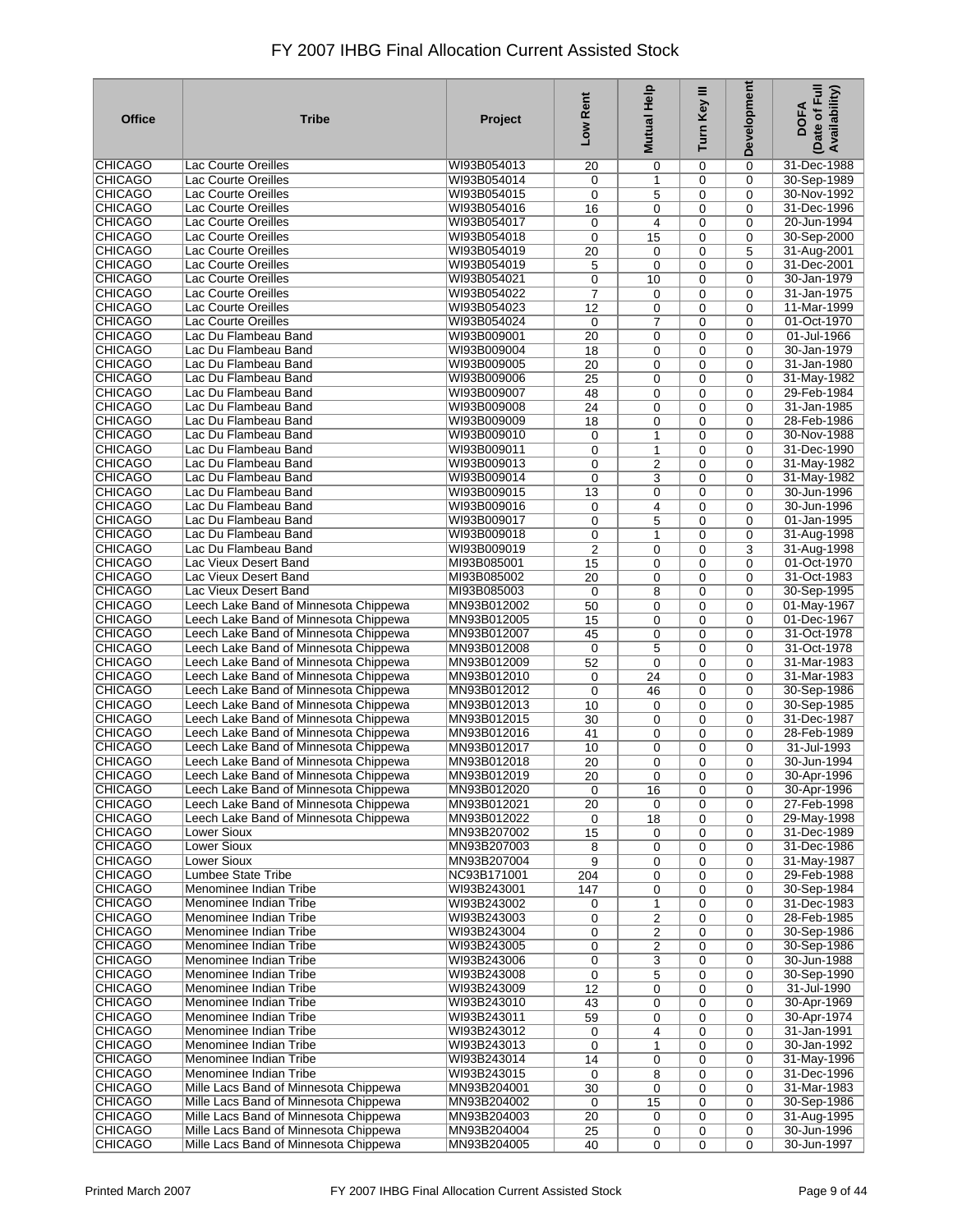| <b>Office</b>                    | <b>Tribe</b>                                                                   | Project                    | Low Rent        | <b>Mutual Help</b>         | Turn Key III | Development                | Date of Full<br>Availability)<br><b>DOFA</b> |
|----------------------------------|--------------------------------------------------------------------------------|----------------------------|-----------------|----------------------------|--------------|----------------------------|----------------------------------------------|
| <b>CHICAGO</b>                   | Lac Courte Oreilles                                                            | WI93B054013                | 20              | 0                          | 0            | $\mathbf 0$                | 31-Dec-1988                                  |
| <b>CHICAGO</b>                   | Lac Courte Oreilles                                                            | WI93B054014                | 0               | 1                          | 0            | $\mathbf 0$                | 30-Sep-1989                                  |
| <b>CHICAGO</b>                   | Lac Courte Oreilles                                                            | WI93B054015                | 0               | 5                          | 0            | $\mathbf 0$                | 30-Nov-1992                                  |
| <b>CHICAGO</b><br><b>CHICAGO</b> | Lac Courte Oreilles<br>Lac Courte Oreilles                                     | WI93B054016<br>WI93B054017 | 16<br>0         | 0<br>4                     | 0<br>0       | $\mathbf 0$<br>$\Omega$    | 31-Dec-1996<br>20-Jun-1994                   |
| <b>CHICAGO</b>                   | Lac Courte Oreilles                                                            | WI93B054018                | 0               | 15                         | 0            | $\mathbf 0$                | 30-Sep-2000                                  |
| <b>CHICAGO</b>                   | Lac Courte Oreilles                                                            | WI93B054019                | $\overline{20}$ | 0                          | 0            | 5                          | 31-Aug-2001                                  |
| <b>CHICAGO</b>                   | Lac Courte Oreilles                                                            | WI93B054019                | 5               | $\mathbf 0$                | 0            | $\mathbf 0$                | 31-Dec-2001                                  |
| <b>CHICAGO</b>                   | Lac Courte Oreilles                                                            | WI93B054021                | 0               | 10                         | 0            | $\mathbf 0$                | 30-Jan-1979                                  |
| <b>CHICAGO</b>                   | Lac Courte Oreilles                                                            | WI93B054022                | $\overline{7}$  | $\mathbf 0$                | 0            | $\mathbf 0$                | 31-Jan-1975                                  |
| <b>CHICAGO</b>                   | Lac Courte Oreilles                                                            | WI93B054023                | 12              | $\mathbf 0$                | 0            | $\mathbf 0$                | 11-Mar-1999                                  |
| <b>CHICAGO</b>                   | Lac Courte Oreilles                                                            | WI93B054024                | 0               | $\overline{7}$             | 0            | $\mathbf 0$                | 01-Oct-1970                                  |
| <b>CHICAGO</b><br><b>CHICAGO</b> | Lac Du Flambeau Band<br>Lac Du Flambeau Band                                   | WI93B009001<br>WI93B009004 | $\overline{20}$ | 0                          | 0            | $\mathbf 0$                | 01-Jul-1966<br>30-Jan-1979                   |
| <b>CHICAGO</b>                   | Lac Du Flambeau Band                                                           | WI93B009005                | 18<br>20        | $\mathbf 0$<br>$\mathbf 0$ | 0<br>0       | $\mathbf 0$<br>$\mathbf 0$ | 31-Jan-1980                                  |
| <b>CHICAGO</b>                   | Lac Du Flambeau Band                                                           | WI93B009006                | 25              | 0                          | 0            | $\mathbf 0$                | 31-May-1982                                  |
| <b>CHICAGO</b>                   | Lac Du Flambeau Band                                                           | WI93B009007                | 48              | 0                          | 0            | $\mathbf 0$                | 29-Feb-1984                                  |
| <b>CHICAGO</b>                   | Lac Du Flambeau Band                                                           | WI93B009008                | 24              | 0                          | 0            | $\mathbf 0$                | 31-Jan-1985                                  |
| <b>CHICAGO</b>                   | Lac Du Flambeau Band                                                           | WI93B009009                | $\overline{18}$ | 0                          | 0            | $\mathbf 0$                | 28-Feb-1986                                  |
| <b>CHICAGO</b>                   | Lac Du Flambeau Band                                                           | WI93B009010                | 0               | 1                          | 0            | $\mathbf 0$                | 30-Nov-1988                                  |
| <b>CHICAGO</b>                   | Lac Du Flambeau Band                                                           | WI93B009011                | 0               | 1                          | 0            | $\mathbf 0$                | 31-Dec-1990                                  |
| <b>CHICAGO</b>                   | Lac Du Flambeau Band                                                           | WI93B009013                | 0               | $\overline{2}$             | 0            | $\mathbf 0$                | 31-May-1982                                  |
| <b>CHICAGO</b>                   | Lac Du Flambeau Band                                                           | WI93B009014<br>WI93B009015 | 0               | 3                          | 0            | $\mathbf 0$                | 31-May-1982                                  |
| <b>CHICAGO</b><br><b>CHICAGO</b> | Lac Du Flambeau Band<br>Lac Du Flambeau Band                                   | WI93B009016                | 13<br>0         | 0<br>4                     | 0<br>0       | $\Omega$<br>$\mathbf 0$    | 30-Jun-1996<br>30-Jun-1996                   |
| <b>CHICAGO</b>                   | Lac Du Flambeau Band                                                           | WI93B009017                | 0               | 5                          | 0            | $\mathbf 0$                | 01-Jan-1995                                  |
| <b>CHICAGO</b>                   | Lac Du Flambeau Band                                                           | WI93B009018                | 0               | $\mathbf{1}$               | 0            | $\mathbf 0$                | 31-Aug-1998                                  |
| <b>CHICAGO</b>                   | Lac Du Flambeau Band                                                           | WI93B009019                | 2               | $\mathbf 0$                | 0            | 3                          | 31-Aug-1998                                  |
| <b>CHICAGO</b>                   | Lac Vieux Desert Band                                                          | MI93B085001                | 15              | $\mathbf 0$                | 0            | $\mathbf 0$                | 01-Oct-1970                                  |
| <b>CHICAGO</b>                   | Lac Vieux Desert Band                                                          | MI93B085002                | 20              | 0                          | 0            | $\Omega$                   | 31-Oct-1983                                  |
| <b>CHICAGO</b>                   | Lac Vieux Desert Band                                                          | MI93B085003                | 0               | 8                          | 0            | $\mathbf 0$                | 30-Sep-1995                                  |
| <b>CHICAGO</b>                   | Leech Lake Band of Minnesota Chippewa                                          | MN93B012002                | 50              | 0                          | 0            | $\mathbf 0$                | 01-May-1967                                  |
| <b>CHICAGO</b><br><b>CHICAGO</b> | Leech Lake Band of Minnesota Chippewa<br>Leech Lake Band of Minnesota Chippewa | MN93B012005<br>MN93B012007 | 15<br>45        | $\mathbf 0$<br>0           | 0<br>0       | $\mathbf 0$<br>$\mathbf 0$ | 01-Dec-1967<br>31-Oct-1978                   |
| <b>CHICAGO</b>                   | Leech Lake Band of Minnesota Chippewa                                          | MN93B012008                | 0               | 5                          | 0            | $\mathbf 0$                | 31-Oct-1978                                  |
| <b>CHICAGO</b>                   | Leech Lake Band of Minnesota Chippewa                                          | MN93B012009                | 52              | $\mathbf 0$                | 0            | $\mathbf 0$                | 31-Mar-1983                                  |
| <b>CHICAGO</b>                   | Leech Lake Band of Minnesota Chippewa                                          | MN93B012010                | 0               | 24                         | 0            | $\mathbf 0$                | 31-Mar-1983                                  |
| <b>CHICAGO</b>                   | Leech Lake Band of Minnesota Chippewa                                          | MN93B012012                | 0               | 46                         | 0            | $\mathbf 0$                | 30-Sep-1986                                  |
| <b>CHICAGO</b>                   | Leech Lake Band of Minnesota Chippewa                                          | MN93B012013                | 10              | $\mathbf 0$                | 0            | $\mathbf 0$                | 30-Sep-1985                                  |
| <b>CHICAGO</b>                   | Leech Lake Band of Minnesota Chippewa                                          | MN93B012015                | 30              | 0                          | 0            | $\mathbf 0$                | 31-Dec-1987                                  |
| <b>CHICAGO</b><br><b>CHICAGO</b> | Leech Lake Band of Minnesota Chippewa                                          | MN93B012016                | 41              | $\mathbf 0$                | 0            | $\mathbf 0$                | 28-Feb-1989<br>31-Jul-1993                   |
| <b>CHICAGO</b>                   | Leech Lake Band of Minnesota Chippewa<br>Leech Lake Band of Minnesota Chippewa | MN93B012017<br>MN93B012018 | 10<br>20        | 0<br>$\mathbf 0$           | 0<br>0       | $\mathbf 0$<br>$\mathbf 0$ | 30-Jun-1994                                  |
| <b>CHICAGO</b>                   | Leech Lake Band of Minnesota Chippewa                                          | MN93B012019                | $\overline{20}$ | 0                          | 0            | 0                          | 30-Apr-1996                                  |
| <b>CHICAGO</b>                   | Leech Lake Band of Minnesota Chippewa                                          | MN93B012020                | 0               | 16                         | 0            | 0                          | 30-Apr-1996                                  |
| <b>CHICAGO</b>                   | Leech Lake Band of Minnesota Chippewa                                          | MN93B012021                | 20              | 0                          | 0            | 0                          | 27-Feb-1998                                  |
| <b>CHICAGO</b>                   | Leech Lake Band of Minnesota Chippewa                                          | MN93B012022                | 0               | 18                         | 0            | 0                          | 29-May-1998                                  |
| CHICAGO                          | Lower Sioux                                                                    | MN93B207002                | 15              | $\mathbf 0$                | 0            | $\mathbf 0$                | 31-Dec-1989                                  |
| <b>CHICAGO</b>                   | <b>Lower Sioux</b>                                                             | MN93B207003                | 8               | 0                          | 0            | $\mathbf 0$                | 31-Dec-1986                                  |
| <b>CHICAGO</b>                   | <b>Lower Sioux</b>                                                             | MN93B207004                | 9               | 0                          | 0            | $\mathbf 0$                | 31-May-1987                                  |
| <b>CHICAGO</b><br><b>CHICAGO</b> | <b>Lumbee State Tribe</b><br>Menominee Indian Tribe                            | NC93B171001<br>WI93B243001 | 204             | 0                          | 0<br>0       | $\mathbf 0$<br>$\mathbf 0$ | 29-Feb-1988                                  |
| <b>CHICAGO</b>                   | Menominee Indian Tribe                                                         | WI93B243002                | 147<br>0        | 0<br>1                     | 0            | $\mathbf 0$                | 30-Sep-1984<br>31-Dec-1983                   |
| <b>CHICAGO</b>                   | Menominee Indian Tribe                                                         | WI93B243003                | 0               | 2                          | 0            | 0                          | 28-Feb-1985                                  |
| <b>CHICAGO</b>                   | Menominee Indian Tribe                                                         | WI93B243004                | 0               | $\overline{\mathbf{c}}$    | 0            | $\mathbf 0$                | 30-Sep-1986                                  |
| <b>CHICAGO</b>                   | Menominee Indian Tribe                                                         | WI93B243005                | 0               | 2                          | 0            | 0                          | 30-Sep-1986                                  |
| <b>CHICAGO</b>                   | Menominee Indian Tribe                                                         | WI93B243006                | 0               | 3                          | 0            | $\mathbf 0$                | 30-Jun-1988                                  |
| <b>CHICAGO</b>                   | Menominee Indian Tribe                                                         | WI93B243008                | 0               | 5                          | 0            | 0                          | 30-Sep-1990                                  |
| <b>CHICAGO</b>                   | Menominee Indian Tribe                                                         | WI93B243009                | 12              | 0                          | 0            | $\mathbf 0$                | 31-Jul-1990                                  |
| <b>CHICAGO</b>                   | Menominee Indian Tribe                                                         | WI93B243010                | 43              | 0                          | 0            | 0                          | 30-Apr-1969                                  |
| <b>CHICAGO</b><br><b>CHICAGO</b> | Menominee Indian Tribe<br>Menominee Indian Tribe                               | WI93B243011<br>WI93B243012 | 59<br>0         | 0<br>4                     | 0<br>0       | $\mathbf 0$<br>$\mathbf 0$ | 30-Apr-1974<br>31-Jan-1991                   |
| <b>CHICAGO</b>                   | Menominee Indian Tribe                                                         | WI93B243013                | 0               | 1                          | 0            | $\mathbf 0$                | 30-Jan-1992                                  |
| <b>CHICAGO</b>                   | Menominee Indian Tribe                                                         | WI93B243014                | 14              | $\mathbf 0$                | 0            | $\mathbf 0$                | 31-May-1996                                  |
| <b>CHICAGO</b>                   | Menominee Indian Tribe                                                         | WI93B243015                | 0               | 8                          | 0            | $\mathbf 0$                | 31-Dec-1996                                  |
| <b>CHICAGO</b>                   | Mille Lacs Band of Minnesota Chippewa                                          | MN93B204001                | 30              | $\mathbf 0$                | 0            | $\mathbf 0$                | 31-Mar-1983                                  |
| <b>CHICAGO</b>                   | Mille Lacs Band of Minnesota Chippewa                                          | MN93B204002                | 0               | 15                         | 0            | $\mathbf 0$                | 30-Sep-1986                                  |
| <b>CHICAGO</b>                   | Mille Lacs Band of Minnesota Chippewa                                          | MN93B204003                | 20              | 0                          | 0            | $\mathbf 0$                | 31-Aug-1995                                  |
| <b>CHICAGO</b>                   | Mille Lacs Band of Minnesota Chippewa                                          | MN93B204004                | 25              | 0                          | 0            | 0                          | 30-Jun-1996                                  |
| <b>CHICAGO</b>                   | Mille Lacs Band of Minnesota Chippewa                                          | MN93B204005                | 40              | 0                          | 0            | $\mathbf 0$                | 30-Jun-1997                                  |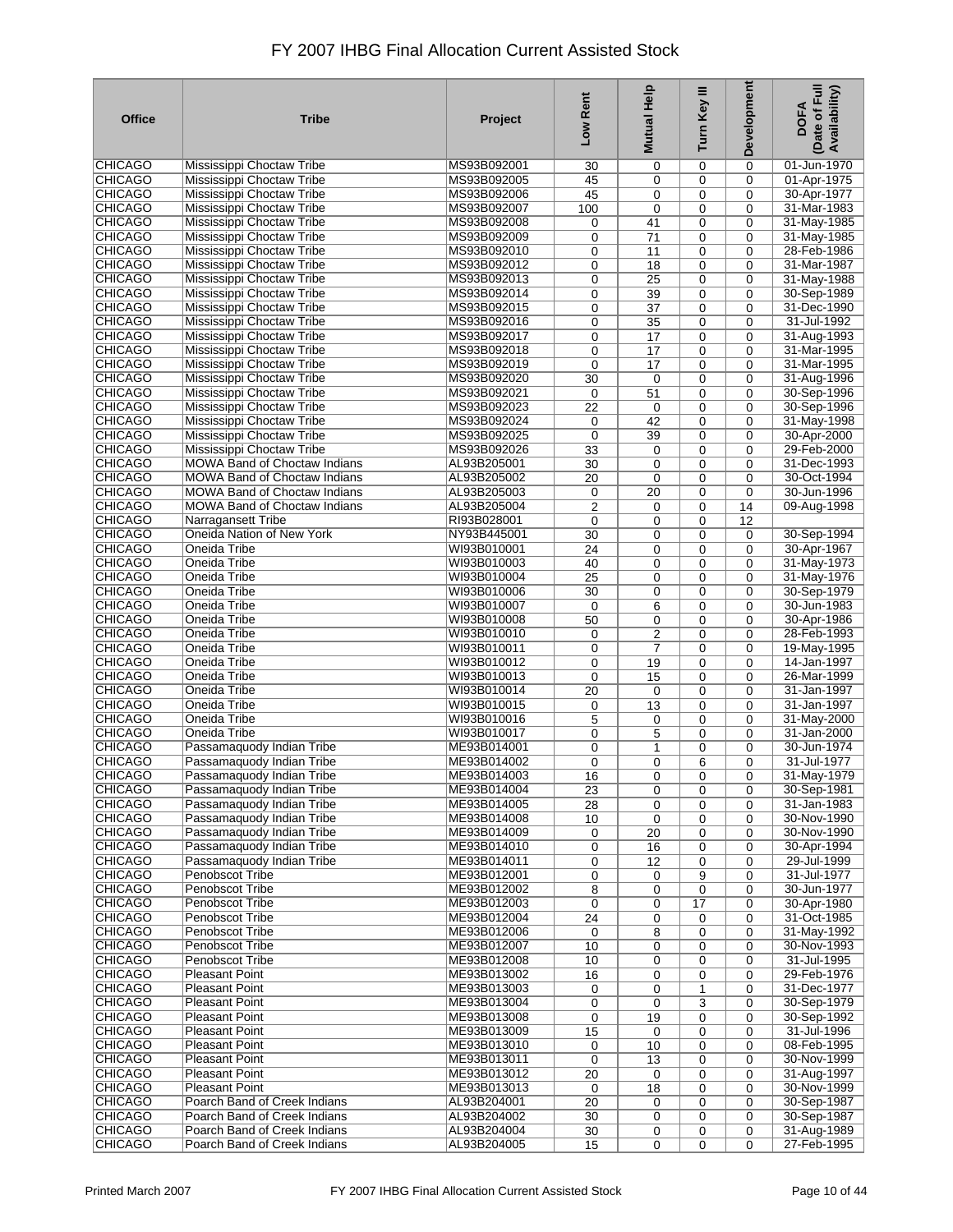| <b>Office</b>                    | <b>Tribe</b>                        | Project                    | Low Rent       | Mutual Help    | Turn Key III     | Development                | Date of Full<br>Availability)<br><b>DOFA</b> |
|----------------------------------|-------------------------------------|----------------------------|----------------|----------------|------------------|----------------------------|----------------------------------------------|
| <b>CHICAGO</b>                   | Mississippi Choctaw Tribe           | MS93B092001                | 30             | 0              | 0                | 0                          | 01-Jun-1970                                  |
| <b>CHICAGO</b>                   | Mississippi Choctaw Tribe           | MS93B092005                | 45             | 0              | 0                | $\mathbf 0$                | 01-Apr-1975                                  |
| <b>CHICAGO</b>                   | Mississippi Choctaw Tribe           | MS93B092006                | 45             | 0              | 0                | 0                          | 30-Apr-1977                                  |
| <b>CHICAGO</b>                   | Mississippi Choctaw Tribe           | MS93B092007                | 100            | 0              | 0                | $\mathbf 0$                | 31-Mar-1983                                  |
| <b>CHICAGO</b>                   | Mississippi Choctaw Tribe           | MS93B092008                | 0              | 41             | 0                | 0                          | 31-May-1985                                  |
| <b>CHICAGO</b>                   | Mississippi Choctaw Tribe           | MS93B092009                | 0              | 71             | 0                | 0                          | 31-May-1985                                  |
| <b>CHICAGO</b>                   | Mississippi Choctaw Tribe           | MS93B092010                | 0              | 11             | 0                | 0                          | 28-Feb-1986                                  |
| <b>CHICAGO</b>                   | Mississippi Choctaw Tribe           | MS93B092012                | 0              | 18             | 0                | 0                          | 31-Mar-1987                                  |
| <b>CHICAGO</b>                   | Mississippi Choctaw Tribe           | MS93B092013                | 0              | 25             | 0                | 0                          | 31-May-1988                                  |
| <b>CHICAGO</b>                   | Mississippi Choctaw Tribe           | MS93B092014                | 0              | 39             | 0                | 0                          | 30-Sep-1989                                  |
| <b>CHICAGO</b>                   | Mississippi Choctaw Tribe           | MS93B092015                | 0              | 37             | 0                | 0                          | 31-Dec-1990                                  |
| <b>CHICAGO</b>                   | Mississippi Choctaw Tribe           | MS93B092016                | 0              | 35             | $\mathbf 0$      | $\mathbf 0$                | 31-Jul-1992                                  |
| <b>CHICAGO</b>                   | Mississippi Choctaw Tribe           | MS93B092017                | 0              | 17             | 0                | 0                          | 31-Aug-1993                                  |
| <b>CHICAGO</b>                   | Mississippi Choctaw Tribe           | MS93B092018                | 0              | 17             | 0                | $\mathbf 0$                | 31-Mar-1995                                  |
| <b>CHICAGO</b>                   | Mississippi Choctaw Tribe           | MS93B092019                | 0              | 17             | $\mathbf 0$      | $\Omega$                   | 31-Mar-1995                                  |
| <b>CHICAGO</b>                   | Mississippi Choctaw Tribe           | MS93B092020                | 30             | 0              | 0                | $\mathbf 0$                | 31-Aug-1996                                  |
| <b>CHICAGO</b>                   | Mississippi Choctaw Tribe           | MS93B092021                | 0              | 51             | $\mathbf 0$      | $\mathbf 0$                | 30-Sep-1996                                  |
| <b>CHICAGO</b>                   | Mississippi Choctaw Tribe           | MS93B092023                | 22             | 0              | 0                | $\mathbf 0$                | 30-Sep-1996                                  |
| <b>CHICAGO</b>                   | Mississippi Choctaw Tribe           | MS93B092024                | 0              | 42             | $\mathbf 0$      | $\mathbf 0$                | 31-May-1998                                  |
| <b>CHICAGO</b>                   | Mississippi Choctaw Tribe           | MS93B092025                | $\mathbf 0$    | 39             | 0                | $\mathbf 0$                | 30-Apr-2000                                  |
| <b>CHICAGO</b>                   | Mississippi Choctaw Tribe           | MS93B092026                | 33             | 0              | $\mathbf 0$      | 0                          | 29-Feb-2000                                  |
| <b>CHICAGO</b>                   | <b>MOWA Band of Choctaw Indians</b> | AL93B205001                | 30             | 0              | 0                | $\mathbf 0$                | 31-Dec-1993                                  |
| <b>CHICAGO</b>                   | <b>MOWA Band of Choctaw Indians</b> | AL93B205002                | 20             | $\mathbf 0$    | $\mathbf 0$      | $\mathbf 0$                | 30-Oct-1994                                  |
| <b>CHICAGO</b>                   | <b>MOWA Band of Choctaw Indians</b> | AL93B205003                | 0              | 20             | 0                | $\Omega$                   | 30-Jun-1996                                  |
| <b>CHICAGO</b>                   | <b>MOWA Band of Choctaw Indians</b> | AL93B205004                | $\overline{2}$ | 0              | 0                | 14                         | 09-Aug-1998                                  |
| <b>CHICAGO</b>                   | Narragansett Tribe                  | RI93B028001                | 0              | 0              | 0                | 12                         |                                              |
| <b>CHICAGO</b>                   | Oneida Nation of New York           | NY93B445001                | 30             | 0              | 0                | $\mathbf 0$                | 30-Sep-1994                                  |
| <b>CHICAGO</b>                   | Oneida Tribe                        | WI93B010001                | 24             | 0              | 0                | $\mathbf 0$                | 30-Apr-1967                                  |
| <b>CHICAGO</b>                   | Oneida Tribe                        | WI93B010003                | 40             | 0              | 0                | $\mathbf 0$                | 31-May-1973                                  |
| <b>CHICAGO</b>                   | Oneida Tribe                        | WI93B010004                | 25             | $\mathbf 0$    | 0                | 0                          | 31-May-1976                                  |
| <b>CHICAGO</b>                   | Oneida Tribe                        | WI93B010006                | 30             | 0              | 0                | 0                          | 30-Sep-1979                                  |
| <b>CHICAGO</b>                   | Oneida Tribe                        | WI93B010007                | 0              | 6              | 0                | 0                          | 30-Jun-1983                                  |
| <b>CHICAGO</b>                   | Oneida Tribe                        | WI93B010008                | 50             | 0              | 0                | 0                          | 30-Apr-1986                                  |
| <b>CHICAGO</b>                   | Oneida Tribe                        | WI93B010010                | 0              | 2              | 0                | $\mathbf 0$                | 28-Feb-1993                                  |
| <b>CHICAGO</b>                   | Oneida Tribe                        | WI93B010011                | 0              | $\overline{7}$ | 0                | 0                          | 19-May-1995                                  |
| <b>CHICAGO</b>                   | Oneida Tribe                        | WI93B010012                | 0              | 19             | 0                | 0                          | 14-Jan-1997                                  |
| <b>CHICAGO</b><br><b>CHICAGO</b> | Oneida Tribe                        | WI93B010013                | 0              | 15             | $\mathbf 0$      | $\mathbf 0$                | 26-Mar-1999                                  |
| <b>CHICAGO</b>                   | Oneida Tribe<br>Oneida Tribe        | WI93B010014<br>WI93B010015 | 20             | $\mathbf 0$    | 0                | 0                          | 31-Jan-1997<br>31-Jan-1997                   |
| <b>CHICAGO</b>                   | Oneida Tribe                        | WI93B010016                | 0<br>5         | 13             | 0<br>$\mathbf 0$ | $\mathbf 0$<br>$\mathbf 0$ | 31-May-2000                                  |
| <b>CHICAGO</b>                   | Oneida Tribe                        | WI93B010017                | 0              | 0<br>5         | 0                | $\mathbf 0$                | 31-Jan-2000                                  |
| <b>CHICAGO</b>                   | Passamaquody Indian Tribe           | ME93B014001                | 0              | $\mathbf{1}$   | 0                | $\mathbf 0$                | 30-Jun-1974                                  |
| <b>CHICAGO</b>                   | Passamaquody Indian Tribe           | ME93B014002                | 0              | $\mathbf 0$    | 6                | 0                          | 31-Jul-1977                                  |
| <b>CHICAGO</b>                   | Passamaquody Indian Tribe           | ME93B014003                | 16             | 0              | 0                | 0                          | 31-May-1979                                  |
| <b>CHICAGO</b>                   | Passamaquody Indian Tribe           | ME93B014004                | 23             | $\mathbf 0$    | $\mathbf 0$      | 0                          | 30-Sep-1981                                  |
| CHICAGO                          | Passamaquody Indian Tribe           | ME93B014005                | 28             | 0              | 0                | 0                          | 31-Jan-1983                                  |
| CHICAGO                          | Passamaquody Indian Tribe           | ME93B014008                | 10             | $\mathbf 0$    | $\mathbf 0$      | 0                          | 30-Nov-1990                                  |
| <b>CHICAGO</b>                   | Passamaquody Indian Tribe           | ME93B014009                | 0              | 20             | $\mathbf 0$      | $\mathbf 0$                | 30-Nov-1990                                  |
| CHICAGO                          | Passamaquody Indian Tribe           | ME93B014010                | 0              | 16             | 0                | $\mathbf 0$                | 30-Apr-1994                                  |
| <b>CHICAGO</b>                   | Passamaguody Indian Tribe           | ME93B014011                | 0              | 12             | $\mathbf 0$      | $\mathbf 0$                | 29-Jul-1999                                  |
| <b>CHICAGO</b>                   | Penobscot Tribe                     | ME93B012001                | 0              | 0              | 9                | 0                          | 31-Jul-1977                                  |
| <b>CHICAGO</b>                   | <b>Penobscot Tribe</b>              | ME93B012002                | 8              | 0              | 0                | $\mathbf 0$                | 30-Jun-1977                                  |
| <b>CHICAGO</b>                   | Penobscot Tribe                     | ME93B012003                | 0              | 0              | 17               | $\mathbf 0$                | 30-Apr-1980                                  |
| <b>CHICAGO</b>                   | Penobscot Tribe                     | ME93B012004                | 24             | 0              | 0                | 0                          | 31-Oct-1985                                  |
| <b>CHICAGO</b>                   | Penobscot Tribe                     | ME93B012006                | 0              | 8              | 0                | $\mathbf 0$                | 31-May-1992                                  |
| <b>CHICAGO</b>                   | Penobscot Tribe                     | ME93B012007                | 10             | 0              | 0                | 0                          | 30-Nov-1993                                  |
| <b>CHICAGO</b>                   | <b>Penobscot Tribe</b>              | ME93B012008                | 10             | 0              | 0                | 0                          | 31-Jul-1995                                  |
| <b>CHICAGO</b>                   | <b>Pleasant Point</b>               | ME93B013002                | 16             | 0              | 0                | 0                          | 29-Feb-1976                                  |
| <b>CHICAGO</b>                   | <b>Pleasant Point</b>               | ME93B013003                | 0              | 0              | 1                | $\mathbf 0$                | 31-Dec-1977                                  |
| <b>CHICAGO</b>                   | <b>Pleasant Point</b>               | ME93B013004                | 0              | $\mathbf 0$    | 3                | 0                          | 30-Sep-1979                                  |
| <b>CHICAGO</b>                   | <b>Pleasant Point</b>               | ME93B013008                | 0              | 19             | 0                | $\mathbf 0$                | 30-Sep-1992                                  |
| <b>CHICAGO</b>                   | Pleasant Point                      | ME93B013009                | 15             | $\mathbf 0$    | 0                | 0                          | 31-Jul-1996                                  |
| CHICAGO                          | <b>Pleasant Point</b>               | ME93B013010                | 0              | 10             | 0                | 0                          | 08-Feb-1995                                  |
| <b>CHICAGO</b>                   | <b>Pleasant Point</b>               | ME93B013011                | 0              | 13             | 0                | $\mathbf 0$                | 30-Nov-1999                                  |
| <b>CHICAGO</b>                   | <b>Pleasant Point</b>               | ME93B013012                | 20             | $\mathbf 0$    | 0                | $\mathbf 0$                | 31-Aug-1997                                  |
| <b>CHICAGO</b>                   | <b>Pleasant Point</b>               | ME93B013013                | 0              | 18             | 0                | $\mathbf 0$                | 30-Nov-1999                                  |
| <b>CHICAGO</b>                   | Poarch Band of Creek Indians        | AL93B204001                | 20             | 0              | 0                | $\mathbf 0$                | 30-Sep-1987                                  |
| CHICAGO                          | Poarch Band of Creek Indians        | AL93B204002                | 30             | $\mathbf 0$    | 0                | $\mathbf 0$                | 30-Sep-1987                                  |
| <b>CHICAGO</b>                   | Poarch Band of Creek Indians        | AL93B204004                | 30             | 0              | 0                | 0                          | 31-Aug-1989                                  |
| <b>CHICAGO</b>                   | Poarch Band of Creek Indians        | AL93B204005                | 15             | $\mathbf 0$    | $\mathbf 0$      | $\mathbf 0$                | 27-Feb-1995                                  |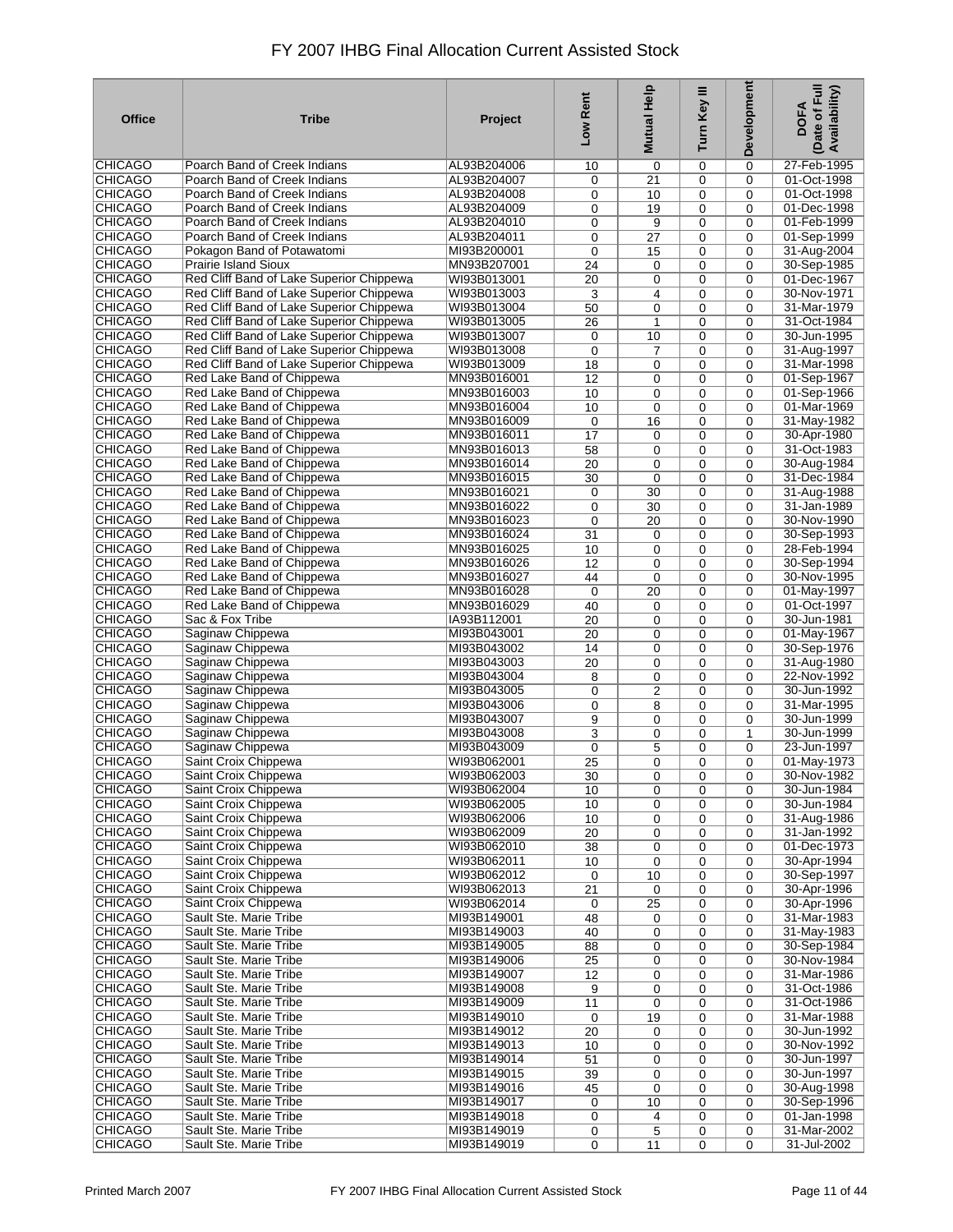| <b>Office</b>                    | <b>Tribe</b>                                              | Project                    | Low Rent              | <b>Mutual Help</b>         | Ξ<br>Turn Key | Development                | Date of Full<br>Availability)<br><b>DOFA</b> |
|----------------------------------|-----------------------------------------------------------|----------------------------|-----------------------|----------------------------|---------------|----------------------------|----------------------------------------------|
| <b>CHICAGO</b>                   | Poarch Band of Creek Indians                              | AL93B204006                | 10                    | 0                          | 0             | 0                          | 27-Feb-1995                                  |
| <b>CHICAGO</b>                   | Poarch Band of Creek Indians                              | AL93B204007                | 0                     | 21                         | 0             | $\mathbf 0$                | 01-Oct-1998                                  |
| <b>CHICAGO</b>                   | Poarch Band of Creek Indians                              | AL93B204008                | 0                     | 10                         | 0             | $\Omega$                   | 01-Oct-1998                                  |
| <b>CHICAGO</b>                   | Poarch Band of Creek Indians                              | AL93B204009                | 0                     | 19                         | 0             | $\mathbf 0$                | 01-Dec-1998                                  |
| <b>CHICAGO</b>                   | Poarch Band of Creek Indians                              | AL93B204010                | 0                     | 9                          | 0             | $\Omega$                   | 01-Feb-1999                                  |
| <b>CHICAGO</b>                   | Poarch Band of Creek Indians                              | AL93B204011<br>MI93B200001 | 0                     | $\overline{27}$            | 0             | $\Omega$<br>$\Omega$       | 01-Sep-1999                                  |
| <b>CHICAGO</b><br><b>CHICAGO</b> | Pokagon Band of Potawatomi<br><b>Prairie Island Sioux</b> | MN93B207001                | 0                     | 15                         | 0<br>0        | $\mathbf 0$                | 31-Aug-2004<br>30-Sep-1985                   |
| <b>CHICAGO</b>                   | Red Cliff Band of Lake Superior Chippewa                  | WI93B013001                | 24<br>$\overline{20}$ | $\mathbf 0$<br>0           | 0             | $\Omega$                   | 01-Dec-1967                                  |
| <b>CHICAGO</b>                   | Red Cliff Band of Lake Superior Chippewa                  | WI93B013003                | 3                     | 4                          | 0             | $\mathbf 0$                | 30-Nov-1971                                  |
| <b>CHICAGO</b>                   | Red Cliff Band of Lake Superior Chippewa                  | WI93B013004                | 50                    | $\mathbf 0$                | 0             | $\mathbf 0$                | 31-Mar-1979                                  |
| <b>CHICAGO</b>                   | Red Cliff Band of Lake Superior Chippewa                  | WI93B013005                | 26                    | $\mathbf{1}$               | 0             | $\mathbf 0$                | 31-Oct-1984                                  |
| <b>CHICAGO</b>                   | Red Cliff Band of Lake Superior Chippewa                  | WI93B013007                | 0                     | 10                         | 0             | $\mathbf 0$                | 30-Jun-1995                                  |
| <b>CHICAGO</b>                   | Red Cliff Band of Lake Superior Chippewa                  | WI93B013008                | 0                     | $\overline{7}$             | 0             | $\mathbf 0$                | 31-Aug-1997                                  |
| <b>CHICAGO</b>                   | Red Cliff Band of Lake Superior Chippewa                  | WI93B013009                | 18                    | $\mathbf 0$                | 0             | $\Omega$                   | 31-Mar-1998                                  |
| <b>CHICAGO</b>                   | Red Lake Band of Chippewa                                 | MN93B016001                | $\overline{12}$       | 0                          | 0             | $\mathbf 0$                | 01-Sep-1967                                  |
| <b>CHICAGO</b>                   | Red Lake Band of Chippewa                                 | MN93B016003                | 10                    | $\mathbf 0$                | 0             | $\Omega$                   | 01-Sep-1966                                  |
| <b>CHICAGO</b>                   | Red Lake Band of Chippewa                                 | MN93B016004                | 10                    | $\mathbf 0$                | 0             | $\Omega$                   | 01-Mar-1969                                  |
| <b>CHICAGO</b>                   | Red Lake Band of Chippewa                                 | MN93B016009                | 0                     | 16                         | 0             | $\mathbf 0$                | 31-May-1982                                  |
| <b>CHICAGO</b>                   | Red Lake Band of Chippewa                                 | MN93B016011                | 17                    | $\mathbf 0$                | 0             | $\mathbf 0$                | 30-Apr-1980                                  |
| <b>CHICAGO</b>                   | Red Lake Band of Chippewa                                 | MN93B016013                | 58                    | $\mathbf 0$                | 0             | $\mathbf 0$                | 31-Oct-1983                                  |
| <b>CHICAGO</b>                   | Red Lake Band of Chippewa                                 | MN93B016014                | 20                    | $\mathbf 0$                | 0             | $\mathbf 0$                | 30-Aug-1984                                  |
| <b>CHICAGO</b>                   | Red Lake Band of Chippewa                                 | MN93B016015                | 30                    | $\mathbf 0$                | 0             | $\mathbf 0$                | 31-Dec-1984                                  |
| <b>CHICAGO</b>                   | Red Lake Band of Chippewa                                 | MN93B016021                | 0                     | 30                         | 0             | $\Omega$                   | 31-Aug-1988                                  |
| <b>CHICAGO</b>                   | Red Lake Band of Chippewa                                 | MN93B016022                | 0                     | 30                         | 0             | $\mathbf 0$                | 31-Jan-1989                                  |
| <b>CHICAGO</b>                   | Red Lake Band of Chippewa                                 | MN93B016023                | 0                     | 20                         | 0             | $\mathbf 0$                | 30-Nov-1990                                  |
| <b>CHICAGO</b>                   | Red Lake Band of Chippewa                                 | MN93B016024                | 31                    | $\mathbf 0$                | 0             | $\Omega$                   | 30-Sep-1993                                  |
| <b>CHICAGO</b>                   | Red Lake Band of Chippewa                                 | MN93B016025                | 10                    | $\mathbf 0$                | 0             | $\Omega$                   | 28-Feb-1994                                  |
| <b>CHICAGO</b><br><b>CHICAGO</b> | Red Lake Band of Chippewa<br>Red Lake Band of Chippewa    | MN93B016026                | $\overline{12}$       | $\mathbf 0$                | 0             | $\mathbf 0$                | 30-Sep-1994<br>30-Nov-1995                   |
| <b>CHICAGO</b>                   | Red Lake Band of Chippewa                                 | MN93B016027<br>MN93B016028 | 44                    | $\mathbf 0$<br>20          | 0<br>0        | $\mathbf 0$<br>$\mathbf 0$ | 01-May-1997                                  |
| <b>CHICAGO</b>                   | Red Lake Band of Chippewa                                 | MN93B016029                | $\mathbf 0$<br>40     | $\mathbf 0$                | 0             | $\Omega$                   | 01-Oct-1997                                  |
| <b>CHICAGO</b>                   | Sac & Fox Tribe                                           | IA93B112001                | 20                    | 0                          | 0             | $\mathbf 0$                | 30-Jun-1981                                  |
| <b>CHICAGO</b>                   | Saginaw Chippewa                                          | MI93B043001                | $\overline{20}$       | 0                          | 0             | $\Omega$                   | 01-May-1967                                  |
| <b>CHICAGO</b>                   | Saginaw Chippewa                                          | MI93B043002                | 14                    | 0                          | 0             | $\mathbf 0$                | 30-Sep-1976                                  |
| <b>CHICAGO</b>                   | Saginaw Chippewa                                          | MI93B043003                | 20                    | $\mathbf 0$                | 0             | $\mathbf 0$                | 31-Aug-1980                                  |
| <b>CHICAGO</b>                   | Saginaw Chippewa                                          | MI93B043004                | 8                     | $\mathbf 0$                | 0             | $\mathbf 0$                | 22-Nov-1992                                  |
| <b>CHICAGO</b>                   | Saginaw Chippewa                                          | MI93B043005                | 0                     | 2                          | 0             | $\mathbf 0$                | 30-Jun-1992                                  |
| <b>CHICAGO</b>                   | Saginaw Chippewa                                          | MI93B043006                | 0                     | 8                          | 0             | $\mathbf 0$                | 31-Mar-1995                                  |
| <b>CHICAGO</b>                   | Saginaw Chippewa                                          | MI93B043007                | 9                     | $\mathbf 0$                | 0             | $\mathbf 0$                | 30-Jun-1999                                  |
| <b>CHICAGO</b>                   | Saginaw Chippewa                                          | MI93B043008                | 3                     | 0                          | 0             | $\mathbf{1}$               | 30-Jun-1999                                  |
| <b>CHICAGO</b>                   | Saginaw Chippewa                                          | MI93B043009                | 0                     | 5                          | 0             | $\mathbf 0$                | 23-Jun-1997                                  |
| <b>CHICAGO</b>                   | Saint Croix Chippewa                                      | WI93B062001                | 25                    | $\mathbf 0$                | 0             | $\mathbf 0$                | 01-May-1973                                  |
| <b>CHICAGO</b>                   | Saint Croix Chippewa                                      | WI93B062003                | $\overline{30}$       | 0                          | 0             | 0                          | 30-Nov-1982                                  |
| <b>CHICAGO</b>                   | Saint Croix Chippewa                                      | WI93B062004                | 10                    | $\mathbf 0$                | 0             | 0                          | 30-Jun-1984                                  |
| <b>CHICAGO</b>                   | Saint Croix Chippewa                                      | WI93B062005                | 10                    | 0                          | 0             | 0                          | 30-Jun-1984                                  |
| CHICAGO                          | Saint Croix Chippewa                                      | WI93B062006                | 10                    | $\mathbf 0$                | 0             | 0                          | 31-Aug-1986                                  |
| CHICAGO                          | Saint Croix Chippewa                                      | WI93B062009                | 20                    | $\mathbf 0$                | 0             | $\mathbf 0$                | 31-Jan-1992                                  |
| <b>CHICAGO</b>                   | Saint Croix Chippewa                                      | WI93B062010                | 38                    | 0                          | 0             | $\mathbf 0$                | 01-Dec-1973                                  |
| <b>CHICAGO</b>                   | Saint Croix Chippewa                                      | WI93B062011                | 10                    | $\mathbf 0$                | 0             | 0                          | 30-Apr-1994                                  |
| <b>CHICAGO</b>                   | Saint Croix Chippewa                                      | WI93B062012                | 0                     | 10                         | 0             | 0                          | 30-Sep-1997                                  |
| <b>CHICAGO</b><br><b>CHICAGO</b> | Saint Croix Chippewa<br>Saint Croix Chippewa              | WI93B062013                | 21                    | $\mathbf 0$                | 0             | $\mathbf 0$                | 30-Apr-1996                                  |
| <b>CHICAGO</b>                   | Sault Ste. Marie Tribe                                    | WI93B062014<br>MI93B149001 | 0                     | 25                         | 0<br>0        | $\mathbf 0$<br>$\mathbf 0$ | 30-Apr-1996<br>31-Mar-1983                   |
| <b>CHICAGO</b>                   | Sault Ste. Marie Tribe                                    | MI93B149003                | 48<br>40              | $\mathbf 0$<br>$\mathbf 0$ | 0             | $\mathbf 0$                | 31-May-1983                                  |
| <b>CHICAGO</b>                   | Sault Ste. Marie Tribe                                    | MI93B149005                | 88                    | $\mathbf 0$                | 0             | $\mathbf 0$                | 30-Sep-1984                                  |
| <b>CHICAGO</b>                   | Sault Ste. Marie Tribe                                    | MI93B149006                | 25                    | $\mathbf 0$                | 0             | $\mathbf 0$                | 30-Nov-1984                                  |
| <b>CHICAGO</b>                   | Sault Ste. Marie Tribe                                    | MI93B149007                | 12                    | 0                          | 0             | 0                          | 31-Mar-1986                                  |
| <b>CHICAGO</b>                   | Sault Ste. Marie Tribe                                    | MI93B149008                | 9                     | 0                          | 0             | 0                          | 31-Oct-1986                                  |
| <b>CHICAGO</b>                   | Sault Ste. Marie Tribe                                    | MI93B149009                | 11                    | 0                          | 0             | 0                          | 31-Oct-1986                                  |
| <b>CHICAGO</b>                   | Sault Ste. Marie Tribe                                    | MI93B149010                | 0                     | 19                         | 0             | 0                          | 31-Mar-1988                                  |
| <b>CHICAGO</b>                   | Sault Ste. Marie Tribe                                    | MI93B149012                | 20                    | 0                          | 0             | 0                          | 30-Jun-1992                                  |
| <b>CHICAGO</b>                   | Sault Ste. Marie Tribe                                    | MI93B149013                | 10                    | 0                          | 0             | 0                          | 30-Nov-1992                                  |
| <b>CHICAGO</b>                   | Sault Ste. Marie Tribe                                    | MI93B149014                | 51                    | $\mathbf 0$                | 0             | $\mathbf 0$                | 30-Jun-1997                                  |
| <b>CHICAGO</b>                   | Sault Ste. Marie Tribe                                    | MI93B149015                | 39                    | 0                          | 0             | $\mathbf 0$                | 30-Jun-1997                                  |
| <b>CHICAGO</b>                   | Sault Ste. Marie Tribe                                    | MI93B149016                | 45                    | 0                          | 0             | $\mathbf 0$                | 30-Aug-1998                                  |
| <b>CHICAGO</b>                   | Sault Ste. Marie Tribe                                    | MI93B149017                | 0                     | 10                         | 0             | $\mathbf 0$                | 30-Sep-1996                                  |
| <b>CHICAGO</b>                   | Sault Ste. Marie Tribe                                    | MI93B149018                | 0                     | 4                          | 0             | $\mathbf 0$                | 01-Jan-1998                                  |
| <b>CHICAGO</b>                   | Sault Ste. Marie Tribe                                    | MI93B149019                | 0                     | 5                          | 0             | 0                          | 31-Mar-2002                                  |
| <b>CHICAGO</b>                   | Sault Ste. Marie Tribe                                    | MI93B149019                | 0                     | 11                         | 0             | $\mathbf 0$                | 31-Jul-2002                                  |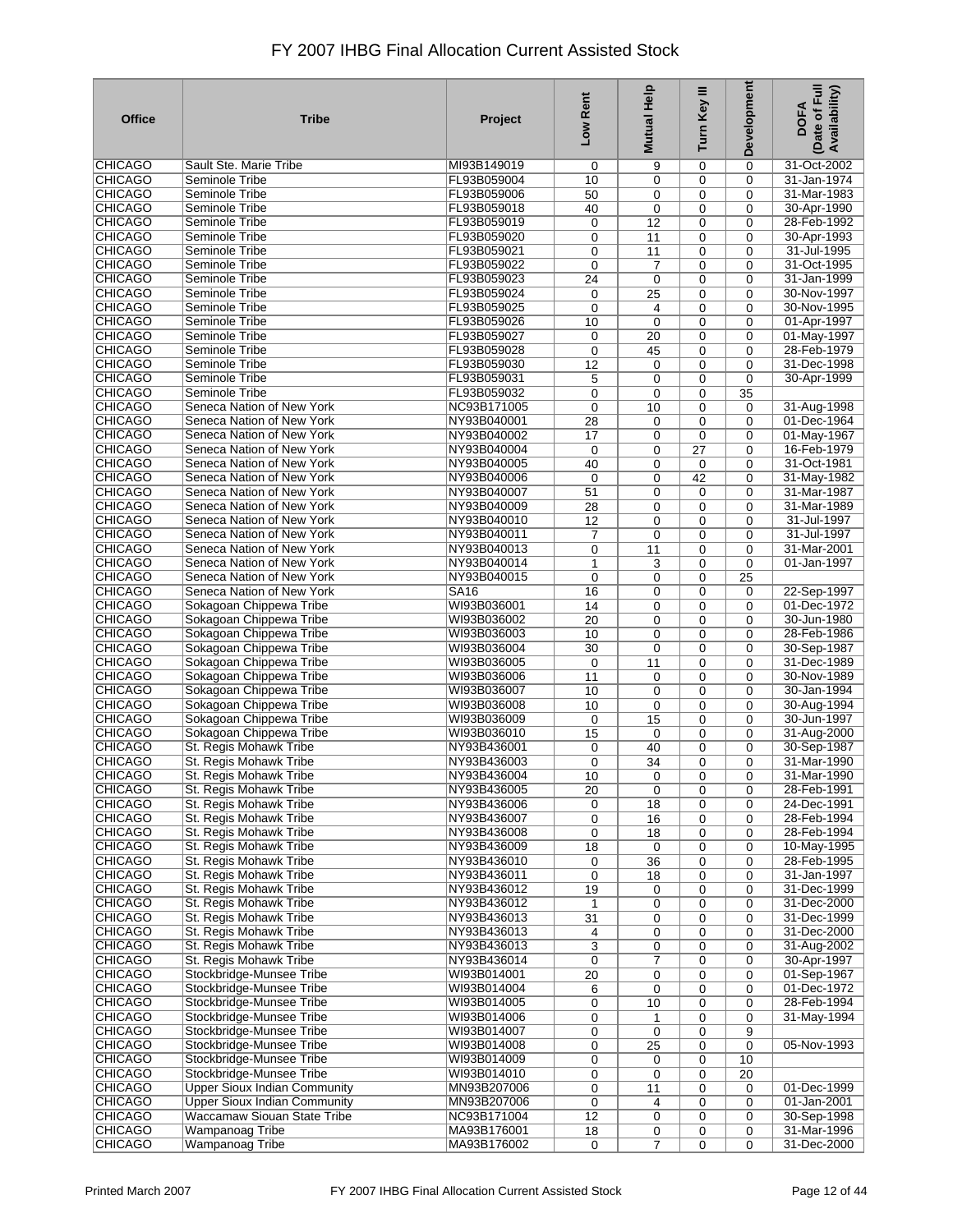| <b>Office</b>                    | <b>Tribe</b>                                     | Project     | Low Rent    | Help<br><b>Mutual</b> | Turn Key III | Development | Date of Full<br>Availability)<br><b>DOFA</b> |
|----------------------------------|--------------------------------------------------|-------------|-------------|-----------------------|--------------|-------------|----------------------------------------------|
| CHICAGO                          | Sault Ste. Marie Tribe                           | MI93B149019 | 0           | 9                     | 0            | 0           | 31-Oct-2002                                  |
| <b>CHICAGO</b>                   | Seminole Tribe                                   | FL93B059004 | 10          | 0                     | 0            | 0           | 31-Jan-1974                                  |
| <b>CHICAGO</b>                   | Seminole Tribe                                   | FL93B059006 | 50          | 0                     | 0            | 0           | 31-Mar-1983                                  |
| <b>CHICAGO</b>                   | Seminole Tribe                                   | FL93B059018 | 40          | 0                     | 0            | 0           | 30-Apr-1990                                  |
| <b>CHICAGO</b>                   | Seminole Tribe                                   | FL93B059019 | 0           | 12                    | 0            | 0           | 28-Feb-1992                                  |
| <b>CHICAGO</b>                   | Seminole Tribe                                   | FL93B059020 | 0           | 11                    | 0            | 0           | 30-Apr-1993                                  |
| <b>CHICAGO</b>                   | Seminole Tribe                                   | FL93B059021 | 0           | 11                    | 0            | 0           | 31-Jul-1995                                  |
| <b>CHICAGO</b>                   | Seminole Tribe                                   | FL93B059022 | 0           | 7                     | 0            | 0           | 31-Oct-1995                                  |
| <b>CHICAGO</b>                   | Seminole Tribe                                   | FL93B059023 | 24          | $\mathbf 0$           | 0            | 0           | 31-Jan-1999                                  |
| <b>CHICAGO</b>                   | Seminole Tribe                                   | FL93B059024 | 0           | 25                    | 0            | 0           | 30-Nov-1997                                  |
| <b>CHICAGO</b>                   | Seminole Tribe                                   | FL93B059025 | 0           | 4                     | 0            | 0           | 30-Nov-1995                                  |
| <b>CHICAGO</b>                   | Seminole Tribe                                   | FL93B059026 | 10          | $\mathbf 0$           | 0            | 0           | 01-Apr-1997                                  |
| <b>CHICAGO</b>                   | Seminole Tribe                                   | FL93B059027 | 0           | 20                    | 0            | 0           | 01-May-1997                                  |
| <b>CHICAGO</b>                   | Seminole Tribe                                   | FL93B059028 | 0           | 45                    | 0            | 0           | 28-Feb-1979                                  |
| <b>CHICAGO</b>                   | Seminole Tribe                                   | FL93B059030 | 12          | 0                     | $\mathbf 0$  | 0           | 31-Dec-1998                                  |
| <b>CHICAGO</b>                   | Seminole Tribe                                   | FL93B059031 | 5           | 0                     | 0            | 0           | 30-Apr-1999                                  |
| <b>CHICAGO</b>                   | Seminole Tribe                                   | FL93B059032 | 0           | $\mathbf 0$           | 0            | 35          |                                              |
| <b>CHICAGO</b>                   | Seneca Nation of New York                        | NC93B171005 | 0           | 10                    | 0            | 0           | 31-Aug-1998                                  |
| <b>CHICAGO</b>                   | Seneca Nation of New York                        | NY93B040001 | 28          | 0                     | 0            | 0           | 01-Dec-1964                                  |
| <b>CHICAGO</b>                   | Seneca Nation of New York                        | NY93B040002 | 17          | $\mathbf 0$           | $\mathbf 0$  | 0           | 01-May-1967                                  |
| <b>CHICAGO</b>                   | Seneca Nation of New York                        | NY93B040004 | $\mathbf 0$ | $\mathbf 0$           | 27           | 0           | 16-Feb-1979                                  |
| <b>CHICAGO</b>                   | Seneca Nation of New York                        | NY93B040005 | 40          | $\mathbf 0$           | $\mathbf 0$  | 0           | 31-Oct-1981                                  |
| <b>CHICAGO</b>                   | Seneca Nation of New York                        | NY93B040006 | 0           | 0                     | 42           | 0           | 31-May-1982                                  |
| <b>CHICAGO</b>                   | Seneca Nation of New York                        | NY93B040007 | 51          | $\mathbf 0$           | 0            | 0           | 31-Mar-1987                                  |
| <b>CHICAGO</b>                   | Seneca Nation of New York                        | NY93B040009 | 28          | 0                     | 0            | 0           | 31-Mar-1989                                  |
| <b>CHICAGO</b>                   | Seneca Nation of New York                        | NY93B040010 | 12          | 0                     | 0            | 0           | 31-Jul-1997                                  |
| <b>CHICAGO</b>                   | Seneca Nation of New York                        | NY93B040011 | 7           | $\mathbf 0$           | 0            | 0           | 31-Jul-1997                                  |
| <b>CHICAGO</b>                   | Seneca Nation of New York                        | NY93B040013 | 0           | 11                    | 0            | 0           | 31-Mar-2001                                  |
| <b>CHICAGO</b>                   | Seneca Nation of New York                        | NY93B040014 | 1           | 3                     | 0            | 0           | 01-Jan-1997                                  |
| <b>CHICAGO</b>                   | Seneca Nation of New York                        | NY93B040015 | 0           | 0                     | 0            | 25          |                                              |
| <b>CHICAGO</b>                   | Seneca Nation of New York                        | <b>SA16</b> | 16          | 0                     | 0            | 0           | 22-Sep-1997                                  |
| <b>CHICAGO</b>                   | Sokagoan Chippewa Tribe                          | WI93B036001 | 14          | 0                     | 0            | 0           | 01-Dec-1972                                  |
| <b>CHICAGO</b>                   | Sokagoan Chippewa Tribe                          | WI93B036002 | 20          | 0                     | 0            | 0           | 30-Jun-1980                                  |
| <b>CHICAGO</b>                   | Sokagoan Chippewa Tribe                          | WI93B036003 | 10          | 0                     | 0            | 0           | 28-Feb-1986                                  |
| <b>CHICAGO</b>                   | Sokagoan Chippewa Tribe                          | WI93B036004 | 30          | 0                     | 0            | 0           | 30-Sep-1987                                  |
| <b>CHICAGO</b>                   | Sokagoan Chippewa Tribe                          | WI93B036005 | 0           | 11                    | 0            | 0           | 31-Dec-1989                                  |
| <b>CHICAGO</b>                   | Sokagoan Chippewa Tribe                          | WI93B036006 | 11          | 0                     | 0            | 0           | 30-Nov-1989                                  |
| <b>CHICAGO</b>                   | Sokagoan Chippewa Tribe                          | WI93B036007 | 10          | 0                     | 0            | 0           | 30-Jan-1994                                  |
| <b>CHICAGO</b>                   | Sokagoan Chippewa Tribe                          | WI93B036008 | 10          | 0                     | 0            | 0           | 30-Aug-1994                                  |
| <b>CHICAGO</b>                   | Sokagoan Chippewa Tribe                          | WI93B036009 | 0           | 15                    | $\mathbf 0$  | 0           | 30-Jun-1997                                  |
| <b>CHICAGO</b>                   | Sokagoan Chippewa Tribe                          | WI93B036010 | 15          | $\mathbf 0$           | 0            | 0           | 31-Aug-2000                                  |
| <b>CHICAGO</b>                   | St. Regis Mohawk Tribe                           | NY93B436001 | 0           | 40                    | 0            | 0           | 30-Sep-1987                                  |
| <b>CHICAGO</b>                   | St. Regis Mohawk Tribe                           | NY93B436003 | 0           | 34                    | 0            | 0           | 31-Mar-1990                                  |
| <b>CHICAGO</b>                   | St. Regis Mohawk Tribe                           | NY93B436004 | 10          | $\pmb{0}$             | 0            | 0           | 31-Mar-1990                                  |
| CHICAGO                          | St. Regis Mohawk Tribe                           | NY93B436005 | 20          | 0                     | 0            | 0           | 28-Feb-1991                                  |
| <b>CHICAGO</b>                   | St. Regis Mohawk Tribe                           | NY93B436006 | 0           | 18                    | 0            | 0           | 24-Dec-1991                                  |
| <b>CHICAGO</b>                   | St. Regis Mohawk Tribe                           | NY93B436007 | 0           | 16                    | 0            | 0           | 28-Feb-1994                                  |
| <b>CHICAGO</b>                   | St. Regis Mohawk Tribe                           | NY93B436008 | 0           | 18                    | 0            | 0           | 28-Feb-1994                                  |
| <b>CHICAGO</b>                   | St. Regis Mohawk Tribe                           | NY93B436009 | 18          | 0                     | 0            | 0           | 10-May-1995                                  |
| <b>CHICAGO</b>                   | St. Regis Mohawk Tribe                           | NY93B436010 | 0           | 36                    | 0            | 0           | 28-Feb-1995                                  |
| <b>CHICAGO</b>                   | St. Regis Mohawk Tribe                           | NY93B436011 | 0           | 18                    | 0            | 0           | 31-Jan-1997                                  |
| <b>CHICAGO</b>                   | St. Regis Mohawk Tribe                           | NY93B436012 | 19          | 0                     | 0            | 0           | 31-Dec-1999                                  |
| <b>CHICAGO</b>                   | St. Regis Mohawk Tribe                           | NY93B436012 | 1           | 0                     | 0            | 0           | 31-Dec-2000                                  |
| <b>CHICAGO</b>                   | St. Regis Mohawk Tribe                           | NY93B436013 | 31          | 0                     | 0            | 0           | 31-Dec-1999                                  |
| <b>CHICAGO</b>                   | St. Regis Mohawk Tribe                           | NY93B436013 | 4           | 0                     | 0            | 0           | 31-Dec-2000                                  |
| <b>CHICAGO</b>                   | St. Regis Mohawk Tribe                           | NY93B436013 | 3           | 0                     | 0            | 0           | 31-Aug-2002                                  |
| <b>CHICAGO</b>                   | St. Regis Mohawk Tribe                           | NY93B436014 | 0           | 7                     | 0            | 0           | 30-Apr-1997                                  |
| <b>CHICAGO</b>                   | Stockbridge-Munsee Tribe                         | WI93B014001 | 20          | 0                     | 0            | 0           | 01-Sep-1967                                  |
| <b>CHICAGO</b>                   | Stockbridge-Munsee Tribe                         | WI93B014004 | 6           | $\mathbf 0$           | 0            | 0           | 01-Dec-1972                                  |
| <b>CHICAGO</b>                   | Stockbridge-Munsee Tribe                         | WI93B014005 | 0           | 10                    | 0            | 0           | 28-Feb-1994                                  |
| <b>CHICAGO</b>                   | Stockbridge-Munsee Tribe                         | WI93B014006 | 0           | 1                     | 0            | 0           | 31-May-1994                                  |
| <b>CHICAGO</b>                   | Stockbridge-Munsee Tribe                         | WI93B014007 | 0           | 0                     | 0            | 9           |                                              |
| <b>CHICAGO</b>                   | Stockbridge-Munsee Tribe                         | WI93B014008 | 0           | 25                    | 0            | 0           | 05-Nov-1993                                  |
| <b>CHICAGO</b>                   | Stockbridge-Munsee Tribe                         | WI93B014009 | 0           | 0                     | 0            | 10          |                                              |
| <b>CHICAGO</b>                   | Stockbridge-Munsee Tribe                         | WI93B014010 | 0           | 0                     | $\mathbf 0$  | 20          |                                              |
| <b>CHICAGO</b>                   | <b>Upper Sioux Indian Community</b>              | MN93B207006 | 0           | 11                    | 0            | 0           | 01-Dec-1999                                  |
| <b>CHICAGO</b>                   | <b>Upper Sioux Indian Community</b>              | MN93B207006 | 0           | 4                     | $\mathbf 0$  | 0           | 01-Jan-2001                                  |
| <b>CHICAGO</b>                   | Waccamaw Siouan State Tribe                      | NC93B171004 | 12          | 0                     | 0            | 0           | 30-Sep-1998                                  |
| <b>CHICAGO</b><br><b>CHICAGO</b> | <b>Wampanoag Tribe</b><br><b>Wampanoag Tribe</b> | MA93B176001 | 18          | 0                     | 0            | 0           | 31-Mar-1996<br>31-Dec-2000                   |
|                                  |                                                  | MA93B176002 | $\mathbf 0$ | $\overline{7}$        | 0            | 0           |                                              |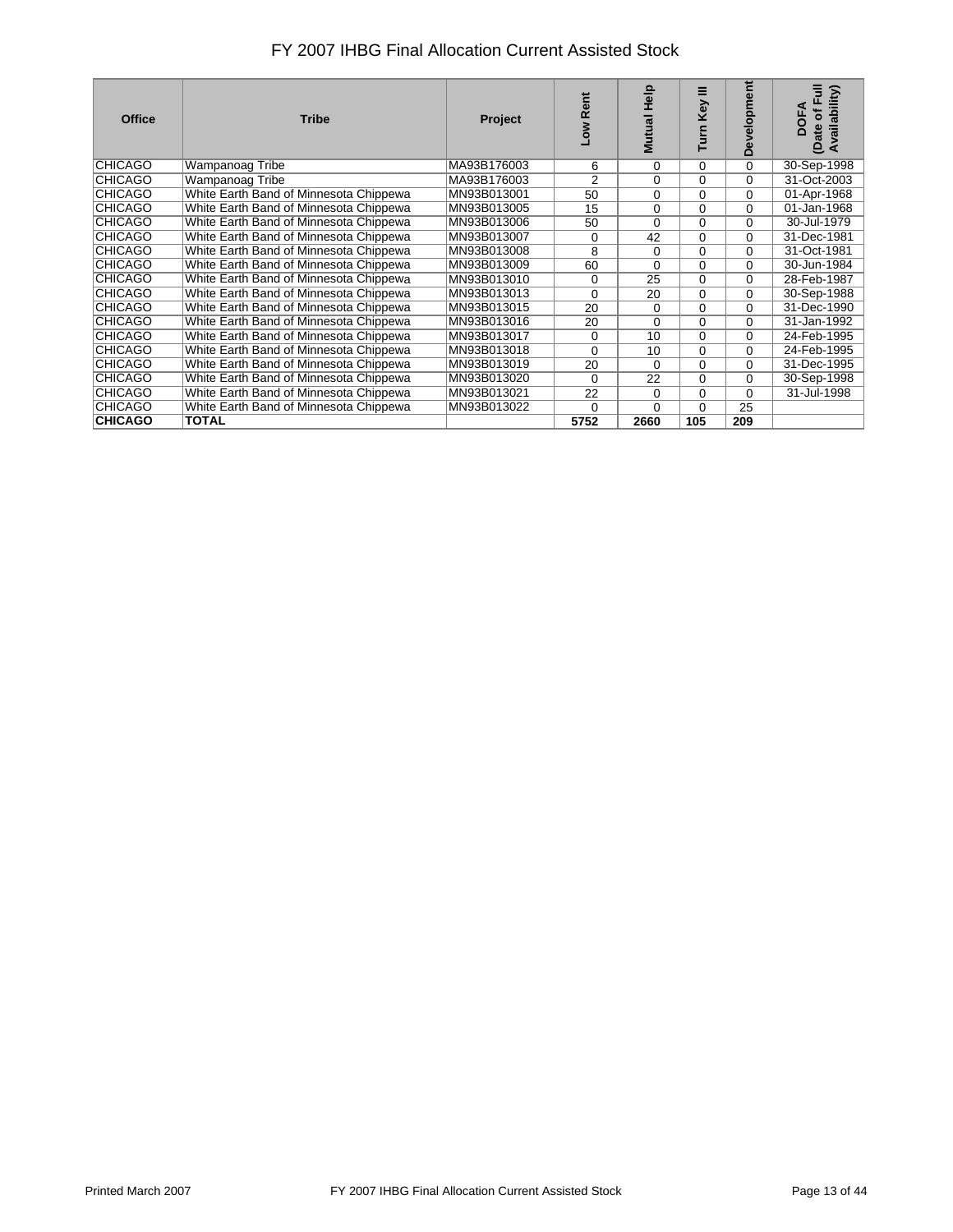| <b>Office</b>  | <b>Tribe</b>                           | <b>Project</b> | ā<br>œ<br>Mo⊤  | <b>d</b> eH<br>Mutual | ≡<br>Key<br><b>S</b> | Development | Availability)<br>Œ<br><b>DOFA</b><br>đ<br>(Date |
|----------------|----------------------------------------|----------------|----------------|-----------------------|----------------------|-------------|-------------------------------------------------|
| CHICAGO        | Wampanoag Tribe                        | MA93B176003    | 6              | 0                     | 0                    | 0           | 30-Sep-1998                                     |
| <b>CHICAGO</b> | Wampanoag Tribe                        | MA93B176003    | $\overline{2}$ | $\Omega$              | $\Omega$             | $\Omega$    | 31-Oct-2003                                     |
| CHICAGO        | White Earth Band of Minnesota Chippewa | MN93B013001    | 50             | $\Omega$              | 0                    | $\Omega$    | 01-Apr-1968                                     |
| CHICAGO        | White Earth Band of Minnesota Chippewa | MN93B013005    | 15             | $\mathbf 0$           | $\Omega$             | $\Omega$    | 01-Jan-1968                                     |
| CHICAGO        | White Earth Band of Minnesota Chippewa | MN93B013006    | 50             | $\Omega$              | $\Omega$             | $\Omega$    | 30-Jul-1979                                     |
| <b>CHICAGO</b> | White Earth Band of Minnesota Chippewa | MN93B013007    | 0              | 42                    | $\Omega$             | $\Omega$    | 31-Dec-1981                                     |
| CHICAGO        | White Earth Band of Minnesota Chippewa | MN93B013008    | 8              | 0                     | 0                    | 0           | 31-Oct-1981                                     |
| CHICAGO        | White Earth Band of Minnesota Chippewa | MN93B013009    | 60             | $\Omega$              | $\Omega$             | $\Omega$    | 30-Jun-1984                                     |
| <b>CHICAGO</b> | White Earth Band of Minnesota Chippewa | MN93B013010    | 0              | 25                    | $\Omega$             | $\Omega$    | 28-Feb-1987                                     |
| <b>CHICAGO</b> | White Earth Band of Minnesota Chippewa | MN93B013013    | $\Omega$       | 20                    | $\Omega$             | $\Omega$    | 30-Sep-1988                                     |
| CHICAGO        | White Earth Band of Minnesota Chippewa | MN93B013015    | 20             | $\Omega$              | $\Omega$             | $\Omega$    | 31-Dec-1990                                     |
| <b>CHICAGO</b> | White Earth Band of Minnesota Chippewa | MN93B013016    | 20             | $\Omega$              | $\Omega$             | $\Omega$    | 31-Jan-1992                                     |
| <b>CHICAGO</b> | White Earth Band of Minnesota Chippewa | MN93B013017    | $\Omega$       | 10                    | $\Omega$             | 0           | 24-Feb-1995                                     |
| CHICAGO        | White Earth Band of Minnesota Chippewa | MN93B013018    | $\Omega$       | 10                    | $\Omega$             | $\Omega$    | 24-Feb-1995                                     |
| <b>CHICAGO</b> | White Earth Band of Minnesota Chippewa | MN93B013019    | 20             | $\Omega$              | 0                    | $\Omega$    | 31-Dec-1995                                     |
| CHICAGO        | White Earth Band of Minnesota Chippewa | MN93B013020    | $\Omega$       | 22                    | $\Omega$             | $\Omega$    | 30-Sep-1998                                     |
| CHICAGO        | White Earth Band of Minnesota Chippewa | MN93B013021    | 22             | $\Omega$              | 0                    | 0           | 31-Jul-1998                                     |
| <b>CHICAGO</b> | White Earth Band of Minnesota Chippewa | MN93B013022    | $\Omega$       | $\Omega$              | $\Omega$             | 25          |                                                 |
| <b>CHICAGO</b> | <b>TOTAL</b>                           |                | 5752           | 2660                  | 105                  | 209         |                                                 |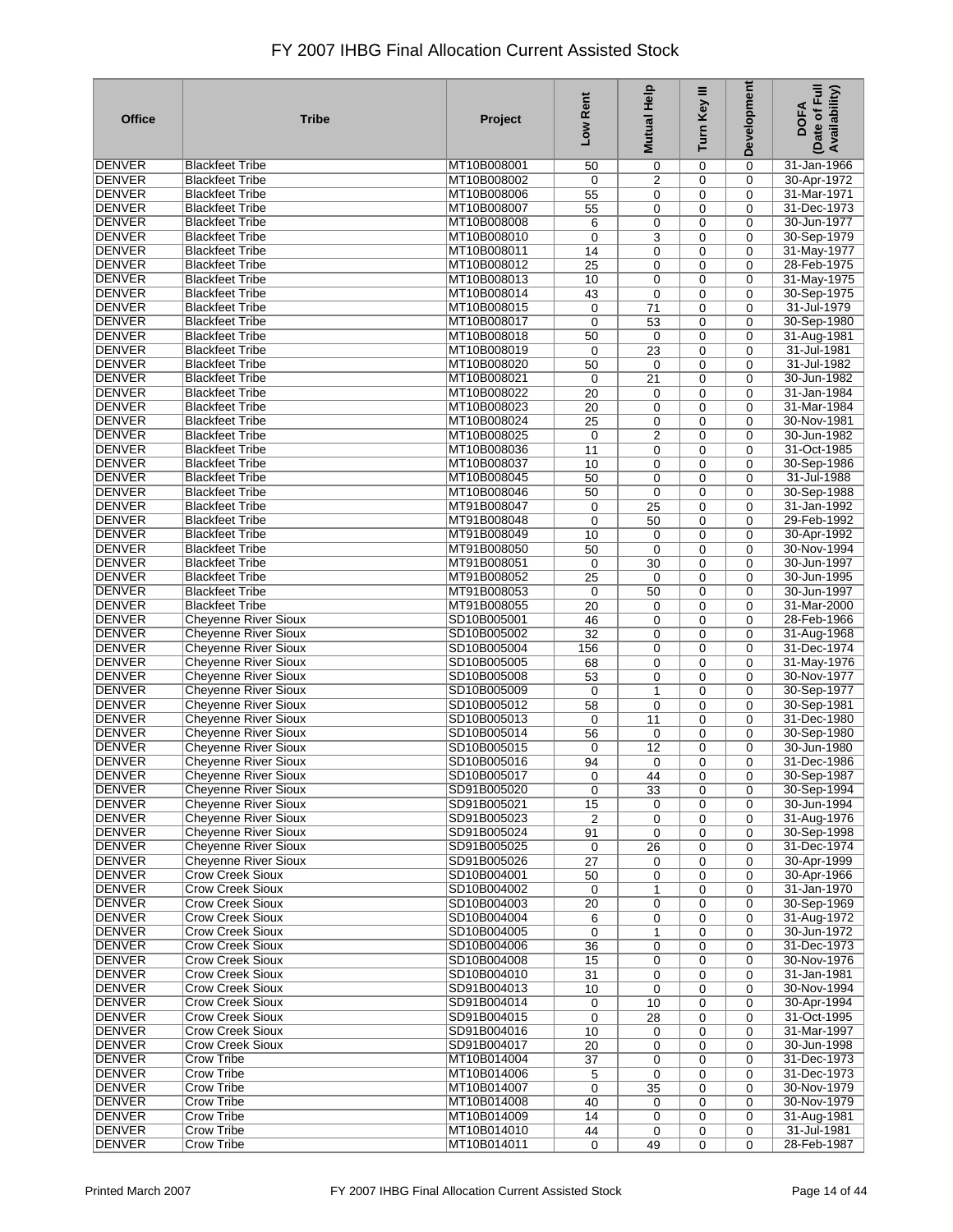| <b>Office</b>                  | <b>Tribe</b>                                               | Project                    | Low Rent         | Help<br><b>Mutual</b> | Turn Key III | Development | Date of Full<br>Availability)<br><b>DOFA</b> |
|--------------------------------|------------------------------------------------------------|----------------------------|------------------|-----------------------|--------------|-------------|----------------------------------------------|
| DENVER                         | <b>Blackfeet Tribe</b>                                     | MT10B008001                | 50               | 0                     | 0            | 0           | 31-Jan-1966                                  |
| <b>DENVER</b>                  | <b>Blackfeet Tribe</b>                                     | MT10B008002                | 0                | 2                     | 0            | 0           | 30-Apr-1972                                  |
| <b>DENVER</b>                  | <b>Blackfeet Tribe</b>                                     | MT10B008006                | 55               | 0                     | 0            | 0           | 31-Mar-1971                                  |
| <b>DENVER</b>                  | <b>Blackfeet Tribe</b>                                     | MT10B008007                | 55               | 0                     | 0            | 0           | 31-Dec-1973                                  |
| <b>DENVER</b>                  | <b>Blackfeet Tribe</b>                                     | MT10B008008                | 6                | 0                     | 0            | 0           | 30-Jun-1977                                  |
| <b>DENVER</b>                  | <b>Blackfeet Tribe</b>                                     | MT10B008010                | 0                | 3                     | 0            | 0           | 30-Sep-1979                                  |
| <b>DENVER</b>                  | <b>Blackfeet Tribe</b>                                     | MT10B008011                | 14               | 0                     | 0            | 0           | 31-May-1977                                  |
| <b>DENVER</b>                  | <b>Blackfeet Tribe</b>                                     | MT10B008012                | 25               | 0                     | 0            | 0           | 28-Feb-1975                                  |
| <b>DENVER</b>                  | <b>Blackfeet Tribe</b>                                     | MT10B008013                | 10               | 0                     | 0            | 0           | 31-May-1975                                  |
| <b>DENVER</b><br><b>DENVER</b> | <b>Blackfeet Tribe</b><br><b>Blackfeet Tribe</b>           | MT10B008014<br>MT10B008015 | 43               | 0                     | 0            | 0           | 30-Sep-1975<br>31-Jul-1979                   |
| <b>DENVER</b>                  | <b>Blackfeet Tribe</b>                                     | MT10B008017                | 0<br>0           | 71<br>53              | 0<br>0       | 0<br>0      | 30-Sep-1980                                  |
| <b>DENVER</b>                  | <b>Blackfeet Tribe</b>                                     | MT10B008018                | 50               | 0                     | 0            | 0           | 31-Aug-1981                                  |
| <b>DENVER</b>                  | <b>Blackfeet Tribe</b>                                     | MT10B008019                | 0                | 23                    | 0            | 0           | 31-Jul-1981                                  |
| <b>DENVER</b>                  | <b>Blackfeet Tribe</b>                                     | MT10B008020                | 50               | 0                     | $\mathbf 0$  | 0           | 31-Jul-1982                                  |
| <b>DENVER</b>                  | <b>Blackfeet Tribe</b>                                     | MT10B008021                | 0                | 21                    | 0            | 0           | 30-Jun-1982                                  |
| <b>DENVER</b>                  | <b>Blackfeet Tribe</b>                                     | MT10B008022                | 20               | 0                     | 0            | 0           | 31-Jan-1984                                  |
| DENVER                         | <b>Blackfeet Tribe</b>                                     | MT10B008023                | 20               | 0                     | 0            | 0           | 31-Mar-1984                                  |
| <b>DENVER</b>                  | <b>Blackfeet Tribe</b>                                     | MT10B008024                | 25               | 0                     | 0            | 0           | 30-Nov-1981                                  |
| <b>DENVER</b>                  | <b>Blackfeet Tribe</b>                                     | MT10B008025                | $\mathbf 0$      | 2                     | 0            | 0           | 30-Jun-1982                                  |
| <b>DENVER</b>                  | <b>Blackfeet Tribe</b>                                     | MT10B008036                | 11               | $\mathbf 0$           | 0            | 0           | 31-Oct-1985                                  |
| <b>DENVER</b>                  | <b>Blackfeet Tribe</b>                                     | MT10B008037                | 10               | $\mathbf 0$           | 0            | 0           | 30-Sep-1986                                  |
| <b>DENVER</b>                  | <b>Blackfeet Tribe</b>                                     | MT10B008045                | 50               | 0                     | 0            | 0           | 31-Jul-1988                                  |
| <b>DENVER</b>                  | <b>Blackfeet Tribe</b>                                     | MT10B008046                | 50               | $\mathbf 0$           | 0            | 0           | 30-Sep-1988                                  |
| <b>DENVER</b>                  | <b>Blackfeet Tribe</b>                                     | MT91B008047                | 0                | 25                    | 0            | 0           | 31-Jan-1992                                  |
| <b>DENVER</b>                  | <b>Blackfeet Tribe</b>                                     | MT91B008048                | 0                | 50                    | 0            | 0           | 29-Feb-1992                                  |
| <b>DENVER</b>                  | <b>Blackfeet Tribe</b>                                     | MT91B008049                | 10               | 0                     | 0            | 0           | 30-Apr-1992                                  |
| <b>DENVER</b>                  | <b>Blackfeet Tribe</b>                                     | MT91B008050                | 50               | $\mathbf 0$           | 0            | 0           | 30-Nov-1994                                  |
| <b>DENVER</b>                  | <b>Blackfeet Tribe</b>                                     | MT91B008051                | 0                | 30                    | 0            | 0           | 30-Jun-1997                                  |
| <b>DENVER</b>                  | <b>Blackfeet Tribe</b>                                     | MT91B008052                | 25               | 0                     | 0            | 0           | 30-Jun-1995                                  |
| <b>DENVER</b>                  | <b>Blackfeet Tribe</b>                                     | MT91B008053                | 0                | 50                    | 0            | 0           | 30-Jun-1997                                  |
| <b>DENVER</b>                  | <b>Blackfeet Tribe</b>                                     | MT91B008055                | 20               | 0                     | 0            | 0           | 31-Mar-2000                                  |
| <b>DENVER</b>                  | <b>Cheyenne River Sioux</b>                                | SD10B005001                | 46               | 0                     | 0            | 0           | 28-Feb-1966                                  |
| <b>DENVER</b><br><b>DENVER</b> | <b>Cheyenne River Sioux</b>                                | SD10B005002                | $\overline{32}$  | 0                     | 0            | 0           | 31-Aug-1968                                  |
| <b>DENVER</b>                  | <b>Cheyenne River Sioux</b>                                | SD10B005004<br>SD10B005005 | 156              | 0                     | 0            | 0           | 31-Dec-1974                                  |
| <b>DENVER</b>                  | <b>Cheyenne River Sioux</b><br><b>Cheyenne River Sioux</b> | SD10B005008                | 68<br>53         | 0<br>0                | 0<br>0       | 0<br>0      | 31-May-1976<br>30-Nov-1977                   |
| <b>DENVER</b>                  | <b>Cheyenne River Sioux</b>                                | SD10B005009                | 0                | 1                     | 0            | 0           | 30-Sep-1977                                  |
| <b>DENVER</b>                  | <b>Cheyenne River Sioux</b>                                | SD10B005012                | 58               | 0                     | 0            | 0           | 30-Sep-1981                                  |
| <b>DENVER</b>                  | Cheyenne River Sioux                                       | SD10B005013                | 0                | 11                    | $\mathbf 0$  | 0           | 31-Dec-1980                                  |
| <b>DENVER</b>                  | <b>Cheyenne River Sioux</b>                                | SD10B005014                | 56               | $\mathbf 0$           | 0            | 0           | 30-Sep-1980                                  |
| <b>DENVER</b>                  | <b>Cheyenne River Sioux</b>                                | SD10B005015                | 0                | 12                    | 0            | 0           | 30-Jun-1980                                  |
| DENVER                         | <b>Cheyenne River Sioux</b>                                | SD10B005016                | 94               | 0                     | 0            | 0           | 31-Dec-1986                                  |
| <b>DENVER</b>                  | <b>Cheyenne River Sioux</b>                                | SD10B005017                | 0                | 44                    | 0            | 0           | 30-Sep-1987                                  |
| DENVER                         | <b>Cheyenne River Sioux</b>                                | SD91B005020                | $\mathbf 0$      | 33                    | 0            | 0           | 30-Sep-1994                                  |
| DENVER                         | <b>Cheyenne River Sioux</b>                                | SD91B005021                | 15               | 0                     | 0            | 0           | 30-Jun-1994                                  |
| <b>DENVER</b>                  | <b>Cheyenne River Sioux</b>                                | SD91B005023                | $\overline{2}$   | 0                     | 0            | 0           | 31-Aug-1976                                  |
| <b>DENVER</b>                  | <b>Cheyenne River Sioux</b>                                | SD91B005024                | 91               | 0                     | $\mathbf 0$  | 0           | 30-Sep-1998                                  |
| DENVER                         | <b>Cheyenne River Sioux</b>                                | SD91B005025                | 0                | 26                    | 0            | 0           | 31-Dec-1974                                  |
| <b>DENVER</b>                  | <b>Cheyenne River Sioux</b>                                | SD91B005026                | 27               | 0                     | 0            | 0           | 30-Apr-1999                                  |
| <b>DENVER</b>                  | <b>Crow Creek Sioux</b>                                    | SD10B004001                | 50               | 0                     | 0            | 0           | 30-Apr-1966                                  |
| DENVER                         | <b>Crow Creek Sioux</b>                                    | SD10B004002                | 0                | 1                     | 0            | 0           | 31-Jan-1970                                  |
| <b>DENVER</b>                  | <b>Crow Creek Sioux</b>                                    | SD10B004003                | 20               | 0                     | 0            | 0           | 30-Sep-1969                                  |
| <b>DENVER</b>                  | <b>Crow Creek Sioux</b>                                    | SD10B004004                | 6                | 0                     | 0            | 0           | 31-Aug-1972                                  |
| <b>DENVER</b>                  | <b>Crow Creek Sioux</b>                                    | SD10B004005                | $\boldsymbol{0}$ | 1                     | 0            | 0           | 30-Jun-1972                                  |
| <b>DENVER</b>                  | <b>Crow Creek Sioux</b>                                    | SD10B004006<br>SD10B004008 | 36               | 0                     | 0            | 0           | 31-Dec-1973                                  |
| <b>DENVER</b><br><b>DENVER</b> | <b>Crow Creek Sioux</b><br><b>Crow Creek Sioux</b>         | SD10B004010                | 15               | 0                     | 0            | 0           | 30-Nov-1976<br>31-Jan-1981                   |
| <b>DENVER</b>                  | <b>Crow Creek Sioux</b>                                    | SD91B004013                | 31<br>10         | 0<br>0                | 0<br>0       | 0<br>0      | 30-Nov-1994                                  |
| <b>DENVER</b>                  | <b>Crow Creek Sioux</b>                                    | SD91B004014                | 0                | 10                    | 0            | 0           | 30-Apr-1994                                  |
| <b>DENVER</b>                  | Crow Creek Sioux                                           | SD91B004015                | 0                | 28                    | 0            | 0           | 31-Oct-1995                                  |
| DENVER                         | <b>Crow Creek Sioux</b>                                    | SD91B004016                | 10               | 0                     | 0            | 0           | 31-Mar-1997                                  |
| <b>DENVER</b>                  | <b>Crow Creek Sioux</b>                                    | SD91B004017                | $\overline{20}$  | 0                     | 0            | 0           | 30-Jun-1998                                  |
| <b>DENVER</b>                  | <b>Crow Tribe</b>                                          | MT10B014004                | 37               | 0                     | 0            | 0           | 31-Dec-1973                                  |
| DENVER                         | <b>Crow Tribe</b>                                          | MT10B014006                | 5                | 0                     | $\mathbf 0$  | 0           | 31-Dec-1973                                  |
| <b>DENVER</b>                  | <b>Crow Tribe</b>                                          | MT10B014007                | 0                | 35                    | 0            | 0           | 30-Nov-1979                                  |
| <b>DENVER</b>                  | <b>Crow Tribe</b>                                          | MT10B014008                | 40               | 0                     | $\mathbf 0$  | 0           | 30-Nov-1979                                  |
| <b>DENVER</b>                  | Crow Tribe                                                 | MT10B014009                | 14               | 0                     | 0            | 0           | 31-Aug-1981                                  |
| DENVER                         | <b>Crow Tribe</b>                                          | MT10B014010                | 44               | 0                     | 0            | 0           | 31-Jul-1981                                  |
| <b>DENVER</b>                  | Crow Tribe                                                 | MT10B014011                | $\mathbf 0$      | 49                    | 0            | 0           | 28-Feb-1987                                  |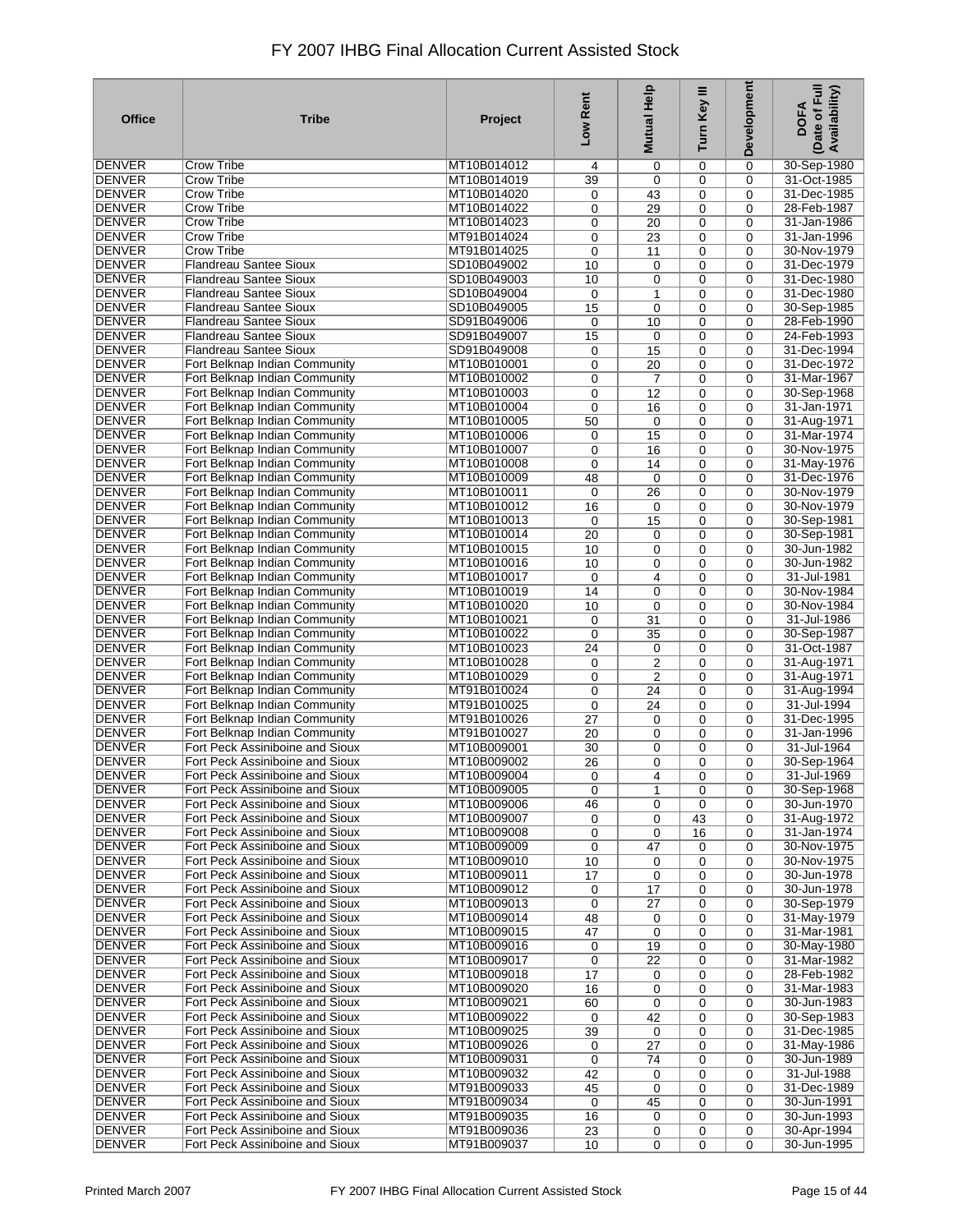| <b>Office</b>                  | <b>Tribe</b>                                                       | Project                    | Low Rent    | Help<br><b>Mutual</b> | Turn Key III | Development | Date of Full<br>Availability)<br><b>DOFA</b> |
|--------------------------------|--------------------------------------------------------------------|----------------------------|-------------|-----------------------|--------------|-------------|----------------------------------------------|
| <b>DENVER</b>                  | <b>Crow Tribe</b>                                                  | MT10B014012                | 4           | 0                     | 0            | 0           | 30-Sep-1980                                  |
| <b>DENVER</b>                  | Crow Tribe                                                         | MT10B014019                | 39          | 0                     | 0            | 0           | 31-Oct-1985                                  |
| DENVER                         | <b>Crow Tribe</b>                                                  | MT10B014020                | 0           | 43                    | 0            | 0           | 31-Dec-1985                                  |
| <b>DENVER</b>                  | Crow Tribe                                                         | MT10B014022                | 0           | 29                    | 0            | 0           | 28-Feb-1987                                  |
| <b>DENVER</b>                  | Crow Tribe                                                         | MT10B014023                | 0           | 20                    | 0            | 0           | 31-Jan-1986                                  |
| <b>DENVER</b>                  | <b>Crow Tribe</b>                                                  | MT91B014024                | 0           | 23                    | 0            | 0           | 31-Jan-1996                                  |
| <b>DENVER</b>                  | <b>Crow Tribe</b>                                                  | MT91B014025                | 0           | 11                    | 0            | 0           | 30-Nov-1979                                  |
| <b>DENVER</b><br><b>DENVER</b> | <b>Flandreau Santee Sioux</b>                                      | SD10B049002<br>SD10B049003 | 10          | 0                     | 0            | 0           | 31-Dec-1979                                  |
| <b>DENVER</b>                  | <b>Flandreau Santee Sioux</b><br>Flandreau Santee Sioux            | SD10B049004                | 10<br>0     | 0<br>1                | 0<br>0       | 0<br>0      | 31-Dec-1980<br>31-Dec-1980                   |
| <b>DENVER</b>                  | <b>Flandreau Santee Sioux</b>                                      | SD10B049005                | 15          | $\mathbf 0$           | 0            | 0           | 30-Sep-1985                                  |
| <b>DENVER</b>                  | <b>Flandreau Santee Sioux</b>                                      | SD91B049006                | 0           | 10                    | 0            | 0           | 28-Feb-1990                                  |
| <b>DENVER</b>                  | <b>Flandreau Santee Sioux</b>                                      | SD91B049007                | 15          | $\mathbf 0$           | 0            | 0           | 24-Feb-1993                                  |
| <b>DENVER</b>                  | <b>Flandreau Santee Sioux</b>                                      | SD91B049008                | 0           | 15                    | 0            | 0           | 31-Dec-1994                                  |
| <b>DENVER</b>                  | Fort Belknap Indian Community                                      | MT10B010001                | 0           | 20                    | $\mathbf 0$  | 0           | 31-Dec-1972                                  |
| DENVER                         | Fort Belknap Indian Community                                      | MT10B010002                | 0           | 7                     | 0            | 0           | 31-Mar-1967                                  |
| DENVER                         | Fort Belknap Indian Community                                      | MT10B010003                | 0           | 12                    | 0            | 0           | 30-Sep-1968                                  |
| DENVER                         | Fort Belknap Indian Community                                      | MT10B010004                | 0           | 16                    | 0            | 0           | 31-Jan-1971                                  |
| <b>DENVER</b>                  | Fort Belknap Indian Community                                      | MT10B010005                | 50          | $\mathbf 0$           | 0            | 0           | 31-Aug-1971                                  |
| <b>DENVER</b>                  | Fort Belknap Indian Community                                      | MT10B010006                | 0           | 15                    | 0            | 0           | 31-Mar-1974                                  |
| <b>DENVER</b>                  | Fort Belknap Indian Community                                      | MT10B010007                | 0           | 16                    | 0            | 0           | 30-Nov-1975                                  |
| DENVER                         | Fort Belknap Indian Community                                      | MT10B010008                | 0           | 14                    | 0            | 0           | 31-May-1976                                  |
| <b>DENVER</b>                  | Fort Belknap Indian Community                                      | MT10B010009                | 48          | $\mathbf 0$           | 0            | 0           | 31-Dec-1976                                  |
| <b>DENVER</b>                  | Fort Belknap Indian Community                                      | MT10B010011                | 0           | 26                    | 0            | 0           | 30-Nov-1979                                  |
| <b>DENVER</b>                  | Fort Belknap Indian Community                                      | MT10B010012                | 16          | $\mathbf 0$           | 0            | 0           | 30-Nov-1979                                  |
| <b>DENVER</b>                  | Fort Belknap Indian Community                                      | MT10B010013                | 0           | 15                    | 0            | 0           | 30-Sep-1981                                  |
| <b>DENVER</b><br><b>DENVER</b> | Fort Belknap Indian Community<br>Fort Belknap Indian Community     | MT10B010014<br>MT10B010015 | 20          | 0<br>0                | 0<br>0       | 0<br>0      | 30-Sep-1981<br>30-Jun-1982                   |
| <b>DENVER</b>                  | Fort Belknap Indian Community                                      | MT10B010016                | 10<br>10    | 0                     | 0            | 0           | 30-Jun-1982                                  |
| <b>DENVER</b>                  | Fort Belknap Indian Community                                      | MT10B010017                | 0           | 4                     | 0            | 0           | 31-Jul-1981                                  |
| <b>DENVER</b>                  | Fort Belknap Indian Community                                      | MT10B010019                | 14          | 0                     | 0            | 0           | 30-Nov-1984                                  |
| <b>DENVER</b>                  | Fort Belknap Indian Community                                      | MT10B010020                | 10          | 0                     | 0            | 0           | 30-Nov-1984                                  |
| <b>DENVER</b>                  | Fort Belknap Indian Community                                      | MT10B010021                | 0           | 31                    | 0            | 0           | 31-Jul-1986                                  |
| <b>DENVER</b>                  | Fort Belknap Indian Community                                      | MT10B010022                | 0           | 35                    | 0            | 0           | 30-Sep-1987                                  |
| <b>DENVER</b>                  | Fort Belknap Indian Community                                      | MT10B010023                | 24          | 0                     | 0            | 0           | 31-Oct-1987                                  |
| <b>DENVER</b>                  | Fort Belknap Indian Community                                      | MT10B010028                | 0           | $\overline{2}$        | 0            | 0           | 31-Aug-1971                                  |
| <b>DENVER</b>                  | Fort Belknap Indian Community                                      | MT10B010029                | 0           | 2                     | 0            | 0           | 31-Aug-1971                                  |
| <b>DENVER</b>                  | Fort Belknap Indian Community                                      | MT91B010024                | 0           | 24                    | 0            | 0           | 31-Aug-1994                                  |
| <b>DENVER</b>                  | Fort Belknap Indian Community                                      | MT91B010025                | 0           | 24                    | 0            | 0           | 31-Jul-1994                                  |
| DENVER                         | Fort Belknap Indian Community                                      | MT91B010026                | 27          | 0                     | $\mathbf 0$  | 0           | 31-Dec-1995                                  |
| <b>DENVER</b>                  | Fort Belknap Indian Community                                      | MT91B010027                | 20          | 0                     | 0            | 0           | 31-Jan-1996                                  |
| DENVER<br>DENVER               | Fort Peck Assiniboine and Sioux<br>Fort Peck Assiniboine and Sioux | MT10B009001<br>MT10B009002 | 30          | 0<br>$\mathbf 0$      | 0<br>0       | 0<br>0      | 31-Jul-1964<br>30-Sep-1964                   |
| <b>DENVER</b>                  | Fort Peck Assiniboine and Sioux                                    | MT10B009004                | 26<br>0     | 4                     | 0            | 0           | 31-Jul-1969                                  |
| DENVER                         | Fort Peck Assiniboine and Sioux                                    | MT10B009005                | $\mathbf 0$ | $\mathbf{1}$          | 0            | 0           | 30-Sep-1968                                  |
| DENVER                         | Fort Peck Assiniboine and Sioux                                    | MT10B009006                | 46          | 0                     | 0            | 0           | 30-Jun-1970                                  |
| <b>DENVER</b>                  | Fort Peck Assiniboine and Sioux                                    | MT10B009007                | 0           | 0                     | 43           | 0           | 31-Aug-1972                                  |
| DENVER                         | Fort Peck Assiniboine and Sioux                                    | MT10B009008                | 0           | 0                     | 16           | 0           | 31-Jan-1974                                  |
| <b>DENVER</b>                  | Fort Peck Assiniboine and Sioux                                    | MT10B009009                | 0           | 47                    | 0            | 0           | 30-Nov-1975                                  |
| <b>DENVER</b>                  | Fort Peck Assiniboine and Sioux                                    | MT10B009010                | 10          | 0                     | 0            | 0           | 30-Nov-1975                                  |
| <b>DENVER</b>                  | Fort Peck Assiniboine and Sioux                                    | MT10B009011                | 17          | 0                     | 0            | 0           | 30-Jun-1978                                  |
| DENVER                         | Fort Peck Assiniboine and Sioux                                    | MT10B009012                | 0           | 17                    | 0            | 0           | 30-Jun-1978                                  |
| <b>DENVER</b>                  | Fort Peck Assiniboine and Sioux                                    | MT10B009013                | 0           | 27                    | 0            | 0           | 30-Sep-1979                                  |
| <b>DENVER</b>                  | Fort Peck Assiniboine and Sioux                                    | MT10B009014                | 48          | 0                     | 0            | 0           | 31-May-1979                                  |
| <b>DENVER</b>                  | Fort Peck Assiniboine and Sioux                                    | MT10B009015                | 47          | 0                     | 0            | 0           | 31-Mar-1981                                  |
| <b>DENVER</b>                  | Fort Peck Assiniboine and Sioux                                    | MT10B009016                | 0           | 19                    | 0            | 0           | 30-May-1980                                  |
| <b>DENVER</b><br><b>DENVER</b> | Fort Peck Assiniboine and Sioux<br>Fort Peck Assiniboine and Sioux | MT10B009017<br>MT10B009018 | 0<br>17     | 22                    | 0            | 0<br>0      | 31-Mar-1982<br>28-Feb-1982                   |
| <b>DENVER</b>                  | Fort Peck Assiniboine and Sioux                                    | MT10B009020                | 16          | 0<br>0                | 0<br>0       | 0           | 31-Mar-1983                                  |
| <b>DENVER</b>                  | Fort Peck Assiniboine and Sioux                                    | MT10B009021                | 60          | 0                     | 0            | 0           | 30-Jun-1983                                  |
| <b>DENVER</b>                  | Fort Peck Assiniboine and Sioux                                    | MT10B009022                | 0           | 42                    | 0            | 0           | 30-Sep-1983                                  |
| DENVER                         | Fort Peck Assiniboine and Sioux                                    | MT10B009025                | 39          | 0                     | 0            | 0           | 31-Dec-1985                                  |
| <b>DENVER</b>                  | Fort Peck Assiniboine and Sioux                                    | MT10B009026                | 0           | 27                    | 0            | 0           | 31-May-1986                                  |
| <b>DENVER</b>                  | Fort Peck Assiniboine and Sioux                                    | MT10B009031                | 0           | 74                    | 0            | 0           | 30-Jun-1989                                  |
| DENVER                         | Fort Peck Assiniboine and Sioux                                    | MT10B009032                | 42          | 0                     | $\mathbf 0$  | 0           | 31-Jul-1988                                  |
| <b>DENVER</b>                  | Fort Peck Assiniboine and Sioux                                    | MT91B009033                | 45          | 0                     | 0            | 0           | 31-Dec-1989                                  |
| <b>DENVER</b>                  | Fort Peck Assiniboine and Sioux                                    | MT91B009034                | 0           | 45                    | $\mathbf 0$  | 0           | 30-Jun-1991                                  |
| <b>DENVER</b>                  | Fort Peck Assiniboine and Sioux                                    | MT91B009035                | 16          | 0                     | 0            | 0           | 30-Jun-1993                                  |
| DENVER                         | Fort Peck Assiniboine and Sioux                                    | MT91B009036                | 23          | 0                     | 0            | 0           | 30-Apr-1994                                  |
| <b>DENVER</b>                  | Fort Peck Assiniboine and Sioux                                    | MT91B009037                | 10          | $\mathbf 0$           | 0            | 0           | 30-Jun-1995                                  |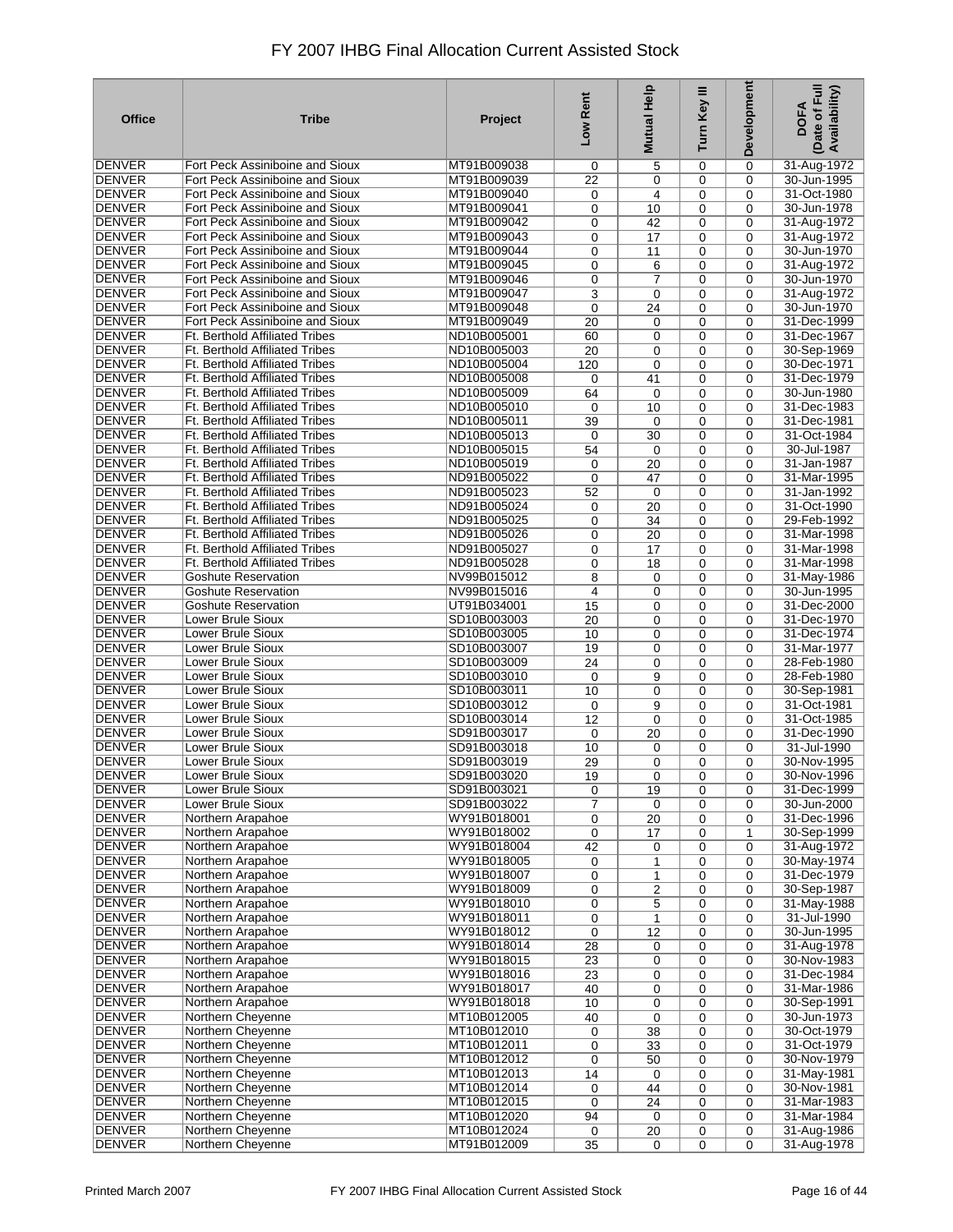| <b>Office</b>                  | <b>Tribe</b>                                                        | Project                    | Low Rent       | <b>Mutual Help</b> | Turn Key III | Development | Date of Full<br>Availability)<br><b>DOFA</b> |
|--------------------------------|---------------------------------------------------------------------|----------------------------|----------------|--------------------|--------------|-------------|----------------------------------------------|
| DENVER                         | Fort Peck Assiniboine and Sioux                                     | MT91B009038                | 0              | 5                  | 0            | 0           | 31-Aug-1972                                  |
| <b>DENVER</b>                  | Fort Peck Assiniboine and Sioux                                     | MT91B009039                | 22             | 0                  | 0            | 0           | 30-Jun-1995                                  |
| DENVER                         | Fort Peck Assiniboine and Sioux                                     | MT91B009040                | 0              | 4                  | 0            | 0           | 31-Oct-1980                                  |
| <b>DENVER</b>                  | Fort Peck Assiniboine and Sioux                                     | MT91B009041                | 0              | 10                 | 0            | 0           | 30-Jun-1978                                  |
| DENVER                         | Fort Peck Assiniboine and Sioux                                     | MT91B009042                | 0              | 42                 | 0            | 0           | 31-Aug-1972                                  |
| <b>DENVER</b>                  | Fort Peck Assiniboine and Sioux                                     | MT91B009043                | 0              | 17                 | 0            | 0           | 31-Aug-1972                                  |
| DENVER                         | Fort Peck Assiniboine and Sioux                                     | MT91B009044                | 0              | 11                 | 0            | 0           | 30-Jun-1970                                  |
| <b>DENVER</b>                  | Fort Peck Assiniboine and Sioux                                     | MT91B009045                | 0              | 6                  | 0            | 0           | 31-Aug-1972                                  |
| <b>DENVER</b>                  | Fort Peck Assiniboine and Sioux                                     | MT91B009046                | 0              | $\overline{7}$     | 0            | 0           | 30-Jun-1970                                  |
| <b>DENVER</b>                  | Fort Peck Assiniboine and Sioux                                     | MT91B009047                | 3              | 0                  | 0            | 0           | 31-Aug-1972                                  |
| <b>DENVER</b>                  | Fort Peck Assiniboine and Sioux                                     | MT91B009048                | 0              | 24                 | 0            | 0           | 30-Jun-1970                                  |
| <b>DENVER</b>                  | Fort Peck Assiniboine and Sioux                                     | MT91B009049                | 20             | 0                  | 0            | 0           | 31-Dec-1999                                  |
| <b>DENVER</b>                  | Ft. Berthold Affiliated Tribes                                      | ND10B005001                | 60             | 0                  | 0            | 0           | 31-Dec-1967                                  |
| <b>DENVER</b>                  | Ft. Berthold Affiliated Tribes                                      | ND10B005003                | 20             | 0                  | 0            | 0           | 30-Sep-1969                                  |
| <b>DENVER</b>                  | Ft. Berthold Affiliated Tribes                                      | ND10B005004                | 120            | 0                  | 0            | 0           | 30-Dec-1971                                  |
| <b>DENVER</b>                  | Ft. Berthold Affiliated Tribes                                      | ND10B005008                | 0              | 41                 | 0            | 0           | 31-Dec-1979                                  |
| <b>DENVER</b>                  | <b>Ft. Berthold Affiliated Tribes</b>                               | ND10B005009                | 64             | $\mathbf 0$        | 0            | 0           | 30-Jun-1980                                  |
| <b>DENVER</b>                  | Ft. Berthold Affiliated Tribes                                      | ND10B005010                | 0              | 10                 | 0            | 0           | 31-Dec-1983                                  |
| <b>DENVER</b>                  | <b>Ft. Berthold Affiliated Tribes</b>                               | ND10B005011                | 39             | $\mathbf 0$        | 0            | 0           | 31-Dec-1981                                  |
| <b>DENVER</b>                  | <b>Ft. Berthold Affiliated Tribes</b>                               | ND10B005013                | 0              | 30                 | 0            | 0           | 31-Oct-1984                                  |
| <b>DENVER</b>                  | Ft. Berthold Affiliated Tribes                                      | ND10B005015                | 54             | $\mathbf 0$        | 0            | 0           | 30-Jul-1987                                  |
| DENVER                         | <b>Ft. Berthold Affiliated Tribes</b>                               | ND10B005019                | 0              | 20                 | 0            | 0           | 31-Jan-1987                                  |
| <b>DENVER</b>                  | <b>Ft. Berthold Affiliated Tribes</b>                               | ND91B005022                | $\mathbf 0$    | 47                 | 0            | 0           | 31-Mar-1995                                  |
| DENVER                         | Ft. Berthold Affiliated Tribes                                      | ND91B005023                | 52             | $\mathbf 0$        | 0            | 0           | 31-Jan-1992                                  |
| <b>DENVER</b>                  | Ft. Berthold Affiliated Tribes                                      | ND91B005024                | 0              | 20                 | 0            | 0           | 31-Oct-1990                                  |
| DENVER                         | Ft. Berthold Affiliated Tribes                                      | ND91B005025                | 0              | 34                 | 0            | 0           | 29-Feb-1992                                  |
| <b>DENVER</b>                  | <b>Ft. Berthold Affiliated Tribes</b>                               | ND91B005026                | 0              | 20                 | 0            | 0           | 31-Mar-1998                                  |
| DENVER<br><b>DENVER</b>        | Ft. Berthold Affiliated Tribes                                      | ND91B005027                | 0              | 17                 | 0            | 0           | 31-Mar-1998<br>31-Mar-1998                   |
| DENVER                         | <b>Ft. Berthold Affiliated Tribes</b><br><b>Goshute Reservation</b> | ND91B005028                | 0              | 18                 | 0            | 0           |                                              |
| <b>DENVER</b>                  | <b>Goshute Reservation</b>                                          | NV99B015012<br>NV99B015016 | 8<br>4         | 0                  | 0<br>0       | 0           | 31-May-1986<br>30-Jun-1995                   |
| DENVER                         | <b>Goshute Reservation</b>                                          | UT91B034001                | 15             | 0<br>0             | 0            | 0<br>0      | 31-Dec-2000                                  |
| <b>DENVER</b>                  | Lower Brule Sioux                                                   | SD10B003003                | 20             | 0                  | 0            | 0           | 31-Dec-1970                                  |
| <b>DENVER</b>                  | Lower Brule Sioux                                                   | SD10B003005                | 10             | 0                  | 0            | 0           | 31-Dec-1974                                  |
| <b>DENVER</b>                  | Lower Brule Sioux                                                   | SD10B003007                | 19             | 0                  | 0            | 0           | 31-Mar-1977                                  |
| <b>DENVER</b>                  | Lower Brule Sioux                                                   | SD10B003009                | 24             | 0                  | 0            | 0           | 28-Feb-1980                                  |
| <b>DENVER</b>                  | Lower Brule Sioux                                                   | SD10B003010                | 0              | 9                  | 0            | 0           | 28-Feb-1980                                  |
| <b>DENVER</b>                  | Lower Brule Sioux                                                   | SD10B003011                | 10             | 0                  | 0            | 0           | 30-Sep-1981                                  |
| <b>DENVER</b>                  | Lower Brule Sioux                                                   | SD10B003012                | 0              | 9                  | 0            | 0           | 31-Oct-1981                                  |
| <b>DENVER</b>                  | Lower Brule Sioux                                                   | SD10B003014                | 12             | $\mathbf 0$        | 0            | 0           | 31-Oct-1985                                  |
| <b>DENVER</b>                  | Lower Brule Sioux                                                   | SD91B003017                | 0              | 20                 | 0            | 0           | 31-Dec-1990                                  |
| <b>DENVER</b>                  | Lower Brule Sioux                                                   | SD91B003018                | 10             | $\mathbf 0$        | 0            | 0           | 31-Jul-1990                                  |
| <b>DENVER</b>                  | Lower Brule Sioux                                                   | SD91B003019                | 29             | $\mathbf 0$        | 0            | 0           | 30-Nov-1995                                  |
| <b>DENVER</b>                  | Lower Brule Sioux                                                   | SD91B003020                | 19             | $\pmb{0}$          | 0            | 0           | 30-Nov-1996                                  |
| DENVER                         | Lower Brule Sioux                                                   | SD91B003021                | 0              | 19                 | 0            | 0           | 31-Dec-1999                                  |
| <b>DENVER</b>                  | Lower Brule Sioux                                                   | SD91B003022                | $\overline{7}$ | 0                  | 0            | 0           | 30-Jun-2000                                  |
| DENVER                         | Northern Arapahoe                                                   | WY91B018001                | 0              | 20                 | 0            | 0           | 31-Dec-1996                                  |
| <b>DENVER</b>                  | Northern Arapahoe                                                   | WY91B018002                | 0              | 17                 | 0            | 1           | 30-Sep-1999                                  |
| DENVER                         | Northern Arapahoe                                                   | WY91B018004                | 42             | 0                  | 0            | 0           | 31-Aug-1972                                  |
| <b>DENVER</b>                  | Northern Arapahoe                                                   | WY91B018005                | 0              | 1                  | 0            | 0           | 30-May-1974                                  |
| <b>DENVER</b>                  | Northern Arapahoe                                                   | WY91B018007                | 0              | 1                  | 0            | 0           | 31-Dec-1979                                  |
| DENVER                         | Northern Arapahoe                                                   | WY91B018009                | 0              | 2                  | 0            | 0           | 30-Sep-1987                                  |
| <b>DENVER</b>                  | Northern Arapahoe                                                   | WY91B018010                | 0              | 5                  | 0            | 0           | 31-May-1988                                  |
| <b>DENVER</b>                  | Northern Arapahoe                                                   | WY91B018011                | 0              | $\mathbf{1}$       | 0            | 0           | 31-Jul-1990                                  |
| <b>DENVER</b>                  | Northern Arapahoe                                                   | WY91B018012                | $\mathbf 0$    | 12                 | 0            | 0           | 30-Jun-1995                                  |
| <b>DENVER</b>                  | Northern Arapahoe                                                   | WY91B018014                | 28             | 0                  | 0            | 0           | 31-Aug-1978                                  |
| <b>DENVER</b><br><b>DENVER</b> | Northern Arapahoe<br>Northern Arapahoe                              | WY91B018015<br>WY91B018016 | 23             | 0                  | 0            | 0           | 30-Nov-1983<br>31-Dec-1984                   |
| <b>DENVER</b>                  |                                                                     |                            | 23             | 0                  | 0            | 0           |                                              |
| <b>DENVER</b>                  | Northern Arapahoe<br>Northern Arapahoe                              | WY91B018017<br>WY91B018018 | 40<br>10       | $\mathbf 0$        | 0<br>0       | 0           | 31-Mar-1986<br>30-Sep-1991                   |
| <b>DENVER</b>                  | Northern Cheyenne                                                   | MT10B012005                | 40             | 0<br>$\mathbf 0$   |              | 0           | 30-Jun-1973                                  |
| DENVER                         | Northern Cheyenne                                                   | MT10B012010                | 0              | 38                 | 0<br>0       | 0<br>0      | 30-Oct-1979                                  |
| DENVER                         | Northern Cheyenne                                                   | MT10B012011                | 0              | 33                 | 0            | 0           | 31-Oct-1979                                  |
| <b>DENVER</b>                  | Northern Cheyenne                                                   | MT10B012012                | 0              | 50                 | 0            | 0           | 30-Nov-1979                                  |
| <b>DENVER</b>                  | Northern Cheyenne                                                   | MT10B012013                | 14             | $\mathbf 0$        | 0            | 0           | 31-May-1981                                  |
| <b>DENVER</b>                  | Northern Cheyenne                                                   | MT10B012014                | 0              | 44                 | 0            | 0           | 30-Nov-1981                                  |
| <b>DENVER</b>                  | Northern Cheyenne                                                   | MT10B012015                | 0              | 24                 | 0            | 0           | 31-Mar-1983                                  |
| DENVER                         | Northern Cheyenne                                                   | MT10B012020                | 94             | 0                  | 0            | 0           | 31-Mar-1984                                  |
| DENVER                         | Northern Cheyenne                                                   | MT10B012024                | $\pmb{0}$      | 20                 | 0            | 0           | 31-Aug-1986                                  |
| <b>DENVER</b>                  | Northern Cheyenne                                                   | MT91B012009                | 35             | $\mathbf 0$        | 0            | $\mathbf 0$ | 31-Aug-1978                                  |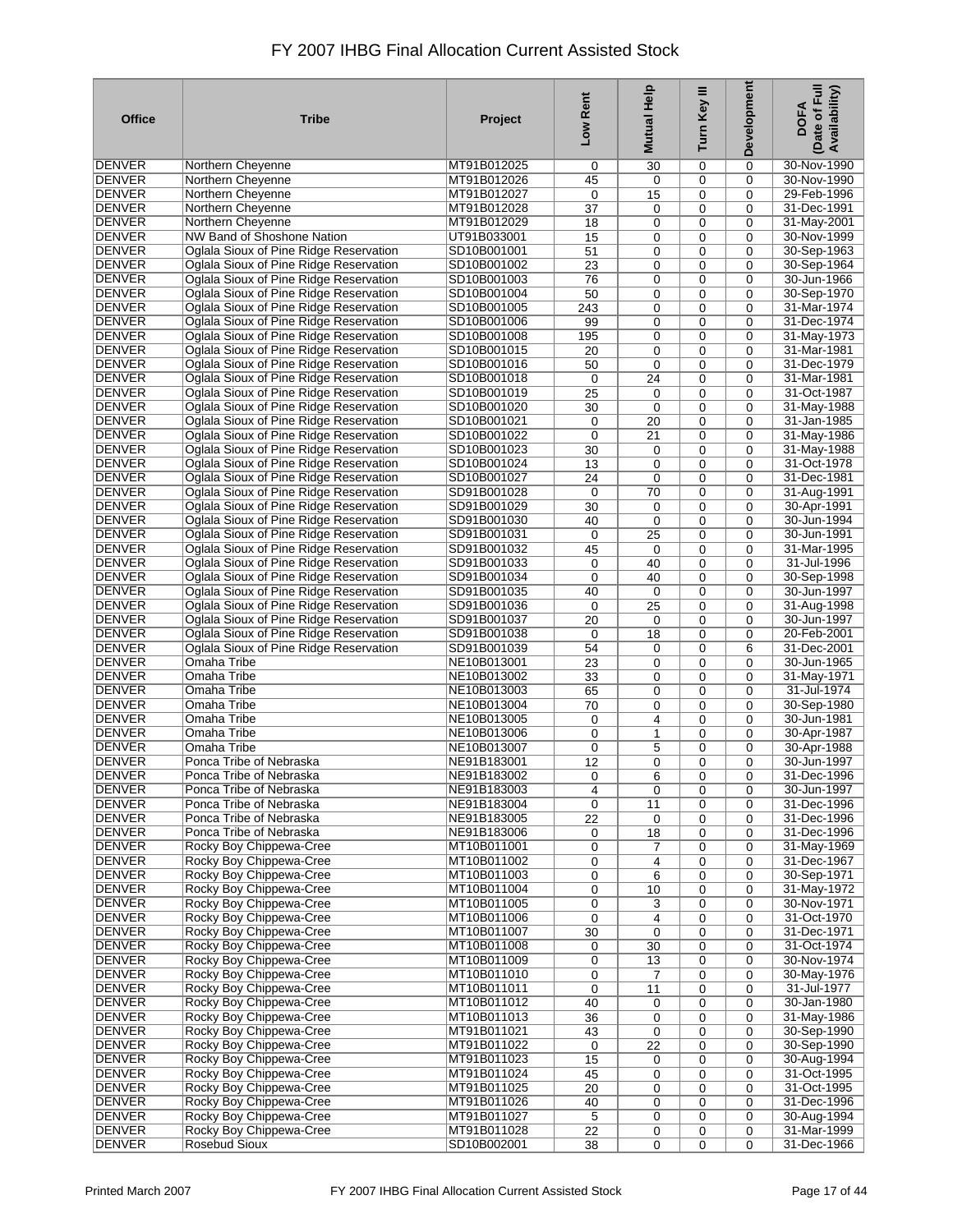| <b>Office</b>                  | <b>Tribe</b>                                                                     | Project                    | Low Rent    | Help<br><b>Mutual</b> | Turn Key III     | Development | Date of Full<br>Availability)<br><b>DOFA</b> |
|--------------------------------|----------------------------------------------------------------------------------|----------------------------|-------------|-----------------------|------------------|-------------|----------------------------------------------|
| DENVER                         | Northern Cheyenne                                                                | MT91B012025                | 0           | 30                    | 0                | 0           | 30-Nov-1990                                  |
| <b>DENVER</b>                  | Northern Cheyenne                                                                | MT91B012026                | 45          | 0                     | 0                | 0           | 30-Nov-1990                                  |
| DENVER                         | Northern Cheyenne                                                                | MT91B012027                | 0           | 15                    | 0                | 0           | 29-Feb-1996                                  |
| <b>DENVER</b>                  | Northern Cheyenne                                                                | MT91B012028                | 37          | 0                     | 0                | 0           | 31-Dec-1991                                  |
| <b>DENVER</b>                  | Northern Cheyenne                                                                | MT91B012029                | 18          | 0                     | 0                | 0           | 31-May-2001                                  |
| <b>DENVER</b>                  | NW Band of Shoshone Nation                                                       | UT91B033001                | 15          | 0                     | 0                | 0           | 30-Nov-1999                                  |
| <b>DENVER</b><br><b>DENVER</b> | Oglala Sioux of Pine Ridge Reservation                                           | SD10B001001<br>SD10B001002 | 51          | 0                     | 0                | 0           | 30-Sep-1963                                  |
| <b>DENVER</b>                  | Oglala Sioux of Pine Ridge Reservation<br>Oglala Sioux of Pine Ridge Reservation | SD10B001003                | 23<br>76    | 0<br>0                | 0<br>0           | 0<br>0      | 30-Sep-1964<br>30-Jun-1966                   |
| <b>DENVER</b>                  | Oglala Sioux of Pine Ridge Reservation                                           | SD10B001004                | 50          | 0                     | 0                | 0           | 30-Sep-1970                                  |
| <b>DENVER</b>                  | Oglala Sioux of Pine Ridge Reservation                                           | SD10B001005                | 243         | 0                     | 0                | 0           | 31-Mar-1974                                  |
| <b>DENVER</b>                  | Oglala Sioux of Pine Ridge Reservation                                           | SD10B001006                | 99          | 0                     | 0                | 0           | 31-Dec-1974                                  |
| <b>DENVER</b>                  | Oglala Sioux of Pine Ridge Reservation                                           | SD10B001008                | 195         | 0                     | 0                | 0           | 31-May-1973                                  |
| <b>DENVER</b>                  | Oglala Sioux of Pine Ridge Reservation                                           | SD10B001015                | 20          | 0                     | 0                | 0           | 31-Mar-1981                                  |
| <b>DENVER</b>                  | Oglala Sioux of Pine Ridge Reservation                                           | SD10B001016                | 50          | 0                     | 0                | 0           | 31-Dec-1979                                  |
| <b>DENVER</b>                  | Oglala Sioux of Pine Ridge Reservation                                           | SD10B001018                | 0           | 24                    | 0                | 0           | 31-Mar-1981                                  |
| <b>DENVER</b>                  | Oglala Sioux of Pine Ridge Reservation                                           | SD10B001019                | 25          | 0                     | $\mathbf 0$      | 0           | 31-Oct-1987                                  |
| <b>DENVER</b>                  | Oglala Sioux of Pine Ridge Reservation                                           | SD10B001020                | 30          | 0                     | 0                | 0           | 31-May-1988                                  |
| <b>DENVER</b>                  | Oglala Sioux of Pine Ridge Reservation                                           | SD10B001021                | 0           | 20                    | $\mathbf 0$      | 0           | 31-Jan-1985                                  |
| <b>DENVER</b>                  | Oglala Sioux of Pine Ridge Reservation                                           | SD10B001022                | $\mathbf 0$ | 21                    | 0                | 0           | 31-May-1986                                  |
| <b>DENVER</b>                  | Oglala Sioux of Pine Ridge Reservation                                           | SD10B001023                | 30          | 0                     | 0                | 0           | 31-May-1988                                  |
| <b>DENVER</b><br><b>DENVER</b> | Oglala Sioux of Pine Ridge Reservation<br>Oglala Sioux of Pine Ridge Reservation | SD10B001024<br>SD10B001027 | 13          | 0                     | 0                | 0           | 31-Oct-1978<br>31-Dec-1981                   |
| <b>DENVER</b>                  | Oglala Sioux of Pine Ridge Reservation                                           | SD91B001028                | 24<br>0     | $\mathbf 0$<br>70     | 0<br>0           | 0<br>0      | 31-Aug-1991                                  |
| <b>DENVER</b>                  | Oglala Sioux of Pine Ridge Reservation                                           | SD91B001029                | 30          | $\mathbf 0$           | 0                | 0           | 30-Apr-1991                                  |
| <b>DENVER</b>                  | Oglala Sioux of Pine Ridge Reservation                                           | SD91B001030                | 40          | $\mathbf 0$           | 0                | 0           | 30-Jun-1994                                  |
| <b>DENVER</b>                  | Oglala Sioux of Pine Ridge Reservation                                           | SD91B001031                | 0           | 25                    | 0                | 0           | 30-Jun-1991                                  |
| <b>DENVER</b>                  | Oglala Sioux of Pine Ridge Reservation                                           | SD91B001032                | 45          | 0                     | 0                | 0           | 31-Mar-1995                                  |
| <b>DENVER</b>                  | Oglala Sioux of Pine Ridge Reservation                                           | SD91B001033                | 0           | 40                    | 0                | 0           | 31-Jul-1996                                  |
| <b>DENVER</b>                  | Oglala Sioux of Pine Ridge Reservation                                           | SD91B001034                | 0           | 40                    | 0                | 0           | 30-Sep-1998                                  |
| <b>DENVER</b>                  | Oglala Sioux of Pine Ridge Reservation                                           | SD91B001035                | 40          | 0                     | 0                | 0           | 30-Jun-1997                                  |
| <b>DENVER</b>                  | Oglala Sioux of Pine Ridge Reservation                                           | SD91B001036                | 0           | 25                    | 0                | 0           | 31-Aug-1998                                  |
| <b>DENVER</b>                  | Oglala Sioux of Pine Ridge Reservation                                           | SD91B001037                | 20          | 0                     | 0                | 0           | 30-Jun-1997                                  |
| <b>DENVER</b>                  | Oglala Sioux of Pine Ridge Reservation                                           | SD91B001038                | 0           | 18                    | 0                | 0           | 20-Feb-2001                                  |
| <b>DENVER</b>                  | Oglala Sioux of Pine Ridge Reservation                                           | SD91B001039                | 54          | 0                     | 0                | 6           | 31-Dec-2001                                  |
| <b>DENVER</b><br><b>DENVER</b> | Omaha Tribe<br>Omaha Tribe                                                       | NE10B013001                | 23          | 0                     | 0                | 0           | 30-Jun-1965                                  |
| <b>DENVER</b>                  | Omaha Tribe                                                                      | NE10B013002<br>NE10B013003 | 33<br>65    | 0<br>0                | 0<br>0           | 0<br>0      | 31-May-1971<br>31-Jul-1974                   |
| <b>DENVER</b>                  | Omaha Tribe                                                                      | NE10B013004                | 70          | 0                     | 0                | 0           | 30-Sep-1980                                  |
| <b>DENVER</b>                  | Omaha Tribe                                                                      | NE10B013005                | 0           | 4                     | 0                | 0           | 30-Jun-1981                                  |
| <b>DENVER</b>                  | Omaha Tribe                                                                      | NE10B013006                | 0           | 1                     | 0                | 0           | 30-Apr-1987                                  |
| <b>DENVER</b>                  | Omaha Tribe                                                                      | NE10B013007                | 0           | 5                     | 0                | 0           | 30-Apr-1988                                  |
| <b>DENVER</b>                  | Ponca Tribe of Nebraska                                                          | NE91B183001                | 12          | 0                     | 0                | 0           | 30-Jun-1997                                  |
| <b>DENVER</b>                  | Ponca Tribe of Nebraska                                                          | NE91B183002                | 0           | 6                     | 0                | 0           | 31-Dec-1996                                  |
| DENVER                         | Ponca Tribe of Nebraska                                                          | NE91B183003                | 4           | $\mathbf 0$           | 0                | 0           | 30-Jun-1997                                  |
| <b>DENVER</b>                  | Ponca Tribe of Nebraska                                                          | NE91B183004                | 0           | 11                    | 0                | 0           | 31-Dec-1996                                  |
| <b>DENVER</b>                  | Ponca Tribe of Nebraska                                                          | NE91B183005                | 22          | 0                     | 0                | 0           | 31-Dec-1996                                  |
| <b>DENVER</b>                  | Ponca Tribe of Nebraska                                                          | NE91B183006                | 0           | 18                    | 0                | 0           | 31-Dec-1996                                  |
| DENVER                         | Rocky Boy Chippewa-Cree                                                          | MT10B011001                | 0           | 7                     | 0                | 0           | 31-May-1969                                  |
| <b>DENVER</b><br><b>DENVER</b> | Rocky Boy Chippewa-Cree<br>Rocky Boy Chippewa-Cree                               | MT10B011002<br>MT10B011003 | 0<br>0      | 4<br>6                | $\mathbf 0$<br>0 | 0<br>0      | 31-Dec-1967<br>30-Sep-1971                   |
| DENVER                         | Rocky Boy Chippewa-Cree                                                          | MT10B011004                | 0           | 10                    | 0                | 0           | 31-May-1972                                  |
| <b>DENVER</b>                  | Rocky Boy Chippewa-Cree                                                          | MT10B011005                | 0           | 3                     | 0                | 0           | 30-Nov-1971                                  |
| <b>DENVER</b>                  | Rocky Boy Chippewa-Cree                                                          | MT10B011006                | 0           | 4                     | 0                | 0           | 31-Oct-1970                                  |
| <b>DENVER</b>                  | Rocky Boy Chippewa-Cree                                                          | MT10B011007                | 30          | 0                     | 0                | 0           | 31-Dec-1971                                  |
| <b>DENVER</b>                  | Rocky Boy Chippewa-Cree                                                          | MT10B011008                | 0           | 30                    | 0                | 0           | 31-Oct-1974                                  |
| <b>DENVER</b>                  | Rocky Boy Chippewa-Cree                                                          | MT10B011009                | 0           | 13                    | 0                | 0           | 30-Nov-1974                                  |
| <b>DENVER</b>                  | Rocky Boy Chippewa-Cree                                                          | MT10B011010                | 0           | $\overline{7}$        | 0                | 0           | 30-May-1976                                  |
| <b>DENVER</b>                  | Rocky Boy Chippewa-Cree                                                          | MT10B011011                | 0           | 11                    | 0                | 0           | 31-Jul-1977                                  |
| <b>DENVER</b>                  | Rocky Boy Chippewa-Cree                                                          | MT10B011012                | 40          | 0                     | 0                | 0           | 30-Jan-1980                                  |
| <b>DENVER</b>                  | Rocky Boy Chippewa-Cree                                                          | MT10B011013                | 36          | 0                     | 0                | 0           | 31-May-1986                                  |
| <b>DENVER</b>                  | Rocky Boy Chippewa-Cree                                                          | MT91B011021                | 43          | 0                     | 0                | 0           | 30-Sep-1990                                  |
| <b>DENVER</b><br><b>DENVER</b> | Rocky Boy Chippewa-Cree<br>Rocky Boy Chippewa-Cree                               | MT91B011022<br>MT91B011023 | 0           | $\overline{22}$       | 0                | 0           | 30-Sep-1990<br>30-Aug-1994                   |
| DENVER                         | Rocky Boy Chippewa-Cree                                                          | MT91B011024                | 15<br>45    | 0<br>0                | 0<br>0           | 0<br>0      | 31-Oct-1995                                  |
| <b>DENVER</b>                  | Rocky Boy Chippewa-Cree                                                          | MT91B011025                | 20          | 0                     | 0                | 0           | 31-Oct-1995                                  |
| <b>DENVER</b>                  | Rocky Boy Chippewa-Cree                                                          | MT91B011026                | 40          | 0                     | $\mathbf 0$      | 0           | 31-Dec-1996                                  |
| DENVER                         | Rocky Boy Chippewa-Cree                                                          | MT91B011027                | 5           | 0                     | 0                | 0           | 30-Aug-1994                                  |
| <b>DENVER</b>                  | Rocky Boy Chippewa-Cree                                                          | MT91B011028                | 22          | 0                     | 0                | 0           | 31-Mar-1999                                  |
| <b>DENVER</b>                  | <b>Rosebud Sioux</b>                                                             | SD10B002001                | 38          | 0                     | 0                | 0           | 31-Dec-1966                                  |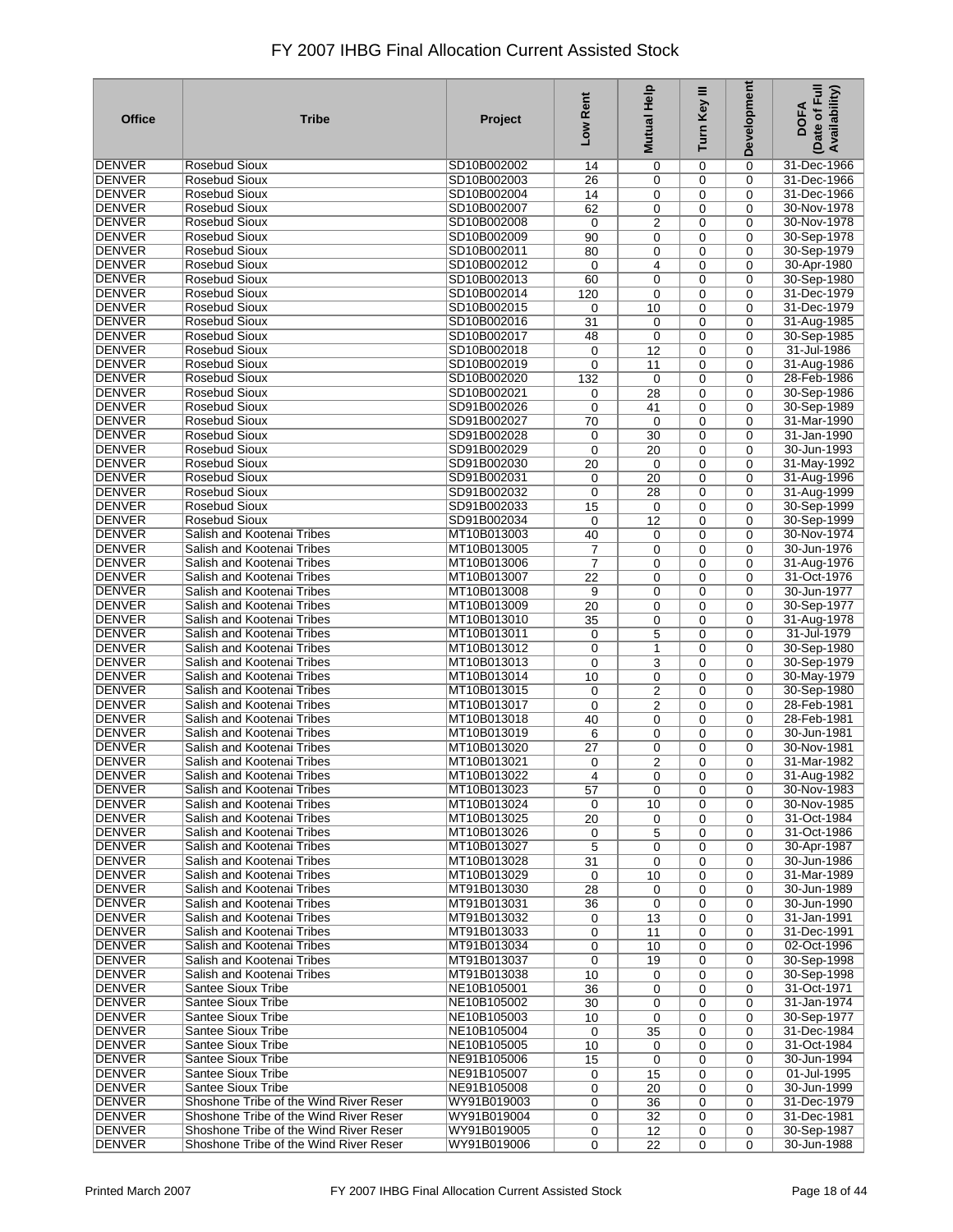| <b>Office</b>                  | <b>Tribe</b>                                             | Project                    | Low Rent        | Mutual Help                   | Turn Key III     | Development      | Date of Full<br>Availability)<br><b>DOFA</b> |
|--------------------------------|----------------------------------------------------------|----------------------------|-----------------|-------------------------------|------------------|------------------|----------------------------------------------|
| DENVER                         | <b>Rosebud Sioux</b>                                     | SD10B002002                | 14              | 0                             | 0                | 0                | 31-Dec-1966                                  |
| <b>DENVER</b>                  | <b>Rosebud Sioux</b>                                     | SD10B002003                | 26              | 0                             | 0                | $\mathbf 0$      | 31-Dec-1966                                  |
| DENVER                         | <b>Rosebud Sioux</b>                                     | SD10B002004                | 14              | 0                             | 0                | 0                | 31-Dec-1966                                  |
| <b>DENVER</b>                  | Rosebud Sioux                                            | SD10B002007                | 62              | 0                             | 0                | $\mathbf 0$      | 30-Nov-1978                                  |
| <b>DENVER</b>                  | Rosebud Sioux                                            | SD10B002008                | 0               | 2                             | 0                | 0                | 30-Nov-1978                                  |
| <b>DENVER</b>                  | Rosebud Sioux                                            | SD10B002009                | 90              | 0                             | 0                | 0                | 30-Sep-1978                                  |
| DENVER                         | <b>Rosebud Sioux</b>                                     | SD10B002011                | 80              | 0                             | 0                | 0                | 30-Sep-1979                                  |
| <b>DENVER</b>                  | Rosebud Sioux                                            | SD10B002012                | $\mathbf 0$     | 4                             | 0                | 0                | 30-Apr-1980                                  |
| <b>DENVER</b>                  | Rosebud Sioux                                            | SD10B002013                | 60              | $\mathbf 0$                   | 0                | 0                | 30-Sep-1980                                  |
| <b>DENVER</b>                  | <b>Rosebud Sioux</b>                                     | SD10B002014                | 120             | 0                             | 0                | 0                | 31-Dec-1979                                  |
| <b>DENVER</b>                  | <b>Rosebud Sioux</b>                                     | SD10B002015                | 0               | 10                            | 0                | 0                | 31-Dec-1979                                  |
| <b>DENVER</b>                  | <b>Rosebud Sioux</b>                                     | SD10B002016                | 31              | 0                             | $\mathbf 0$      | 0                | 31-Aug-1985                                  |
| <b>DENVER</b>                  | <b>Rosebud Sioux</b>                                     | SD10B002017                | 48              | $\mathbf 0$                   | 0                | 0                | 30-Sep-1985                                  |
| <b>DENVER</b>                  | Rosebud Sioux                                            | SD10B002018                | 0               | 12                            | 0                | $\mathbf 0$      | 31-Jul-1986                                  |
| <b>DENVER</b>                  | <b>Rosebud Sioux</b>                                     | SD10B002019                | 0               | 11                            | 0                | $\mathbf 0$      | 31-Aug-1986                                  |
| <b>DENVER</b>                  | Rosebud Sioux                                            | SD10B002020                | 132             | 0                             | 0                | $\mathbf 0$      | 28-Feb-1986                                  |
| <b>DENVER</b>                  | Rosebud Sioux                                            | SD10B002021                | 0               | 28                            | $\mathbf 0$      | $\mathbf 0$      | 30-Sep-1986                                  |
| DENVER                         | <b>Rosebud Sioux</b>                                     | SD91B002026                | 0               | 41                            | 0                | $\mathbf 0$      | 30-Sep-1989                                  |
| <b>DENVER</b>                  | Rosebud Sioux                                            | SD91B002027                | 70              | $\mathbf 0$                   | $\mathbf 0$      | $\mathbf 0$      | 31-Mar-1990                                  |
| <b>DENVER</b>                  | Rosebud Sioux                                            | SD91B002028                | 0               | 30                            | 0                | $\mathbf 0$      | 31-Jan-1990                                  |
| <b>DENVER</b>                  | <b>Rosebud Sioux</b>                                     | SD91B002029                | 0               | 20                            | $\mathbf 0$      | 0                | 30-Jun-1993                                  |
| <b>DENVER</b>                  | Rosebud Sioux                                            | SD91B002030                | 20              | 0                             | 0                | $\mathbf 0$      | 31-May-1992                                  |
| <b>DENVER</b>                  | <b>Rosebud Sioux</b>                                     | SD91B002031                | 0               | 20                            | $\mathbf 0$      | $\mathbf 0$      | 31-Aug-1996                                  |
| <b>DENVER</b>                  | <b>Rosebud Sioux</b>                                     | SD91B002032                | 0               | 28                            | 0                | 0                | 31-Aug-1999                                  |
| <b>DENVER</b>                  | <b>Rosebud Sioux</b>                                     | SD91B002033                | 15              | $\mathbf 0$                   | 0                | 0                | 30-Sep-1999                                  |
| <b>DENVER</b>                  | <b>Rosebud Sioux</b>                                     | SD91B002034                | 0               | 12                            | 0                | 0                | 30-Sep-1999                                  |
| <b>DENVER</b>                  | Salish and Kootenai Tribes                               | MT10B013003                | 40              | 0                             | 0                | $\mathbf 0$      | 30-Nov-1974                                  |
| DENVER                         | Salish and Kootenai Tribes                               | MT10B013005                | 7               | 0                             | 0                | 0                | 30-Jun-1976                                  |
| <b>DENVER</b>                  | Salish and Kootenai Tribes                               | MT10B013006                | 7               | 0                             | 0                | $\mathbf 0$      | 31-Aug-1976                                  |
| DENVER                         | Salish and Kootenai Tribes                               | MT10B013007                | 22              | $\mathbf 0$                   | 0                | 0                | 31-Oct-1976                                  |
| <b>DENVER</b>                  | Salish and Kootenai Tribes                               | MT10B013008                | 9               | 0                             | 0                | 0                | 30-Jun-1977                                  |
| DENVER                         | Salish and Kootenai Tribes                               | MT10B013009                | $\overline{20}$ | 0                             | 0                | 0                | 30-Sep-1977                                  |
| <b>DENVER</b>                  | Salish and Kootenai Tribes                               | MT10B013010                | 35              | 0                             | 0                | 0                | 31-Aug-1978                                  |
| <b>DENVER</b>                  | Salish and Kootenai Tribes                               | MT10B013011                | 0               | 5                             | 0                | $\mathbf 0$      | 31-Jul-1979                                  |
| <b>DENVER</b>                  | Salish and Kootenai Tribes                               | MT10B013012                | 0               | 1                             | 0                | 0                | 30-Sep-1980                                  |
| <b>DENVER</b>                  | Salish and Kootenai Tribes                               | MT10B013013                | 0               | 3                             | 0                | 0                | 30-Sep-1979                                  |
| <b>DENVER</b>                  | Salish and Kootenai Tribes<br>Salish and Kootenai Tribes | MT10B013014<br>MT10B013015 | 10              | 0                             | 0                | 0                | 30-May-1979                                  |
| <b>DENVER</b><br><b>DENVER</b> | Salish and Kootenai Tribes                               | MT10B013017                | 0               | 2                             | 0                | 0                | 30-Sep-1980<br>28-Feb-1981                   |
| <b>DENVER</b>                  | Salish and Kootenai Tribes                               | MT10B013018                | 0<br>40         | $\overline{2}$<br>$\mathbf 0$ | 0<br>$\mathbf 0$ | $\mathbf 0$<br>0 | 28-Feb-1981                                  |
| <b>DENVER</b>                  | Salish and Kootenai Tribes                               | MT10B013019                | 6               | 0                             | 0                | 0                | 30-Jun-1981                                  |
| <b>DENVER</b>                  | Salish and Kootenai Tribes                               | MT10B013020                | 27              | $\mathbf 0$                   | 0                | 0                | 30-Nov-1981                                  |
| <b>DENVER</b>                  | Salish and Kootenai Tribes                               | MT10B013021                | 0               | $\overline{2}$                | 0                | 0                | 31-Mar-1982                                  |
| <b>DENVER</b>                  | Salish and Kootenai Tribes                               | MT10B013022                | 4               | 0                             | 0                | 0                | 31-Aug-1982                                  |
| DENVER                         | Salish and Kootenai Tribes                               | MT10B013023                | 57              | $\mathbf 0$                   | 0                | 0                | 30-Nov-1983                                  |
| DENVER                         | Salish and Kootenai Tribes                               | MT10B013024                | 0               | 10                            | 0                | 0                | 30-Nov-1985                                  |
| DENVER                         | Salish and Kootenai Tribes                               | MT10B013025                | 20              | 0                             | 0                | $\Omega$         | 31-Oct-1984                                  |
| DENVER                         | Salish and Kootenai Tribes                               | MT10B013026                | 0               | 5                             | $\mathbf 0$      | $\mathbf 0$      | 31-Oct-1986                                  |
| DENVER                         | Salish and Kootenai Tribes                               | MT10B013027                | 5               | 0                             | 0                | 0                | 30-Apr-1987                                  |
| <b>DENVER</b>                  | Salish and Kootenai Tribes                               | MT10B013028                | 31              | 0                             | $\mathbf 0$      | 0                | 30-Jun-1986                                  |
| <b>DENVER</b>                  | Salish and Kootenai Tribes                               | MT10B013029                | 0               | 10                            | 0                | 0                | 31-Mar-1989                                  |
| <b>DENVER</b>                  | Salish and Kootenai Tribes                               | MT91B013030                | 28              | 0                             | 0                | $\mathbf 0$      | 30-Jun-1989                                  |
| <b>DENVER</b>                  | Salish and Kootenai Tribes                               | MT91B013031                | 36              | 0                             | 0                | $\mathbf 0$      | 30-Jun-1990                                  |
| <b>DENVER</b>                  | Salish and Kootenai Tribes                               | MT91B013032                | 0               | 13                            | 0                | 0                | 31-Jan-1991                                  |
| <b>DENVER</b>                  | Salish and Kootenai Tribes                               | MT91B013033                | 0               | 11                            | 0                | 0                | 31-Dec-1991                                  |
| <b>DENVER</b>                  | Salish and Kootenai Tribes                               | MT91B013034                | 0               | 10                            | 0                | 0                | 02-Oct-1996                                  |
| <b>DENVER</b>                  | Salish and Kootenai Tribes                               | MT91B013037                | 0               | 19                            | 0                | 0                | 30-Sep-1998                                  |
| <b>DENVER</b>                  | Salish and Kootenai Tribes                               | MT91B013038                | 10              | 0                             | 0                | 0                | 30-Sep-1998                                  |
| <b>DENVER</b>                  | <b>Santee Sioux Tribe</b>                                | NE10B105001                | 36              | 0                             | 0                | 0                | 31-Oct-1971                                  |
| <b>DENVER</b>                  | <b>Santee Sioux Tribe</b>                                | NE10B105002                | 30              | 0                             | 0                | 0                | 31-Jan-1974                                  |
| <b>DENVER</b>                  | Santee Sioux Tribe                                       | NE10B105003                | 10              | $\mathbf 0$                   | 0                | $\mathbf 0$      | 30-Sep-1977                                  |
| DENVER                         | <b>Santee Sioux Tribe</b>                                | NE10B105004                | 0               | 35                            | 0                | 0                | 31-Dec-1984                                  |
| DENVER                         | <b>Santee Sioux Tribe</b>                                | NE10B105005                | 10              | $\mathbf 0$                   | $\mathbf 0$      | 0                | 31-Oct-1984                                  |
| <b>DENVER</b>                  | Santee Sioux Tribe                                       | NE91B105006                | 15              | 0                             | 0                | $\mathbf 0$      | 30-Jun-1994                                  |
| DENVER                         | <b>Santee Sioux Tribe</b>                                | NE91B105007                | 0               | 15                            | 0                | $\mathbf 0$      | $\overline{01 -$ Jul-1995                    |
| <b>DENVER</b>                  | <b>Santee Sioux Tribe</b>                                | NE91B105008                | 0               | 20                            | 0                | 0                | 30-Jun-1999                                  |
| <b>DENVER</b>                  | Shoshone Tribe of the Wind River Reser                   | WY91B019003                | 0               | 36                            | 0                | $\mathbf 0$      | 31-Dec-1979                                  |
| DENVER                         | Shoshone Tribe of the Wind River Reser                   | WY91B019004                | 0               | 32                            | 0                | $\mathbf 0$      | 31-Dec-1981                                  |
| DENVER                         | Shoshone Tribe of the Wind River Reser                   | WY91B019005                | 0               | 12                            | 0                | 0                | 30-Sep-1987                                  |
| <b>DENVER</b>                  | Shoshone Tribe of the Wind River Reser                   | WY91B019006                | 0               | 22                            | $\mathbf 0$      | $\mathbf 0$      | 30-Jun-1988                                  |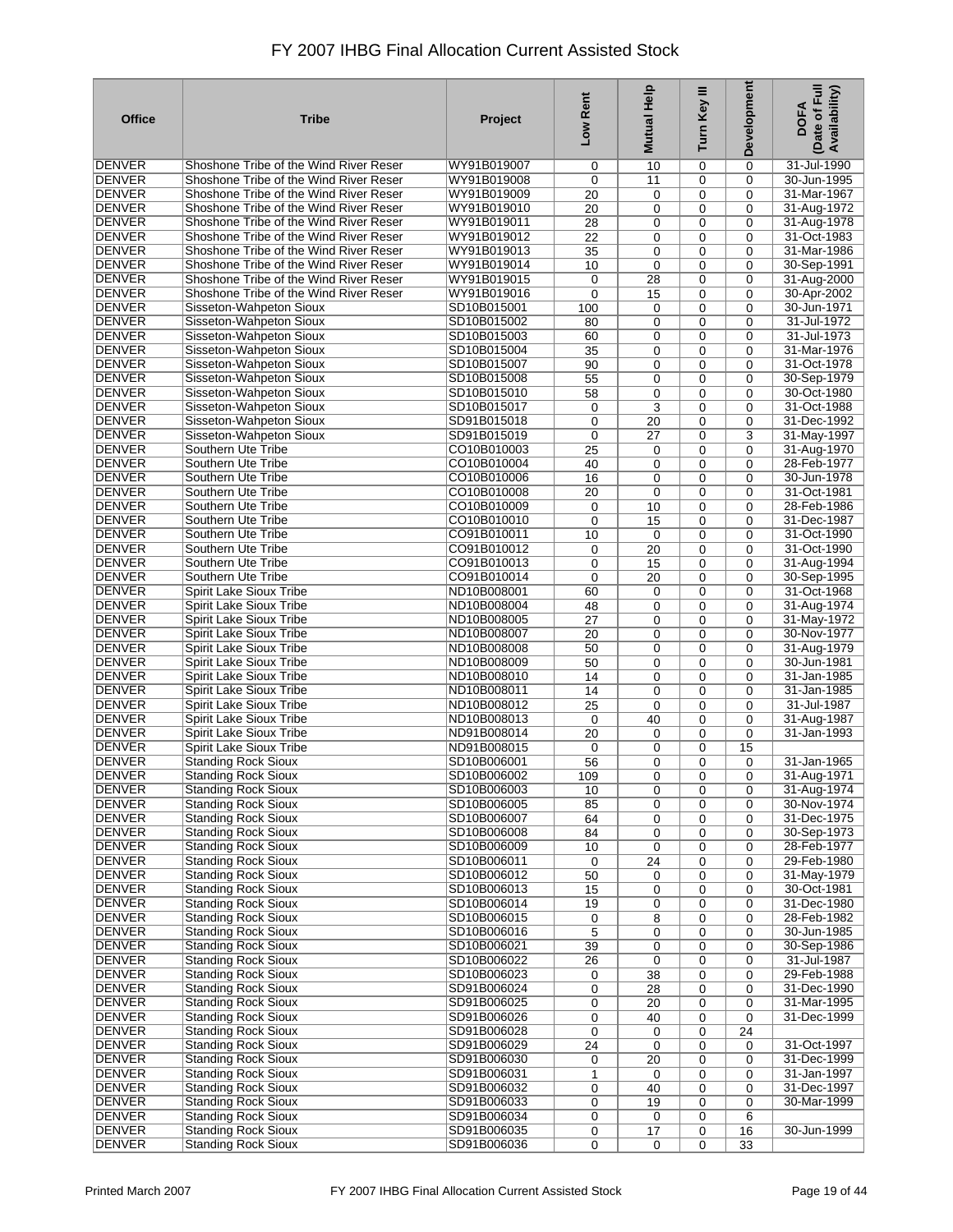| <b>Office</b>                  | <b>Tribe</b>                                                                     | Project                    | Low Rent        | Mutual Help      | Turn Key III     | Development             | Date of Full<br>Availability)<br><b>DOFA</b> |
|--------------------------------|----------------------------------------------------------------------------------|----------------------------|-----------------|------------------|------------------|-------------------------|----------------------------------------------|
| DENVER                         | Shoshone Tribe of the Wind River Reser                                           | WY91B019007                | 0               | 10               | 0                | 0                       | 31-Jul-1990                                  |
| <b>DENVER</b>                  | Shoshone Tribe of the Wind River Reser                                           | WY91B019008                | 0               | 11               | $\mathbf 0$      | $\mathbf 0$             | 30-Jun-1995                                  |
| DENVER                         | Shoshone Tribe of the Wind River Reser                                           | WY91B019009                | 20              | 0                | 0                | 0                       | 31-Mar-1967                                  |
| <b>DENVER</b>                  | Shoshone Tribe of the Wind River Reser                                           | WY91B019010                | 20              | 0                | 0                | 0                       | 31-Aug-1972                                  |
| DENVER                         | Shoshone Tribe of the Wind River Reser                                           | WY91B019011                | 28              | 0                | 0                | $\mathbf 0$             | 31-Aug-1978                                  |
| <b>DENVER</b>                  | Shoshone Tribe of the Wind River Reser                                           | WY91B019012                | $\overline{22}$ | 0                | 0                | $\mathbf 0$             | 31-Oct-1983                                  |
| DENVER<br><b>DENVER</b>        | Shoshone Tribe of the Wind River Reser<br>Shoshone Tribe of the Wind River Reser | WY91B019013                | $\overline{35}$ | 0                | 0                | $\Omega$                | 31-Mar-1986                                  |
| DENVER                         | Shoshone Tribe of the Wind River Reser                                           | WY91B019014<br>WY91B019015 | 10<br>0         | 0<br>28          | 0<br>0           | $\mathbf 0$<br>0        | 30-Sep-1991<br>31-Aug-2000                   |
| <b>DENVER</b>                  | Shoshone Tribe of the Wind River Reser                                           | WY91B019016                | 0               | 15               | 0                | 0                       | 30-Apr-2002                                  |
| <b>DENVER</b>                  | Sisseton-Wahpeton Sioux                                                          | SD10B015001                | 100             | 0                | 0                | $\mathbf 0$             | 30-Jun-1971                                  |
| <b>DENVER</b>                  | Sisseton-Wahpeton Sioux                                                          | SD10B015002                | 80              | 0                | 0                | 0                       | 31-Jul-1972                                  |
| <b>DENVER</b>                  | Sisseton-Wahpeton Sioux                                                          | SD10B015003                | 60              | 0                | 0                | $\mathbf 0$             | 31-Jul-1973                                  |
| <b>DENVER</b>                  | Sisseton-Wahpeton Sioux                                                          | SD10B015004                | 35              | 0                | 0                | $\mathbf 0$             | 31-Mar-1976                                  |
| <b>DENVER</b>                  | Sisseton-Wahpeton Sioux                                                          | SD10B015007                | 90              | $\mathbf 0$      | 0                | $\Omega$                | 31-Oct-1978                                  |
| <b>DENVER</b>                  | Sisseton-Wahpeton Sioux                                                          | SD10B015008                | 55              | 0                | 0                | 0                       | 30-Sep-1979                                  |
| <b>DENVER</b>                  | Sisseton-Wahpeton Sioux                                                          | SD10B015010                | 58              | 0                | 0                | $\mathbf 0$             | 30-Oct-1980                                  |
| <b>DENVER</b>                  | Sisseton-Wahpeton Sioux                                                          | SD10B015017                | 0               | 3                | 0                | $\mathbf 0$             | 31-Oct-1988                                  |
| <b>DENVER</b>                  | Sisseton-Wahpeton Sioux                                                          | SD91B015018                | 0               | 20               | $\mathbf 0$      | $\mathbf 0$             | 31-Dec-1992                                  |
| <b>DENVER</b>                  | Sisseton-Wahpeton Sioux                                                          | SD91B015019                | $\mathbf 0$     | 27               | 0                | 3                       | 31-May-1997                                  |
| <b>DENVER</b>                  | Southern Ute Tribe                                                               | CO10B010003                | 25              | 0                | $\mathbf 0$      | $\mathbf 0$             | 31-Aug-1970                                  |
| DENVER<br><b>DENVER</b>        | Southern Ute Tribe<br>Southern Ute Tribe                                         | CO10B010004                | 40              | $\mathbf 0$      | 0                | $\mathbf 0$             | 28-Feb-1977                                  |
| <b>DENVER</b>                  | Southern Ute Tribe                                                               | CO10B010006<br>CO10B010008 | 16<br>20        | 0<br>$\mathbf 0$ | $\mathbf 0$<br>0 | $\mathbf 0$<br>$\Omega$ | 30-Jun-1978<br>31-Oct-1981                   |
| <b>DENVER</b>                  | Southern Ute Tribe                                                               | CO10B010009                | 0               | 10               | $\mathbf 0$      | $\mathbf 0$             | 28-Feb-1986                                  |
| <b>DENVER</b>                  | Southern Ute Tribe                                                               | CO10B010010                | 0               | 15               | 0                | $\mathbf 0$             | 31-Dec-1987                                  |
| <b>DENVER</b>                  | Southern Ute Tribe                                                               | CO91B010011                | 10              | $\mathbf 0$      | $\mathbf 0$      | $\mathbf 0$             | 31-Oct-1990                                  |
| DENVER                         | Southern Ute Tribe                                                               | CO91B010012                | 0               | 20               | 0                | 0                       | 31-Oct-1990                                  |
| <b>DENVER</b>                  | Southern Ute Tribe                                                               | CO91B010013                | 0               | 15               | 0                | 0                       | 31-Aug-1994                                  |
| DENVER                         | Southern Ute Tribe                                                               | CO91B010014                | 0               | 20               | 0                | 0                       | 30-Sep-1995                                  |
| <b>DENVER</b>                  | Spirit Lake Sioux Tribe                                                          | ND10B008001                | 60              | 0                | 0                | $\mathbf 0$             | 31-Oct-1968                                  |
| DENVER                         | Spirit Lake Sioux Tribe                                                          | ND10B008004                | 48              | 0                | 0                | 0                       | 31-Aug-1974                                  |
| <b>DENVER</b>                  | Spirit Lake Sioux Tribe                                                          | ND10B008005                | 27              | 0                | 0                | $\mathbf 0$             | 31-May-1972                                  |
| DENVER                         | Spirit Lake Sioux Tribe                                                          | ND10B008007                | 20              | $\mathbf 0$      | 0                | 0                       | 30-Nov-1977                                  |
| <b>DENVER</b>                  | <b>Spirit Lake Sioux Tribe</b>                                                   | ND10B008008                | 50              | 0                | 0                | 0                       | 31-Aug-1979                                  |
| <b>DENVER</b>                  | <b>Spirit Lake Sioux Tribe</b>                                                   | ND10B008009                | 50              | 0                | 0                | 0                       | 30-Jun-1981                                  |
| <b>DENVER</b><br><b>DENVER</b> | Spirit Lake Sioux Tribe<br><b>Spirit Lake Sioux Tribe</b>                        | ND10B008010<br>ND10B008011 | 14<br>14        | 0<br>$\mathbf 0$ | 0<br>0           | 0<br>0                  | 31-Jan-1985<br>31-Jan-1985                   |
| <b>DENVER</b>                  | Spirit Lake Sioux Tribe                                                          | ND10B008012                | 25              | $\mathbf 0$      | 0                | $\mathbf 0$             | 31-Jul-1987                                  |
| <b>DENVER</b>                  | Spirit Lake Sioux Tribe                                                          | ND10B008013                | 0               | 40               | 0                | 0                       | 31-Aug-1987                                  |
| <b>DENVER</b>                  | <b>Spirit Lake Sioux Tribe</b>                                                   | ND91B008014                | 20              | $\mathbf 0$      | 0                | $\mathbf 0$             | 31-Jan-1993                                  |
| <b>DENVER</b>                  | Spirit Lake Sioux Tribe                                                          | ND91B008015                | 0               | 0                | 0                | 15                      |                                              |
| <b>DENVER</b>                  | <b>Standing Rock Sioux</b>                                                       | SD10B006001                | 56              | 0                | 0                | 0                       | 31-Jan-1965                                  |
| <b>DENVER</b>                  | <b>Standing Rock Sioux</b>                                                       | SD10B006002                | 109             | 0                | 0                | 0                       | 31-Aug-1971                                  |
| DENVER                         | <b>Standing Rock Sioux</b>                                                       | SD10B006003                | 10              | 0                | $\mathbf 0$      | 0                       | 31-Aug-1974                                  |
| DENVER                         | <b>Standing Rock Sioux</b>                                                       | SD10B006005                | 85              | 0                | $\mathbf 0$      | 0                       | 30-Nov-1974                                  |
| <b>DENVER</b>                  | <b>Standing Rock Sioux</b>                                                       | SD10B006007                | 64              | 0                | 0                | 0                       | 31-Dec-1975                                  |
| <b>DENVER</b>                  | <b>Standing Rock Sioux</b>                                                       | SD10B006008                | 84              | $\mathbf 0$      | 0                | $\mathbf 0$             | 30-Sep-1973                                  |
| DENVER                         | <b>Standing Rock Sioux</b>                                                       | SD10B006009                | 10              | $\mathbf 0$      | 0                | 0                       | 28-Feb-1977                                  |
| <b>DENVER</b>                  | <b>Standing Rock Sioux</b>                                                       | SD10B006011                | $\mathbf 0$     | 24               | $\mathbf 0$      | 0                       | 29-Feb-1980                                  |
| <b>DENVER</b><br><b>DENVER</b> | <b>Standing Rock Sioux</b><br><b>Standing Rock Sioux</b>                         | SD10B006012<br>SD10B006013 | 50              | 0                | 0                | 0                       | 31-May-1979<br>30-Oct-1981                   |
| <b>DENVER</b>                  | <b>Standing Rock Sioux</b>                                                       | SD10B006014                | 15<br>19        | 0<br>0           | $\mathbf 0$<br>0 | $\mathbf 0$<br>0        | 31-Dec-1980                                  |
| <b>DENVER</b>                  | <b>Standing Rock Sioux</b>                                                       | SD10B006015                | 0               | 8                | 0                | 0                       | 28-Feb-1982                                  |
| <b>DENVER</b>                  | <b>Standing Rock Sioux</b>                                                       | SD10B006016                | 5               | 0                | 0                | $\mathbf 0$             | 30-Jun-1985                                  |
| <b>DENVER</b>                  | <b>Standing Rock Sioux</b>                                                       | SD10B006021                | 39              | 0                | 0                | 0                       | 30-Sep-1986                                  |
| <b>DENVER</b>                  | <b>Standing Rock Sioux</b>                                                       | SD10B006022                | 26              | 0                | 0                | 0                       | 31-Jul-1987                                  |
| <b>DENVER</b>                  | <b>Standing Rock Sioux</b>                                                       | SD10B006023                | 0               | 38               | 0                | 0                       | 29-Feb-1988                                  |
| <b>DENVER</b>                  | <b>Standing Rock Sioux</b>                                                       | SD91B006024                | 0               | 28               | 0                | 0                       | 31-Dec-1990                                  |
| <b>DENVER</b>                  | <b>Standing Rock Sioux</b>                                                       | SD91B006025                | 0               | 20               | 0                | 0                       | 31-Mar-1995                                  |
| <b>DENVER</b>                  | <b>Standing Rock Sioux</b>                                                       | SD91B006026                | 0               | 40               | 0                | 0                       | 31-Dec-1999                                  |
| <b>DENVER</b>                  | <b>Standing Rock Sioux</b>                                                       | SD91B006028                | 0               | 0                | 0                | 24                      |                                              |
| <b>DENVER</b>                  | <b>Standing Rock Sioux</b>                                                       | SD91B006029                | $\overline{24}$ | $\mathbf 0$      | 0                | 0                       | 31-Oct-1997                                  |
| <b>DENVER</b>                  | <b>Standing Rock Sioux</b>                                                       | SD91B006030                | 0               | 20               | 0                | 0                       | 31-Dec-1999                                  |
| DENVER<br><b>DENVER</b>        | <b>Standing Rock Sioux</b>                                                       | SD91B006031<br>SD91B006032 | 1               | $\mathbf 0$      | 0                | $\mathbf 0$             | 31-Jan-1997<br>31-Dec-1997                   |
| <b>DENVER</b>                  | <b>Standing Rock Sioux</b><br><b>Standing Rock Sioux</b>                         | SD91B006033                | 0<br>0          | 40<br>19         | 0<br>0           | 0<br>0                  | 30-Mar-1999                                  |
| DENVER                         | <b>Standing Rock Sioux</b>                                                       | SD91B006034                | 0               | 0                | 0                | 6                       |                                              |
| DENVER                         | <b>Standing Rock Sioux</b>                                                       | SD91B006035                | 0               | 17               | 0                | 16                      | 30-Jun-1999                                  |
| <b>DENVER</b>                  | <b>Standing Rock Sioux</b>                                                       | SD91B006036                | 0               | $\mathbf 0$      | $\mathbf 0$      | 33                      |                                              |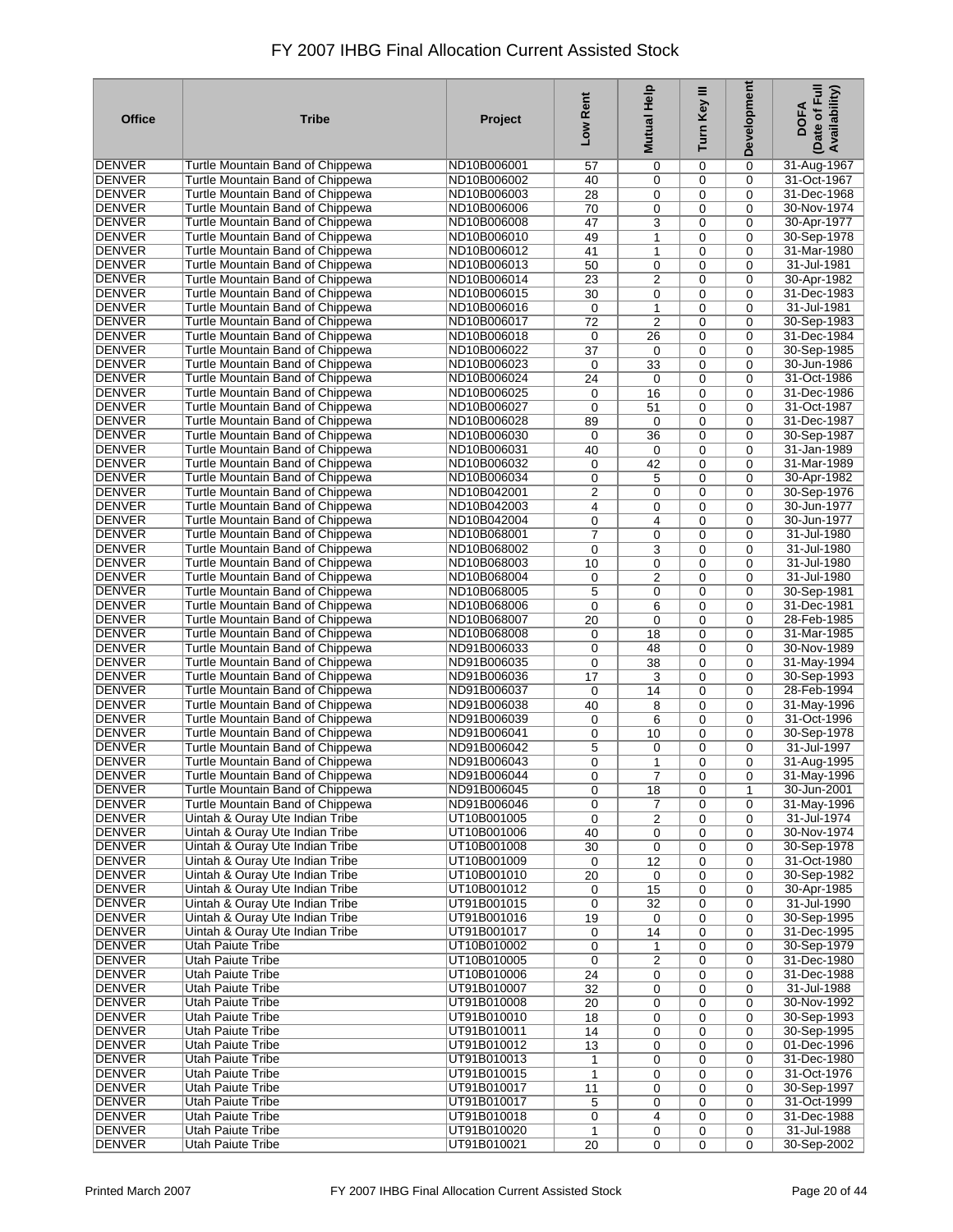| <b>Office</b>           | <b>Tribe</b>                                  | Project                    | Low Rent    | Help<br><b>Mutual</b>   | Turn Key III | Development | Date of Full<br>Availability)<br><b>DOFA</b> |
|-------------------------|-----------------------------------------------|----------------------------|-------------|-------------------------|--------------|-------------|----------------------------------------------|
| <b>DENVER</b>           | Turtle Mountain Band of Chippewa              | ND10B006001                | 57          | 0                       | 0            | 0           | 31-Aug-1967                                  |
| <b>DENVER</b>           | Turtle Mountain Band of Chippewa              | ND10B006002                | 40          | 0                       | 0            | $\mathbf 0$ | 31-Oct-1967                                  |
| DENVER                  | Turtle Mountain Band of Chippewa              | ND10B006003                | 28          | 0                       | 0            | 0           | 31-Dec-1968                                  |
| <b>DENVER</b>           | Turtle Mountain Band of Chippewa              | ND10B006006                | 70          | 0                       | 0            | $\mathbf 0$ | 30-Nov-1974                                  |
| <b>DENVER</b>           | Turtle Mountain Band of Chippewa              | ND10B006008                | 47          | 3                       | 0            | 0           | 30-Apr-1977                                  |
| <b>DENVER</b>           | Turtle Mountain Band of Chippewa              | ND10B006010                | 49          | 1                       | 0            | $\mathbf 0$ | 30-Sep-1978                                  |
| DENVER                  | Turtle Mountain Band of Chippewa              | ND10B006012                | 41          | 1                       | 0            | 0           | 31-Mar-1980                                  |
| <b>DENVER</b>           | Turtle Mountain Band of Chippewa              | ND10B006013                | 50          | 0                       | 0            | 0           | 31-Jul-1981                                  |
| <b>DENVER</b>           | Turtle Mountain Band of Chippewa              | ND10B006014                | 23          | 2                       | 0            | 0           | 30-Apr-1982                                  |
| <b>DENVER</b>           | Turtle Mountain Band of Chippewa              | ND10B006015                | 30          | 0                       | 0            | 0           | 31-Dec-1983                                  |
| <b>DENVER</b>           | Turtle Mountain Band of Chippewa              | ND10B006016                | 0           | 1                       | 0            | 0           | 31-Jul-1981                                  |
| <b>DENVER</b>           | Turtle Mountain Band of Chippewa              | ND10B006017                | 72          | $\overline{2}$          | 0            | 0           | 30-Sep-1983                                  |
| <b>DENVER</b>           | Turtle Mountain Band of Chippewa              | ND10B006018                | 0           | 26                      | 0            | 0           | 31-Dec-1984                                  |
| <b>DENVER</b>           | Turtle Mountain Band of Chippewa              | ND10B006022                | 37          | 0                       | 0            | $\mathbf 0$ | 30-Sep-1985                                  |
| <b>DENVER</b>           | Turtle Mountain Band of Chippewa              | ND10B006023                | 0           | 33                      | 0            | $\mathbf 0$ | 30-Jun-1986                                  |
| <b>DENVER</b>           | Turtle Mountain Band of Chippewa              | ND10B006024                | 24          | 0                       | 0            | $\mathbf 0$ | 31-Oct-1986                                  |
| <b>DENVER</b>           | Turtle Mountain Band of Chippewa              | ND10B006025                | 0           | 16                      | $\mathbf 0$  | $\mathbf 0$ | 31-Dec-1986                                  |
| <b>DENVER</b>           | Turtle Mountain Band of Chippewa              | ND10B006027                | 0           | 51                      | 0            | $\mathbf 0$ | 31-Oct-1987                                  |
| <b>DENVER</b>           | Turtle Mountain Band of Chippewa              | ND10B006028                | 89          | $\mathbf 0$             | 0            | $\mathbf 0$ | 31-Dec-1987                                  |
| <b>DENVER</b>           | Turtle Mountain Band of Chippewa              | ND10B006030                | $\mathbf 0$ | 36                      | 0            | $\mathbf 0$ | 30-Sep-1987                                  |
| <b>DENVER</b>           | Turtle Mountain Band of Chippewa              | ND10B006031                | 40          | $\mathbf 0$             | 0            | 0           | 31-Jan-1989                                  |
| <b>DENVER</b>           | Turtle Mountain Band of Chippewa              | ND10B006032                | 0           | 42                      | 0            | $\mathbf 0$ | 31-Mar-1989                                  |
| <b>DENVER</b>           | Turtle Mountain Band of Chippewa              | ND10B006034                | 0           | 5                       | 0            | $\mathbf 0$ | 30-Apr-1982                                  |
| <b>DENVER</b>           | Turtle Mountain Band of Chippewa              | ND10B042001                | 2           | 0                       | 0            | 0           | 30-Sep-1976                                  |
| <b>DENVER</b>           | Turtle Mountain Band of Chippewa              | ND10B042003                | 4           | 0                       | 0            | 0           | 30-Jun-1977                                  |
| <b>DENVER</b>           | Turtle Mountain Band of Chippewa              | ND10B042004                | 0           | 4                       | 0            | 0           | 30-Jun-1977                                  |
| <b>DENVER</b>           | Turtle Mountain Band of Chippewa              | ND10B068001                | 7           | 0                       | 0            | $\mathbf 0$ | 31-Jul-1980                                  |
| <b>DENVER</b>           | Turtle Mountain Band of Chippewa              | ND10B068002                | 0           | 3                       | 0            | 0           | 31-Jul-1980                                  |
| <b>DENVER</b>           | Turtle Mountain Band of Chippewa              | ND10B068003                | 10          | 0                       | 0            | $\mathbf 0$ | 31-Jul-1980                                  |
| DENVER                  | Turtle Mountain Band of Chippewa              | ND10B068004                | 0           | 2                       | 0            | 0           | 31-Jul-1980                                  |
| <b>DENVER</b>           | Turtle Mountain Band of Chippewa              | ND10B068005                | 5           | 0                       | 0            | 0           | 30-Sep-1981                                  |
| DENVER                  | Turtle Mountain Band of Chippewa              | ND10B068006                | 0           | 6                       | 0            | 0           | 31-Dec-1981                                  |
| <b>DENVER</b>           | Turtle Mountain Band of Chippewa              | ND10B068007                | 20          | $\mathbf 0$             | 0            | 0           | 28-Feb-1985                                  |
| <b>DENVER</b>           | Turtle Mountain Band of Chippewa              | ND10B068008                | 0           | 18                      | 0            | 0           | 31-Mar-1985                                  |
| <b>DENVER</b>           | Turtle Mountain Band of Chippewa              | ND91B006033                | 0           | 48                      | 0            | $\mathbf 0$ | 30-Nov-1989                                  |
| <b>DENVER</b>           | Turtle Mountain Band of Chippewa              | ND91B006035                | 0           | 38                      | 0            | 0           | 31-May-1994                                  |
| <b>DENVER</b>           | Turtle Mountain Band of Chippewa              | ND91B006036                | 17          | 3                       | $\mathbf 0$  | 0           | 30-Sep-1993                                  |
| <b>DENVER</b>           | Turtle Mountain Band of Chippewa              | ND91B006037                | 0           | 14                      | 0            | 0           | 28-Feb-1994                                  |
| <b>DENVER</b>           | Turtle Mountain Band of Chippewa              | ND91B006038                | 40          | 8                       | 0            | $\mathbf 0$ | 31-May-1996                                  |
| <b>DENVER</b>           | Turtle Mountain Band of Chippewa              | ND91B006039                | 0           | 6                       | 0            | $\mathbf 0$ | 31-Oct-1996                                  |
| <b>DENVER</b>           | Turtle Mountain Band of Chippewa              | ND91B006041                | 0           | 10                      | 0            | $\mathbf 0$ | 30-Sep-1978                                  |
| <b>DENVER</b>           | Turtle Mountain Band of Chippewa              | ND91B006042                | 5           | 0                       | 0            | 0           | 31-Jul-1997                                  |
| <b>DENVER</b>           | Turtle Mountain Band of Chippewa              | ND91B006043                | 0           | 1                       | 0            | 0           | 31-Aug-1995                                  |
| <b>DENVER</b>           | Turtle Mountain Band of Chippewa              | ND91B006044                | 0           | $\overline{7}$          | 0            | 0           | 31-May-1996                                  |
| DENVER                  | Turtle Mountain Band of Chippewa              | ND91B006045                | 0           | 18                      | 0            | 1           | 30-Jun-2001                                  |
| DENVER                  | Turtle Mountain Band of Chippewa              | ND91B006046                | 0           | 7                       | 0            | 0           | 31-May-1996                                  |
| <b>DENVER</b>           | Uintah & Ouray Ute Indian Tribe               | UT10B001005                | 0           | $\overline{c}$          | 0            | 0           | 31-Jul-1974                                  |
| DENVER                  | Uintah & Ouray Ute Indian Tribe               | UT10B001006                | 40          | $\mathbf 0$             | $\mathbf 0$  | $\mathbf 0$ | 30-Nov-1974                                  |
| DENVER                  | Uintah & Ouray Ute Indian Tribe               | UT10B001008                | 30          | 0                       | 0            | $\mathbf 0$ | 30-Sep-1978                                  |
| <b>DENVER</b>           | Uintah & Ouray Ute Indian Tribe               | UT10B001009                | $\mathbf 0$ | 12                      | $\mathbf 0$  | $\mathbf 0$ | 31-Oct-1980                                  |
| <b>DENVER</b>           | Uintah & Ouray Ute Indian Tribe               | UT10B001010                | 20          | 0                       | 0            | 0           | 30-Sep-1982                                  |
| DENVER                  | Uintah & Ouray Ute Indian Tribe               | UT10B001012                | 0           | 15                      | 0            | $\mathbf 0$ | 30-Apr-1985                                  |
| <b>DENVER</b>           | Uintah & Ouray Ute Indian Tribe               | UT91B001015                | 0           | 32                      | 0            | $\mathbf 0$ | 31-Jul-1990                                  |
| <b>DENVER</b>           | Uintah & Ouray Ute Indian Tribe               | UT91B001016                | 19          | 0                       | 0            | 0           | 30-Sep-1995                                  |
| <b>DENVER</b>           | Uintah & Ouray Ute Indian Tribe               | UT91B001017                | 0           | 14                      | 0            | 0           | 31-Dec-1995                                  |
| <b>DENVER</b>           | <b>Utah Paiute Tribe</b>                      | UT10B010002                | 0           | 1                       | 0            | 0           | 30-Sep-1979                                  |
| <b>DENVER</b>           | <b>Utah Paiute Tribe</b>                      | UT10B010005                | 0           | $\overline{\mathbf{c}}$ | 0            | 0           | 31-Dec-1980                                  |
| <b>DENVER</b>           | <b>Utah Paiute Tribe</b>                      | UT10B010006                | 24          | 0                       | 0            | 0           | 31-Dec-1988                                  |
| <b>DENVER</b>           | <b>Utah Paiute Tribe</b>                      | UT91B010007                | 32          | 0                       | 0            | $\mathbf 0$ | 31-Jul-1988                                  |
| <b>DENVER</b>           | <b>Utah Paiute Tribe</b>                      | UT91B010008                | 20          | 0                       | 0            | 0           | 30-Nov-1992                                  |
| <b>DENVER</b>           | <b>Utah Paiute Tribe</b>                      | UT91B010010                | 18          | 0                       | 0            | 0           | 30-Sep-1993                                  |
| DENVER                  | Utah Paiute Tribe                             | UT91B010011                | 14          | 0                       | 0            | 0           | 30-Sep-1995                                  |
| DENVER                  | <b>Utah Paiute Tribe</b>                      | UT91B010012                | 13          | 0                       | 0            | 0           | 01-Dec-1996                                  |
| <b>DENVER</b>           | <b>Utah Paiute Tribe</b>                      | UT91B010013                | 1           | 0                       | 0            | 0           | 31-Dec-1980                                  |
| DENVER                  | Utah Paiute Tribe                             | UT91B010015                | 1           | 0                       | 0            | $\mathbf 0$ | 31-Oct-1976                                  |
| <b>DENVER</b>           | <b>Utah Paiute Tribe</b>                      | UT91B010017                | 11          | 0                       | 0            | $\mathbf 0$ | 30-Sep-1997                                  |
| <b>DENVER</b>           | <b>Utah Paiute Tribe</b>                      | UT91B010017                | 5           | 0                       | 0            | $\mathbf 0$ | 31-Oct-1999                                  |
| DENVER                  | Utah Paiute Tribe                             | UT91B010018                | 0           | 4                       | 0            | $\mathbf 0$ | 31-Dec-1988<br>31-Jul-1988                   |
| DENVER<br><b>DENVER</b> | Utah Paiute Tribe<br><b>Utah Paiute Tribe</b> | UT91B010020<br>UT91B010021 | 1           | 0                       | 0            | 0           | 30-Sep-2002                                  |
|                         |                                               |                            | 20          | $\mathbf 0$             | $\mathbf 0$  | $\mathbf 0$ |                                              |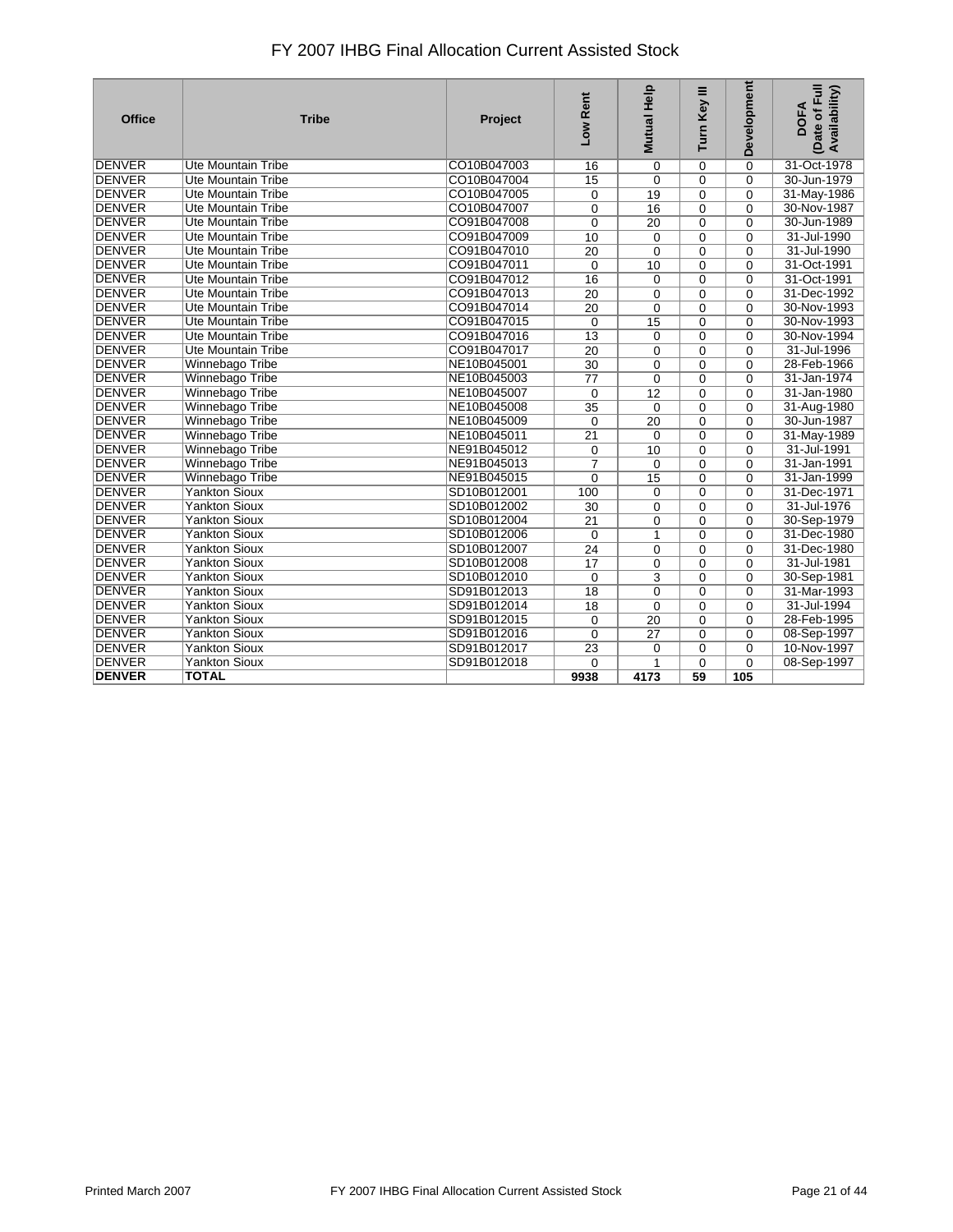| <b>Office</b> | <b>Tribe</b>              | Project     | Low Rent        | Mutual Help     | Turn Key III | <b>Development</b> | (Date of Full<br>Availability)<br><b>DOFA</b> |
|---------------|---------------------------|-------------|-----------------|-----------------|--------------|--------------------|-----------------------------------------------|
| <b>DENVER</b> | <b>Ute Mountain Tribe</b> | CO10B047003 | 16              | $\mathbf 0$     | $\Omega$     | $\Omega$           | 31-Oct-1978                                   |
| <b>DENVER</b> | Ute Mountain Tribe        | CO10B047004 | 15              | $\mathbf 0$     | $\Omega$     | $\Omega$           | 30-Jun-1979                                   |
| <b>DENVER</b> | <b>Ute Mountain Tribe</b> | CO10B047005 | 0               | 19              | 0            | $\Omega$           | 31-May-1986                                   |
| <b>DENVER</b> | <b>Ute Mountain Tribe</b> | CO10B047007 | 0               | 16              | $\Omega$     | $\mathbf 0$        | 30-Nov-1987                                   |
| <b>DENVER</b> | <b>Ute Mountain Tribe</b> | CO91B047008 | $\Omega$        | 20              | $\Omega$     | $\Omega$           | 30-Jun-1989                                   |
| <b>DENVER</b> | <b>Ute Mountain Tribe</b> | CO91B047009 | 10              | $\mathbf 0$     | 0            | $\overline{0}$     | 31-Jul-1990                                   |
| <b>DENVER</b> | <b>Ute Mountain Tribe</b> | CO91B047010 | 20              | $\Omega$        | $\Omega$     | $\Omega$           | 31-Jul-1990                                   |
| <b>DENVER</b> | <b>Ute Mountain Tribe</b> | CO91B047011 | $\mathbf 0$     | 10              | $\mathbf 0$  | $\mathbf 0$        | 31-Oct-1991                                   |
| <b>DENVER</b> | <b>Ute Mountain Tribe</b> | CO91B047012 | $\overline{16}$ | $\mathbf 0$     | $\mathbf{0}$ | $\Omega$           | 31-Oct-1991                                   |
| <b>DENVER</b> | <b>Ute Mountain Tribe</b> | CO91B047013 | $\overline{20}$ | $\mathbf 0$     | 0            | $\Omega$           | 31-Dec-1992                                   |
| <b>DENVER</b> | <b>Ute Mountain Tribe</b> | CO91B047014 | 20              | $\mathbf 0$     | 0            | $\Omega$           | 30-Nov-1993                                   |
| <b>DENVER</b> | <b>Ute Mountain Tribe</b> | CO91B047015 | $\mathbf 0$     | 15              | 0            | $\Omega$           | 30-Nov-1993                                   |
| <b>DENVER</b> | <b>Ute Mountain Tribe</b> | CO91B047016 | $\overline{13}$ | $\mathbf 0$     | $\mathbf{0}$ | $\Omega$           | 30-Nov-1994                                   |
| <b>DENVER</b> | <b>Ute Mountain Tribe</b> | CO91B047017 | 20              | $\mathbf 0$     | 0            | 0                  | 31-Jul-1996                                   |
| <b>DENVER</b> | Winnebago Tribe           | NE10B045001 | 30              | $\Omega$        | $\mathbf{0}$ | $\Omega$           | 28-Feb-1966                                   |
| <b>DENVER</b> | Winnebago Tribe           | NE10B045003 | $\overline{77}$ | $\mathbf 0$     | 0            | $\mathbf 0$        | 31-Jan-1974                                   |
| <b>DENVER</b> | Winnebago Tribe           | NE10B045007 | $\Omega$        | 12              | $\Omega$     | $\Omega$           | 31-Jan-1980                                   |
| <b>DENVER</b> | Winnebago Tribe           | NE10B045008 | 35              | $\mathbf 0$     | 0            | $\mathbf 0$        | 31-Aug-1980                                   |
| <b>DENVER</b> | Winnebago Tribe           | NE10B045009 | $\mathbf 0$     | $\overline{20}$ | 0            | $\Omega$           | 30-Jun-1987                                   |
| <b>DENVER</b> | Winnebago Tribe           | NE10B045011 | 21              | $\Omega$        | 0            | $\mathbf 0$        | 31-May-1989                                   |
| <b>DENVER</b> | Winnebago Tribe           | NE91B045012 | 0               | 10              | $\mathbf{0}$ | $\Omega$           | 31-Jul-1991                                   |
| <b>DENVER</b> | Winnebago Tribe           | NE91B045013 | $\overline{7}$  | $\mathbf 0$     | 0            | $\Omega$           | 31-Jan-1991                                   |
| <b>DENVER</b> | Winnebago Tribe           | NE91B045015 | 0               | 15              | $\mathbf{0}$ | $\Omega$           | 31-Jan-1999                                   |
| <b>DENVER</b> | <b>Yankton Sioux</b>      | SD10B012001 | 100             | $\mathbf 0$     | 0            | $\mathbf 0$        | 31-Dec-1971                                   |
| <b>DENVER</b> | <b>Yankton Sioux</b>      | SD10B012002 | $\overline{30}$ | $\mathbf 0$     | $\mathbf{0}$ | $\Omega$           | 31-Jul-1976                                   |
| <b>DENVER</b> | <b>Yankton Sioux</b>      | SD10B012004 | $\overline{21}$ | 0               | 0            | 0                  | 30-Sep-1979                                   |
| <b>DENVER</b> | <b>Yankton Sioux</b>      | SD10B012006 | $\mathbf 0$     | 1               | 0            | $\Omega$           | 31-Dec-1980                                   |
| <b>DENVER</b> | <b>Yankton Sioux</b>      | SD10B012007 | $\overline{24}$ | $\mathbf 0$     | $\mathbf{0}$ | $\Omega$           | 31-Dec-1980                                   |
| <b>DENVER</b> | <b>Yankton Sioux</b>      | SD10B012008 | 17              | $\mathbf 0$     | $\Omega$     | $\Omega$           | 31-Jul-1981                                   |
| <b>DENVER</b> | <b>Yankton Sioux</b>      | SD10B012010 | $\mathbf 0$     | 3               | 0            | $\Omega$           | 30-Sep-1981                                   |
| <b>DENVER</b> | <b>Yankton Sioux</b>      | SD91B012013 | $\overline{18}$ | $\mathbf 0$     | 0            | 0                  | 31-Mar-1993                                   |
| <b>DENVER</b> | <b>Yankton Sioux</b>      | SD91B012014 | $\overline{18}$ | $\mathbf 0$     | $\Omega$     | $\Omega$           | 31-Jul-1994                                   |
| <b>DENVER</b> | <b>Yankton Sioux</b>      | SD91B012015 | 0               | 20              | $\Omega$     | $\Omega$           | 28-Feb-1995                                   |
| <b>DENVER</b> | <b>Yankton Sioux</b>      | SD91B012016 | 0               | $\overline{27}$ | 0            | $\mathbf 0$        | 08-Sep-1997                                   |
| <b>DENVER</b> | <b>Yankton Sioux</b>      | SD91B012017 | $\overline{23}$ | $\mathbf 0$     | $\Omega$     | $\Omega$           | 10-Nov-1997                                   |
| <b>DENVER</b> | <b>Yankton Sioux</b>      | SD91B012018 | 0               | 1               | 0            | $\mathbf 0$        | 08-Sep-1997                                   |
| <b>DENVER</b> | <b>TOTAL</b>              |             | 9938            | 4173            | 59           | 105                |                                               |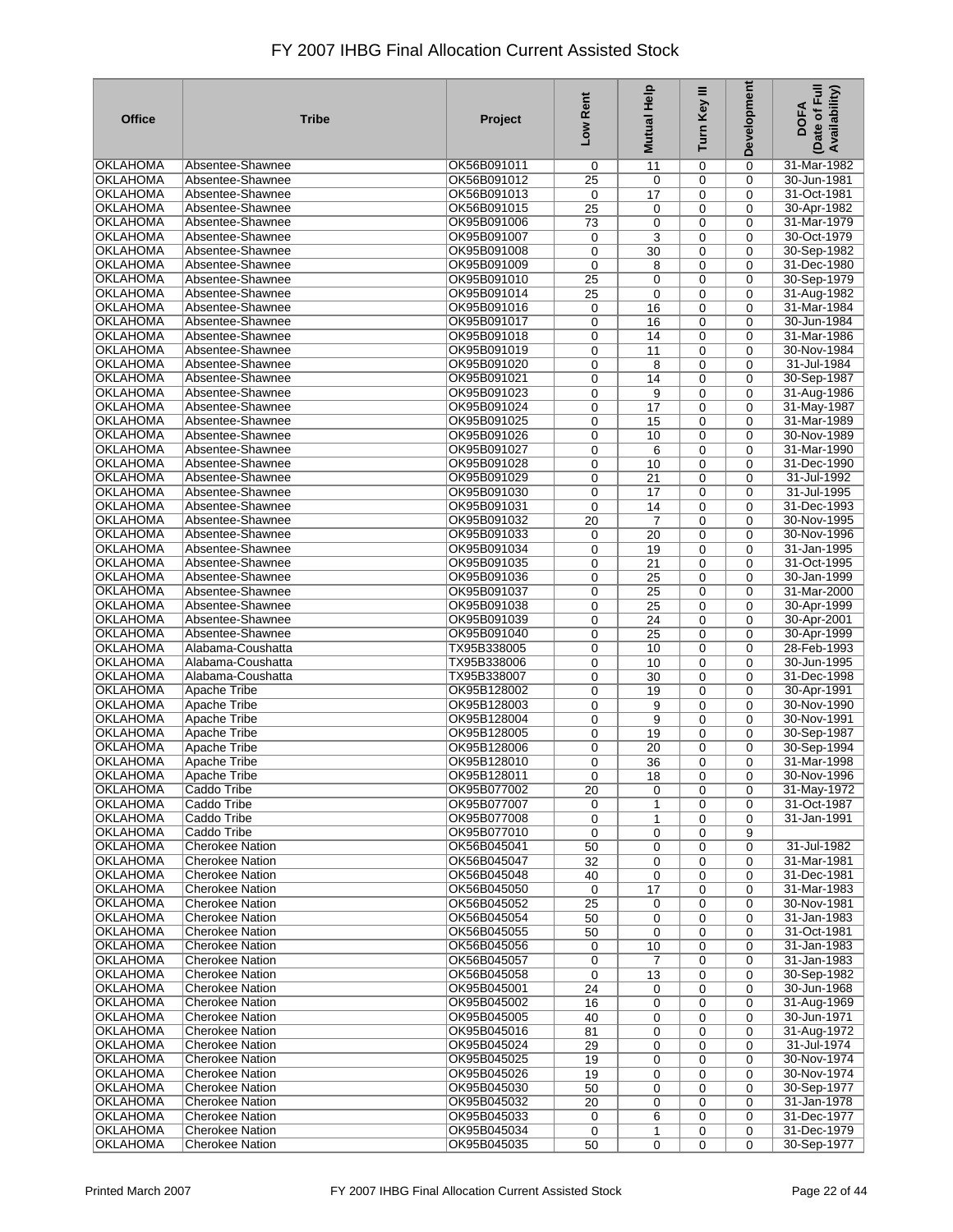| <b>Office</b>                      | <b>Tribe</b>                                     | Project                    | Low Rent                           | Mutual Help                        | Turn Key III     | <b>Development</b> | Date of Full<br>Availability)<br><b>DOFA</b> |
|------------------------------------|--------------------------------------------------|----------------------------|------------------------------------|------------------------------------|------------------|--------------------|----------------------------------------------|
| <b>OKLAHOMA</b>                    | Absentee-Shawnee                                 | OK56B091011                | 0                                  | 11                                 | 0                | $\mathbf 0$        | 31-Mar-1982                                  |
| <b>OKLAHOMA</b>                    | Absentee-Shawnee                                 | OK56B091012                | 25                                 | 0                                  | 0                | $\mathbf 0$        | 30-Jun-1981                                  |
| <b>OKLAHOMA</b>                    | Absentee-Shawnee                                 | OK56B091013                | $\mathbf 0$                        | 17                                 | 0                | $\mathbf 0$        | 31-Oct-1981                                  |
| <b>OKLAHOMA</b>                    | Absentee-Shawnee                                 | OK56B091015                | $\overline{25}$                    | 0                                  | 0                | $\mathbf 0$        | 30-Apr-1982                                  |
| <b>OKLAHOMA</b>                    | Absentee-Shawnee                                 | OK95B091006                | 73                                 | $\mathbf 0$                        | 0                | $\mathbf 0$        | 31-Mar-1979                                  |
| <b>OKLAHOMA</b>                    | Absentee-Shawnee                                 | OK95B091007                | 0                                  | 3                                  | 0                | 0                  | 30-Oct-1979                                  |
| <b>OKLAHOMA</b>                    | Absentee-Shawnee                                 | OK95B091008                | $\pmb{0}$                          | 30                                 | 0                | 0                  | 30-Sep-1982                                  |
| <b>OKLAHOMA</b><br><b>OKLAHOMA</b> | Absentee-Shawnee                                 | OK95B091009                | 0                                  | 8                                  | 0                | 0                  | 31-Dec-1980                                  |
| <b>OKLAHOMA</b>                    | Absentee-Shawnee<br>Absentee-Shawnee             | OK95B091010<br>OK95B091014 | $\overline{25}$<br>$\overline{25}$ | $\mathbf 0$<br>0                   | 0<br>0           | $\mathbf 0$<br>0   | 30-Sep-1979<br>31-Aug-1982                   |
| <b>OKLAHOMA</b>                    | Absentee-Shawnee                                 | OK95B091016                | 0                                  | 16                                 | $\mathbf 0$      | $\mathbf 0$        | 31-Mar-1984                                  |
| <b>OKLAHOMA</b>                    | Absentee-Shawnee                                 | OK95B091017                | 0                                  | 16                                 | $\mathbf 0$      | 0                  | 30-Jun-1984                                  |
| <b>OKLAHOMA</b>                    | Absentee-Shawnee                                 | OK95B091018                | $\pmb{0}$                          | 14                                 | $\mathbf 0$      | 0                  | 31-Mar-1986                                  |
| <b>OKLAHOMA</b>                    | Absentee-Shawnee                                 | OK95B091019                | 0                                  | 11                                 | 0                | $\mathbf 0$        | 30-Nov-1984                                  |
| <b>OKLAHOMA</b>                    | Absentee-Shawnee                                 | OK95B091020                | $\pmb{0}$                          | 8                                  | $\mathbf 0$      | $\mathbf 0$        | 31-Jul-1984                                  |
| OKLAHOMA                           | Absentee-Shawnee                                 | OK95B091021                | 0                                  | 14                                 | 0                | $\mathbf 0$        | 30-Sep-1987                                  |
| <b>OKLAHOMA</b>                    | Absentee-Shawnee                                 | OK95B091023                | $\mathbf 0$                        | 9                                  | $\mathbf 0$      | $\mathbf 0$        | 31-Aug-1986                                  |
| <b>OKLAHOMA</b>                    | Absentee-Shawnee                                 | OK95B091024                | 0                                  | 17                                 | $\mathbf 0$      | $\mathbf 0$        | 31-May-1987                                  |
| OKLAHOMA                           | Absentee-Shawnee                                 | OK95B091025                | $\mathbf 0$                        | 15                                 | $\mathbf 0$      | $\mathbf 0$        | 31-Mar-1989                                  |
| <b>OKLAHOMA</b>                    | Absentee-Shawnee                                 | OK95B091026                | 0                                  | 10                                 | 0                | $\mathbf 0$        | 30-Nov-1989                                  |
| OKLAHOMA                           | Absentee-Shawnee                                 | OK95B091027                | 0                                  | 6                                  | $\mathbf 0$      | $\mathbf 0$        | 31-Mar-1990                                  |
| <b>OKLAHOMA</b>                    | Absentee-Shawnee                                 | OK95B091028                | 0                                  | 10                                 | 0                | $\mathbf 0$        | 31-Dec-1990                                  |
| <b>OKLAHOMA</b>                    | Absentee-Shawnee                                 | OK95B091029                | 0                                  | 21                                 | $\mathbf 0$      | $\mathbf 0$        | 31-Jul-1992                                  |
| <b>OKLAHOMA</b>                    | Absentee-Shawnee                                 | OK95B091030                | $\mathbf 0$                        | 17                                 | 0                | $\mathbf 0$        | 31-Jul-1995                                  |
| <b>OKLAHOMA</b>                    | Absentee-Shawnee                                 | OK95B091031                | $\mathbf 0$                        | 14                                 | 0                | $\mathbf 0$        | 31-Dec-1993                                  |
| <b>OKLAHOMA</b>                    | Absentee-Shawnee                                 | OK95B091032                | 20                                 | 7                                  | 0                | $\mathbf 0$        | 30-Nov-1995                                  |
| <b>OKLAHOMA</b>                    | Absentee-Shawnee                                 | OK95B091033                | 0                                  | 20                                 | 0                | $\mathbf 0$        | 30-Nov-1996                                  |
| <b>OKLAHOMA</b>                    | Absentee-Shawnee                                 | OK95B091034                | 0                                  | 19                                 | 0                | $\mathbf 0$        | 31-Jan-1995                                  |
| <b>OKLAHOMA</b>                    | Absentee-Shawnee                                 | OK95B091035                | 0                                  | $\overline{21}$                    | 0                | $\mathbf 0$        | 31-Oct-1995                                  |
| <b>OKLAHOMA</b>                    | Absentee-Shawnee                                 | OK95B091036                | $\pmb{0}$                          | 25                                 | 0                | $\mathbf 0$        | 30-Jan-1999                                  |
| <b>OKLAHOMA</b><br><b>OKLAHOMA</b> | Absentee-Shawnee<br>Absentee-Shawnee             | OK95B091037<br>OK95B091038 | 0<br>$\pmb{0}$                     | $\overline{25}$<br>$\overline{25}$ | 0<br>0           | 0<br>$\mathbf 0$   | 31-Mar-2000<br>30-Apr-1999                   |
| <b>OKLAHOMA</b>                    | Absentee-Shawnee                                 | OK95B091039                | 0                                  | 24                                 | 0                | 0                  | 30-Apr-2001                                  |
| <b>OKLAHOMA</b>                    | Absentee-Shawnee                                 | OK95B091040                | 0                                  | $\overline{25}$                    | 0                | 0                  | 30-Apr-1999                                  |
| <b>OKLAHOMA</b>                    | Alabama-Coushatta                                | TX95B338005                | 0                                  | 10                                 | 0                | 0                  | 28-Feb-1993                                  |
| <b>OKLAHOMA</b>                    | Alabama-Coushatta                                | TX95B338006                | $\boldsymbol{0}$                   | 10                                 | $\mathbf 0$      | $\mathbf 0$        | 30-Jun-1995                                  |
| <b>OKLAHOMA</b>                    | Alabama-Coushatta                                | TX95B338007                | 0                                  | 30                                 | 0                | 0                  | 31-Dec-1998                                  |
| <b>OKLAHOMA</b>                    | Apache Tribe                                     | OK95B128002                | 0                                  | 19                                 | $\mathbf 0$      | 0                  | 30-Apr-1991                                  |
| <b>OKLAHOMA</b>                    | Apache Tribe                                     | OK95B128003                | 0                                  | 9                                  | 0                | 0                  | 30-Nov-1990                                  |
| <b>OKLAHOMA</b>                    | <b>Apache Tribe</b>                              | OK95B128004                | $\boldsymbol{0}$                   | 9                                  | $\mathbf 0$      | $\mathbf 0$        | 30-Nov-1991                                  |
| <b>OKLAHOMA</b>                    | <b>Apache Tribe</b>                              | OK95B128005                | 0                                  | 19                                 | 0                | 0                  | 30-Sep-1987                                  |
| <b>OKLAHOMA</b>                    | <b>Apache Tribe</b>                              | OK95B128006                | $\mathbf 0$                        | 20                                 | $\mathbf 0$      | 0                  | 30-Sep-1994                                  |
| <b>OKLAHOMA</b>                    | Apache Tribe                                     | OK95B128010                | $\mathbf 0$                        | 36                                 | 0                | $\mathbf 0$        | 31-Mar-1998                                  |
| <b>OKLAHOMA</b>                    | <b>Apache Tribe</b>                              | OK95B128011                | 0                                  | $\overline{18}$                    | 0                | 0                  | 30-Nov-1996                                  |
| OKLAHOMA                           | Caddo Tribe                                      | OK95B077002                | 20                                 | 0                                  | 0                | 0                  | 31-May-1972                                  |
| <b>OKLAHOMA</b>                    | Caddo Tribe                                      | OK95B077007                | 0                                  | 1                                  | 0                | 0                  | 31-Oct-1987                                  |
| <b>OKLAHOMA</b>                    | Caddo Tribe                                      | OK95B077008                | 0                                  | 1                                  | 0                | 0                  | 31-Jan-1991                                  |
| <b>OKLAHOMA</b>                    | Caddo Tribe                                      | OK95B077010                | $\mathbf 0$                        | 0                                  | 0                | 9                  |                                              |
| <b>OKLAHOMA</b><br><b>OKLAHOMA</b> | <b>Cherokee Nation</b><br><b>Cherokee Nation</b> | OK56B045041<br>OK56B045047 | 50                                 | 0                                  | 0                | 0                  | 31-Jul-1982<br>31-Mar-1981                   |
| <b>OKLAHOMA</b>                    | <b>Cherokee Nation</b>                           | OK56B045048                | 32<br>40                           | 0<br>0                             | 0<br>0           | 0<br>0             | 31-Dec-1981                                  |
| <b>OKLAHOMA</b>                    | Cherokee Nation                                  | OK56B045050                | 0                                  | 17                                 | 0                | 0                  | 31-Mar-1983                                  |
| <b>OKLAHOMA</b>                    | <b>Cherokee Nation</b>                           | OK56B045052                | 25                                 | 0                                  | 0                | 0                  | 30-Nov-1981                                  |
| <b>OKLAHOMA</b>                    | <b>Cherokee Nation</b>                           | OK56B045054                | 50                                 | 0                                  | 0                | 0                  | 31-Jan-1983                                  |
| <b>OKLAHOMA</b>                    | <b>Cherokee Nation</b>                           | OK56B045055                | 50                                 | 0                                  | 0                | 0                  | 31-Oct-1981                                  |
| <b>OKLAHOMA</b>                    | <b>Cherokee Nation</b>                           | OK56B045056                | 0                                  | 10                                 | 0                | 0                  | 31-Jan-1983                                  |
| <b>OKLAHOMA</b>                    | <b>Cherokee Nation</b>                           | OK56B045057                | 0                                  | $\overline{7}$                     | 0                | 0                  | 31-Jan-1983                                  |
| <b>OKLAHOMA</b>                    | <b>Cherokee Nation</b>                           | OK56B045058                | 0                                  | 13                                 | 0                | 0                  | 30-Sep-1982                                  |
| <b>OKLAHOMA</b>                    | <b>Cherokee Nation</b>                           | OK95B045001                | 24                                 | 0                                  | 0                | 0                  | 30-Jun-1968                                  |
| <b>OKLAHOMA</b>                    | <b>Cherokee Nation</b>                           | OK95B045002                | 16                                 | 0                                  | 0                | 0                  | 31-Aug-1969                                  |
| <b>OKLAHOMA</b>                    | <b>Cherokee Nation</b>                           | OK95B045005                | 40                                 | 0                                  | $\mathbf 0$      | $\mathbf 0$        | 30-Jun-1971                                  |
| <b>OKLAHOMA</b>                    | <b>Cherokee Nation</b>                           | OK95B045016                | 81                                 | 0                                  | 0                | 0                  | 31-Aug-1972                                  |
| <b>OKLAHOMA</b>                    | <b>Cherokee Nation</b>                           | OK95B045024                | 29                                 | 0                                  | $\mathbf 0$      | $\mathbf 0$        | 31-Jul-1974                                  |
| <b>OKLAHOMA</b>                    | <b>Cherokee Nation</b>                           | OK95B045025                | 19                                 | 0                                  | 0                | $\mathbf 0$        | 30-Nov-1974                                  |
| <b>OKLAHOMA</b>                    | <b>Cherokee Nation</b>                           | OK95B045026                | 19                                 | 0                                  | 0                | $\mathbf 0$        | 30-Nov-1974                                  |
| <b>OKLAHOMA</b>                    | Cherokee Nation                                  | OK95B045030                | 50                                 | 0                                  | 0                | 0                  | 30-Sep-1977                                  |
| <b>OKLAHOMA</b>                    | <b>Cherokee Nation</b>                           | OK95B045032                | 20                                 | 0                                  | $\mathbf 0$      | $\mathbf 0$        | 31-Jan-1978                                  |
| <b>OKLAHOMA</b>                    | <b>Cherokee Nation</b>                           | OK95B045033                | 0                                  | 6                                  | 0                | 0                  | 31-Dec-1977                                  |
| <b>OKLAHOMA</b><br><b>OKLAHOMA</b> | <b>Cherokee Nation</b><br><b>Cherokee Nation</b> | OK95B045034<br>OK95B045035 | 0<br>50                            | 1<br>$\mathbf 0$                   | 0<br>$\mathbf 0$ | 0<br>$\mathbf 0$   | 31-Dec-1979<br>30-Sep-1977                   |
|                                    |                                                  |                            |                                    |                                    |                  |                    |                                              |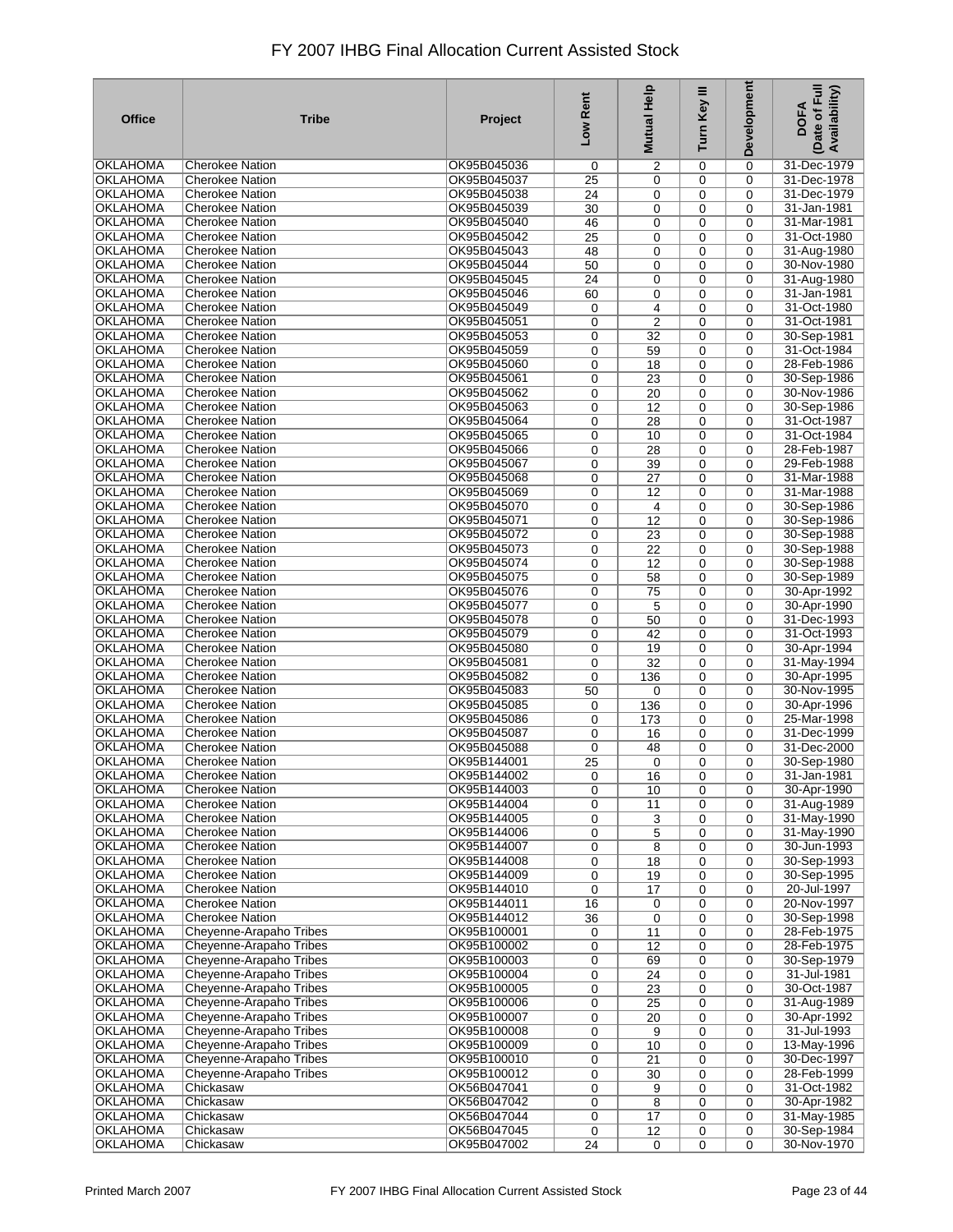| OKLAHOMA<br>OK95B045036<br>2<br>0<br>$\mathbf 0$<br>31-Dec-1979<br><b>Cherokee Nation</b><br>0<br><b>OKLAHOMA</b><br><b>Cherokee Nation</b><br>OK95B045037<br>25<br>0<br>$\mathbf 0$<br>31-Dec-1978<br>$\mathbf 0$<br>OKLAHOMA<br><b>Cherokee Nation</b><br>OK95B045038<br>31-Dec-1979<br>24<br>$\mathbf 0$<br>0<br>$\mathbf 0$<br>OKLAHOMA<br>Cherokee Nation<br>31-Jan-1981<br>OK95B045039<br>30<br>$\mathbf 0$<br>0<br>0<br>OKLAHOMA<br><b>Cherokee Nation</b><br>OK95B045040<br>31-Mar-1981<br>46<br>$\mathbf 0$<br>0<br>$\mathbf 0$<br><b>OKLAHOMA</b><br><b>Cherokee Nation</b><br>OK95B045042<br>31-Oct-1980<br>25<br>$\mathbf 0$<br>0<br>$\mathbf 0$<br><b>OKLAHOMA</b><br><b>Cherokee Nation</b><br>OK95B045043<br>31-Aug-1980<br>48<br>0<br>0<br>$\mathbf 0$<br><b>OKLAHOMA</b><br><b>Cherokee Nation</b><br>OK95B045044<br>30-Nov-1980<br>50<br>$\mathbf 0$<br>0<br>$\mathbf 0$<br><b>OKLAHOMA</b><br><b>Cherokee Nation</b><br>OK95B045045<br>$\overline{24}$<br>31-Aug-1980<br>0<br>0<br>$\Omega$<br><b>OKLAHOMA</b><br><b>Cherokee Nation</b><br>OK95B045046<br>31-Jan-1981<br>60<br>0<br>0<br>$\mathbf 0$<br><b>OKLAHOMA</b><br><b>Cherokee Nation</b><br>OK95B045049<br>31-Oct-1980<br>4<br>0<br>0<br>$\Omega$<br><b>OKLAHOMA</b><br><b>Cherokee Nation</b><br>OK95B045051<br>$\overline{2}$<br>31-Oct-1981<br>0<br>0<br>$\mathbf 0$<br><b>OKLAHOMA</b><br>OK95B045053<br>0<br>30-Sep-1981<br><b>Cherokee Nation</b><br>0<br>32<br>$\mathbf 0$<br><b>OKLAHOMA</b><br>OK95B045059<br><b>Cherokee Nation</b><br>31-Oct-1984<br>0<br>59<br>0<br>$\mathbf 0$<br><b>OKLAHOMA</b><br><b>Cherokee Nation</b><br>OK95B045060<br>28-Feb-1986<br>0<br>18<br>0<br>$\mathbf 0$<br>OK95B045061<br>30-Sep-1986<br>OKLAHOMA<br><b>Cherokee Nation</b><br>0<br>0<br>$\mathbf 0$<br>23<br><b>OKLAHOMA</b><br>OK95B045062<br>30-Nov-1986<br><b>Cherokee Nation</b><br>0<br>20<br>0<br>$\mathbf 0$<br><b>OKLAHOMA</b><br>Cherokee Nation<br>OK95B045063<br>30-Sep-1986<br>0<br>12<br>0<br>$\Omega$<br><b>OKLAHOMA</b><br>OK95B045064<br><b>Cherokee Nation</b><br>0<br>28<br>0<br>$\mathbf 0$<br>31-Oct-1987<br>OKLAHOMA<br><b>Cherokee Nation</b><br>OK95B045065<br>31-Oct-1984<br>0<br>10<br>0<br>$\Omega$<br><b>OKLAHOMA</b><br><b>Cherokee Nation</b><br>OK95B045066<br>28-Feb-1987<br>0<br>28<br>0<br>$\mathbf 0$<br><b>OKLAHOMA</b><br>Cherokee Nation<br>OK95B045067<br>29-Feb-1988<br>0<br>39<br>0<br>$\mathbf 0$<br><b>OKLAHOMA</b><br>OK95B045068<br>31-Mar-1988<br><b>Cherokee Nation</b><br>0<br>0<br>27<br>$\mathbf 0$<br><b>OKLAHOMA</b><br><b>Cherokee Nation</b><br>OK95B045069<br>31-Mar-1988<br>0<br>0<br>$\mathbf 0$<br>12<br>OKLAHOMA<br><b>Cherokee Nation</b><br>0<br>30-Sep-1986<br>OK95B045070<br>0<br>$\overline{4}$<br>$\mathbf 0$<br>OKLAHOMA<br>OK95B045071<br>12<br>0<br>30-Sep-1986<br><b>Cherokee Nation</b><br>0<br>$\mathbf 0$<br>30-Sep-1988<br>OKLAHOMA<br><b>Cherokee Nation</b><br>OK95B045072<br>0<br>0<br>23<br>$\mathbf 0$<br><b>OKLAHOMA</b><br><b>Cherokee Nation</b><br>OK95B045073<br>30-Sep-1988<br>0<br>22<br>0<br>$\mathbf 0$<br>OKLAHOMA<br><b>Cherokee Nation</b><br>30-Sep-1988<br>OK95B045074<br>0<br>12<br>0<br>$\mathbf 0$<br>OKLAHOMA<br><b>Cherokee Nation</b><br>OK95B045075<br>30-Sep-1989<br>0<br>58<br>0<br>$\Omega$<br><b>OKLAHOMA</b><br><b>Cherokee Nation</b><br>OK95B045076<br>30-Apr-1992<br>0<br>75<br>0<br>$\mathbf 0$<br><b>OKLAHOMA</b><br><b>Cherokee Nation</b><br>OK95B045077<br>0<br>5<br>0<br>$\mathbf 0$<br>30-Apr-1990<br><b>OKLAHOMA</b><br>OK95B045078<br><b>Cherokee Nation</b><br>31-Dec-1993<br>0<br>50<br>0<br>$\mathbf 0$<br><b>OKLAHOMA</b><br><b>Cherokee Nation</b><br>OK95B045079<br>31-Oct-1993<br>0<br>42<br>0<br>$\Omega$<br><b>OKLAHOMA</b><br><b>Cherokee Nation</b><br>OK95B045080<br>30-Apr-1994<br>0<br>19<br>0<br>$\mathbf 0$<br><b>OKLAHOMA</b><br><b>Cherokee Nation</b><br>OK95B045081<br>31-May-1994<br>32<br>0<br>0<br>$\mathbf 0$<br><b>OKLAHOMA</b><br>Cherokee Nation<br>OK95B045082<br>0<br>0<br>$\mathbf 0$<br>30-Apr-1995<br>136<br><b>OKLAHOMA</b><br>OK95B045083<br>0<br>30-Nov-1995<br><b>Cherokee Nation</b><br>50<br>0<br>$\mathbf 0$<br><b>OKLAHOMA</b><br>OK95B045085<br><b>Cherokee Nation</b><br>30-Apr-1996<br>136<br>0<br>$\mathbf 0$<br>0<br><b>OKLAHOMA</b><br><b>Cherokee Nation</b><br>OK95B045086<br>0<br>0<br>$\mathbf 0$<br>25-Mar-1998<br>173<br>OKLAHOMA<br><b>Cherokee Nation</b><br>OK95B045087<br>0<br>0<br>$\mathbf 0$<br>31-Dec-1999<br>16<br>OKLAHOMA<br><b>Cherokee Nation</b><br>OK95B045088<br>31-Dec-2000<br>0<br>0<br>$\mathbf 0$<br>48<br><b>OKLAHOMA</b><br><b>Cherokee Nation</b><br>30-Sep-1980<br>OK95B144001<br>25<br>0<br>$\mathbf 0$<br>0<br>31-Jan-1981<br><b>OKLAHOMA</b><br><b>Cherokee Nation</b><br>OK95B144002<br>16<br>0<br>0<br>0<br>OKLAHOMA<br><b>Cherokee Nation</b><br>OK95B144003<br>30-Apr-1990<br>0<br>10<br>0<br>0<br><b>OKLAHOMA</b><br><b>Cherokee Nation</b><br>OK95B144004<br>31-Aug-1989<br>11<br>0<br>0<br>$\Omega$<br><b>OKLAHOMA</b><br><b>Cherokee Nation</b><br>OK95B144005<br>31-May-1990<br>0<br>3<br>0<br>$\mathbf 0$<br><b>OKLAHOMA</b><br><b>Cherokee Nation</b><br>OK95B144006<br>31-May-1990<br>0<br>5<br>0<br>$\mathbf 0$<br><b>OKLAHOMA</b><br><b>Cherokee Nation</b><br>OK95B144007<br>30-Jun-1993<br>0<br>8<br>0<br>$\mathbf 0$<br><b>OKLAHOMA</b><br><b>Cherokee Nation</b><br>OK95B144008<br>0<br>30-Sep-1993<br>0<br>18<br>$\mathbf 0$<br><b>OKLAHOMA</b><br><b>Cherokee Nation</b><br>30-Sep-1995<br>OK95B144009<br>0<br>19<br>0<br>$\mathbf 0$<br><b>OKLAHOMA</b><br><b>Cherokee Nation</b><br>OK95B144010<br>20-Jul-1997<br>0<br>17<br>0<br>$\mathbf 0$<br><b>OKLAHOMA</b><br><b>Cherokee Nation</b><br>OK95B144011<br>20-Nov-1997<br>16<br>0<br>$\mathbf 0$<br>0<br><b>OKLAHOMA</b><br><b>Cherokee Nation</b><br>OK95B144012<br>30-Sep-1998<br>36<br>0<br>0<br>0<br><b>OKLAHOMA</b><br>Cheyenne-Arapaho Tribes<br>OK95B100001<br>28-Feb-1975<br>11<br>0<br>$\mathbf 0$<br>0<br><b>OKLAHOMA</b><br>Cheyenne-Arapaho Tribes<br>OK95B100002<br>28-Feb-1975<br>12<br>0<br>$\mathbf 0$<br>0<br><b>OKLAHOMA</b><br>Cheyenne-Arapaho Tribes<br>OK95B100003<br>30-Sep-1979<br>0<br>69<br>0<br>$\mathbf 0$<br>Cheyenne-Arapaho Tribes<br>OK95B100004<br>OKLAHOMA<br>31-Jul-1981<br>0<br>24<br>0<br>$\mathbf 0$<br>Cheyenne-Arapaho Tribes<br><b>OKLAHOMA</b><br>OK95B100005<br>$\overline{23}$<br>30-Oct-1987<br>0<br>0<br>$\mathbf 0$<br>Cheyenne-Arapaho Tribes<br><b>OKLAHOMA</b><br>OK95B100006<br>31-Aug-1989<br>0<br>25<br>0<br>$\mathbf 0$<br><b>OKLAHOMA</b><br>Cheyenne-Arapaho Tribes<br>OK95B100007<br>30-Apr-1992<br>0<br>0<br>20<br>$\mathbf 0$<br>Cheyenne-Arapaho Tribes<br><b>OKLAHOMA</b><br>OK95B100008<br>31-Jul-1993<br>0<br>0<br>$\mathbf 0$<br>9<br><b>OKLAHOMA</b><br>Cheyenne-Arapaho Tribes<br>OK95B100009<br>13-May-1996<br>0<br>10<br>0<br>$\mathbf 0$<br>Cheyenne-Arapaho Tribes<br>OK95B100010<br>OKLAHOMA<br>30-Dec-1997<br>0<br>21<br>0<br>$\mathbf 0$<br>Cheyenne-Arapaho Tribes<br>28-Feb-1999<br>OKLAHOMA<br>OK95B100012<br>0<br>30<br>0<br>$\mathbf 0$<br>Chickasaw<br>OK56B047041<br>31-Oct-1982<br>OKLAHOMA<br>0<br>9<br>0<br>$\mathbf 0$<br>OKLAHOMA<br>Chickasaw<br>OK56B047042<br>30-Apr-1982<br>0<br>8<br>0<br>$\mathbf 0$<br>Chickasaw<br>OK56B047044<br>31-May-1985<br>OKLAHOMA<br>0<br>17<br>0<br>0<br><b>OKLAHOMA</b><br>Chickasaw<br>OK56B047045<br>30-Sep-1984<br>0<br>12<br>0<br>$\mathbf 0$<br>Chickasaw<br>OK95B047002<br>30-Nov-1970<br>OKLAHOMA<br>24<br>0<br>$\mathbf 0$<br>0 | <b>Office</b> | <b>Tribe</b> | Project | Low Rent | <b>Mutual Help</b> | Key III<br>Turn | Development | Date of Full<br>Availability)<br><b>DOFA</b> |
|----------------------------------------------------------------------------------------------------------------------------------------------------------------------------------------------------------------------------------------------------------------------------------------------------------------------------------------------------------------------------------------------------------------------------------------------------------------------------------------------------------------------------------------------------------------------------------------------------------------------------------------------------------------------------------------------------------------------------------------------------------------------------------------------------------------------------------------------------------------------------------------------------------------------------------------------------------------------------------------------------------------------------------------------------------------------------------------------------------------------------------------------------------------------------------------------------------------------------------------------------------------------------------------------------------------------------------------------------------------------------------------------------------------------------------------------------------------------------------------------------------------------------------------------------------------------------------------------------------------------------------------------------------------------------------------------------------------------------------------------------------------------------------------------------------------------------------------------------------------------------------------------------------------------------------------------------------------------------------------------------------------------------------------------------------------------------------------------------------------------------------------------------------------------------------------------------------------------------------------------------------------------------------------------------------------------------------------------------------------------------------------------------------------------------------------------------------------------------------------------------------------------------------------------------------------------------------------------------------------------------------------------------------------------------------------------------------------------------------------------------------------------------------------------------------------------------------------------------------------------------------------------------------------------------------------------------------------------------------------------------------------------------------------------------------------------------------------------------------------------------------------------------------------------------------------------------------------------------------------------------------------------------------------------------------------------------------------------------------------------------------------------------------------------------------------------------------------------------------------------------------------------------------------------------------------------------------------------------------------------------------------------------------------------------------------------------------------------------------------------------------------------------------------------------------------------------------------------------------------------------------------------------------------------------------------------------------------------------------------------------------------------------------------------------------------------------------------------------------------------------------------------------------------------------------------------------------------------------------------------------------------------------------------------------------------------------------------------------------------------------------------------------------------------------------------------------------------------------------------------------------------------------------------------------------------------------------------------------------------------------------------------------------------------------------------------------------------------------------------------------------------------------------------------------------------------------------------------------------------------------------------------------------------------------------------------------------------------------------------------------------------------------------------------------------------------------------------------------------------------------------------------------------------------------------------------------------------------------------------------------------------------------------------------------------------------------------------------------------------------------------------------------------------------------------------------------------------------------------------------------------------------------------------------------------------------------------------------------------------------------------------------------------------------------------------------------------------------------------------------------------------------------------------------------------------------------------------------------------------------------------------------------------------------------------------------------------------------------------------------------------------------------------------------------------------------------------------------------------------------------------------------------------------------------------------------------------------------------------------------------------------------------------------------------------------------------------------------------------------------------------------------------------------------------------------------------------------------------------------------------------------------------------------------------------------------------------------------------------------------------------------------------------------------------------------------------------------------------------------------------------------------------------------------------------------------------------------------------------------------------------------------------------------------------------------------------------------------------------------------------------------------------------------------------------------------------------------------------------------------------------------------------------------------------------------------------------------------------------------------------------------------------------------------------------------------------------------------------------------------------------------------------------------------------------------------------------------------------------------------------------------------|---------------|--------------|---------|----------|--------------------|-----------------|-------------|----------------------------------------------|
|                                                                                                                                                                                                                                                                                                                                                                                                                                                                                                                                                                                                                                                                                                                                                                                                                                                                                                                                                                                                                                                                                                                                                                                                                                                                                                                                                                                                                                                                                                                                                                                                                                                                                                                                                                                                                                                                                                                                                                                                                                                                                                                                                                                                                                                                                                                                                                                                                                                                                                                                                                                                                                                                                                                                                                                                                                                                                                                                                                                                                                                                                                                                                                                                                                                                                                                                                                                                                                                                                                                                                                                                                                                                                                                                                                                                                                                                                                                                                                                                                                                                                                                                                                                                                                                                                                                                                                                                                                                                                                                                                                                                                                                                                                                                                                                                                                                                                                                                                                                                                                                                                                                                                                                                                                                                                                                                                                                                                                                                                                                                                                                                                                                                                                                                                                                                                                                                                                                                                                                                                                                                                                                                                                                                                                                                                                                                                                                                                                                                                                                                                                                                                                                                                                                                                                                                                                                                                                                                                                                                                                                                                                                                                                                                                                                                                                                                                                                                                                                                                                                      |               |              |         |          |                    |                 |             |                                              |
|                                                                                                                                                                                                                                                                                                                                                                                                                                                                                                                                                                                                                                                                                                                                                                                                                                                                                                                                                                                                                                                                                                                                                                                                                                                                                                                                                                                                                                                                                                                                                                                                                                                                                                                                                                                                                                                                                                                                                                                                                                                                                                                                                                                                                                                                                                                                                                                                                                                                                                                                                                                                                                                                                                                                                                                                                                                                                                                                                                                                                                                                                                                                                                                                                                                                                                                                                                                                                                                                                                                                                                                                                                                                                                                                                                                                                                                                                                                                                                                                                                                                                                                                                                                                                                                                                                                                                                                                                                                                                                                                                                                                                                                                                                                                                                                                                                                                                                                                                                                                                                                                                                                                                                                                                                                                                                                                                                                                                                                                                                                                                                                                                                                                                                                                                                                                                                                                                                                                                                                                                                                                                                                                                                                                                                                                                                                                                                                                                                                                                                                                                                                                                                                                                                                                                                                                                                                                                                                                                                                                                                                                                                                                                                                                                                                                                                                                                                                                                                                                                                                      |               |              |         |          |                    |                 |             |                                              |
|                                                                                                                                                                                                                                                                                                                                                                                                                                                                                                                                                                                                                                                                                                                                                                                                                                                                                                                                                                                                                                                                                                                                                                                                                                                                                                                                                                                                                                                                                                                                                                                                                                                                                                                                                                                                                                                                                                                                                                                                                                                                                                                                                                                                                                                                                                                                                                                                                                                                                                                                                                                                                                                                                                                                                                                                                                                                                                                                                                                                                                                                                                                                                                                                                                                                                                                                                                                                                                                                                                                                                                                                                                                                                                                                                                                                                                                                                                                                                                                                                                                                                                                                                                                                                                                                                                                                                                                                                                                                                                                                                                                                                                                                                                                                                                                                                                                                                                                                                                                                                                                                                                                                                                                                                                                                                                                                                                                                                                                                                                                                                                                                                                                                                                                                                                                                                                                                                                                                                                                                                                                                                                                                                                                                                                                                                                                                                                                                                                                                                                                                                                                                                                                                                                                                                                                                                                                                                                                                                                                                                                                                                                                                                                                                                                                                                                                                                                                                                                                                                                                      |               |              |         |          |                    |                 |             |                                              |
|                                                                                                                                                                                                                                                                                                                                                                                                                                                                                                                                                                                                                                                                                                                                                                                                                                                                                                                                                                                                                                                                                                                                                                                                                                                                                                                                                                                                                                                                                                                                                                                                                                                                                                                                                                                                                                                                                                                                                                                                                                                                                                                                                                                                                                                                                                                                                                                                                                                                                                                                                                                                                                                                                                                                                                                                                                                                                                                                                                                                                                                                                                                                                                                                                                                                                                                                                                                                                                                                                                                                                                                                                                                                                                                                                                                                                                                                                                                                                                                                                                                                                                                                                                                                                                                                                                                                                                                                                                                                                                                                                                                                                                                                                                                                                                                                                                                                                                                                                                                                                                                                                                                                                                                                                                                                                                                                                                                                                                                                                                                                                                                                                                                                                                                                                                                                                                                                                                                                                                                                                                                                                                                                                                                                                                                                                                                                                                                                                                                                                                                                                                                                                                                                                                                                                                                                                                                                                                                                                                                                                                                                                                                                                                                                                                                                                                                                                                                                                                                                                                                      |               |              |         |          |                    |                 |             |                                              |
|                                                                                                                                                                                                                                                                                                                                                                                                                                                                                                                                                                                                                                                                                                                                                                                                                                                                                                                                                                                                                                                                                                                                                                                                                                                                                                                                                                                                                                                                                                                                                                                                                                                                                                                                                                                                                                                                                                                                                                                                                                                                                                                                                                                                                                                                                                                                                                                                                                                                                                                                                                                                                                                                                                                                                                                                                                                                                                                                                                                                                                                                                                                                                                                                                                                                                                                                                                                                                                                                                                                                                                                                                                                                                                                                                                                                                                                                                                                                                                                                                                                                                                                                                                                                                                                                                                                                                                                                                                                                                                                                                                                                                                                                                                                                                                                                                                                                                                                                                                                                                                                                                                                                                                                                                                                                                                                                                                                                                                                                                                                                                                                                                                                                                                                                                                                                                                                                                                                                                                                                                                                                                                                                                                                                                                                                                                                                                                                                                                                                                                                                                                                                                                                                                                                                                                                                                                                                                                                                                                                                                                                                                                                                                                                                                                                                                                                                                                                                                                                                                                                      |               |              |         |          |                    |                 |             |                                              |
|                                                                                                                                                                                                                                                                                                                                                                                                                                                                                                                                                                                                                                                                                                                                                                                                                                                                                                                                                                                                                                                                                                                                                                                                                                                                                                                                                                                                                                                                                                                                                                                                                                                                                                                                                                                                                                                                                                                                                                                                                                                                                                                                                                                                                                                                                                                                                                                                                                                                                                                                                                                                                                                                                                                                                                                                                                                                                                                                                                                                                                                                                                                                                                                                                                                                                                                                                                                                                                                                                                                                                                                                                                                                                                                                                                                                                                                                                                                                                                                                                                                                                                                                                                                                                                                                                                                                                                                                                                                                                                                                                                                                                                                                                                                                                                                                                                                                                                                                                                                                                                                                                                                                                                                                                                                                                                                                                                                                                                                                                                                                                                                                                                                                                                                                                                                                                                                                                                                                                                                                                                                                                                                                                                                                                                                                                                                                                                                                                                                                                                                                                                                                                                                                                                                                                                                                                                                                                                                                                                                                                                                                                                                                                                                                                                                                                                                                                                                                                                                                                                                      |               |              |         |          |                    |                 |             |                                              |
|                                                                                                                                                                                                                                                                                                                                                                                                                                                                                                                                                                                                                                                                                                                                                                                                                                                                                                                                                                                                                                                                                                                                                                                                                                                                                                                                                                                                                                                                                                                                                                                                                                                                                                                                                                                                                                                                                                                                                                                                                                                                                                                                                                                                                                                                                                                                                                                                                                                                                                                                                                                                                                                                                                                                                                                                                                                                                                                                                                                                                                                                                                                                                                                                                                                                                                                                                                                                                                                                                                                                                                                                                                                                                                                                                                                                                                                                                                                                                                                                                                                                                                                                                                                                                                                                                                                                                                                                                                                                                                                                                                                                                                                                                                                                                                                                                                                                                                                                                                                                                                                                                                                                                                                                                                                                                                                                                                                                                                                                                                                                                                                                                                                                                                                                                                                                                                                                                                                                                                                                                                                                                                                                                                                                                                                                                                                                                                                                                                                                                                                                                                                                                                                                                                                                                                                                                                                                                                                                                                                                                                                                                                                                                                                                                                                                                                                                                                                                                                                                                                                      |               |              |         |          |                    |                 |             |                                              |
|                                                                                                                                                                                                                                                                                                                                                                                                                                                                                                                                                                                                                                                                                                                                                                                                                                                                                                                                                                                                                                                                                                                                                                                                                                                                                                                                                                                                                                                                                                                                                                                                                                                                                                                                                                                                                                                                                                                                                                                                                                                                                                                                                                                                                                                                                                                                                                                                                                                                                                                                                                                                                                                                                                                                                                                                                                                                                                                                                                                                                                                                                                                                                                                                                                                                                                                                                                                                                                                                                                                                                                                                                                                                                                                                                                                                                                                                                                                                                                                                                                                                                                                                                                                                                                                                                                                                                                                                                                                                                                                                                                                                                                                                                                                                                                                                                                                                                                                                                                                                                                                                                                                                                                                                                                                                                                                                                                                                                                                                                                                                                                                                                                                                                                                                                                                                                                                                                                                                                                                                                                                                                                                                                                                                                                                                                                                                                                                                                                                                                                                                                                                                                                                                                                                                                                                                                                                                                                                                                                                                                                                                                                                                                                                                                                                                                                                                                                                                                                                                                                                      |               |              |         |          |                    |                 |             |                                              |
|                                                                                                                                                                                                                                                                                                                                                                                                                                                                                                                                                                                                                                                                                                                                                                                                                                                                                                                                                                                                                                                                                                                                                                                                                                                                                                                                                                                                                                                                                                                                                                                                                                                                                                                                                                                                                                                                                                                                                                                                                                                                                                                                                                                                                                                                                                                                                                                                                                                                                                                                                                                                                                                                                                                                                                                                                                                                                                                                                                                                                                                                                                                                                                                                                                                                                                                                                                                                                                                                                                                                                                                                                                                                                                                                                                                                                                                                                                                                                                                                                                                                                                                                                                                                                                                                                                                                                                                                                                                                                                                                                                                                                                                                                                                                                                                                                                                                                                                                                                                                                                                                                                                                                                                                                                                                                                                                                                                                                                                                                                                                                                                                                                                                                                                                                                                                                                                                                                                                                                                                                                                                                                                                                                                                                                                                                                                                                                                                                                                                                                                                                                                                                                                                                                                                                                                                                                                                                                                                                                                                                                                                                                                                                                                                                                                                                                                                                                                                                                                                                                                      |               |              |         |          |                    |                 |             |                                              |
|                                                                                                                                                                                                                                                                                                                                                                                                                                                                                                                                                                                                                                                                                                                                                                                                                                                                                                                                                                                                                                                                                                                                                                                                                                                                                                                                                                                                                                                                                                                                                                                                                                                                                                                                                                                                                                                                                                                                                                                                                                                                                                                                                                                                                                                                                                                                                                                                                                                                                                                                                                                                                                                                                                                                                                                                                                                                                                                                                                                                                                                                                                                                                                                                                                                                                                                                                                                                                                                                                                                                                                                                                                                                                                                                                                                                                                                                                                                                                                                                                                                                                                                                                                                                                                                                                                                                                                                                                                                                                                                                                                                                                                                                                                                                                                                                                                                                                                                                                                                                                                                                                                                                                                                                                                                                                                                                                                                                                                                                                                                                                                                                                                                                                                                                                                                                                                                                                                                                                                                                                                                                                                                                                                                                                                                                                                                                                                                                                                                                                                                                                                                                                                                                                                                                                                                                                                                                                                                                                                                                                                                                                                                                                                                                                                                                                                                                                                                                                                                                                                                      |               |              |         |          |                    |                 |             |                                              |
|                                                                                                                                                                                                                                                                                                                                                                                                                                                                                                                                                                                                                                                                                                                                                                                                                                                                                                                                                                                                                                                                                                                                                                                                                                                                                                                                                                                                                                                                                                                                                                                                                                                                                                                                                                                                                                                                                                                                                                                                                                                                                                                                                                                                                                                                                                                                                                                                                                                                                                                                                                                                                                                                                                                                                                                                                                                                                                                                                                                                                                                                                                                                                                                                                                                                                                                                                                                                                                                                                                                                                                                                                                                                                                                                                                                                                                                                                                                                                                                                                                                                                                                                                                                                                                                                                                                                                                                                                                                                                                                                                                                                                                                                                                                                                                                                                                                                                                                                                                                                                                                                                                                                                                                                                                                                                                                                                                                                                                                                                                                                                                                                                                                                                                                                                                                                                                                                                                                                                                                                                                                                                                                                                                                                                                                                                                                                                                                                                                                                                                                                                                                                                                                                                                                                                                                                                                                                                                                                                                                                                                                                                                                                                                                                                                                                                                                                                                                                                                                                                                                      |               |              |         |          |                    |                 |             |                                              |
|                                                                                                                                                                                                                                                                                                                                                                                                                                                                                                                                                                                                                                                                                                                                                                                                                                                                                                                                                                                                                                                                                                                                                                                                                                                                                                                                                                                                                                                                                                                                                                                                                                                                                                                                                                                                                                                                                                                                                                                                                                                                                                                                                                                                                                                                                                                                                                                                                                                                                                                                                                                                                                                                                                                                                                                                                                                                                                                                                                                                                                                                                                                                                                                                                                                                                                                                                                                                                                                                                                                                                                                                                                                                                                                                                                                                                                                                                                                                                                                                                                                                                                                                                                                                                                                                                                                                                                                                                                                                                                                                                                                                                                                                                                                                                                                                                                                                                                                                                                                                                                                                                                                                                                                                                                                                                                                                                                                                                                                                                                                                                                                                                                                                                                                                                                                                                                                                                                                                                                                                                                                                                                                                                                                                                                                                                                                                                                                                                                                                                                                                                                                                                                                                                                                                                                                                                                                                                                                                                                                                                                                                                                                                                                                                                                                                                                                                                                                                                                                                                                                      |               |              |         |          |                    |                 |             |                                              |
|                                                                                                                                                                                                                                                                                                                                                                                                                                                                                                                                                                                                                                                                                                                                                                                                                                                                                                                                                                                                                                                                                                                                                                                                                                                                                                                                                                                                                                                                                                                                                                                                                                                                                                                                                                                                                                                                                                                                                                                                                                                                                                                                                                                                                                                                                                                                                                                                                                                                                                                                                                                                                                                                                                                                                                                                                                                                                                                                                                                                                                                                                                                                                                                                                                                                                                                                                                                                                                                                                                                                                                                                                                                                                                                                                                                                                                                                                                                                                                                                                                                                                                                                                                                                                                                                                                                                                                                                                                                                                                                                                                                                                                                                                                                                                                                                                                                                                                                                                                                                                                                                                                                                                                                                                                                                                                                                                                                                                                                                                                                                                                                                                                                                                                                                                                                                                                                                                                                                                                                                                                                                                                                                                                                                                                                                                                                                                                                                                                                                                                                                                                                                                                                                                                                                                                                                                                                                                                                                                                                                                                                                                                                                                                                                                                                                                                                                                                                                                                                                                                                      |               |              |         |          |                    |                 |             |                                              |
|                                                                                                                                                                                                                                                                                                                                                                                                                                                                                                                                                                                                                                                                                                                                                                                                                                                                                                                                                                                                                                                                                                                                                                                                                                                                                                                                                                                                                                                                                                                                                                                                                                                                                                                                                                                                                                                                                                                                                                                                                                                                                                                                                                                                                                                                                                                                                                                                                                                                                                                                                                                                                                                                                                                                                                                                                                                                                                                                                                                                                                                                                                                                                                                                                                                                                                                                                                                                                                                                                                                                                                                                                                                                                                                                                                                                                                                                                                                                                                                                                                                                                                                                                                                                                                                                                                                                                                                                                                                                                                                                                                                                                                                                                                                                                                                                                                                                                                                                                                                                                                                                                                                                                                                                                                                                                                                                                                                                                                                                                                                                                                                                                                                                                                                                                                                                                                                                                                                                                                                                                                                                                                                                                                                                                                                                                                                                                                                                                                                                                                                                                                                                                                                                                                                                                                                                                                                                                                                                                                                                                                                                                                                                                                                                                                                                                                                                                                                                                                                                                                                      |               |              |         |          |                    |                 |             |                                              |
|                                                                                                                                                                                                                                                                                                                                                                                                                                                                                                                                                                                                                                                                                                                                                                                                                                                                                                                                                                                                                                                                                                                                                                                                                                                                                                                                                                                                                                                                                                                                                                                                                                                                                                                                                                                                                                                                                                                                                                                                                                                                                                                                                                                                                                                                                                                                                                                                                                                                                                                                                                                                                                                                                                                                                                                                                                                                                                                                                                                                                                                                                                                                                                                                                                                                                                                                                                                                                                                                                                                                                                                                                                                                                                                                                                                                                                                                                                                                                                                                                                                                                                                                                                                                                                                                                                                                                                                                                                                                                                                                                                                                                                                                                                                                                                                                                                                                                                                                                                                                                                                                                                                                                                                                                                                                                                                                                                                                                                                                                                                                                                                                                                                                                                                                                                                                                                                                                                                                                                                                                                                                                                                                                                                                                                                                                                                                                                                                                                                                                                                                                                                                                                                                                                                                                                                                                                                                                                                                                                                                                                                                                                                                                                                                                                                                                                                                                                                                                                                                                                                      |               |              |         |          |                    |                 |             |                                              |
|                                                                                                                                                                                                                                                                                                                                                                                                                                                                                                                                                                                                                                                                                                                                                                                                                                                                                                                                                                                                                                                                                                                                                                                                                                                                                                                                                                                                                                                                                                                                                                                                                                                                                                                                                                                                                                                                                                                                                                                                                                                                                                                                                                                                                                                                                                                                                                                                                                                                                                                                                                                                                                                                                                                                                                                                                                                                                                                                                                                                                                                                                                                                                                                                                                                                                                                                                                                                                                                                                                                                                                                                                                                                                                                                                                                                                                                                                                                                                                                                                                                                                                                                                                                                                                                                                                                                                                                                                                                                                                                                                                                                                                                                                                                                                                                                                                                                                                                                                                                                                                                                                                                                                                                                                                                                                                                                                                                                                                                                                                                                                                                                                                                                                                                                                                                                                                                                                                                                                                                                                                                                                                                                                                                                                                                                                                                                                                                                                                                                                                                                                                                                                                                                                                                                                                                                                                                                                                                                                                                                                                                                                                                                                                                                                                                                                                                                                                                                                                                                                                                      |               |              |         |          |                    |                 |             |                                              |
|                                                                                                                                                                                                                                                                                                                                                                                                                                                                                                                                                                                                                                                                                                                                                                                                                                                                                                                                                                                                                                                                                                                                                                                                                                                                                                                                                                                                                                                                                                                                                                                                                                                                                                                                                                                                                                                                                                                                                                                                                                                                                                                                                                                                                                                                                                                                                                                                                                                                                                                                                                                                                                                                                                                                                                                                                                                                                                                                                                                                                                                                                                                                                                                                                                                                                                                                                                                                                                                                                                                                                                                                                                                                                                                                                                                                                                                                                                                                                                                                                                                                                                                                                                                                                                                                                                                                                                                                                                                                                                                                                                                                                                                                                                                                                                                                                                                                                                                                                                                                                                                                                                                                                                                                                                                                                                                                                                                                                                                                                                                                                                                                                                                                                                                                                                                                                                                                                                                                                                                                                                                                                                                                                                                                                                                                                                                                                                                                                                                                                                                                                                                                                                                                                                                                                                                                                                                                                                                                                                                                                                                                                                                                                                                                                                                                                                                                                                                                                                                                                                                      |               |              |         |          |                    |                 |             |                                              |
|                                                                                                                                                                                                                                                                                                                                                                                                                                                                                                                                                                                                                                                                                                                                                                                                                                                                                                                                                                                                                                                                                                                                                                                                                                                                                                                                                                                                                                                                                                                                                                                                                                                                                                                                                                                                                                                                                                                                                                                                                                                                                                                                                                                                                                                                                                                                                                                                                                                                                                                                                                                                                                                                                                                                                                                                                                                                                                                                                                                                                                                                                                                                                                                                                                                                                                                                                                                                                                                                                                                                                                                                                                                                                                                                                                                                                                                                                                                                                                                                                                                                                                                                                                                                                                                                                                                                                                                                                                                                                                                                                                                                                                                                                                                                                                                                                                                                                                                                                                                                                                                                                                                                                                                                                                                                                                                                                                                                                                                                                                                                                                                                                                                                                                                                                                                                                                                                                                                                                                                                                                                                                                                                                                                                                                                                                                                                                                                                                                                                                                                                                                                                                                                                                                                                                                                                                                                                                                                                                                                                                                                                                                                                                                                                                                                                                                                                                                                                                                                                                                                      |               |              |         |          |                    |                 |             |                                              |
|                                                                                                                                                                                                                                                                                                                                                                                                                                                                                                                                                                                                                                                                                                                                                                                                                                                                                                                                                                                                                                                                                                                                                                                                                                                                                                                                                                                                                                                                                                                                                                                                                                                                                                                                                                                                                                                                                                                                                                                                                                                                                                                                                                                                                                                                                                                                                                                                                                                                                                                                                                                                                                                                                                                                                                                                                                                                                                                                                                                                                                                                                                                                                                                                                                                                                                                                                                                                                                                                                                                                                                                                                                                                                                                                                                                                                                                                                                                                                                                                                                                                                                                                                                                                                                                                                                                                                                                                                                                                                                                                                                                                                                                                                                                                                                                                                                                                                                                                                                                                                                                                                                                                                                                                                                                                                                                                                                                                                                                                                                                                                                                                                                                                                                                                                                                                                                                                                                                                                                                                                                                                                                                                                                                                                                                                                                                                                                                                                                                                                                                                                                                                                                                                                                                                                                                                                                                                                                                                                                                                                                                                                                                                                                                                                                                                                                                                                                                                                                                                                                                      |               |              |         |          |                    |                 |             |                                              |
|                                                                                                                                                                                                                                                                                                                                                                                                                                                                                                                                                                                                                                                                                                                                                                                                                                                                                                                                                                                                                                                                                                                                                                                                                                                                                                                                                                                                                                                                                                                                                                                                                                                                                                                                                                                                                                                                                                                                                                                                                                                                                                                                                                                                                                                                                                                                                                                                                                                                                                                                                                                                                                                                                                                                                                                                                                                                                                                                                                                                                                                                                                                                                                                                                                                                                                                                                                                                                                                                                                                                                                                                                                                                                                                                                                                                                                                                                                                                                                                                                                                                                                                                                                                                                                                                                                                                                                                                                                                                                                                                                                                                                                                                                                                                                                                                                                                                                                                                                                                                                                                                                                                                                                                                                                                                                                                                                                                                                                                                                                                                                                                                                                                                                                                                                                                                                                                                                                                                                                                                                                                                                                                                                                                                                                                                                                                                                                                                                                                                                                                                                                                                                                                                                                                                                                                                                                                                                                                                                                                                                                                                                                                                                                                                                                                                                                                                                                                                                                                                                                                      |               |              |         |          |                    |                 |             |                                              |
|                                                                                                                                                                                                                                                                                                                                                                                                                                                                                                                                                                                                                                                                                                                                                                                                                                                                                                                                                                                                                                                                                                                                                                                                                                                                                                                                                                                                                                                                                                                                                                                                                                                                                                                                                                                                                                                                                                                                                                                                                                                                                                                                                                                                                                                                                                                                                                                                                                                                                                                                                                                                                                                                                                                                                                                                                                                                                                                                                                                                                                                                                                                                                                                                                                                                                                                                                                                                                                                                                                                                                                                                                                                                                                                                                                                                                                                                                                                                                                                                                                                                                                                                                                                                                                                                                                                                                                                                                                                                                                                                                                                                                                                                                                                                                                                                                                                                                                                                                                                                                                                                                                                                                                                                                                                                                                                                                                                                                                                                                                                                                                                                                                                                                                                                                                                                                                                                                                                                                                                                                                                                                                                                                                                                                                                                                                                                                                                                                                                                                                                                                                                                                                                                                                                                                                                                                                                                                                                                                                                                                                                                                                                                                                                                                                                                                                                                                                                                                                                                                                                      |               |              |         |          |                    |                 |             |                                              |
|                                                                                                                                                                                                                                                                                                                                                                                                                                                                                                                                                                                                                                                                                                                                                                                                                                                                                                                                                                                                                                                                                                                                                                                                                                                                                                                                                                                                                                                                                                                                                                                                                                                                                                                                                                                                                                                                                                                                                                                                                                                                                                                                                                                                                                                                                                                                                                                                                                                                                                                                                                                                                                                                                                                                                                                                                                                                                                                                                                                                                                                                                                                                                                                                                                                                                                                                                                                                                                                                                                                                                                                                                                                                                                                                                                                                                                                                                                                                                                                                                                                                                                                                                                                                                                                                                                                                                                                                                                                                                                                                                                                                                                                                                                                                                                                                                                                                                                                                                                                                                                                                                                                                                                                                                                                                                                                                                                                                                                                                                                                                                                                                                                                                                                                                                                                                                                                                                                                                                                                                                                                                                                                                                                                                                                                                                                                                                                                                                                                                                                                                                                                                                                                                                                                                                                                                                                                                                                                                                                                                                                                                                                                                                                                                                                                                                                                                                                                                                                                                                                                      |               |              |         |          |                    |                 |             |                                              |
|                                                                                                                                                                                                                                                                                                                                                                                                                                                                                                                                                                                                                                                                                                                                                                                                                                                                                                                                                                                                                                                                                                                                                                                                                                                                                                                                                                                                                                                                                                                                                                                                                                                                                                                                                                                                                                                                                                                                                                                                                                                                                                                                                                                                                                                                                                                                                                                                                                                                                                                                                                                                                                                                                                                                                                                                                                                                                                                                                                                                                                                                                                                                                                                                                                                                                                                                                                                                                                                                                                                                                                                                                                                                                                                                                                                                                                                                                                                                                                                                                                                                                                                                                                                                                                                                                                                                                                                                                                                                                                                                                                                                                                                                                                                                                                                                                                                                                                                                                                                                                                                                                                                                                                                                                                                                                                                                                                                                                                                                                                                                                                                                                                                                                                                                                                                                                                                                                                                                                                                                                                                                                                                                                                                                                                                                                                                                                                                                                                                                                                                                                                                                                                                                                                                                                                                                                                                                                                                                                                                                                                                                                                                                                                                                                                                                                                                                                                                                                                                                                                                      |               |              |         |          |                    |                 |             |                                              |
|                                                                                                                                                                                                                                                                                                                                                                                                                                                                                                                                                                                                                                                                                                                                                                                                                                                                                                                                                                                                                                                                                                                                                                                                                                                                                                                                                                                                                                                                                                                                                                                                                                                                                                                                                                                                                                                                                                                                                                                                                                                                                                                                                                                                                                                                                                                                                                                                                                                                                                                                                                                                                                                                                                                                                                                                                                                                                                                                                                                                                                                                                                                                                                                                                                                                                                                                                                                                                                                                                                                                                                                                                                                                                                                                                                                                                                                                                                                                                                                                                                                                                                                                                                                                                                                                                                                                                                                                                                                                                                                                                                                                                                                                                                                                                                                                                                                                                                                                                                                                                                                                                                                                                                                                                                                                                                                                                                                                                                                                                                                                                                                                                                                                                                                                                                                                                                                                                                                                                                                                                                                                                                                                                                                                                                                                                                                                                                                                                                                                                                                                                                                                                                                                                                                                                                                                                                                                                                                                                                                                                                                                                                                                                                                                                                                                                                                                                                                                                                                                                                                      |               |              |         |          |                    |                 |             |                                              |
|                                                                                                                                                                                                                                                                                                                                                                                                                                                                                                                                                                                                                                                                                                                                                                                                                                                                                                                                                                                                                                                                                                                                                                                                                                                                                                                                                                                                                                                                                                                                                                                                                                                                                                                                                                                                                                                                                                                                                                                                                                                                                                                                                                                                                                                                                                                                                                                                                                                                                                                                                                                                                                                                                                                                                                                                                                                                                                                                                                                                                                                                                                                                                                                                                                                                                                                                                                                                                                                                                                                                                                                                                                                                                                                                                                                                                                                                                                                                                                                                                                                                                                                                                                                                                                                                                                                                                                                                                                                                                                                                                                                                                                                                                                                                                                                                                                                                                                                                                                                                                                                                                                                                                                                                                                                                                                                                                                                                                                                                                                                                                                                                                                                                                                                                                                                                                                                                                                                                                                                                                                                                                                                                                                                                                                                                                                                                                                                                                                                                                                                                                                                                                                                                                                                                                                                                                                                                                                                                                                                                                                                                                                                                                                                                                                                                                                                                                                                                                                                                                                                      |               |              |         |          |                    |                 |             |                                              |
|                                                                                                                                                                                                                                                                                                                                                                                                                                                                                                                                                                                                                                                                                                                                                                                                                                                                                                                                                                                                                                                                                                                                                                                                                                                                                                                                                                                                                                                                                                                                                                                                                                                                                                                                                                                                                                                                                                                                                                                                                                                                                                                                                                                                                                                                                                                                                                                                                                                                                                                                                                                                                                                                                                                                                                                                                                                                                                                                                                                                                                                                                                                                                                                                                                                                                                                                                                                                                                                                                                                                                                                                                                                                                                                                                                                                                                                                                                                                                                                                                                                                                                                                                                                                                                                                                                                                                                                                                                                                                                                                                                                                                                                                                                                                                                                                                                                                                                                                                                                                                                                                                                                                                                                                                                                                                                                                                                                                                                                                                                                                                                                                                                                                                                                                                                                                                                                                                                                                                                                                                                                                                                                                                                                                                                                                                                                                                                                                                                                                                                                                                                                                                                                                                                                                                                                                                                                                                                                                                                                                                                                                                                                                                                                                                                                                                                                                                                                                                                                                                                                      |               |              |         |          |                    |                 |             |                                              |
|                                                                                                                                                                                                                                                                                                                                                                                                                                                                                                                                                                                                                                                                                                                                                                                                                                                                                                                                                                                                                                                                                                                                                                                                                                                                                                                                                                                                                                                                                                                                                                                                                                                                                                                                                                                                                                                                                                                                                                                                                                                                                                                                                                                                                                                                                                                                                                                                                                                                                                                                                                                                                                                                                                                                                                                                                                                                                                                                                                                                                                                                                                                                                                                                                                                                                                                                                                                                                                                                                                                                                                                                                                                                                                                                                                                                                                                                                                                                                                                                                                                                                                                                                                                                                                                                                                                                                                                                                                                                                                                                                                                                                                                                                                                                                                                                                                                                                                                                                                                                                                                                                                                                                                                                                                                                                                                                                                                                                                                                                                                                                                                                                                                                                                                                                                                                                                                                                                                                                                                                                                                                                                                                                                                                                                                                                                                                                                                                                                                                                                                                                                                                                                                                                                                                                                                                                                                                                                                                                                                                                                                                                                                                                                                                                                                                                                                                                                                                                                                                                                                      |               |              |         |          |                    |                 |             |                                              |
|                                                                                                                                                                                                                                                                                                                                                                                                                                                                                                                                                                                                                                                                                                                                                                                                                                                                                                                                                                                                                                                                                                                                                                                                                                                                                                                                                                                                                                                                                                                                                                                                                                                                                                                                                                                                                                                                                                                                                                                                                                                                                                                                                                                                                                                                                                                                                                                                                                                                                                                                                                                                                                                                                                                                                                                                                                                                                                                                                                                                                                                                                                                                                                                                                                                                                                                                                                                                                                                                                                                                                                                                                                                                                                                                                                                                                                                                                                                                                                                                                                                                                                                                                                                                                                                                                                                                                                                                                                                                                                                                                                                                                                                                                                                                                                                                                                                                                                                                                                                                                                                                                                                                                                                                                                                                                                                                                                                                                                                                                                                                                                                                                                                                                                                                                                                                                                                                                                                                                                                                                                                                                                                                                                                                                                                                                                                                                                                                                                                                                                                                                                                                                                                                                                                                                                                                                                                                                                                                                                                                                                                                                                                                                                                                                                                                                                                                                                                                                                                                                                                      |               |              |         |          |                    |                 |             |                                              |
|                                                                                                                                                                                                                                                                                                                                                                                                                                                                                                                                                                                                                                                                                                                                                                                                                                                                                                                                                                                                                                                                                                                                                                                                                                                                                                                                                                                                                                                                                                                                                                                                                                                                                                                                                                                                                                                                                                                                                                                                                                                                                                                                                                                                                                                                                                                                                                                                                                                                                                                                                                                                                                                                                                                                                                                                                                                                                                                                                                                                                                                                                                                                                                                                                                                                                                                                                                                                                                                                                                                                                                                                                                                                                                                                                                                                                                                                                                                                                                                                                                                                                                                                                                                                                                                                                                                                                                                                                                                                                                                                                                                                                                                                                                                                                                                                                                                                                                                                                                                                                                                                                                                                                                                                                                                                                                                                                                                                                                                                                                                                                                                                                                                                                                                                                                                                                                                                                                                                                                                                                                                                                                                                                                                                                                                                                                                                                                                                                                                                                                                                                                                                                                                                                                                                                                                                                                                                                                                                                                                                                                                                                                                                                                                                                                                                                                                                                                                                                                                                                                                      |               |              |         |          |                    |                 |             |                                              |
|                                                                                                                                                                                                                                                                                                                                                                                                                                                                                                                                                                                                                                                                                                                                                                                                                                                                                                                                                                                                                                                                                                                                                                                                                                                                                                                                                                                                                                                                                                                                                                                                                                                                                                                                                                                                                                                                                                                                                                                                                                                                                                                                                                                                                                                                                                                                                                                                                                                                                                                                                                                                                                                                                                                                                                                                                                                                                                                                                                                                                                                                                                                                                                                                                                                                                                                                                                                                                                                                                                                                                                                                                                                                                                                                                                                                                                                                                                                                                                                                                                                                                                                                                                                                                                                                                                                                                                                                                                                                                                                                                                                                                                                                                                                                                                                                                                                                                                                                                                                                                                                                                                                                                                                                                                                                                                                                                                                                                                                                                                                                                                                                                                                                                                                                                                                                                                                                                                                                                                                                                                                                                                                                                                                                                                                                                                                                                                                                                                                                                                                                                                                                                                                                                                                                                                                                                                                                                                                                                                                                                                                                                                                                                                                                                                                                                                                                                                                                                                                                                                                      |               |              |         |          |                    |                 |             |                                              |
|                                                                                                                                                                                                                                                                                                                                                                                                                                                                                                                                                                                                                                                                                                                                                                                                                                                                                                                                                                                                                                                                                                                                                                                                                                                                                                                                                                                                                                                                                                                                                                                                                                                                                                                                                                                                                                                                                                                                                                                                                                                                                                                                                                                                                                                                                                                                                                                                                                                                                                                                                                                                                                                                                                                                                                                                                                                                                                                                                                                                                                                                                                                                                                                                                                                                                                                                                                                                                                                                                                                                                                                                                                                                                                                                                                                                                                                                                                                                                                                                                                                                                                                                                                                                                                                                                                                                                                                                                                                                                                                                                                                                                                                                                                                                                                                                                                                                                                                                                                                                                                                                                                                                                                                                                                                                                                                                                                                                                                                                                                                                                                                                                                                                                                                                                                                                                                                                                                                                                                                                                                                                                                                                                                                                                                                                                                                                                                                                                                                                                                                                                                                                                                                                                                                                                                                                                                                                                                                                                                                                                                                                                                                                                                                                                                                                                                                                                                                                                                                                                                                      |               |              |         |          |                    |                 |             |                                              |
|                                                                                                                                                                                                                                                                                                                                                                                                                                                                                                                                                                                                                                                                                                                                                                                                                                                                                                                                                                                                                                                                                                                                                                                                                                                                                                                                                                                                                                                                                                                                                                                                                                                                                                                                                                                                                                                                                                                                                                                                                                                                                                                                                                                                                                                                                                                                                                                                                                                                                                                                                                                                                                                                                                                                                                                                                                                                                                                                                                                                                                                                                                                                                                                                                                                                                                                                                                                                                                                                                                                                                                                                                                                                                                                                                                                                                                                                                                                                                                                                                                                                                                                                                                                                                                                                                                                                                                                                                                                                                                                                                                                                                                                                                                                                                                                                                                                                                                                                                                                                                                                                                                                                                                                                                                                                                                                                                                                                                                                                                                                                                                                                                                                                                                                                                                                                                                                                                                                                                                                                                                                                                                                                                                                                                                                                                                                                                                                                                                                                                                                                                                                                                                                                                                                                                                                                                                                                                                                                                                                                                                                                                                                                                                                                                                                                                                                                                                                                                                                                                                                      |               |              |         |          |                    |                 |             |                                              |
|                                                                                                                                                                                                                                                                                                                                                                                                                                                                                                                                                                                                                                                                                                                                                                                                                                                                                                                                                                                                                                                                                                                                                                                                                                                                                                                                                                                                                                                                                                                                                                                                                                                                                                                                                                                                                                                                                                                                                                                                                                                                                                                                                                                                                                                                                                                                                                                                                                                                                                                                                                                                                                                                                                                                                                                                                                                                                                                                                                                                                                                                                                                                                                                                                                                                                                                                                                                                                                                                                                                                                                                                                                                                                                                                                                                                                                                                                                                                                                                                                                                                                                                                                                                                                                                                                                                                                                                                                                                                                                                                                                                                                                                                                                                                                                                                                                                                                                                                                                                                                                                                                                                                                                                                                                                                                                                                                                                                                                                                                                                                                                                                                                                                                                                                                                                                                                                                                                                                                                                                                                                                                                                                                                                                                                                                                                                                                                                                                                                                                                                                                                                                                                                                                                                                                                                                                                                                                                                                                                                                                                                                                                                                                                                                                                                                                                                                                                                                                                                                                                                      |               |              |         |          |                    |                 |             |                                              |
|                                                                                                                                                                                                                                                                                                                                                                                                                                                                                                                                                                                                                                                                                                                                                                                                                                                                                                                                                                                                                                                                                                                                                                                                                                                                                                                                                                                                                                                                                                                                                                                                                                                                                                                                                                                                                                                                                                                                                                                                                                                                                                                                                                                                                                                                                                                                                                                                                                                                                                                                                                                                                                                                                                                                                                                                                                                                                                                                                                                                                                                                                                                                                                                                                                                                                                                                                                                                                                                                                                                                                                                                                                                                                                                                                                                                                                                                                                                                                                                                                                                                                                                                                                                                                                                                                                                                                                                                                                                                                                                                                                                                                                                                                                                                                                                                                                                                                                                                                                                                                                                                                                                                                                                                                                                                                                                                                                                                                                                                                                                                                                                                                                                                                                                                                                                                                                                                                                                                                                                                                                                                                                                                                                                                                                                                                                                                                                                                                                                                                                                                                                                                                                                                                                                                                                                                                                                                                                                                                                                                                                                                                                                                                                                                                                                                                                                                                                                                                                                                                                                      |               |              |         |          |                    |                 |             |                                              |
|                                                                                                                                                                                                                                                                                                                                                                                                                                                                                                                                                                                                                                                                                                                                                                                                                                                                                                                                                                                                                                                                                                                                                                                                                                                                                                                                                                                                                                                                                                                                                                                                                                                                                                                                                                                                                                                                                                                                                                                                                                                                                                                                                                                                                                                                                                                                                                                                                                                                                                                                                                                                                                                                                                                                                                                                                                                                                                                                                                                                                                                                                                                                                                                                                                                                                                                                                                                                                                                                                                                                                                                                                                                                                                                                                                                                                                                                                                                                                                                                                                                                                                                                                                                                                                                                                                                                                                                                                                                                                                                                                                                                                                                                                                                                                                                                                                                                                                                                                                                                                                                                                                                                                                                                                                                                                                                                                                                                                                                                                                                                                                                                                                                                                                                                                                                                                                                                                                                                                                                                                                                                                                                                                                                                                                                                                                                                                                                                                                                                                                                                                                                                                                                                                                                                                                                                                                                                                                                                                                                                                                                                                                                                                                                                                                                                                                                                                                                                                                                                                                                      |               |              |         |          |                    |                 |             |                                              |
|                                                                                                                                                                                                                                                                                                                                                                                                                                                                                                                                                                                                                                                                                                                                                                                                                                                                                                                                                                                                                                                                                                                                                                                                                                                                                                                                                                                                                                                                                                                                                                                                                                                                                                                                                                                                                                                                                                                                                                                                                                                                                                                                                                                                                                                                                                                                                                                                                                                                                                                                                                                                                                                                                                                                                                                                                                                                                                                                                                                                                                                                                                                                                                                                                                                                                                                                                                                                                                                                                                                                                                                                                                                                                                                                                                                                                                                                                                                                                                                                                                                                                                                                                                                                                                                                                                                                                                                                                                                                                                                                                                                                                                                                                                                                                                                                                                                                                                                                                                                                                                                                                                                                                                                                                                                                                                                                                                                                                                                                                                                                                                                                                                                                                                                                                                                                                                                                                                                                                                                                                                                                                                                                                                                                                                                                                                                                                                                                                                                                                                                                                                                                                                                                                                                                                                                                                                                                                                                                                                                                                                                                                                                                                                                                                                                                                                                                                                                                                                                                                                                      |               |              |         |          |                    |                 |             |                                              |
|                                                                                                                                                                                                                                                                                                                                                                                                                                                                                                                                                                                                                                                                                                                                                                                                                                                                                                                                                                                                                                                                                                                                                                                                                                                                                                                                                                                                                                                                                                                                                                                                                                                                                                                                                                                                                                                                                                                                                                                                                                                                                                                                                                                                                                                                                                                                                                                                                                                                                                                                                                                                                                                                                                                                                                                                                                                                                                                                                                                                                                                                                                                                                                                                                                                                                                                                                                                                                                                                                                                                                                                                                                                                                                                                                                                                                                                                                                                                                                                                                                                                                                                                                                                                                                                                                                                                                                                                                                                                                                                                                                                                                                                                                                                                                                                                                                                                                                                                                                                                                                                                                                                                                                                                                                                                                                                                                                                                                                                                                                                                                                                                                                                                                                                                                                                                                                                                                                                                                                                                                                                                                                                                                                                                                                                                                                                                                                                                                                                                                                                                                                                                                                                                                                                                                                                                                                                                                                                                                                                                                                                                                                                                                                                                                                                                                                                                                                                                                                                                                                                      |               |              |         |          |                    |                 |             |                                              |
|                                                                                                                                                                                                                                                                                                                                                                                                                                                                                                                                                                                                                                                                                                                                                                                                                                                                                                                                                                                                                                                                                                                                                                                                                                                                                                                                                                                                                                                                                                                                                                                                                                                                                                                                                                                                                                                                                                                                                                                                                                                                                                                                                                                                                                                                                                                                                                                                                                                                                                                                                                                                                                                                                                                                                                                                                                                                                                                                                                                                                                                                                                                                                                                                                                                                                                                                                                                                                                                                                                                                                                                                                                                                                                                                                                                                                                                                                                                                                                                                                                                                                                                                                                                                                                                                                                                                                                                                                                                                                                                                                                                                                                                                                                                                                                                                                                                                                                                                                                                                                                                                                                                                                                                                                                                                                                                                                                                                                                                                                                                                                                                                                                                                                                                                                                                                                                                                                                                                                                                                                                                                                                                                                                                                                                                                                                                                                                                                                                                                                                                                                                                                                                                                                                                                                                                                                                                                                                                                                                                                                                                                                                                                                                                                                                                                                                                                                                                                                                                                                                                      |               |              |         |          |                    |                 |             |                                              |
|                                                                                                                                                                                                                                                                                                                                                                                                                                                                                                                                                                                                                                                                                                                                                                                                                                                                                                                                                                                                                                                                                                                                                                                                                                                                                                                                                                                                                                                                                                                                                                                                                                                                                                                                                                                                                                                                                                                                                                                                                                                                                                                                                                                                                                                                                                                                                                                                                                                                                                                                                                                                                                                                                                                                                                                                                                                                                                                                                                                                                                                                                                                                                                                                                                                                                                                                                                                                                                                                                                                                                                                                                                                                                                                                                                                                                                                                                                                                                                                                                                                                                                                                                                                                                                                                                                                                                                                                                                                                                                                                                                                                                                                                                                                                                                                                                                                                                                                                                                                                                                                                                                                                                                                                                                                                                                                                                                                                                                                                                                                                                                                                                                                                                                                                                                                                                                                                                                                                                                                                                                                                                                                                                                                                                                                                                                                                                                                                                                                                                                                                                                                                                                                                                                                                                                                                                                                                                                                                                                                                                                                                                                                                                                                                                                                                                                                                                                                                                                                                                                                      |               |              |         |          |                    |                 |             |                                              |
|                                                                                                                                                                                                                                                                                                                                                                                                                                                                                                                                                                                                                                                                                                                                                                                                                                                                                                                                                                                                                                                                                                                                                                                                                                                                                                                                                                                                                                                                                                                                                                                                                                                                                                                                                                                                                                                                                                                                                                                                                                                                                                                                                                                                                                                                                                                                                                                                                                                                                                                                                                                                                                                                                                                                                                                                                                                                                                                                                                                                                                                                                                                                                                                                                                                                                                                                                                                                                                                                                                                                                                                                                                                                                                                                                                                                                                                                                                                                                                                                                                                                                                                                                                                                                                                                                                                                                                                                                                                                                                                                                                                                                                                                                                                                                                                                                                                                                                                                                                                                                                                                                                                                                                                                                                                                                                                                                                                                                                                                                                                                                                                                                                                                                                                                                                                                                                                                                                                                                                                                                                                                                                                                                                                                                                                                                                                                                                                                                                                                                                                                                                                                                                                                                                                                                                                                                                                                                                                                                                                                                                                                                                                                                                                                                                                                                                                                                                                                                                                                                                                      |               |              |         |          |                    |                 |             |                                              |
|                                                                                                                                                                                                                                                                                                                                                                                                                                                                                                                                                                                                                                                                                                                                                                                                                                                                                                                                                                                                                                                                                                                                                                                                                                                                                                                                                                                                                                                                                                                                                                                                                                                                                                                                                                                                                                                                                                                                                                                                                                                                                                                                                                                                                                                                                                                                                                                                                                                                                                                                                                                                                                                                                                                                                                                                                                                                                                                                                                                                                                                                                                                                                                                                                                                                                                                                                                                                                                                                                                                                                                                                                                                                                                                                                                                                                                                                                                                                                                                                                                                                                                                                                                                                                                                                                                                                                                                                                                                                                                                                                                                                                                                                                                                                                                                                                                                                                                                                                                                                                                                                                                                                                                                                                                                                                                                                                                                                                                                                                                                                                                                                                                                                                                                                                                                                                                                                                                                                                                                                                                                                                                                                                                                                                                                                                                                                                                                                                                                                                                                                                                                                                                                                                                                                                                                                                                                                                                                                                                                                                                                                                                                                                                                                                                                                                                                                                                                                                                                                                                                      |               |              |         |          |                    |                 |             |                                              |
|                                                                                                                                                                                                                                                                                                                                                                                                                                                                                                                                                                                                                                                                                                                                                                                                                                                                                                                                                                                                                                                                                                                                                                                                                                                                                                                                                                                                                                                                                                                                                                                                                                                                                                                                                                                                                                                                                                                                                                                                                                                                                                                                                                                                                                                                                                                                                                                                                                                                                                                                                                                                                                                                                                                                                                                                                                                                                                                                                                                                                                                                                                                                                                                                                                                                                                                                                                                                                                                                                                                                                                                                                                                                                                                                                                                                                                                                                                                                                                                                                                                                                                                                                                                                                                                                                                                                                                                                                                                                                                                                                                                                                                                                                                                                                                                                                                                                                                                                                                                                                                                                                                                                                                                                                                                                                                                                                                                                                                                                                                                                                                                                                                                                                                                                                                                                                                                                                                                                                                                                                                                                                                                                                                                                                                                                                                                                                                                                                                                                                                                                                                                                                                                                                                                                                                                                                                                                                                                                                                                                                                                                                                                                                                                                                                                                                                                                                                                                                                                                                                                      |               |              |         |          |                    |                 |             |                                              |
|                                                                                                                                                                                                                                                                                                                                                                                                                                                                                                                                                                                                                                                                                                                                                                                                                                                                                                                                                                                                                                                                                                                                                                                                                                                                                                                                                                                                                                                                                                                                                                                                                                                                                                                                                                                                                                                                                                                                                                                                                                                                                                                                                                                                                                                                                                                                                                                                                                                                                                                                                                                                                                                                                                                                                                                                                                                                                                                                                                                                                                                                                                                                                                                                                                                                                                                                                                                                                                                                                                                                                                                                                                                                                                                                                                                                                                                                                                                                                                                                                                                                                                                                                                                                                                                                                                                                                                                                                                                                                                                                                                                                                                                                                                                                                                                                                                                                                                                                                                                                                                                                                                                                                                                                                                                                                                                                                                                                                                                                                                                                                                                                                                                                                                                                                                                                                                                                                                                                                                                                                                                                                                                                                                                                                                                                                                                                                                                                                                                                                                                                                                                                                                                                                                                                                                                                                                                                                                                                                                                                                                                                                                                                                                                                                                                                                                                                                                                                                                                                                                                      |               |              |         |          |                    |                 |             |                                              |
|                                                                                                                                                                                                                                                                                                                                                                                                                                                                                                                                                                                                                                                                                                                                                                                                                                                                                                                                                                                                                                                                                                                                                                                                                                                                                                                                                                                                                                                                                                                                                                                                                                                                                                                                                                                                                                                                                                                                                                                                                                                                                                                                                                                                                                                                                                                                                                                                                                                                                                                                                                                                                                                                                                                                                                                                                                                                                                                                                                                                                                                                                                                                                                                                                                                                                                                                                                                                                                                                                                                                                                                                                                                                                                                                                                                                                                                                                                                                                                                                                                                                                                                                                                                                                                                                                                                                                                                                                                                                                                                                                                                                                                                                                                                                                                                                                                                                                                                                                                                                                                                                                                                                                                                                                                                                                                                                                                                                                                                                                                                                                                                                                                                                                                                                                                                                                                                                                                                                                                                                                                                                                                                                                                                                                                                                                                                                                                                                                                                                                                                                                                                                                                                                                                                                                                                                                                                                                                                                                                                                                                                                                                                                                                                                                                                                                                                                                                                                                                                                                                                      |               |              |         |          |                    |                 |             |                                              |
|                                                                                                                                                                                                                                                                                                                                                                                                                                                                                                                                                                                                                                                                                                                                                                                                                                                                                                                                                                                                                                                                                                                                                                                                                                                                                                                                                                                                                                                                                                                                                                                                                                                                                                                                                                                                                                                                                                                                                                                                                                                                                                                                                                                                                                                                                                                                                                                                                                                                                                                                                                                                                                                                                                                                                                                                                                                                                                                                                                                                                                                                                                                                                                                                                                                                                                                                                                                                                                                                                                                                                                                                                                                                                                                                                                                                                                                                                                                                                                                                                                                                                                                                                                                                                                                                                                                                                                                                                                                                                                                                                                                                                                                                                                                                                                                                                                                                                                                                                                                                                                                                                                                                                                                                                                                                                                                                                                                                                                                                                                                                                                                                                                                                                                                                                                                                                                                                                                                                                                                                                                                                                                                                                                                                                                                                                                                                                                                                                                                                                                                                                                                                                                                                                                                                                                                                                                                                                                                                                                                                                                                                                                                                                                                                                                                                                                                                                                                                                                                                                                                      |               |              |         |          |                    |                 |             |                                              |
|                                                                                                                                                                                                                                                                                                                                                                                                                                                                                                                                                                                                                                                                                                                                                                                                                                                                                                                                                                                                                                                                                                                                                                                                                                                                                                                                                                                                                                                                                                                                                                                                                                                                                                                                                                                                                                                                                                                                                                                                                                                                                                                                                                                                                                                                                                                                                                                                                                                                                                                                                                                                                                                                                                                                                                                                                                                                                                                                                                                                                                                                                                                                                                                                                                                                                                                                                                                                                                                                                                                                                                                                                                                                                                                                                                                                                                                                                                                                                                                                                                                                                                                                                                                                                                                                                                                                                                                                                                                                                                                                                                                                                                                                                                                                                                                                                                                                                                                                                                                                                                                                                                                                                                                                                                                                                                                                                                                                                                                                                                                                                                                                                                                                                                                                                                                                                                                                                                                                                                                                                                                                                                                                                                                                                                                                                                                                                                                                                                                                                                                                                                                                                                                                                                                                                                                                                                                                                                                                                                                                                                                                                                                                                                                                                                                                                                                                                                                                                                                                                                                      |               |              |         |          |                    |                 |             |                                              |
|                                                                                                                                                                                                                                                                                                                                                                                                                                                                                                                                                                                                                                                                                                                                                                                                                                                                                                                                                                                                                                                                                                                                                                                                                                                                                                                                                                                                                                                                                                                                                                                                                                                                                                                                                                                                                                                                                                                                                                                                                                                                                                                                                                                                                                                                                                                                                                                                                                                                                                                                                                                                                                                                                                                                                                                                                                                                                                                                                                                                                                                                                                                                                                                                                                                                                                                                                                                                                                                                                                                                                                                                                                                                                                                                                                                                                                                                                                                                                                                                                                                                                                                                                                                                                                                                                                                                                                                                                                                                                                                                                                                                                                                                                                                                                                                                                                                                                                                                                                                                                                                                                                                                                                                                                                                                                                                                                                                                                                                                                                                                                                                                                                                                                                                                                                                                                                                                                                                                                                                                                                                                                                                                                                                                                                                                                                                                                                                                                                                                                                                                                                                                                                                                                                                                                                                                                                                                                                                                                                                                                                                                                                                                                                                                                                                                                                                                                                                                                                                                                                                      |               |              |         |          |                    |                 |             |                                              |
|                                                                                                                                                                                                                                                                                                                                                                                                                                                                                                                                                                                                                                                                                                                                                                                                                                                                                                                                                                                                                                                                                                                                                                                                                                                                                                                                                                                                                                                                                                                                                                                                                                                                                                                                                                                                                                                                                                                                                                                                                                                                                                                                                                                                                                                                                                                                                                                                                                                                                                                                                                                                                                                                                                                                                                                                                                                                                                                                                                                                                                                                                                                                                                                                                                                                                                                                                                                                                                                                                                                                                                                                                                                                                                                                                                                                                                                                                                                                                                                                                                                                                                                                                                                                                                                                                                                                                                                                                                                                                                                                                                                                                                                                                                                                                                                                                                                                                                                                                                                                                                                                                                                                                                                                                                                                                                                                                                                                                                                                                                                                                                                                                                                                                                                                                                                                                                                                                                                                                                                                                                                                                                                                                                                                                                                                                                                                                                                                                                                                                                                                                                                                                                                                                                                                                                                                                                                                                                                                                                                                                                                                                                                                                                                                                                                                                                                                                                                                                                                                                                                      |               |              |         |          |                    |                 |             |                                              |
|                                                                                                                                                                                                                                                                                                                                                                                                                                                                                                                                                                                                                                                                                                                                                                                                                                                                                                                                                                                                                                                                                                                                                                                                                                                                                                                                                                                                                                                                                                                                                                                                                                                                                                                                                                                                                                                                                                                                                                                                                                                                                                                                                                                                                                                                                                                                                                                                                                                                                                                                                                                                                                                                                                                                                                                                                                                                                                                                                                                                                                                                                                                                                                                                                                                                                                                                                                                                                                                                                                                                                                                                                                                                                                                                                                                                                                                                                                                                                                                                                                                                                                                                                                                                                                                                                                                                                                                                                                                                                                                                                                                                                                                                                                                                                                                                                                                                                                                                                                                                                                                                                                                                                                                                                                                                                                                                                                                                                                                                                                                                                                                                                                                                                                                                                                                                                                                                                                                                                                                                                                                                                                                                                                                                                                                                                                                                                                                                                                                                                                                                                                                                                                                                                                                                                                                                                                                                                                                                                                                                                                                                                                                                                                                                                                                                                                                                                                                                                                                                                                                      |               |              |         |          |                    |                 |             |                                              |
|                                                                                                                                                                                                                                                                                                                                                                                                                                                                                                                                                                                                                                                                                                                                                                                                                                                                                                                                                                                                                                                                                                                                                                                                                                                                                                                                                                                                                                                                                                                                                                                                                                                                                                                                                                                                                                                                                                                                                                                                                                                                                                                                                                                                                                                                                                                                                                                                                                                                                                                                                                                                                                                                                                                                                                                                                                                                                                                                                                                                                                                                                                                                                                                                                                                                                                                                                                                                                                                                                                                                                                                                                                                                                                                                                                                                                                                                                                                                                                                                                                                                                                                                                                                                                                                                                                                                                                                                                                                                                                                                                                                                                                                                                                                                                                                                                                                                                                                                                                                                                                                                                                                                                                                                                                                                                                                                                                                                                                                                                                                                                                                                                                                                                                                                                                                                                                                                                                                                                                                                                                                                                                                                                                                                                                                                                                                                                                                                                                                                                                                                                                                                                                                                                                                                                                                                                                                                                                                                                                                                                                                                                                                                                                                                                                                                                                                                                                                                                                                                                                                      |               |              |         |          |                    |                 |             |                                              |
|                                                                                                                                                                                                                                                                                                                                                                                                                                                                                                                                                                                                                                                                                                                                                                                                                                                                                                                                                                                                                                                                                                                                                                                                                                                                                                                                                                                                                                                                                                                                                                                                                                                                                                                                                                                                                                                                                                                                                                                                                                                                                                                                                                                                                                                                                                                                                                                                                                                                                                                                                                                                                                                                                                                                                                                                                                                                                                                                                                                                                                                                                                                                                                                                                                                                                                                                                                                                                                                                                                                                                                                                                                                                                                                                                                                                                                                                                                                                                                                                                                                                                                                                                                                                                                                                                                                                                                                                                                                                                                                                                                                                                                                                                                                                                                                                                                                                                                                                                                                                                                                                                                                                                                                                                                                                                                                                                                                                                                                                                                                                                                                                                                                                                                                                                                                                                                                                                                                                                                                                                                                                                                                                                                                                                                                                                                                                                                                                                                                                                                                                                                                                                                                                                                                                                                                                                                                                                                                                                                                                                                                                                                                                                                                                                                                                                                                                                                                                                                                                                                                      |               |              |         |          |                    |                 |             |                                              |
|                                                                                                                                                                                                                                                                                                                                                                                                                                                                                                                                                                                                                                                                                                                                                                                                                                                                                                                                                                                                                                                                                                                                                                                                                                                                                                                                                                                                                                                                                                                                                                                                                                                                                                                                                                                                                                                                                                                                                                                                                                                                                                                                                                                                                                                                                                                                                                                                                                                                                                                                                                                                                                                                                                                                                                                                                                                                                                                                                                                                                                                                                                                                                                                                                                                                                                                                                                                                                                                                                                                                                                                                                                                                                                                                                                                                                                                                                                                                                                                                                                                                                                                                                                                                                                                                                                                                                                                                                                                                                                                                                                                                                                                                                                                                                                                                                                                                                                                                                                                                                                                                                                                                                                                                                                                                                                                                                                                                                                                                                                                                                                                                                                                                                                                                                                                                                                                                                                                                                                                                                                                                                                                                                                                                                                                                                                                                                                                                                                                                                                                                                                                                                                                                                                                                                                                                                                                                                                                                                                                                                                                                                                                                                                                                                                                                                                                                                                                                                                                                                                                      |               |              |         |          |                    |                 |             |                                              |
|                                                                                                                                                                                                                                                                                                                                                                                                                                                                                                                                                                                                                                                                                                                                                                                                                                                                                                                                                                                                                                                                                                                                                                                                                                                                                                                                                                                                                                                                                                                                                                                                                                                                                                                                                                                                                                                                                                                                                                                                                                                                                                                                                                                                                                                                                                                                                                                                                                                                                                                                                                                                                                                                                                                                                                                                                                                                                                                                                                                                                                                                                                                                                                                                                                                                                                                                                                                                                                                                                                                                                                                                                                                                                                                                                                                                                                                                                                                                                                                                                                                                                                                                                                                                                                                                                                                                                                                                                                                                                                                                                                                                                                                                                                                                                                                                                                                                                                                                                                                                                                                                                                                                                                                                                                                                                                                                                                                                                                                                                                                                                                                                                                                                                                                                                                                                                                                                                                                                                                                                                                                                                                                                                                                                                                                                                                                                                                                                                                                                                                                                                                                                                                                                                                                                                                                                                                                                                                                                                                                                                                                                                                                                                                                                                                                                                                                                                                                                                                                                                                                      |               |              |         |          |                    |                 |             |                                              |
|                                                                                                                                                                                                                                                                                                                                                                                                                                                                                                                                                                                                                                                                                                                                                                                                                                                                                                                                                                                                                                                                                                                                                                                                                                                                                                                                                                                                                                                                                                                                                                                                                                                                                                                                                                                                                                                                                                                                                                                                                                                                                                                                                                                                                                                                                                                                                                                                                                                                                                                                                                                                                                                                                                                                                                                                                                                                                                                                                                                                                                                                                                                                                                                                                                                                                                                                                                                                                                                                                                                                                                                                                                                                                                                                                                                                                                                                                                                                                                                                                                                                                                                                                                                                                                                                                                                                                                                                                                                                                                                                                                                                                                                                                                                                                                                                                                                                                                                                                                                                                                                                                                                                                                                                                                                                                                                                                                                                                                                                                                                                                                                                                                                                                                                                                                                                                                                                                                                                                                                                                                                                                                                                                                                                                                                                                                                                                                                                                                                                                                                                                                                                                                                                                                                                                                                                                                                                                                                                                                                                                                                                                                                                                                                                                                                                                                                                                                                                                                                                                                                      |               |              |         |          |                    |                 |             |                                              |
|                                                                                                                                                                                                                                                                                                                                                                                                                                                                                                                                                                                                                                                                                                                                                                                                                                                                                                                                                                                                                                                                                                                                                                                                                                                                                                                                                                                                                                                                                                                                                                                                                                                                                                                                                                                                                                                                                                                                                                                                                                                                                                                                                                                                                                                                                                                                                                                                                                                                                                                                                                                                                                                                                                                                                                                                                                                                                                                                                                                                                                                                                                                                                                                                                                                                                                                                                                                                                                                                                                                                                                                                                                                                                                                                                                                                                                                                                                                                                                                                                                                                                                                                                                                                                                                                                                                                                                                                                                                                                                                                                                                                                                                                                                                                                                                                                                                                                                                                                                                                                                                                                                                                                                                                                                                                                                                                                                                                                                                                                                                                                                                                                                                                                                                                                                                                                                                                                                                                                                                                                                                                                                                                                                                                                                                                                                                                                                                                                                                                                                                                                                                                                                                                                                                                                                                                                                                                                                                                                                                                                                                                                                                                                                                                                                                                                                                                                                                                                                                                                                                      |               |              |         |          |                    |                 |             |                                              |
|                                                                                                                                                                                                                                                                                                                                                                                                                                                                                                                                                                                                                                                                                                                                                                                                                                                                                                                                                                                                                                                                                                                                                                                                                                                                                                                                                                                                                                                                                                                                                                                                                                                                                                                                                                                                                                                                                                                                                                                                                                                                                                                                                                                                                                                                                                                                                                                                                                                                                                                                                                                                                                                                                                                                                                                                                                                                                                                                                                                                                                                                                                                                                                                                                                                                                                                                                                                                                                                                                                                                                                                                                                                                                                                                                                                                                                                                                                                                                                                                                                                                                                                                                                                                                                                                                                                                                                                                                                                                                                                                                                                                                                                                                                                                                                                                                                                                                                                                                                                                                                                                                                                                                                                                                                                                                                                                                                                                                                                                                                                                                                                                                                                                                                                                                                                                                                                                                                                                                                                                                                                                                                                                                                                                                                                                                                                                                                                                                                                                                                                                                                                                                                                                                                                                                                                                                                                                                                                                                                                                                                                                                                                                                                                                                                                                                                                                                                                                                                                                                                                      |               |              |         |          |                    |                 |             |                                              |
|                                                                                                                                                                                                                                                                                                                                                                                                                                                                                                                                                                                                                                                                                                                                                                                                                                                                                                                                                                                                                                                                                                                                                                                                                                                                                                                                                                                                                                                                                                                                                                                                                                                                                                                                                                                                                                                                                                                                                                                                                                                                                                                                                                                                                                                                                                                                                                                                                                                                                                                                                                                                                                                                                                                                                                                                                                                                                                                                                                                                                                                                                                                                                                                                                                                                                                                                                                                                                                                                                                                                                                                                                                                                                                                                                                                                                                                                                                                                                                                                                                                                                                                                                                                                                                                                                                                                                                                                                                                                                                                                                                                                                                                                                                                                                                                                                                                                                                                                                                                                                                                                                                                                                                                                                                                                                                                                                                                                                                                                                                                                                                                                                                                                                                                                                                                                                                                                                                                                                                                                                                                                                                                                                                                                                                                                                                                                                                                                                                                                                                                                                                                                                                                                                                                                                                                                                                                                                                                                                                                                                                                                                                                                                                                                                                                                                                                                                                                                                                                                                                                      |               |              |         |          |                    |                 |             |                                              |
|                                                                                                                                                                                                                                                                                                                                                                                                                                                                                                                                                                                                                                                                                                                                                                                                                                                                                                                                                                                                                                                                                                                                                                                                                                                                                                                                                                                                                                                                                                                                                                                                                                                                                                                                                                                                                                                                                                                                                                                                                                                                                                                                                                                                                                                                                                                                                                                                                                                                                                                                                                                                                                                                                                                                                                                                                                                                                                                                                                                                                                                                                                                                                                                                                                                                                                                                                                                                                                                                                                                                                                                                                                                                                                                                                                                                                                                                                                                                                                                                                                                                                                                                                                                                                                                                                                                                                                                                                                                                                                                                                                                                                                                                                                                                                                                                                                                                                                                                                                                                                                                                                                                                                                                                                                                                                                                                                                                                                                                                                                                                                                                                                                                                                                                                                                                                                                                                                                                                                                                                                                                                                                                                                                                                                                                                                                                                                                                                                                                                                                                                                                                                                                                                                                                                                                                                                                                                                                                                                                                                                                                                                                                                                                                                                                                                                                                                                                                                                                                                                                                      |               |              |         |          |                    |                 |             |                                              |
|                                                                                                                                                                                                                                                                                                                                                                                                                                                                                                                                                                                                                                                                                                                                                                                                                                                                                                                                                                                                                                                                                                                                                                                                                                                                                                                                                                                                                                                                                                                                                                                                                                                                                                                                                                                                                                                                                                                                                                                                                                                                                                                                                                                                                                                                                                                                                                                                                                                                                                                                                                                                                                                                                                                                                                                                                                                                                                                                                                                                                                                                                                                                                                                                                                                                                                                                                                                                                                                                                                                                                                                                                                                                                                                                                                                                                                                                                                                                                                                                                                                                                                                                                                                                                                                                                                                                                                                                                                                                                                                                                                                                                                                                                                                                                                                                                                                                                                                                                                                                                                                                                                                                                                                                                                                                                                                                                                                                                                                                                                                                                                                                                                                                                                                                                                                                                                                                                                                                                                                                                                                                                                                                                                                                                                                                                                                                                                                                                                                                                                                                                                                                                                                                                                                                                                                                                                                                                                                                                                                                                                                                                                                                                                                                                                                                                                                                                                                                                                                                                                                      |               |              |         |          |                    |                 |             |                                              |
|                                                                                                                                                                                                                                                                                                                                                                                                                                                                                                                                                                                                                                                                                                                                                                                                                                                                                                                                                                                                                                                                                                                                                                                                                                                                                                                                                                                                                                                                                                                                                                                                                                                                                                                                                                                                                                                                                                                                                                                                                                                                                                                                                                                                                                                                                                                                                                                                                                                                                                                                                                                                                                                                                                                                                                                                                                                                                                                                                                                                                                                                                                                                                                                                                                                                                                                                                                                                                                                                                                                                                                                                                                                                                                                                                                                                                                                                                                                                                                                                                                                                                                                                                                                                                                                                                                                                                                                                                                                                                                                                                                                                                                                                                                                                                                                                                                                                                                                                                                                                                                                                                                                                                                                                                                                                                                                                                                                                                                                                                                                                                                                                                                                                                                                                                                                                                                                                                                                                                                                                                                                                                                                                                                                                                                                                                                                                                                                                                                                                                                                                                                                                                                                                                                                                                                                                                                                                                                                                                                                                                                                                                                                                                                                                                                                                                                                                                                                                                                                                                                                      |               |              |         |          |                    |                 |             |                                              |
|                                                                                                                                                                                                                                                                                                                                                                                                                                                                                                                                                                                                                                                                                                                                                                                                                                                                                                                                                                                                                                                                                                                                                                                                                                                                                                                                                                                                                                                                                                                                                                                                                                                                                                                                                                                                                                                                                                                                                                                                                                                                                                                                                                                                                                                                                                                                                                                                                                                                                                                                                                                                                                                                                                                                                                                                                                                                                                                                                                                                                                                                                                                                                                                                                                                                                                                                                                                                                                                                                                                                                                                                                                                                                                                                                                                                                                                                                                                                                                                                                                                                                                                                                                                                                                                                                                                                                                                                                                                                                                                                                                                                                                                                                                                                                                                                                                                                                                                                                                                                                                                                                                                                                                                                                                                                                                                                                                                                                                                                                                                                                                                                                                                                                                                                                                                                                                                                                                                                                                                                                                                                                                                                                                                                                                                                                                                                                                                                                                                                                                                                                                                                                                                                                                                                                                                                                                                                                                                                                                                                                                                                                                                                                                                                                                                                                                                                                                                                                                                                                                                      |               |              |         |          |                    |                 |             |                                              |
|                                                                                                                                                                                                                                                                                                                                                                                                                                                                                                                                                                                                                                                                                                                                                                                                                                                                                                                                                                                                                                                                                                                                                                                                                                                                                                                                                                                                                                                                                                                                                                                                                                                                                                                                                                                                                                                                                                                                                                                                                                                                                                                                                                                                                                                                                                                                                                                                                                                                                                                                                                                                                                                                                                                                                                                                                                                                                                                                                                                                                                                                                                                                                                                                                                                                                                                                                                                                                                                                                                                                                                                                                                                                                                                                                                                                                                                                                                                                                                                                                                                                                                                                                                                                                                                                                                                                                                                                                                                                                                                                                                                                                                                                                                                                                                                                                                                                                                                                                                                                                                                                                                                                                                                                                                                                                                                                                                                                                                                                                                                                                                                                                                                                                                                                                                                                                                                                                                                                                                                                                                                                                                                                                                                                                                                                                                                                                                                                                                                                                                                                                                                                                                                                                                                                                                                                                                                                                                                                                                                                                                                                                                                                                                                                                                                                                                                                                                                                                                                                                                                      |               |              |         |          |                    |                 |             |                                              |
|                                                                                                                                                                                                                                                                                                                                                                                                                                                                                                                                                                                                                                                                                                                                                                                                                                                                                                                                                                                                                                                                                                                                                                                                                                                                                                                                                                                                                                                                                                                                                                                                                                                                                                                                                                                                                                                                                                                                                                                                                                                                                                                                                                                                                                                                                                                                                                                                                                                                                                                                                                                                                                                                                                                                                                                                                                                                                                                                                                                                                                                                                                                                                                                                                                                                                                                                                                                                                                                                                                                                                                                                                                                                                                                                                                                                                                                                                                                                                                                                                                                                                                                                                                                                                                                                                                                                                                                                                                                                                                                                                                                                                                                                                                                                                                                                                                                                                                                                                                                                                                                                                                                                                                                                                                                                                                                                                                                                                                                                                                                                                                                                                                                                                                                                                                                                                                                                                                                                                                                                                                                                                                                                                                                                                                                                                                                                                                                                                                                                                                                                                                                                                                                                                                                                                                                                                                                                                                                                                                                                                                                                                                                                                                                                                                                                                                                                                                                                                                                                                                                      |               |              |         |          |                    |                 |             |                                              |
|                                                                                                                                                                                                                                                                                                                                                                                                                                                                                                                                                                                                                                                                                                                                                                                                                                                                                                                                                                                                                                                                                                                                                                                                                                                                                                                                                                                                                                                                                                                                                                                                                                                                                                                                                                                                                                                                                                                                                                                                                                                                                                                                                                                                                                                                                                                                                                                                                                                                                                                                                                                                                                                                                                                                                                                                                                                                                                                                                                                                                                                                                                                                                                                                                                                                                                                                                                                                                                                                                                                                                                                                                                                                                                                                                                                                                                                                                                                                                                                                                                                                                                                                                                                                                                                                                                                                                                                                                                                                                                                                                                                                                                                                                                                                                                                                                                                                                                                                                                                                                                                                                                                                                                                                                                                                                                                                                                                                                                                                                                                                                                                                                                                                                                                                                                                                                                                                                                                                                                                                                                                                                                                                                                                                                                                                                                                                                                                                                                                                                                                                                                                                                                                                                                                                                                                                                                                                                                                                                                                                                                                                                                                                                                                                                                                                                                                                                                                                                                                                                                                      |               |              |         |          |                    |                 |             |                                              |
|                                                                                                                                                                                                                                                                                                                                                                                                                                                                                                                                                                                                                                                                                                                                                                                                                                                                                                                                                                                                                                                                                                                                                                                                                                                                                                                                                                                                                                                                                                                                                                                                                                                                                                                                                                                                                                                                                                                                                                                                                                                                                                                                                                                                                                                                                                                                                                                                                                                                                                                                                                                                                                                                                                                                                                                                                                                                                                                                                                                                                                                                                                                                                                                                                                                                                                                                                                                                                                                                                                                                                                                                                                                                                                                                                                                                                                                                                                                                                                                                                                                                                                                                                                                                                                                                                                                                                                                                                                                                                                                                                                                                                                                                                                                                                                                                                                                                                                                                                                                                                                                                                                                                                                                                                                                                                                                                                                                                                                                                                                                                                                                                                                                                                                                                                                                                                                                                                                                                                                                                                                                                                                                                                                                                                                                                                                                                                                                                                                                                                                                                                                                                                                                                                                                                                                                                                                                                                                                                                                                                                                                                                                                                                                                                                                                                                                                                                                                                                                                                                                                      |               |              |         |          |                    |                 |             |                                              |
|                                                                                                                                                                                                                                                                                                                                                                                                                                                                                                                                                                                                                                                                                                                                                                                                                                                                                                                                                                                                                                                                                                                                                                                                                                                                                                                                                                                                                                                                                                                                                                                                                                                                                                                                                                                                                                                                                                                                                                                                                                                                                                                                                                                                                                                                                                                                                                                                                                                                                                                                                                                                                                                                                                                                                                                                                                                                                                                                                                                                                                                                                                                                                                                                                                                                                                                                                                                                                                                                                                                                                                                                                                                                                                                                                                                                                                                                                                                                                                                                                                                                                                                                                                                                                                                                                                                                                                                                                                                                                                                                                                                                                                                                                                                                                                                                                                                                                                                                                                                                                                                                                                                                                                                                                                                                                                                                                                                                                                                                                                                                                                                                                                                                                                                                                                                                                                                                                                                                                                                                                                                                                                                                                                                                                                                                                                                                                                                                                                                                                                                                                                                                                                                                                                                                                                                                                                                                                                                                                                                                                                                                                                                                                                                                                                                                                                                                                                                                                                                                                                                      |               |              |         |          |                    |                 |             |                                              |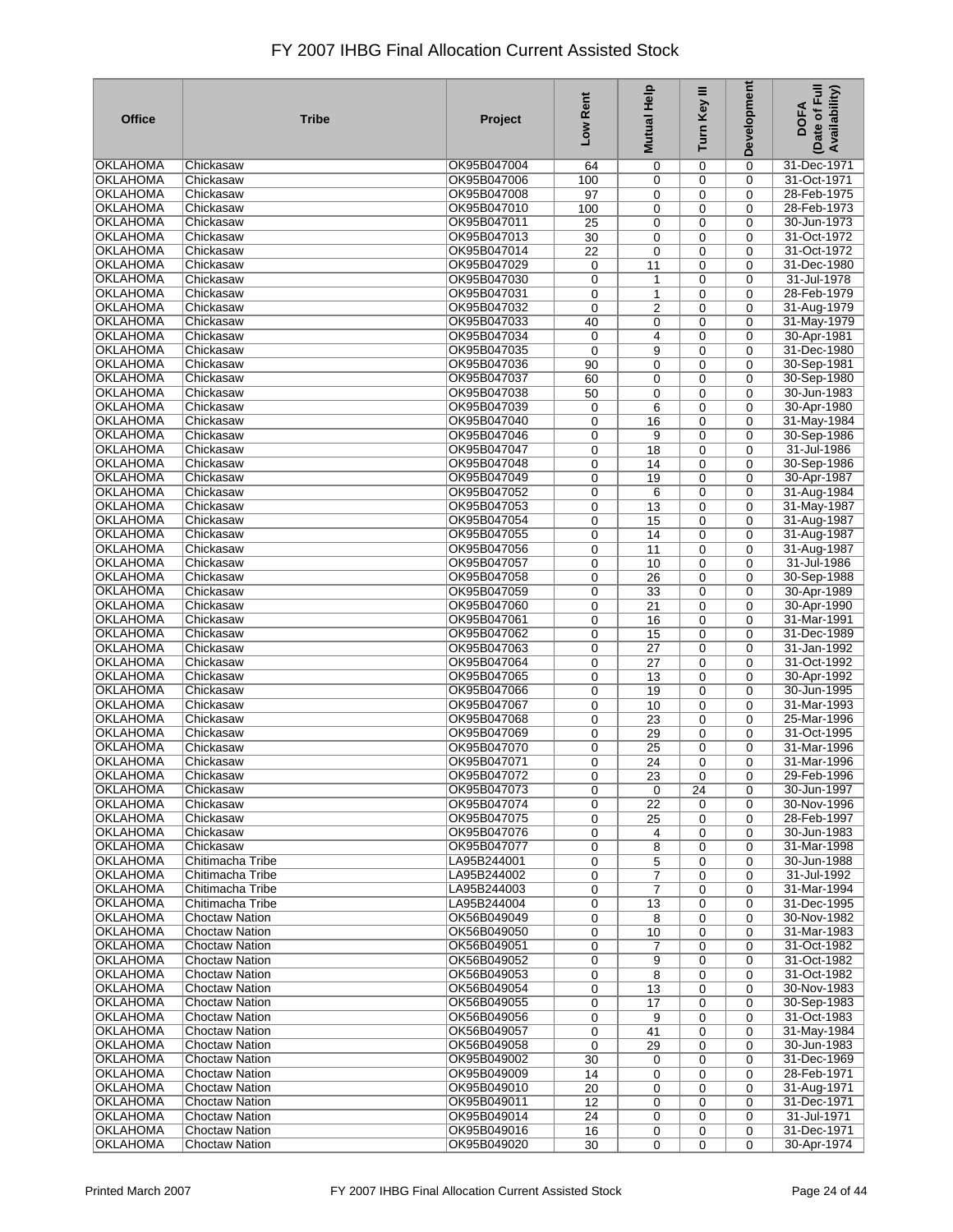| <b>Office</b>                      | <b>Tribe</b>                                   | Project                    | Low Rent               | <b>Mutual Help</b> | Turn Key III     | <b>Development</b>         | Date of Full<br>Availability)<br><b>DOFA</b> |
|------------------------------------|------------------------------------------------|----------------------------|------------------------|--------------------|------------------|----------------------------|----------------------------------------------|
| OKLAHOMA                           | Chickasaw                                      | OK95B047004                | 64                     | 0                  | 0                | 0                          | 31-Dec-1971                                  |
| <b>OKLAHOMA</b>                    | Chickasaw                                      | OK95B047006                | 100                    | 0                  | 0                | $\mathbf 0$                | 31-Oct-1971                                  |
| <b>OKLAHOMA</b>                    | Chickasaw                                      | OK95B047008                | $\overline{97}$        | 0                  | 0                | 0                          | 28-Feb-1975                                  |
| <b>OKLAHOMA</b>                    | Chickasaw                                      | OK95B047010                | 100                    | 0                  | 0                | 0                          | 28-Feb-1973                                  |
| <b>OKLAHOMA</b>                    | Chickasaw                                      | OK95B047011                | 25                     | 0                  | 0                | 0                          | 30-Jun-1973                                  |
| <b>OKLAHOMA</b>                    | Chickasaw                                      | OK95B047013                | 30                     | 0                  | 0                | 0                          | 31-Oct-1972                                  |
| <b>OKLAHOMA</b>                    | Chickasaw                                      | OK95B047014                | $\overline{22}$        | 0                  | 0                | 0                          | 31-Oct-1972                                  |
| <b>OKLAHOMA</b>                    | Chickasaw                                      | OK95B047029                | 0                      | 11                 | $\mathbf 0$      | 0                          | 31-Dec-1980                                  |
| <b>OKLAHOMA</b><br><b>OKLAHOMA</b> | Chickasaw<br>Chickasaw                         | OK95B047030<br>OK95B047031 | $\pmb{0}$              | 1                  | $\mathbf 0$      | $\mathbf 0$                | 31-Jul-1978<br>28-Feb-1979                   |
| <b>OKLAHOMA</b>                    | Chickasaw                                      | OK95B047032                | 0<br>$\mathbf 0$       | 1<br>2             | 0<br>0           | 0<br>$\mathbf 0$           | 31-Aug-1979                                  |
| <b>OKLAHOMA</b>                    | Chickasaw                                      | OK95B047033                | 40                     | 0                  | 0                | 0                          | 31-May-1979                                  |
| <b>OKLAHOMA</b>                    | Chickasaw                                      | OK95B047034                | 0                      | 4                  | 0                | $\mathbf 0$                | 30-Apr-1981                                  |
| <b>OKLAHOMA</b>                    | Chickasaw                                      | OK95B047035                | $\mathbf 0$            | 9                  | 0                | $\mathbf 0$                | 31-Dec-1980                                  |
| <b>OKLAHOMA</b>                    | Chickasaw                                      | OK95B047036                | 90                     | $\mathbf 0$        | $\mathbf 0$      | $\mathbf 0$                | 30-Sep-1981                                  |
| <b>OKLAHOMA</b>                    | Chickasaw                                      | OK95B047037                | 60                     | 0                  | 0                | $\mathbf 0$                | 30-Sep-1980                                  |
| <b>OKLAHOMA</b>                    | Chickasaw                                      | OK95B047038                | 50                     | 0                  | $\mathbf 0$      | $\mathbf 0$                | 30-Jun-1983                                  |
| <b>OKLAHOMA</b>                    | Chickasaw                                      | OK95B047039                | 0                      | 6                  | 0                | $\mathbf 0$                | 30-Apr-1980                                  |
| <b>OKLAHOMA</b>                    | Chickasaw                                      | OK95B047040                | $\mathbf 0$            | 16                 | $\mathbf 0$      | $\mathbf 0$                | 31-May-1984                                  |
| <b>OKLAHOMA</b>                    | Chickasaw                                      | OK95B047046                | 0                      | 9                  | 0                | $\mathbf 0$                | 30-Sep-1986                                  |
| <b>OKLAHOMA</b>                    | Chickasaw                                      | OK95B047047                | 0                      | 18                 | $\mathbf 0$      | $\mathbf 0$                | 31-Jul-1986                                  |
| <b>OKLAHOMA</b>                    | Chickasaw                                      | OK95B047048                | 0                      | 14                 | 0                | $\mathbf 0$                | 30-Sep-1986                                  |
| <b>OKLAHOMA</b>                    | Chickasaw                                      | OK95B047049                | 0                      | 19                 | 0                | $\mathbf 0$                | 30-Apr-1987                                  |
| <b>OKLAHOMA</b>                    | Chickasaw                                      | OK95B047052                | 0                      | 6                  | 0                | $\mathbf 0$                | 31-Aug-1984                                  |
| <b>OKLAHOMA</b><br><b>OKLAHOMA</b> | Chickasaw<br>Chickasaw                         | OK95B047053<br>OK95B047054 | $\pmb{0}$<br>$\pmb{0}$ | $\overline{13}$    | 0<br>0           | $\mathbf 0$<br>$\mathbf 0$ | 31-May-1987                                  |
| <b>OKLAHOMA</b>                    | Chickasaw                                      | OK95B047055                | 0                      | 15<br>14           | 0                | $\mathbf 0$                | 31-Aug-1987<br>31-Aug-1987                   |
| <b>OKLAHOMA</b>                    | Chickasaw                                      | OK95B047056                | $\pmb{0}$              | 11                 | 0                | 0                          | 31-Aug-1987                                  |
| <b>OKLAHOMA</b>                    | Chickasaw                                      | OK95B047057                | 0                      | 10                 | 0                | 0                          | 31-Jul-1986                                  |
| <b>OKLAHOMA</b>                    | Chickasaw                                      | OK95B047058                | $\pmb{0}$              | 26                 | 0                | $\mathbf 0$                | 30-Sep-1988                                  |
| <b>OKLAHOMA</b>                    | Chickasaw                                      | OK95B047059                | 0                      | 33                 | 0                | 0                          | 30-Apr-1989                                  |
| <b>OKLAHOMA</b>                    | Chickasaw                                      | OK95B047060                | $\pmb{0}$              | $\overline{21}$    | 0                | 0                          | 30-Apr-1990                                  |
| <b>OKLAHOMA</b>                    | Chickasaw                                      | OK95B047061                | 0                      | 16                 | $\mathbf 0$      | 0                          | 31-Mar-1991                                  |
| <b>OKLAHOMA</b>                    | Chickasaw                                      | OK95B047062                | $\pmb{0}$              | $\overline{15}$    | $\mathbf 0$      | $\mathbf 0$                | 31-Dec-1989                                  |
| <b>OKLAHOMA</b>                    | Chickasaw                                      | OK95B047063                | 0                      | $\overline{27}$    | $\mathbf 0$      | 0                          | 31-Jan-1992                                  |
| <b>OKLAHOMA</b>                    | Chickasaw                                      | OK95B047064                | $\pmb{0}$              | 27                 | $\mathbf 0$      | $\mathbf 0$                | 31-Oct-1992                                  |
| <b>OKLAHOMA</b>                    | Chickasaw                                      | OK95B047065                | 0                      | 13                 | 0                | $\mathbf 0$                | 30-Apr-1992                                  |
| OKLAHOMA                           | Chickasaw                                      | OK95B047066<br>OK95B047067 | $\pmb{0}$              | $\overline{19}$    | $\mathbf 0$      | $\mathbf 0$                | 30-Jun-1995                                  |
| <b>OKLAHOMA</b><br><b>OKLAHOMA</b> | Chickasaw<br>Chickasaw                         | OK95B047068                | $\mathbf 0$            | 10                 | 0                | 0                          | 31-Mar-1993<br>25-Mar-1996                   |
| <b>OKLAHOMA</b>                    | Chickasaw                                      | OK95B047069                | $\pmb{0}$<br>0         | 23<br>29           | $\mathbf 0$<br>0 | $\mathbf 0$<br>$\mathbf 0$ | 31-Oct-1995                                  |
| <b>OKLAHOMA</b>                    | Chickasaw                                      | OK95B047070                | 0                      | 25                 | $\mathbf 0$      | $\mathbf 0$                | 31-Mar-1996                                  |
| <b>OKLAHOMA</b>                    | Chickasaw                                      | OK95B047071                | 0                      | 24                 | 0                | 0                          | 31-Mar-1996                                  |
| <b>OKLAHOMA</b>                    | Chickasaw                                      | OK95B047072                | 0                      | $\overline{23}$    | 0                | 0                          | 29-Feb-1996                                  |
| <b>OKLAHOMA</b>                    | Chickasaw                                      | OK95B047073                | 0                      | 0                  | 24               | 0                          | 30-Jun-1997                                  |
| <b>OKLAHOMA</b>                    | Chickasaw                                      | OK95B047074                | 0                      | 22                 | 0                | 0                          | 30-Nov-1996                                  |
| OKLAHOMA                           | Chickasaw                                      | OK95B047075                | 0                      | 25                 | 0                | $\Omega$                   | 28-Feb-1997                                  |
| <b>OKLAHOMA</b>                    | Chickasaw                                      | OK95B047076                | 0                      | 4                  | 0                | 0                          | 30-Jun-1983                                  |
| <b>OKLAHOMA</b>                    | Chickasaw                                      | OK95B047077                | 0                      | 8                  | 0                | 0                          | 31-Mar-1998                                  |
| <b>OKLAHOMA</b>                    | Chitimacha Tribe                               | LA95B244001                | 0                      | 5                  | 0                | 0                          | 30-Jun-1988                                  |
| <b>OKLAHOMA</b>                    | Chitimacha Tribe                               | LA95B244002                | 0                      | 7                  | 0                | $\mathbf 0$                | 31-Jul-1992                                  |
| <b>OKLAHOMA</b>                    | Chitimacha Tribe                               | LA95B244003                | 0                      | 7                  | 0                | 0                          | 31-Mar-1994                                  |
| <b>OKLAHOMA</b><br><b>OKLAHOMA</b> | Chitimacha Tribe<br>Choctaw Nation             | LA95B244004<br>OK56B049049 | 0<br>0                 | 13<br>8            | 0<br>0           | 0<br>0                     | 31-Dec-1995<br>30-Nov-1982                   |
| <b>OKLAHOMA</b>                    | <b>Choctaw Nation</b>                          | OK56B049050                | 0                      | 10                 | 0                | 0                          | 31-Mar-1983                                  |
| <b>OKLAHOMA</b>                    | <b>Choctaw Nation</b>                          | OK56B049051                | 0                      | 7                  | 0                | 0                          | 31-Oct-1982                                  |
| <b>OKLAHOMA</b>                    | <b>Choctaw Nation</b>                          | OK56B049052                | 0                      | 9                  | 0                | 0                          | 31-Oct-1982                                  |
| <b>OKLAHOMA</b>                    | <b>Choctaw Nation</b>                          | OK56B049053                | 0                      | 8                  | 0                | 0                          | 31-Oct-1982                                  |
| <b>OKLAHOMA</b>                    | <b>Choctaw Nation</b>                          | OK56B049054                | 0                      | 13                 | 0                | $\mathbf 0$                | 30-Nov-1983                                  |
| <b>OKLAHOMA</b>                    | <b>Choctaw Nation</b>                          | OK56B049055                | 0                      | 17                 | 0                | $\mathbf 0$                | 30-Sep-1983                                  |
| OKLAHOMA                           | <b>Choctaw Nation</b>                          | OK56B049056                | 0                      | 9                  | $\mathbf 0$      | $\mathbf 0$                | 31-Oct-1983                                  |
| <b>OKLAHOMA</b>                    | <b>Choctaw Nation</b>                          | OK56B049057                | 0                      | 41                 | 0                | $\mathbf 0$                | 31-May-1984                                  |
| <b>OKLAHOMA</b>                    | <b>Choctaw Nation</b>                          | OK56B049058                | $\mathbf 0$            | 29                 | $\mathbf 0$      | $\mathbf 0$                | 30-Jun-1983                                  |
| <b>OKLAHOMA</b>                    | <b>Choctaw Nation</b>                          | OK95B049002                | 30                     | 0                  | 0                | $\mathbf 0$                | 31-Dec-1969                                  |
| <b>OKLAHOMA</b>                    | <b>Choctaw Nation</b>                          | OK95B049009                | 14                     | 0                  | $\mathbf 0$      | $\mathbf 0$                | 28-Feb-1971                                  |
| <b>OKLAHOMA</b>                    | <b>Choctaw Nation</b>                          | OK95B049010                | 20                     | 0                  | 0                | $\mathbf 0$                | 31-Aug-1971                                  |
| <b>OKLAHOMA</b>                    | <b>Choctaw Nation</b>                          | OK95B049011                | 12                     | 0                  | $\mathbf 0$      | $\mathbf 0$                | 31-Dec-1971                                  |
| <b>OKLAHOMA</b><br><b>OKLAHOMA</b> | <b>Choctaw Nation</b><br><b>Choctaw Nation</b> | OK95B049014<br>OK95B049016 | 24<br>16               | 0<br>0             | 0<br>0           | 0<br>0                     | 31-Jul-1971<br>31-Dec-1971                   |
| <b>OKLAHOMA</b>                    | <b>Choctaw Nation</b>                          | OK95B049020                | 30                     | $\mathbf 0$        | $\mathbf 0$      | $\mathbf 0$                | 30-Apr-1974                                  |
|                                    |                                                |                            |                        |                    |                  |                            |                                              |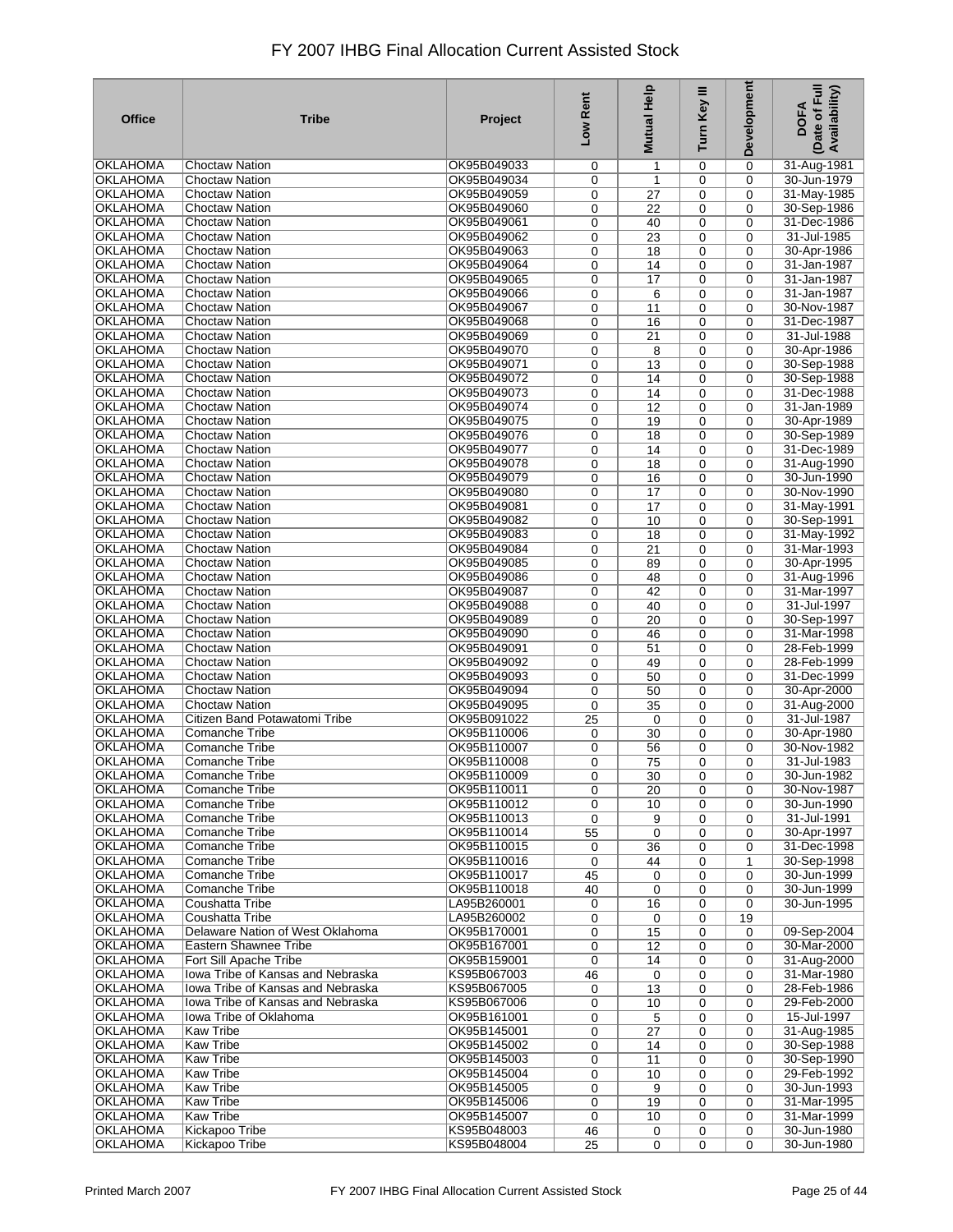| OKLAHOMA<br>OK95B049033<br><b>Choctaw Nation</b><br>0<br>31-Aug-1981<br>0<br>1<br>0<br><b>OKLAHOMA</b><br><b>Choctaw Nation</b><br>OK95B049034<br>0<br>$\mathbf 0$<br>30-Jun-1979<br>0<br>$\mathbf{1}$<br><b>OKLAHOMA</b><br>OK95B049059<br>$\overline{27}$<br>0<br>$\mathbf 0$<br>31-May-1985<br><b>Choctaw Nation</b><br>0<br>OKLAHOMA<br>$\overline{22}$<br>0<br>30-Sep-1986<br><b>Choctaw Nation</b><br>OK95B049060<br>0<br>$\mathbf 0$<br>OKLAHOMA<br><b>Choctaw Nation</b><br>OK95B049061<br>0<br>0<br>$\mathbf 0$<br>31-Dec-1986<br>40<br><b>OKLAHOMA</b><br><b>Choctaw Nation</b><br>OK95B049062<br>31-Jul-1985<br>0<br>23<br>0<br>$\mathbf 0$<br><b>OKLAHOMA</b><br><b>Choctaw Nation</b><br>OK95B049063<br>30-Apr-1986<br>0<br>18<br>0<br>$\mathbf 0$<br>OKLAHOMA<br><b>Choctaw Nation</b><br>OK95B049064<br>31-Jan-1987<br>0<br>14<br>0<br>$\mathbf 0$<br><b>OKLAHOMA</b><br><b>Choctaw Nation</b><br>OK95B049065<br>17<br>31-Jan-1987<br>0<br>0<br>$\Omega$<br><b>OKLAHOMA</b><br><b>Choctaw Nation</b><br>OK95B049066<br>31-Jan-1987<br>0<br>0<br>$\mathbf 0$<br>6<br><b>OKLAHOMA</b><br><b>Choctaw Nation</b><br>OK95B049067<br>30-Nov-1987<br>0<br>0<br>11<br>$\mathbf 0$<br><b>OKLAHOMA</b><br><b>Choctaw Nation</b><br>OK95B049068<br>31-Dec-1987<br>0<br>16<br>0<br>$\mathbf 0$<br><b>OKLAHOMA</b><br><b>Choctaw Nation</b><br>OK95B049069<br>31-Jul-1988<br>0<br>21<br>0<br>$\mathbf 0$<br><b>OKLAHOMA</b><br><b>Choctaw Nation</b><br>OK95B049070<br>30-Apr-1986<br>0<br>8<br>0<br>$\mathbf 0$<br><b>OKLAHOMA</b><br><b>Choctaw Nation</b><br>OK95B049071<br>30-Sep-1988<br>0<br>13<br>0<br>$\mathbf 0$<br><b>OKLAHOMA</b><br>OK95B049072<br>30-Sep-1988<br><b>Choctaw Nation</b><br>0<br>0<br>$\mathbf 0$<br>14<br><b>OKLAHOMA</b><br>OK95B049073<br><b>Choctaw Nation</b><br>0<br>14<br>0<br>$\Omega$<br>31-Dec-1988<br><b>OKLAHOMA</b><br><b>Choctaw Nation</b><br>OK95B049074<br>31-Jan-1989<br>0<br>12<br>0<br>$\mathbf 0$<br><b>OKLAHOMA</b><br>Choctaw Nation<br>OK95B049075<br>0<br>19<br>0<br>$\mathbf 0$<br>30-Apr-1989<br><b>Choctaw Nation</b><br>OKLAHOMA<br>OK95B049076<br>30-Sep-1989<br>0<br>18<br>0<br>$\mathbf 0$<br><b>OKLAHOMA</b><br><b>Choctaw Nation</b><br>OK95B049077<br>31-Dec-1989<br>0<br>14<br>0<br>$\mathbf 0$<br>OKLAHOMA<br>Choctaw Nation<br>OK95B049078<br>0<br>18<br>0<br>$\mathbf 0$<br>31-Aug-1990<br><b>OKLAHOMA</b><br><b>Choctaw Nation</b><br>OK95B049079<br>0<br>30-Jun-1990<br>0<br>16<br>$\mathbf 0$<br><b>OKLAHOMA</b><br><b>Choctaw Nation</b><br>OK95B049080<br>30-Nov-1990<br>0<br>17<br>0<br>$\Omega$<br><b>OKLAHOMA</b><br>OK95B049081<br>31-May-1991<br><b>Choctaw Nation</b><br>0<br>17<br>0<br>$\mathbf 0$<br><b>OKLAHOMA</b><br>OK95B049082<br>30-Sep-1991<br><b>Choctaw Nation</b><br>0<br>10<br>0<br>$\mathbf 0$<br><b>OKLAHOMA</b><br><b>Choctaw Nation</b><br>OK95B049083<br>0<br>31-May-1992<br>0<br>18<br>$\mathbf 0$<br><b>OKLAHOMA</b><br>OK95B049084<br>$\overline{21}$<br>0<br>31-Mar-1993<br><b>Choctaw Nation</b><br>0<br>$\mathbf 0$<br>OKLAHOMA<br>0<br>30-Apr-1995<br><b>Choctaw Nation</b><br>OK95B049085<br>0<br>89<br>$\mathbf 0$<br><b>OKLAHOMA</b><br>OK95B049086<br><b>Choctaw Nation</b><br>0<br>0<br>31-Aug-1996<br>48<br>$\mathbf 0$<br>OKLAHOMA<br><b>Choctaw Nation</b><br>OK95B049087<br>31-Mar-1997<br>0<br>42<br>0<br>$\mathbf 0$<br><b>OKLAHOMA</b><br><b>Choctaw Nation</b><br>OK95B049088<br>31-Jul-1997<br>0<br>40<br>0<br>$\mathbf 0$<br>OKLAHOMA<br><b>Choctaw Nation</b><br>OK95B049089<br>30-Sep-1997<br>0<br>20<br>0<br>$\mathbf 0$<br><b>OKLAHOMA</b><br><b>Choctaw Nation</b><br>OK95B049090<br>31-Mar-1998<br>0<br>46<br>0<br>$\Omega$<br><b>OKLAHOMA</b><br><b>Choctaw Nation</b><br>OK95B049091<br>28-Feb-1999<br>0<br>51<br>0<br>$\mathbf 0$<br><b>OKLAHOMA</b><br><b>Choctaw Nation</b><br>OK95B049092<br>28-Feb-1999<br>0<br>0<br>49<br>$\mathbf 0$<br><b>OKLAHOMA</b><br><b>Choctaw Nation</b><br>OK95B049093<br>31-Dec-1999<br>0<br>0<br>$\mathbf 0$<br>50<br><b>OKLAHOMA</b><br><b>Choctaw Nation</b><br>OK95B049094<br>0<br>30-Apr-2000<br>0<br>50<br>$\mathbf 0$<br><b>OKLAHOMA</b><br><b>Choctaw Nation</b><br>OK95B049095<br>31-Aug-2000<br>0<br>35<br>0<br>$\mathbf 0$<br><b>OKLAHOMA</b><br>Citizen Band Potawatomi Tribe<br>OK95B091022<br>31-Jul-1987<br>25<br>$\mathbf 0$<br>0<br>$\mathbf 0$<br><b>OKLAHOMA</b><br>Comanche Tribe<br>OK95B110006<br>0<br>30<br>0<br>$\mathbf 0$<br>30-Apr-1980<br><b>OKLAHOMA</b><br>OK95B110007<br>30-Nov-1982<br>Comanche Tribe<br>0<br>0<br>56<br>$\mathbf 0$<br><b>OKLAHOMA</b><br>Comanche Tribe<br>OK95B110008<br>0<br>0<br>$\mathbf 0$<br>31-Jul-1983<br>75<br><b>OKLAHOMA</b><br>OK95B110009<br>$\overline{30}$<br>0<br>30-Jun-1982<br>Comanche Tribe<br>0<br>0<br>OKLAHOMA<br>Comanche Tribe<br>OK95B110011<br>30-Nov-1987<br>$\mathbf 0$<br>20<br>0<br>0<br>OK95B110012<br>30-Jun-1990<br><b>OKLAHOMA</b><br><b>Comanche Tribe</b><br>0<br>10<br>0<br>$\Omega$<br><b>OKLAHOMA</b><br><b>Comanche Tribe</b><br>OK95B110013<br>9<br>31-Jul-1991<br>0<br>0<br>0<br>OKLAHOMA<br>Comanche Tribe<br>OK95B110014<br>0<br>30-Apr-1997<br>55<br>$\mathbf 0$<br>$\mathbf 0$<br>OKLAHOMA<br>Comanche Tribe<br>OK95B110015<br>31-Dec-1998<br>36<br>0<br>$\mathbf 0$<br>0<br><b>OKLAHOMA</b><br>Comanche Tribe<br>OK95B110016<br>30-Sep-1998<br>0<br>44<br>0<br>1<br><b>OKLAHOMA</b><br>OK95B110017<br>30-Jun-1999<br>Comanche Tribe<br>45<br>$\mathbf 0$<br>0<br>$\mathbf 0$<br><b>OKLAHOMA</b><br>Comanche Tribe<br>OK95B110018<br>30-Jun-1999<br>40<br>$\mathbf 0$<br>0<br>0<br><b>OKLAHOMA</b><br>Coushatta Tribe<br>LA95B260001<br>0<br>$\mathbf 0$<br>30-Jun-1995<br>16<br>0<br><b>OKLAHOMA</b><br>Coushatta Tribe<br>LA95B260002<br>0<br>0<br>0<br>19<br><b>OKLAHOMA</b><br>Delaware Nation of West Oklahoma<br>OK95B170001<br>09-Sep-2004<br>0<br>0<br>15<br>$\mathbf 0$<br><b>OKLAHOMA</b><br>Eastern Shawnee Tribe<br>OK95B167001<br>30-Mar-2000<br>0<br>12<br>0<br>0<br>OKLAHOMA<br>Fort Sill Apache Tribe<br>OK95B159001<br>31-Aug-2000<br>0<br>14<br>0<br>$\mathbf 0$<br>Iowa Tribe of Kansas and Nebraska<br>KS95B067003<br>31-Mar-1980<br>OKLAHOMA<br>46<br>0<br>0<br>0<br>28-Feb-1986<br><b>OKLAHOMA</b><br>Iowa Tribe of Kansas and Nebraska<br>KS95B067005<br>$\overline{13}$<br>0<br>0<br>$\mathbf 0$<br><b>OKLAHOMA</b><br>lowa Tribe of Kansas and Nebraska<br>KS95B067006<br>29-Feb-2000<br>10<br>0<br>$\mathbf 0$<br>0<br><b>OKLAHOMA</b><br>Iowa Tribe of Oklahoma<br>OK95B161001<br>0<br>15-Jul-1997<br>0<br>5<br>$\mathbf 0$<br><b>OKLAHOMA</b><br><b>Kaw Tribe</b><br>OK95B145001<br>31-Aug-1985<br>0<br>27<br>0<br>$\mathbf 0$<br><b>OKLAHOMA</b><br><b>Kaw Tribe</b><br>OK95B145002<br>30-Sep-1988<br>0<br>14<br>0<br>$\mathbf 0$<br><b>OKLAHOMA</b><br><b>Kaw Tribe</b><br>OK95B145003<br>30-Sep-1990<br>0<br>11<br>0<br>$\mathbf 0$<br><b>OKLAHOMA</b><br><b>Kaw Tribe</b><br>OK95B145004<br>29-Feb-1992<br>0<br>10<br>0<br>$\mathbf 0$<br><b>OKLAHOMA</b><br><b>Kaw Tribe</b><br>OK95B145005<br>30-Jun-1993<br>0<br>9<br>0<br>$\mathbf 0$<br><b>OKLAHOMA</b><br><b>Kaw Tribe</b><br>OK95B145006<br>31-Mar-1995<br>0<br>0<br>19<br>$\mathbf 0$<br><b>OKLAHOMA</b><br><b>Kaw Tribe</b><br>OK95B145007<br>0<br>0<br>$\mathbf 0$<br>31-Mar-1999<br>10<br><b>OKLAHOMA</b><br>Kickapoo Tribe<br>KS95B048003<br>30-Jun-1980<br>46<br>0<br>$\mathbf 0$<br>0<br>Kickapoo Tribe<br>KS95B048004<br>30-Jun-1980<br>OKLAHOMA<br>$\mathbf 0$<br>0<br>$\mathbf 0$ | <b>Office</b> | <b>Tribe</b> | Project | Low Rent | <b>Mutual Help</b> | Turn Key III | Development | Date of Full<br>Availability)<br><b>DOFA</b> |
|------------------------------------------------------------------------------------------------------------------------------------------------------------------------------------------------------------------------------------------------------------------------------------------------------------------------------------------------------------------------------------------------------------------------------------------------------------------------------------------------------------------------------------------------------------------------------------------------------------------------------------------------------------------------------------------------------------------------------------------------------------------------------------------------------------------------------------------------------------------------------------------------------------------------------------------------------------------------------------------------------------------------------------------------------------------------------------------------------------------------------------------------------------------------------------------------------------------------------------------------------------------------------------------------------------------------------------------------------------------------------------------------------------------------------------------------------------------------------------------------------------------------------------------------------------------------------------------------------------------------------------------------------------------------------------------------------------------------------------------------------------------------------------------------------------------------------------------------------------------------------------------------------------------------------------------------------------------------------------------------------------------------------------------------------------------------------------------------------------------------------------------------------------------------------------------------------------------------------------------------------------------------------------------------------------------------------------------------------------------------------------------------------------------------------------------------------------------------------------------------------------------------------------------------------------------------------------------------------------------------------------------------------------------------------------------------------------------------------------------------------------------------------------------------------------------------------------------------------------------------------------------------------------------------------------------------------------------------------------------------------------------------------------------------------------------------------------------------------------------------------------------------------------------------------------------------------------------------------------------------------------------------------------------------------------------------------------------------------------------------------------------------------------------------------------------------------------------------------------------------------------------------------------------------------------------------------------------------------------------------------------------------------------------------------------------------------------------------------------------------------------------------------------------------------------------------------------------------------------------------------------------------------------------------------------------------------------------------------------------------------------------------------------------------------------------------------------------------------------------------------------------------------------------------------------------------------------------------------------------------------------------------------------------------------------------------------------------------------------------------------------------------------------------------------------------------------------------------------------------------------------------------------------------------------------------------------------------------------------------------------------------------------------------------------------------------------------------------------------------------------------------------------------------------------------------------------------------------------------------------------------------------------------------------------------------------------------------------------------------------------------------------------------------------------------------------------------------------------------------------------------------------------------------------------------------------------------------------------------------------------------------------------------------------------------------------------------------------------------------------------------------------------------------------------------------------------------------------------------------------------------------------------------------------------------------------------------------------------------------------------------------------------------------------------------------------------------------------------------------------------------------------------------------------------------------------------------------------------------------------------------------------------------------------------------------------------------------------------------------------------------------------------------------------------------------------------------------------------------------------------------------------------------------------------------------------------------------------------------------------------------------------------------------------------------------------------------------------------------------------------------------------------------------------------------------------------------------------------------------------------------------------------------------------------------------------------------------------------------------------------------------------------------------------------------------------------------------------------------------------------------------------------------------------------------------------------------------------------------------------------------------------------------------------------------------------------------------------------------------------------------------------------------------------------------------------------------------------------------------------------------------------------------------------------------------------------------------------------------------------------------------------------------------------------------------------------------------------------------------------------------------------------------------------------------------------------|---------------|--------------|---------|----------|--------------------|--------------|-------------|----------------------------------------------|
|                                                                                                                                                                                                                                                                                                                                                                                                                                                                                                                                                                                                                                                                                                                                                                                                                                                                                                                                                                                                                                                                                                                                                                                                                                                                                                                                                                                                                                                                                                                                                                                                                                                                                                                                                                                                                                                                                                                                                                                                                                                                                                                                                                                                                                                                                                                                                                                                                                                                                                                                                                                                                                                                                                                                                                                                                                                                                                                                                                                                                                                                                                                                                                                                                                                                                                                                                                                                                                                                                                                                                                                                                                                                                                                                                                                                                                                                                                                                                                                                                                                                                                                                                                                                                                                                                                                                                                                                                                                                                                                                                                                                                                                                                                                                                                                                                                                                                                                                                                                                                                                                                                                                                                                                                                                                                                                                                                                                                                                                                                                                                                                                                                                                                                                                                                                                                                                                                                                                                                                                                                                                                                                                                                                                                                                                                                                                                                                                                                                                                                                                                                                                                                                                                                                                                                                                                                                                                                                                                                                                                                                                                                                                                                                                                                                                                                                                                                                                                                                      |               |              |         |          |                    |              |             |                                              |
|                                                                                                                                                                                                                                                                                                                                                                                                                                                                                                                                                                                                                                                                                                                                                                                                                                                                                                                                                                                                                                                                                                                                                                                                                                                                                                                                                                                                                                                                                                                                                                                                                                                                                                                                                                                                                                                                                                                                                                                                                                                                                                                                                                                                                                                                                                                                                                                                                                                                                                                                                                                                                                                                                                                                                                                                                                                                                                                                                                                                                                                                                                                                                                                                                                                                                                                                                                                                                                                                                                                                                                                                                                                                                                                                                                                                                                                                                                                                                                                                                                                                                                                                                                                                                                                                                                                                                                                                                                                                                                                                                                                                                                                                                                                                                                                                                                                                                                                                                                                                                                                                                                                                                                                                                                                                                                                                                                                                                                                                                                                                                                                                                                                                                                                                                                                                                                                                                                                                                                                                                                                                                                                                                                                                                                                                                                                                                                                                                                                                                                                                                                                                                                                                                                                                                                                                                                                                                                                                                                                                                                                                                                                                                                                                                                                                                                                                                                                                                                                      |               |              |         |          |                    |              |             |                                              |
|                                                                                                                                                                                                                                                                                                                                                                                                                                                                                                                                                                                                                                                                                                                                                                                                                                                                                                                                                                                                                                                                                                                                                                                                                                                                                                                                                                                                                                                                                                                                                                                                                                                                                                                                                                                                                                                                                                                                                                                                                                                                                                                                                                                                                                                                                                                                                                                                                                                                                                                                                                                                                                                                                                                                                                                                                                                                                                                                                                                                                                                                                                                                                                                                                                                                                                                                                                                                                                                                                                                                                                                                                                                                                                                                                                                                                                                                                                                                                                                                                                                                                                                                                                                                                                                                                                                                                                                                                                                                                                                                                                                                                                                                                                                                                                                                                                                                                                                                                                                                                                                                                                                                                                                                                                                                                                                                                                                                                                                                                                                                                                                                                                                                                                                                                                                                                                                                                                                                                                                                                                                                                                                                                                                                                                                                                                                                                                                                                                                                                                                                                                                                                                                                                                                                                                                                                                                                                                                                                                                                                                                                                                                                                                                                                                                                                                                                                                                                                                                      |               |              |         |          |                    |              |             |                                              |
|                                                                                                                                                                                                                                                                                                                                                                                                                                                                                                                                                                                                                                                                                                                                                                                                                                                                                                                                                                                                                                                                                                                                                                                                                                                                                                                                                                                                                                                                                                                                                                                                                                                                                                                                                                                                                                                                                                                                                                                                                                                                                                                                                                                                                                                                                                                                                                                                                                                                                                                                                                                                                                                                                                                                                                                                                                                                                                                                                                                                                                                                                                                                                                                                                                                                                                                                                                                                                                                                                                                                                                                                                                                                                                                                                                                                                                                                                                                                                                                                                                                                                                                                                                                                                                                                                                                                                                                                                                                                                                                                                                                                                                                                                                                                                                                                                                                                                                                                                                                                                                                                                                                                                                                                                                                                                                                                                                                                                                                                                                                                                                                                                                                                                                                                                                                                                                                                                                                                                                                                                                                                                                                                                                                                                                                                                                                                                                                                                                                                                                                                                                                                                                                                                                                                                                                                                                                                                                                                                                                                                                                                                                                                                                                                                                                                                                                                                                                                                                                      |               |              |         |          |                    |              |             |                                              |
|                                                                                                                                                                                                                                                                                                                                                                                                                                                                                                                                                                                                                                                                                                                                                                                                                                                                                                                                                                                                                                                                                                                                                                                                                                                                                                                                                                                                                                                                                                                                                                                                                                                                                                                                                                                                                                                                                                                                                                                                                                                                                                                                                                                                                                                                                                                                                                                                                                                                                                                                                                                                                                                                                                                                                                                                                                                                                                                                                                                                                                                                                                                                                                                                                                                                                                                                                                                                                                                                                                                                                                                                                                                                                                                                                                                                                                                                                                                                                                                                                                                                                                                                                                                                                                                                                                                                                                                                                                                                                                                                                                                                                                                                                                                                                                                                                                                                                                                                                                                                                                                                                                                                                                                                                                                                                                                                                                                                                                                                                                                                                                                                                                                                                                                                                                                                                                                                                                                                                                                                                                                                                                                                                                                                                                                                                                                                                                                                                                                                                                                                                                                                                                                                                                                                                                                                                                                                                                                                                                                                                                                                                                                                                                                                                                                                                                                                                                                                                                                      |               |              |         |          |                    |              |             |                                              |
|                                                                                                                                                                                                                                                                                                                                                                                                                                                                                                                                                                                                                                                                                                                                                                                                                                                                                                                                                                                                                                                                                                                                                                                                                                                                                                                                                                                                                                                                                                                                                                                                                                                                                                                                                                                                                                                                                                                                                                                                                                                                                                                                                                                                                                                                                                                                                                                                                                                                                                                                                                                                                                                                                                                                                                                                                                                                                                                                                                                                                                                                                                                                                                                                                                                                                                                                                                                                                                                                                                                                                                                                                                                                                                                                                                                                                                                                                                                                                                                                                                                                                                                                                                                                                                                                                                                                                                                                                                                                                                                                                                                                                                                                                                                                                                                                                                                                                                                                                                                                                                                                                                                                                                                                                                                                                                                                                                                                                                                                                                                                                                                                                                                                                                                                                                                                                                                                                                                                                                                                                                                                                                                                                                                                                                                                                                                                                                                                                                                                                                                                                                                                                                                                                                                                                                                                                                                                                                                                                                                                                                                                                                                                                                                                                                                                                                                                                                                                                                                      |               |              |         |          |                    |              |             |                                              |
|                                                                                                                                                                                                                                                                                                                                                                                                                                                                                                                                                                                                                                                                                                                                                                                                                                                                                                                                                                                                                                                                                                                                                                                                                                                                                                                                                                                                                                                                                                                                                                                                                                                                                                                                                                                                                                                                                                                                                                                                                                                                                                                                                                                                                                                                                                                                                                                                                                                                                                                                                                                                                                                                                                                                                                                                                                                                                                                                                                                                                                                                                                                                                                                                                                                                                                                                                                                                                                                                                                                                                                                                                                                                                                                                                                                                                                                                                                                                                                                                                                                                                                                                                                                                                                                                                                                                                                                                                                                                                                                                                                                                                                                                                                                                                                                                                                                                                                                                                                                                                                                                                                                                                                                                                                                                                                                                                                                                                                                                                                                                                                                                                                                                                                                                                                                                                                                                                                                                                                                                                                                                                                                                                                                                                                                                                                                                                                                                                                                                                                                                                                                                                                                                                                                                                                                                                                                                                                                                                                                                                                                                                                                                                                                                                                                                                                                                                                                                                                                      |               |              |         |          |                    |              |             |                                              |
|                                                                                                                                                                                                                                                                                                                                                                                                                                                                                                                                                                                                                                                                                                                                                                                                                                                                                                                                                                                                                                                                                                                                                                                                                                                                                                                                                                                                                                                                                                                                                                                                                                                                                                                                                                                                                                                                                                                                                                                                                                                                                                                                                                                                                                                                                                                                                                                                                                                                                                                                                                                                                                                                                                                                                                                                                                                                                                                                                                                                                                                                                                                                                                                                                                                                                                                                                                                                                                                                                                                                                                                                                                                                                                                                                                                                                                                                                                                                                                                                                                                                                                                                                                                                                                                                                                                                                                                                                                                                                                                                                                                                                                                                                                                                                                                                                                                                                                                                                                                                                                                                                                                                                                                                                                                                                                                                                                                                                                                                                                                                                                                                                                                                                                                                                                                                                                                                                                                                                                                                                                                                                                                                                                                                                                                                                                                                                                                                                                                                                                                                                                                                                                                                                                                                                                                                                                                                                                                                                                                                                                                                                                                                                                                                                                                                                                                                                                                                                                                      |               |              |         |          |                    |              |             |                                              |
|                                                                                                                                                                                                                                                                                                                                                                                                                                                                                                                                                                                                                                                                                                                                                                                                                                                                                                                                                                                                                                                                                                                                                                                                                                                                                                                                                                                                                                                                                                                                                                                                                                                                                                                                                                                                                                                                                                                                                                                                                                                                                                                                                                                                                                                                                                                                                                                                                                                                                                                                                                                                                                                                                                                                                                                                                                                                                                                                                                                                                                                                                                                                                                                                                                                                                                                                                                                                                                                                                                                                                                                                                                                                                                                                                                                                                                                                                                                                                                                                                                                                                                                                                                                                                                                                                                                                                                                                                                                                                                                                                                                                                                                                                                                                                                                                                                                                                                                                                                                                                                                                                                                                                                                                                                                                                                                                                                                                                                                                                                                                                                                                                                                                                                                                                                                                                                                                                                                                                                                                                                                                                                                                                                                                                                                                                                                                                                                                                                                                                                                                                                                                                                                                                                                                                                                                                                                                                                                                                                                                                                                                                                                                                                                                                                                                                                                                                                                                                                                      |               |              |         |          |                    |              |             |                                              |
|                                                                                                                                                                                                                                                                                                                                                                                                                                                                                                                                                                                                                                                                                                                                                                                                                                                                                                                                                                                                                                                                                                                                                                                                                                                                                                                                                                                                                                                                                                                                                                                                                                                                                                                                                                                                                                                                                                                                                                                                                                                                                                                                                                                                                                                                                                                                                                                                                                                                                                                                                                                                                                                                                                                                                                                                                                                                                                                                                                                                                                                                                                                                                                                                                                                                                                                                                                                                                                                                                                                                                                                                                                                                                                                                                                                                                                                                                                                                                                                                                                                                                                                                                                                                                                                                                                                                                                                                                                                                                                                                                                                                                                                                                                                                                                                                                                                                                                                                                                                                                                                                                                                                                                                                                                                                                                                                                                                                                                                                                                                                                                                                                                                                                                                                                                                                                                                                                                                                                                                                                                                                                                                                                                                                                                                                                                                                                                                                                                                                                                                                                                                                                                                                                                                                                                                                                                                                                                                                                                                                                                                                                                                                                                                                                                                                                                                                                                                                                                                      |               |              |         |          |                    |              |             |                                              |
|                                                                                                                                                                                                                                                                                                                                                                                                                                                                                                                                                                                                                                                                                                                                                                                                                                                                                                                                                                                                                                                                                                                                                                                                                                                                                                                                                                                                                                                                                                                                                                                                                                                                                                                                                                                                                                                                                                                                                                                                                                                                                                                                                                                                                                                                                                                                                                                                                                                                                                                                                                                                                                                                                                                                                                                                                                                                                                                                                                                                                                                                                                                                                                                                                                                                                                                                                                                                                                                                                                                                                                                                                                                                                                                                                                                                                                                                                                                                                                                                                                                                                                                                                                                                                                                                                                                                                                                                                                                                                                                                                                                                                                                                                                                                                                                                                                                                                                                                                                                                                                                                                                                                                                                                                                                                                                                                                                                                                                                                                                                                                                                                                                                                                                                                                                                                                                                                                                                                                                                                                                                                                                                                                                                                                                                                                                                                                                                                                                                                                                                                                                                                                                                                                                                                                                                                                                                                                                                                                                                                                                                                                                                                                                                                                                                                                                                                                                                                                                                      |               |              |         |          |                    |              |             |                                              |
|                                                                                                                                                                                                                                                                                                                                                                                                                                                                                                                                                                                                                                                                                                                                                                                                                                                                                                                                                                                                                                                                                                                                                                                                                                                                                                                                                                                                                                                                                                                                                                                                                                                                                                                                                                                                                                                                                                                                                                                                                                                                                                                                                                                                                                                                                                                                                                                                                                                                                                                                                                                                                                                                                                                                                                                                                                                                                                                                                                                                                                                                                                                                                                                                                                                                                                                                                                                                                                                                                                                                                                                                                                                                                                                                                                                                                                                                                                                                                                                                                                                                                                                                                                                                                                                                                                                                                                                                                                                                                                                                                                                                                                                                                                                                                                                                                                                                                                                                                                                                                                                                                                                                                                                                                                                                                                                                                                                                                                                                                                                                                                                                                                                                                                                                                                                                                                                                                                                                                                                                                                                                                                                                                                                                                                                                                                                                                                                                                                                                                                                                                                                                                                                                                                                                                                                                                                                                                                                                                                                                                                                                                                                                                                                                                                                                                                                                                                                                                                                      |               |              |         |          |                    |              |             |                                              |
|                                                                                                                                                                                                                                                                                                                                                                                                                                                                                                                                                                                                                                                                                                                                                                                                                                                                                                                                                                                                                                                                                                                                                                                                                                                                                                                                                                                                                                                                                                                                                                                                                                                                                                                                                                                                                                                                                                                                                                                                                                                                                                                                                                                                                                                                                                                                                                                                                                                                                                                                                                                                                                                                                                                                                                                                                                                                                                                                                                                                                                                                                                                                                                                                                                                                                                                                                                                                                                                                                                                                                                                                                                                                                                                                                                                                                                                                                                                                                                                                                                                                                                                                                                                                                                                                                                                                                                                                                                                                                                                                                                                                                                                                                                                                                                                                                                                                                                                                                                                                                                                                                                                                                                                                                                                                                                                                                                                                                                                                                                                                                                                                                                                                                                                                                                                                                                                                                                                                                                                                                                                                                                                                                                                                                                                                                                                                                                                                                                                                                                                                                                                                                                                                                                                                                                                                                                                                                                                                                                                                                                                                                                                                                                                                                                                                                                                                                                                                                                                      |               |              |         |          |                    |              |             |                                              |
|                                                                                                                                                                                                                                                                                                                                                                                                                                                                                                                                                                                                                                                                                                                                                                                                                                                                                                                                                                                                                                                                                                                                                                                                                                                                                                                                                                                                                                                                                                                                                                                                                                                                                                                                                                                                                                                                                                                                                                                                                                                                                                                                                                                                                                                                                                                                                                                                                                                                                                                                                                                                                                                                                                                                                                                                                                                                                                                                                                                                                                                                                                                                                                                                                                                                                                                                                                                                                                                                                                                                                                                                                                                                                                                                                                                                                                                                                                                                                                                                                                                                                                                                                                                                                                                                                                                                                                                                                                                                                                                                                                                                                                                                                                                                                                                                                                                                                                                                                                                                                                                                                                                                                                                                                                                                                                                                                                                                                                                                                                                                                                                                                                                                                                                                                                                                                                                                                                                                                                                                                                                                                                                                                                                                                                                                                                                                                                                                                                                                                                                                                                                                                                                                                                                                                                                                                                                                                                                                                                                                                                                                                                                                                                                                                                                                                                                                                                                                                                                      |               |              |         |          |                    |              |             |                                              |
|                                                                                                                                                                                                                                                                                                                                                                                                                                                                                                                                                                                                                                                                                                                                                                                                                                                                                                                                                                                                                                                                                                                                                                                                                                                                                                                                                                                                                                                                                                                                                                                                                                                                                                                                                                                                                                                                                                                                                                                                                                                                                                                                                                                                                                                                                                                                                                                                                                                                                                                                                                                                                                                                                                                                                                                                                                                                                                                                                                                                                                                                                                                                                                                                                                                                                                                                                                                                                                                                                                                                                                                                                                                                                                                                                                                                                                                                                                                                                                                                                                                                                                                                                                                                                                                                                                                                                                                                                                                                                                                                                                                                                                                                                                                                                                                                                                                                                                                                                                                                                                                                                                                                                                                                                                                                                                                                                                                                                                                                                                                                                                                                                                                                                                                                                                                                                                                                                                                                                                                                                                                                                                                                                                                                                                                                                                                                                                                                                                                                                                                                                                                                                                                                                                                                                                                                                                                                                                                                                                                                                                                                                                                                                                                                                                                                                                                                                                                                                                                      |               |              |         |          |                    |              |             |                                              |
|                                                                                                                                                                                                                                                                                                                                                                                                                                                                                                                                                                                                                                                                                                                                                                                                                                                                                                                                                                                                                                                                                                                                                                                                                                                                                                                                                                                                                                                                                                                                                                                                                                                                                                                                                                                                                                                                                                                                                                                                                                                                                                                                                                                                                                                                                                                                                                                                                                                                                                                                                                                                                                                                                                                                                                                                                                                                                                                                                                                                                                                                                                                                                                                                                                                                                                                                                                                                                                                                                                                                                                                                                                                                                                                                                                                                                                                                                                                                                                                                                                                                                                                                                                                                                                                                                                                                                                                                                                                                                                                                                                                                                                                                                                                                                                                                                                                                                                                                                                                                                                                                                                                                                                                                                                                                                                                                                                                                                                                                                                                                                                                                                                                                                                                                                                                                                                                                                                                                                                                                                                                                                                                                                                                                                                                                                                                                                                                                                                                                                                                                                                                                                                                                                                                                                                                                                                                                                                                                                                                                                                                                                                                                                                                                                                                                                                                                                                                                                                                      |               |              |         |          |                    |              |             |                                              |
|                                                                                                                                                                                                                                                                                                                                                                                                                                                                                                                                                                                                                                                                                                                                                                                                                                                                                                                                                                                                                                                                                                                                                                                                                                                                                                                                                                                                                                                                                                                                                                                                                                                                                                                                                                                                                                                                                                                                                                                                                                                                                                                                                                                                                                                                                                                                                                                                                                                                                                                                                                                                                                                                                                                                                                                                                                                                                                                                                                                                                                                                                                                                                                                                                                                                                                                                                                                                                                                                                                                                                                                                                                                                                                                                                                                                                                                                                                                                                                                                                                                                                                                                                                                                                                                                                                                                                                                                                                                                                                                                                                                                                                                                                                                                                                                                                                                                                                                                                                                                                                                                                                                                                                                                                                                                                                                                                                                                                                                                                                                                                                                                                                                                                                                                                                                                                                                                                                                                                                                                                                                                                                                                                                                                                                                                                                                                                                                                                                                                                                                                                                                                                                                                                                                                                                                                                                                                                                                                                                                                                                                                                                                                                                                                                                                                                                                                                                                                                                                      |               |              |         |          |                    |              |             |                                              |
|                                                                                                                                                                                                                                                                                                                                                                                                                                                                                                                                                                                                                                                                                                                                                                                                                                                                                                                                                                                                                                                                                                                                                                                                                                                                                                                                                                                                                                                                                                                                                                                                                                                                                                                                                                                                                                                                                                                                                                                                                                                                                                                                                                                                                                                                                                                                                                                                                                                                                                                                                                                                                                                                                                                                                                                                                                                                                                                                                                                                                                                                                                                                                                                                                                                                                                                                                                                                                                                                                                                                                                                                                                                                                                                                                                                                                                                                                                                                                                                                                                                                                                                                                                                                                                                                                                                                                                                                                                                                                                                                                                                                                                                                                                                                                                                                                                                                                                                                                                                                                                                                                                                                                                                                                                                                                                                                                                                                                                                                                                                                                                                                                                                                                                                                                                                                                                                                                                                                                                                                                                                                                                                                                                                                                                                                                                                                                                                                                                                                                                                                                                                                                                                                                                                                                                                                                                                                                                                                                                                                                                                                                                                                                                                                                                                                                                                                                                                                                                                      |               |              |         |          |                    |              |             |                                              |
|                                                                                                                                                                                                                                                                                                                                                                                                                                                                                                                                                                                                                                                                                                                                                                                                                                                                                                                                                                                                                                                                                                                                                                                                                                                                                                                                                                                                                                                                                                                                                                                                                                                                                                                                                                                                                                                                                                                                                                                                                                                                                                                                                                                                                                                                                                                                                                                                                                                                                                                                                                                                                                                                                                                                                                                                                                                                                                                                                                                                                                                                                                                                                                                                                                                                                                                                                                                                                                                                                                                                                                                                                                                                                                                                                                                                                                                                                                                                                                                                                                                                                                                                                                                                                                                                                                                                                                                                                                                                                                                                                                                                                                                                                                                                                                                                                                                                                                                                                                                                                                                                                                                                                                                                                                                                                                                                                                                                                                                                                                                                                                                                                                                                                                                                                                                                                                                                                                                                                                                                                                                                                                                                                                                                                                                                                                                                                                                                                                                                                                                                                                                                                                                                                                                                                                                                                                                                                                                                                                                                                                                                                                                                                                                                                                                                                                                                                                                                                                                      |               |              |         |          |                    |              |             |                                              |
|                                                                                                                                                                                                                                                                                                                                                                                                                                                                                                                                                                                                                                                                                                                                                                                                                                                                                                                                                                                                                                                                                                                                                                                                                                                                                                                                                                                                                                                                                                                                                                                                                                                                                                                                                                                                                                                                                                                                                                                                                                                                                                                                                                                                                                                                                                                                                                                                                                                                                                                                                                                                                                                                                                                                                                                                                                                                                                                                                                                                                                                                                                                                                                                                                                                                                                                                                                                                                                                                                                                                                                                                                                                                                                                                                                                                                                                                                                                                                                                                                                                                                                                                                                                                                                                                                                                                                                                                                                                                                                                                                                                                                                                                                                                                                                                                                                                                                                                                                                                                                                                                                                                                                                                                                                                                                                                                                                                                                                                                                                                                                                                                                                                                                                                                                                                                                                                                                                                                                                                                                                                                                                                                                                                                                                                                                                                                                                                                                                                                                                                                                                                                                                                                                                                                                                                                                                                                                                                                                                                                                                                                                                                                                                                                                                                                                                                                                                                                                                                      |               |              |         |          |                    |              |             |                                              |
|                                                                                                                                                                                                                                                                                                                                                                                                                                                                                                                                                                                                                                                                                                                                                                                                                                                                                                                                                                                                                                                                                                                                                                                                                                                                                                                                                                                                                                                                                                                                                                                                                                                                                                                                                                                                                                                                                                                                                                                                                                                                                                                                                                                                                                                                                                                                                                                                                                                                                                                                                                                                                                                                                                                                                                                                                                                                                                                                                                                                                                                                                                                                                                                                                                                                                                                                                                                                                                                                                                                                                                                                                                                                                                                                                                                                                                                                                                                                                                                                                                                                                                                                                                                                                                                                                                                                                                                                                                                                                                                                                                                                                                                                                                                                                                                                                                                                                                                                                                                                                                                                                                                                                                                                                                                                                                                                                                                                                                                                                                                                                                                                                                                                                                                                                                                                                                                                                                                                                                                                                                                                                                                                                                                                                                                                                                                                                                                                                                                                                                                                                                                                                                                                                                                                                                                                                                                                                                                                                                                                                                                                                                                                                                                                                                                                                                                                                                                                                                                      |               |              |         |          |                    |              |             |                                              |
|                                                                                                                                                                                                                                                                                                                                                                                                                                                                                                                                                                                                                                                                                                                                                                                                                                                                                                                                                                                                                                                                                                                                                                                                                                                                                                                                                                                                                                                                                                                                                                                                                                                                                                                                                                                                                                                                                                                                                                                                                                                                                                                                                                                                                                                                                                                                                                                                                                                                                                                                                                                                                                                                                                                                                                                                                                                                                                                                                                                                                                                                                                                                                                                                                                                                                                                                                                                                                                                                                                                                                                                                                                                                                                                                                                                                                                                                                                                                                                                                                                                                                                                                                                                                                                                                                                                                                                                                                                                                                                                                                                                                                                                                                                                                                                                                                                                                                                                                                                                                                                                                                                                                                                                                                                                                                                                                                                                                                                                                                                                                                                                                                                                                                                                                                                                                                                                                                                                                                                                                                                                                                                                                                                                                                                                                                                                                                                                                                                                                                                                                                                                                                                                                                                                                                                                                                                                                                                                                                                                                                                                                                                                                                                                                                                                                                                                                                                                                                                                      |               |              |         |          |                    |              |             |                                              |
|                                                                                                                                                                                                                                                                                                                                                                                                                                                                                                                                                                                                                                                                                                                                                                                                                                                                                                                                                                                                                                                                                                                                                                                                                                                                                                                                                                                                                                                                                                                                                                                                                                                                                                                                                                                                                                                                                                                                                                                                                                                                                                                                                                                                                                                                                                                                                                                                                                                                                                                                                                                                                                                                                                                                                                                                                                                                                                                                                                                                                                                                                                                                                                                                                                                                                                                                                                                                                                                                                                                                                                                                                                                                                                                                                                                                                                                                                                                                                                                                                                                                                                                                                                                                                                                                                                                                                                                                                                                                                                                                                                                                                                                                                                                                                                                                                                                                                                                                                                                                                                                                                                                                                                                                                                                                                                                                                                                                                                                                                                                                                                                                                                                                                                                                                                                                                                                                                                                                                                                                                                                                                                                                                                                                                                                                                                                                                                                                                                                                                                                                                                                                                                                                                                                                                                                                                                                                                                                                                                                                                                                                                                                                                                                                                                                                                                                                                                                                                                                      |               |              |         |          |                    |              |             |                                              |
|                                                                                                                                                                                                                                                                                                                                                                                                                                                                                                                                                                                                                                                                                                                                                                                                                                                                                                                                                                                                                                                                                                                                                                                                                                                                                                                                                                                                                                                                                                                                                                                                                                                                                                                                                                                                                                                                                                                                                                                                                                                                                                                                                                                                                                                                                                                                                                                                                                                                                                                                                                                                                                                                                                                                                                                                                                                                                                                                                                                                                                                                                                                                                                                                                                                                                                                                                                                                                                                                                                                                                                                                                                                                                                                                                                                                                                                                                                                                                                                                                                                                                                                                                                                                                                                                                                                                                                                                                                                                                                                                                                                                                                                                                                                                                                                                                                                                                                                                                                                                                                                                                                                                                                                                                                                                                                                                                                                                                                                                                                                                                                                                                                                                                                                                                                                                                                                                                                                                                                                                                                                                                                                                                                                                                                                                                                                                                                                                                                                                                                                                                                                                                                                                                                                                                                                                                                                                                                                                                                                                                                                                                                                                                                                                                                                                                                                                                                                                                                                      |               |              |         |          |                    |              |             |                                              |
|                                                                                                                                                                                                                                                                                                                                                                                                                                                                                                                                                                                                                                                                                                                                                                                                                                                                                                                                                                                                                                                                                                                                                                                                                                                                                                                                                                                                                                                                                                                                                                                                                                                                                                                                                                                                                                                                                                                                                                                                                                                                                                                                                                                                                                                                                                                                                                                                                                                                                                                                                                                                                                                                                                                                                                                                                                                                                                                                                                                                                                                                                                                                                                                                                                                                                                                                                                                                                                                                                                                                                                                                                                                                                                                                                                                                                                                                                                                                                                                                                                                                                                                                                                                                                                                                                                                                                                                                                                                                                                                                                                                                                                                                                                                                                                                                                                                                                                                                                                                                                                                                                                                                                                                                                                                                                                                                                                                                                                                                                                                                                                                                                                                                                                                                                                                                                                                                                                                                                                                                                                                                                                                                                                                                                                                                                                                                                                                                                                                                                                                                                                                                                                                                                                                                                                                                                                                                                                                                                                                                                                                                                                                                                                                                                                                                                                                                                                                                                                                      |               |              |         |          |                    |              |             |                                              |
|                                                                                                                                                                                                                                                                                                                                                                                                                                                                                                                                                                                                                                                                                                                                                                                                                                                                                                                                                                                                                                                                                                                                                                                                                                                                                                                                                                                                                                                                                                                                                                                                                                                                                                                                                                                                                                                                                                                                                                                                                                                                                                                                                                                                                                                                                                                                                                                                                                                                                                                                                                                                                                                                                                                                                                                                                                                                                                                                                                                                                                                                                                                                                                                                                                                                                                                                                                                                                                                                                                                                                                                                                                                                                                                                                                                                                                                                                                                                                                                                                                                                                                                                                                                                                                                                                                                                                                                                                                                                                                                                                                                                                                                                                                                                                                                                                                                                                                                                                                                                                                                                                                                                                                                                                                                                                                                                                                                                                                                                                                                                                                                                                                                                                                                                                                                                                                                                                                                                                                                                                                                                                                                                                                                                                                                                                                                                                                                                                                                                                                                                                                                                                                                                                                                                                                                                                                                                                                                                                                                                                                                                                                                                                                                                                                                                                                                                                                                                                                                      |               |              |         |          |                    |              |             |                                              |
|                                                                                                                                                                                                                                                                                                                                                                                                                                                                                                                                                                                                                                                                                                                                                                                                                                                                                                                                                                                                                                                                                                                                                                                                                                                                                                                                                                                                                                                                                                                                                                                                                                                                                                                                                                                                                                                                                                                                                                                                                                                                                                                                                                                                                                                                                                                                                                                                                                                                                                                                                                                                                                                                                                                                                                                                                                                                                                                                                                                                                                                                                                                                                                                                                                                                                                                                                                                                                                                                                                                                                                                                                                                                                                                                                                                                                                                                                                                                                                                                                                                                                                                                                                                                                                                                                                                                                                                                                                                                                                                                                                                                                                                                                                                                                                                                                                                                                                                                                                                                                                                                                                                                                                                                                                                                                                                                                                                                                                                                                                                                                                                                                                                                                                                                                                                                                                                                                                                                                                                                                                                                                                                                                                                                                                                                                                                                                                                                                                                                                                                                                                                                                                                                                                                                                                                                                                                                                                                                                                                                                                                                                                                                                                                                                                                                                                                                                                                                                                                      |               |              |         |          |                    |              |             |                                              |
|                                                                                                                                                                                                                                                                                                                                                                                                                                                                                                                                                                                                                                                                                                                                                                                                                                                                                                                                                                                                                                                                                                                                                                                                                                                                                                                                                                                                                                                                                                                                                                                                                                                                                                                                                                                                                                                                                                                                                                                                                                                                                                                                                                                                                                                                                                                                                                                                                                                                                                                                                                                                                                                                                                                                                                                                                                                                                                                                                                                                                                                                                                                                                                                                                                                                                                                                                                                                                                                                                                                                                                                                                                                                                                                                                                                                                                                                                                                                                                                                                                                                                                                                                                                                                                                                                                                                                                                                                                                                                                                                                                                                                                                                                                                                                                                                                                                                                                                                                                                                                                                                                                                                                                                                                                                                                                                                                                                                                                                                                                                                                                                                                                                                                                                                                                                                                                                                                                                                                                                                                                                                                                                                                                                                                                                                                                                                                                                                                                                                                                                                                                                                                                                                                                                                                                                                                                                                                                                                                                                                                                                                                                                                                                                                                                                                                                                                                                                                                                                      |               |              |         |          |                    |              |             |                                              |
|                                                                                                                                                                                                                                                                                                                                                                                                                                                                                                                                                                                                                                                                                                                                                                                                                                                                                                                                                                                                                                                                                                                                                                                                                                                                                                                                                                                                                                                                                                                                                                                                                                                                                                                                                                                                                                                                                                                                                                                                                                                                                                                                                                                                                                                                                                                                                                                                                                                                                                                                                                                                                                                                                                                                                                                                                                                                                                                                                                                                                                                                                                                                                                                                                                                                                                                                                                                                                                                                                                                                                                                                                                                                                                                                                                                                                                                                                                                                                                                                                                                                                                                                                                                                                                                                                                                                                                                                                                                                                                                                                                                                                                                                                                                                                                                                                                                                                                                                                                                                                                                                                                                                                                                                                                                                                                                                                                                                                                                                                                                                                                                                                                                                                                                                                                                                                                                                                                                                                                                                                                                                                                                                                                                                                                                                                                                                                                                                                                                                                                                                                                                                                                                                                                                                                                                                                                                                                                                                                                                                                                                                                                                                                                                                                                                                                                                                                                                                                                                      |               |              |         |          |                    |              |             |                                              |
|                                                                                                                                                                                                                                                                                                                                                                                                                                                                                                                                                                                                                                                                                                                                                                                                                                                                                                                                                                                                                                                                                                                                                                                                                                                                                                                                                                                                                                                                                                                                                                                                                                                                                                                                                                                                                                                                                                                                                                                                                                                                                                                                                                                                                                                                                                                                                                                                                                                                                                                                                                                                                                                                                                                                                                                                                                                                                                                                                                                                                                                                                                                                                                                                                                                                                                                                                                                                                                                                                                                                                                                                                                                                                                                                                                                                                                                                                                                                                                                                                                                                                                                                                                                                                                                                                                                                                                                                                                                                                                                                                                                                                                                                                                                                                                                                                                                                                                                                                                                                                                                                                                                                                                                                                                                                                                                                                                                                                                                                                                                                                                                                                                                                                                                                                                                                                                                                                                                                                                                                                                                                                                                                                                                                                                                                                                                                                                                                                                                                                                                                                                                                                                                                                                                                                                                                                                                                                                                                                                                                                                                                                                                                                                                                                                                                                                                                                                                                                                                      |               |              |         |          |                    |              |             |                                              |
|                                                                                                                                                                                                                                                                                                                                                                                                                                                                                                                                                                                                                                                                                                                                                                                                                                                                                                                                                                                                                                                                                                                                                                                                                                                                                                                                                                                                                                                                                                                                                                                                                                                                                                                                                                                                                                                                                                                                                                                                                                                                                                                                                                                                                                                                                                                                                                                                                                                                                                                                                                                                                                                                                                                                                                                                                                                                                                                                                                                                                                                                                                                                                                                                                                                                                                                                                                                                                                                                                                                                                                                                                                                                                                                                                                                                                                                                                                                                                                                                                                                                                                                                                                                                                                                                                                                                                                                                                                                                                                                                                                                                                                                                                                                                                                                                                                                                                                                                                                                                                                                                                                                                                                                                                                                                                                                                                                                                                                                                                                                                                                                                                                                                                                                                                                                                                                                                                                                                                                                                                                                                                                                                                                                                                                                                                                                                                                                                                                                                                                                                                                                                                                                                                                                                                                                                                                                                                                                                                                                                                                                                                                                                                                                                                                                                                                                                                                                                                                                      |               |              |         |          |                    |              |             |                                              |
|                                                                                                                                                                                                                                                                                                                                                                                                                                                                                                                                                                                                                                                                                                                                                                                                                                                                                                                                                                                                                                                                                                                                                                                                                                                                                                                                                                                                                                                                                                                                                                                                                                                                                                                                                                                                                                                                                                                                                                                                                                                                                                                                                                                                                                                                                                                                                                                                                                                                                                                                                                                                                                                                                                                                                                                                                                                                                                                                                                                                                                                                                                                                                                                                                                                                                                                                                                                                                                                                                                                                                                                                                                                                                                                                                                                                                                                                                                                                                                                                                                                                                                                                                                                                                                                                                                                                                                                                                                                                                                                                                                                                                                                                                                                                                                                                                                                                                                                                                                                                                                                                                                                                                                                                                                                                                                                                                                                                                                                                                                                                                                                                                                                                                                                                                                                                                                                                                                                                                                                                                                                                                                                                                                                                                                                                                                                                                                                                                                                                                                                                                                                                                                                                                                                                                                                                                                                                                                                                                                                                                                                                                                                                                                                                                                                                                                                                                                                                                                                      |               |              |         |          |                    |              |             |                                              |
|                                                                                                                                                                                                                                                                                                                                                                                                                                                                                                                                                                                                                                                                                                                                                                                                                                                                                                                                                                                                                                                                                                                                                                                                                                                                                                                                                                                                                                                                                                                                                                                                                                                                                                                                                                                                                                                                                                                                                                                                                                                                                                                                                                                                                                                                                                                                                                                                                                                                                                                                                                                                                                                                                                                                                                                                                                                                                                                                                                                                                                                                                                                                                                                                                                                                                                                                                                                                                                                                                                                                                                                                                                                                                                                                                                                                                                                                                                                                                                                                                                                                                                                                                                                                                                                                                                                                                                                                                                                                                                                                                                                                                                                                                                                                                                                                                                                                                                                                                                                                                                                                                                                                                                                                                                                                                                                                                                                                                                                                                                                                                                                                                                                                                                                                                                                                                                                                                                                                                                                                                                                                                                                                                                                                                                                                                                                                                                                                                                                                                                                                                                                                                                                                                                                                                                                                                                                                                                                                                                                                                                                                                                                                                                                                                                                                                                                                                                                                                                                      |               |              |         |          |                    |              |             |                                              |
|                                                                                                                                                                                                                                                                                                                                                                                                                                                                                                                                                                                                                                                                                                                                                                                                                                                                                                                                                                                                                                                                                                                                                                                                                                                                                                                                                                                                                                                                                                                                                                                                                                                                                                                                                                                                                                                                                                                                                                                                                                                                                                                                                                                                                                                                                                                                                                                                                                                                                                                                                                                                                                                                                                                                                                                                                                                                                                                                                                                                                                                                                                                                                                                                                                                                                                                                                                                                                                                                                                                                                                                                                                                                                                                                                                                                                                                                                                                                                                                                                                                                                                                                                                                                                                                                                                                                                                                                                                                                                                                                                                                                                                                                                                                                                                                                                                                                                                                                                                                                                                                                                                                                                                                                                                                                                                                                                                                                                                                                                                                                                                                                                                                                                                                                                                                                                                                                                                                                                                                                                                                                                                                                                                                                                                                                                                                                                                                                                                                                                                                                                                                                                                                                                                                                                                                                                                                                                                                                                                                                                                                                                                                                                                                                                                                                                                                                                                                                                                                      |               |              |         |          |                    |              |             |                                              |
|                                                                                                                                                                                                                                                                                                                                                                                                                                                                                                                                                                                                                                                                                                                                                                                                                                                                                                                                                                                                                                                                                                                                                                                                                                                                                                                                                                                                                                                                                                                                                                                                                                                                                                                                                                                                                                                                                                                                                                                                                                                                                                                                                                                                                                                                                                                                                                                                                                                                                                                                                                                                                                                                                                                                                                                                                                                                                                                                                                                                                                                                                                                                                                                                                                                                                                                                                                                                                                                                                                                                                                                                                                                                                                                                                                                                                                                                                                                                                                                                                                                                                                                                                                                                                                                                                                                                                                                                                                                                                                                                                                                                                                                                                                                                                                                                                                                                                                                                                                                                                                                                                                                                                                                                                                                                                                                                                                                                                                                                                                                                                                                                                                                                                                                                                                                                                                                                                                                                                                                                                                                                                                                                                                                                                                                                                                                                                                                                                                                                                                                                                                                                                                                                                                                                                                                                                                                                                                                                                                                                                                                                                                                                                                                                                                                                                                                                                                                                                                                      |               |              |         |          |                    |              |             |                                              |
|                                                                                                                                                                                                                                                                                                                                                                                                                                                                                                                                                                                                                                                                                                                                                                                                                                                                                                                                                                                                                                                                                                                                                                                                                                                                                                                                                                                                                                                                                                                                                                                                                                                                                                                                                                                                                                                                                                                                                                                                                                                                                                                                                                                                                                                                                                                                                                                                                                                                                                                                                                                                                                                                                                                                                                                                                                                                                                                                                                                                                                                                                                                                                                                                                                                                                                                                                                                                                                                                                                                                                                                                                                                                                                                                                                                                                                                                                                                                                                                                                                                                                                                                                                                                                                                                                                                                                                                                                                                                                                                                                                                                                                                                                                                                                                                                                                                                                                                                                                                                                                                                                                                                                                                                                                                                                                                                                                                                                                                                                                                                                                                                                                                                                                                                                                                                                                                                                                                                                                                                                                                                                                                                                                                                                                                                                                                                                                                                                                                                                                                                                                                                                                                                                                                                                                                                                                                                                                                                                                                                                                                                                                                                                                                                                                                                                                                                                                                                                                                      |               |              |         |          |                    |              |             |                                              |
|                                                                                                                                                                                                                                                                                                                                                                                                                                                                                                                                                                                                                                                                                                                                                                                                                                                                                                                                                                                                                                                                                                                                                                                                                                                                                                                                                                                                                                                                                                                                                                                                                                                                                                                                                                                                                                                                                                                                                                                                                                                                                                                                                                                                                                                                                                                                                                                                                                                                                                                                                                                                                                                                                                                                                                                                                                                                                                                                                                                                                                                                                                                                                                                                                                                                                                                                                                                                                                                                                                                                                                                                                                                                                                                                                                                                                                                                                                                                                                                                                                                                                                                                                                                                                                                                                                                                                                                                                                                                                                                                                                                                                                                                                                                                                                                                                                                                                                                                                                                                                                                                                                                                                                                                                                                                                                                                                                                                                                                                                                                                                                                                                                                                                                                                                                                                                                                                                                                                                                                                                                                                                                                                                                                                                                                                                                                                                                                                                                                                                                                                                                                                                                                                                                                                                                                                                                                                                                                                                                                                                                                                                                                                                                                                                                                                                                                                                                                                                                                      |               |              |         |          |                    |              |             |                                              |
|                                                                                                                                                                                                                                                                                                                                                                                                                                                                                                                                                                                                                                                                                                                                                                                                                                                                                                                                                                                                                                                                                                                                                                                                                                                                                                                                                                                                                                                                                                                                                                                                                                                                                                                                                                                                                                                                                                                                                                                                                                                                                                                                                                                                                                                                                                                                                                                                                                                                                                                                                                                                                                                                                                                                                                                                                                                                                                                                                                                                                                                                                                                                                                                                                                                                                                                                                                                                                                                                                                                                                                                                                                                                                                                                                                                                                                                                                                                                                                                                                                                                                                                                                                                                                                                                                                                                                                                                                                                                                                                                                                                                                                                                                                                                                                                                                                                                                                                                                                                                                                                                                                                                                                                                                                                                                                                                                                                                                                                                                                                                                                                                                                                                                                                                                                                                                                                                                                                                                                                                                                                                                                                                                                                                                                                                                                                                                                                                                                                                                                                                                                                                                                                                                                                                                                                                                                                                                                                                                                                                                                                                                                                                                                                                                                                                                                                                                                                                                                                      |               |              |         |          |                    |              |             |                                              |
|                                                                                                                                                                                                                                                                                                                                                                                                                                                                                                                                                                                                                                                                                                                                                                                                                                                                                                                                                                                                                                                                                                                                                                                                                                                                                                                                                                                                                                                                                                                                                                                                                                                                                                                                                                                                                                                                                                                                                                                                                                                                                                                                                                                                                                                                                                                                                                                                                                                                                                                                                                                                                                                                                                                                                                                                                                                                                                                                                                                                                                                                                                                                                                                                                                                                                                                                                                                                                                                                                                                                                                                                                                                                                                                                                                                                                                                                                                                                                                                                                                                                                                                                                                                                                                                                                                                                                                                                                                                                                                                                                                                                                                                                                                                                                                                                                                                                                                                                                                                                                                                                                                                                                                                                                                                                                                                                                                                                                                                                                                                                                                                                                                                                                                                                                                                                                                                                                                                                                                                                                                                                                                                                                                                                                                                                                                                                                                                                                                                                                                                                                                                                                                                                                                                                                                                                                                                                                                                                                                                                                                                                                                                                                                                                                                                                                                                                                                                                                                                      |               |              |         |          |                    |              |             |                                              |
|                                                                                                                                                                                                                                                                                                                                                                                                                                                                                                                                                                                                                                                                                                                                                                                                                                                                                                                                                                                                                                                                                                                                                                                                                                                                                                                                                                                                                                                                                                                                                                                                                                                                                                                                                                                                                                                                                                                                                                                                                                                                                                                                                                                                                                                                                                                                                                                                                                                                                                                                                                                                                                                                                                                                                                                                                                                                                                                                                                                                                                                                                                                                                                                                                                                                                                                                                                                                                                                                                                                                                                                                                                                                                                                                                                                                                                                                                                                                                                                                                                                                                                                                                                                                                                                                                                                                                                                                                                                                                                                                                                                                                                                                                                                                                                                                                                                                                                                                                                                                                                                                                                                                                                                                                                                                                                                                                                                                                                                                                                                                                                                                                                                                                                                                                                                                                                                                                                                                                                                                                                                                                                                                                                                                                                                                                                                                                                                                                                                                                                                                                                                                                                                                                                                                                                                                                                                                                                                                                                                                                                                                                                                                                                                                                                                                                                                                                                                                                                                      |               |              |         |          |                    |              |             |                                              |
|                                                                                                                                                                                                                                                                                                                                                                                                                                                                                                                                                                                                                                                                                                                                                                                                                                                                                                                                                                                                                                                                                                                                                                                                                                                                                                                                                                                                                                                                                                                                                                                                                                                                                                                                                                                                                                                                                                                                                                                                                                                                                                                                                                                                                                                                                                                                                                                                                                                                                                                                                                                                                                                                                                                                                                                                                                                                                                                                                                                                                                                                                                                                                                                                                                                                                                                                                                                                                                                                                                                                                                                                                                                                                                                                                                                                                                                                                                                                                                                                                                                                                                                                                                                                                                                                                                                                                                                                                                                                                                                                                                                                                                                                                                                                                                                                                                                                                                                                                                                                                                                                                                                                                                                                                                                                                                                                                                                                                                                                                                                                                                                                                                                                                                                                                                                                                                                                                                                                                                                                                                                                                                                                                                                                                                                                                                                                                                                                                                                                                                                                                                                                                                                                                                                                                                                                                                                                                                                                                                                                                                                                                                                                                                                                                                                                                                                                                                                                                                                      |               |              |         |          |                    |              |             |                                              |
|                                                                                                                                                                                                                                                                                                                                                                                                                                                                                                                                                                                                                                                                                                                                                                                                                                                                                                                                                                                                                                                                                                                                                                                                                                                                                                                                                                                                                                                                                                                                                                                                                                                                                                                                                                                                                                                                                                                                                                                                                                                                                                                                                                                                                                                                                                                                                                                                                                                                                                                                                                                                                                                                                                                                                                                                                                                                                                                                                                                                                                                                                                                                                                                                                                                                                                                                                                                                                                                                                                                                                                                                                                                                                                                                                                                                                                                                                                                                                                                                                                                                                                                                                                                                                                                                                                                                                                                                                                                                                                                                                                                                                                                                                                                                                                                                                                                                                                                                                                                                                                                                                                                                                                                                                                                                                                                                                                                                                                                                                                                                                                                                                                                                                                                                                                                                                                                                                                                                                                                                                                                                                                                                                                                                                                                                                                                                                                                                                                                                                                                                                                                                                                                                                                                                                                                                                                                                                                                                                                                                                                                                                                                                                                                                                                                                                                                                                                                                                                                      |               |              |         |          |                    |              |             |                                              |
|                                                                                                                                                                                                                                                                                                                                                                                                                                                                                                                                                                                                                                                                                                                                                                                                                                                                                                                                                                                                                                                                                                                                                                                                                                                                                                                                                                                                                                                                                                                                                                                                                                                                                                                                                                                                                                                                                                                                                                                                                                                                                                                                                                                                                                                                                                                                                                                                                                                                                                                                                                                                                                                                                                                                                                                                                                                                                                                                                                                                                                                                                                                                                                                                                                                                                                                                                                                                                                                                                                                                                                                                                                                                                                                                                                                                                                                                                                                                                                                                                                                                                                                                                                                                                                                                                                                                                                                                                                                                                                                                                                                                                                                                                                                                                                                                                                                                                                                                                                                                                                                                                                                                                                                                                                                                                                                                                                                                                                                                                                                                                                                                                                                                                                                                                                                                                                                                                                                                                                                                                                                                                                                                                                                                                                                                                                                                                                                                                                                                                                                                                                                                                                                                                                                                                                                                                                                                                                                                                                                                                                                                                                                                                                                                                                                                                                                                                                                                                                                      |               |              |         |          |                    |              |             |                                              |
|                                                                                                                                                                                                                                                                                                                                                                                                                                                                                                                                                                                                                                                                                                                                                                                                                                                                                                                                                                                                                                                                                                                                                                                                                                                                                                                                                                                                                                                                                                                                                                                                                                                                                                                                                                                                                                                                                                                                                                                                                                                                                                                                                                                                                                                                                                                                                                                                                                                                                                                                                                                                                                                                                                                                                                                                                                                                                                                                                                                                                                                                                                                                                                                                                                                                                                                                                                                                                                                                                                                                                                                                                                                                                                                                                                                                                                                                                                                                                                                                                                                                                                                                                                                                                                                                                                                                                                                                                                                                                                                                                                                                                                                                                                                                                                                                                                                                                                                                                                                                                                                                                                                                                                                                                                                                                                                                                                                                                                                                                                                                                                                                                                                                                                                                                                                                                                                                                                                                                                                                                                                                                                                                                                                                                                                                                                                                                                                                                                                                                                                                                                                                                                                                                                                                                                                                                                                                                                                                                                                                                                                                                                                                                                                                                                                                                                                                                                                                                                                      |               |              |         |          |                    |              |             |                                              |
|                                                                                                                                                                                                                                                                                                                                                                                                                                                                                                                                                                                                                                                                                                                                                                                                                                                                                                                                                                                                                                                                                                                                                                                                                                                                                                                                                                                                                                                                                                                                                                                                                                                                                                                                                                                                                                                                                                                                                                                                                                                                                                                                                                                                                                                                                                                                                                                                                                                                                                                                                                                                                                                                                                                                                                                                                                                                                                                                                                                                                                                                                                                                                                                                                                                                                                                                                                                                                                                                                                                                                                                                                                                                                                                                                                                                                                                                                                                                                                                                                                                                                                                                                                                                                                                                                                                                                                                                                                                                                                                                                                                                                                                                                                                                                                                                                                                                                                                                                                                                                                                                                                                                                                                                                                                                                                                                                                                                                                                                                                                                                                                                                                                                                                                                                                                                                                                                                                                                                                                                                                                                                                                                                                                                                                                                                                                                                                                                                                                                                                                                                                                                                                                                                                                                                                                                                                                                                                                                                                                                                                                                                                                                                                                                                                                                                                                                                                                                                                                      |               |              |         |          |                    |              |             |                                              |
|                                                                                                                                                                                                                                                                                                                                                                                                                                                                                                                                                                                                                                                                                                                                                                                                                                                                                                                                                                                                                                                                                                                                                                                                                                                                                                                                                                                                                                                                                                                                                                                                                                                                                                                                                                                                                                                                                                                                                                                                                                                                                                                                                                                                                                                                                                                                                                                                                                                                                                                                                                                                                                                                                                                                                                                                                                                                                                                                                                                                                                                                                                                                                                                                                                                                                                                                                                                                                                                                                                                                                                                                                                                                                                                                                                                                                                                                                                                                                                                                                                                                                                                                                                                                                                                                                                                                                                                                                                                                                                                                                                                                                                                                                                                                                                                                                                                                                                                                                                                                                                                                                                                                                                                                                                                                                                                                                                                                                                                                                                                                                                                                                                                                                                                                                                                                                                                                                                                                                                                                                                                                                                                                                                                                                                                                                                                                                                                                                                                                                                                                                                                                                                                                                                                                                                                                                                                                                                                                                                                                                                                                                                                                                                                                                                                                                                                                                                                                                                                      |               |              |         |          |                    |              |             |                                              |
|                                                                                                                                                                                                                                                                                                                                                                                                                                                                                                                                                                                                                                                                                                                                                                                                                                                                                                                                                                                                                                                                                                                                                                                                                                                                                                                                                                                                                                                                                                                                                                                                                                                                                                                                                                                                                                                                                                                                                                                                                                                                                                                                                                                                                                                                                                                                                                                                                                                                                                                                                                                                                                                                                                                                                                                                                                                                                                                                                                                                                                                                                                                                                                                                                                                                                                                                                                                                                                                                                                                                                                                                                                                                                                                                                                                                                                                                                                                                                                                                                                                                                                                                                                                                                                                                                                                                                                                                                                                                                                                                                                                                                                                                                                                                                                                                                                                                                                                                                                                                                                                                                                                                                                                                                                                                                                                                                                                                                                                                                                                                                                                                                                                                                                                                                                                                                                                                                                                                                                                                                                                                                                                                                                                                                                                                                                                                                                                                                                                                                                                                                                                                                                                                                                                                                                                                                                                                                                                                                                                                                                                                                                                                                                                                                                                                                                                                                                                                                                                      |               |              |         |          |                    |              |             |                                              |
|                                                                                                                                                                                                                                                                                                                                                                                                                                                                                                                                                                                                                                                                                                                                                                                                                                                                                                                                                                                                                                                                                                                                                                                                                                                                                                                                                                                                                                                                                                                                                                                                                                                                                                                                                                                                                                                                                                                                                                                                                                                                                                                                                                                                                                                                                                                                                                                                                                                                                                                                                                                                                                                                                                                                                                                                                                                                                                                                                                                                                                                                                                                                                                                                                                                                                                                                                                                                                                                                                                                                                                                                                                                                                                                                                                                                                                                                                                                                                                                                                                                                                                                                                                                                                                                                                                                                                                                                                                                                                                                                                                                                                                                                                                                                                                                                                                                                                                                                                                                                                                                                                                                                                                                                                                                                                                                                                                                                                                                                                                                                                                                                                                                                                                                                                                                                                                                                                                                                                                                                                                                                                                                                                                                                                                                                                                                                                                                                                                                                                                                                                                                                                                                                                                                                                                                                                                                                                                                                                                                                                                                                                                                                                                                                                                                                                                                                                                                                                                                      |               |              |         |          |                    |              |             |                                              |
|                                                                                                                                                                                                                                                                                                                                                                                                                                                                                                                                                                                                                                                                                                                                                                                                                                                                                                                                                                                                                                                                                                                                                                                                                                                                                                                                                                                                                                                                                                                                                                                                                                                                                                                                                                                                                                                                                                                                                                                                                                                                                                                                                                                                                                                                                                                                                                                                                                                                                                                                                                                                                                                                                                                                                                                                                                                                                                                                                                                                                                                                                                                                                                                                                                                                                                                                                                                                                                                                                                                                                                                                                                                                                                                                                                                                                                                                                                                                                                                                                                                                                                                                                                                                                                                                                                                                                                                                                                                                                                                                                                                                                                                                                                                                                                                                                                                                                                                                                                                                                                                                                                                                                                                                                                                                                                                                                                                                                                                                                                                                                                                                                                                                                                                                                                                                                                                                                                                                                                                                                                                                                                                                                                                                                                                                                                                                                                                                                                                                                                                                                                                                                                                                                                                                                                                                                                                                                                                                                                                                                                                                                                                                                                                                                                                                                                                                                                                                                                                      |               |              |         |          |                    |              |             |                                              |
|                                                                                                                                                                                                                                                                                                                                                                                                                                                                                                                                                                                                                                                                                                                                                                                                                                                                                                                                                                                                                                                                                                                                                                                                                                                                                                                                                                                                                                                                                                                                                                                                                                                                                                                                                                                                                                                                                                                                                                                                                                                                                                                                                                                                                                                                                                                                                                                                                                                                                                                                                                                                                                                                                                                                                                                                                                                                                                                                                                                                                                                                                                                                                                                                                                                                                                                                                                                                                                                                                                                                                                                                                                                                                                                                                                                                                                                                                                                                                                                                                                                                                                                                                                                                                                                                                                                                                                                                                                                                                                                                                                                                                                                                                                                                                                                                                                                                                                                                                                                                                                                                                                                                                                                                                                                                                                                                                                                                                                                                                                                                                                                                                                                                                                                                                                                                                                                                                                                                                                                                                                                                                                                                                                                                                                                                                                                                                                                                                                                                                                                                                                                                                                                                                                                                                                                                                                                                                                                                                                                                                                                                                                                                                                                                                                                                                                                                                                                                                                                      |               |              |         |          |                    |              |             |                                              |
|                                                                                                                                                                                                                                                                                                                                                                                                                                                                                                                                                                                                                                                                                                                                                                                                                                                                                                                                                                                                                                                                                                                                                                                                                                                                                                                                                                                                                                                                                                                                                                                                                                                                                                                                                                                                                                                                                                                                                                                                                                                                                                                                                                                                                                                                                                                                                                                                                                                                                                                                                                                                                                                                                                                                                                                                                                                                                                                                                                                                                                                                                                                                                                                                                                                                                                                                                                                                                                                                                                                                                                                                                                                                                                                                                                                                                                                                                                                                                                                                                                                                                                                                                                                                                                                                                                                                                                                                                                                                                                                                                                                                                                                                                                                                                                                                                                                                                                                                                                                                                                                                                                                                                                                                                                                                                                                                                                                                                                                                                                                                                                                                                                                                                                                                                                                                                                                                                                                                                                                                                                                                                                                                                                                                                                                                                                                                                                                                                                                                                                                                                                                                                                                                                                                                                                                                                                                                                                                                                                                                                                                                                                                                                                                                                                                                                                                                                                                                                                                      |               |              |         |          |                    |              |             |                                              |
|                                                                                                                                                                                                                                                                                                                                                                                                                                                                                                                                                                                                                                                                                                                                                                                                                                                                                                                                                                                                                                                                                                                                                                                                                                                                                                                                                                                                                                                                                                                                                                                                                                                                                                                                                                                                                                                                                                                                                                                                                                                                                                                                                                                                                                                                                                                                                                                                                                                                                                                                                                                                                                                                                                                                                                                                                                                                                                                                                                                                                                                                                                                                                                                                                                                                                                                                                                                                                                                                                                                                                                                                                                                                                                                                                                                                                                                                                                                                                                                                                                                                                                                                                                                                                                                                                                                                                                                                                                                                                                                                                                                                                                                                                                                                                                                                                                                                                                                                                                                                                                                                                                                                                                                                                                                                                                                                                                                                                                                                                                                                                                                                                                                                                                                                                                                                                                                                                                                                                                                                                                                                                                                                                                                                                                                                                                                                                                                                                                                                                                                                                                                                                                                                                                                                                                                                                                                                                                                                                                                                                                                                                                                                                                                                                                                                                                                                                                                                                                                      |               |              |         |          |                    |              |             |                                              |
|                                                                                                                                                                                                                                                                                                                                                                                                                                                                                                                                                                                                                                                                                                                                                                                                                                                                                                                                                                                                                                                                                                                                                                                                                                                                                                                                                                                                                                                                                                                                                                                                                                                                                                                                                                                                                                                                                                                                                                                                                                                                                                                                                                                                                                                                                                                                                                                                                                                                                                                                                                                                                                                                                                                                                                                                                                                                                                                                                                                                                                                                                                                                                                                                                                                                                                                                                                                                                                                                                                                                                                                                                                                                                                                                                                                                                                                                                                                                                                                                                                                                                                                                                                                                                                                                                                                                                                                                                                                                                                                                                                                                                                                                                                                                                                                                                                                                                                                                                                                                                                                                                                                                                                                                                                                                                                                                                                                                                                                                                                                                                                                                                                                                                                                                                                                                                                                                                                                                                                                                                                                                                                                                                                                                                                                                                                                                                                                                                                                                                                                                                                                                                                                                                                                                                                                                                                                                                                                                                                                                                                                                                                                                                                                                                                                                                                                                                                                                                                                      |               |              |         |          |                    |              |             |                                              |
|                                                                                                                                                                                                                                                                                                                                                                                                                                                                                                                                                                                                                                                                                                                                                                                                                                                                                                                                                                                                                                                                                                                                                                                                                                                                                                                                                                                                                                                                                                                                                                                                                                                                                                                                                                                                                                                                                                                                                                                                                                                                                                                                                                                                                                                                                                                                                                                                                                                                                                                                                                                                                                                                                                                                                                                                                                                                                                                                                                                                                                                                                                                                                                                                                                                                                                                                                                                                                                                                                                                                                                                                                                                                                                                                                                                                                                                                                                                                                                                                                                                                                                                                                                                                                                                                                                                                                                                                                                                                                                                                                                                                                                                                                                                                                                                                                                                                                                                                                                                                                                                                                                                                                                                                                                                                                                                                                                                                                                                                                                                                                                                                                                                                                                                                                                                                                                                                                                                                                                                                                                                                                                                                                                                                                                                                                                                                                                                                                                                                                                                                                                                                                                                                                                                                                                                                                                                                                                                                                                                                                                                                                                                                                                                                                                                                                                                                                                                                                                                      |               |              |         |          |                    |              |             |                                              |
|                                                                                                                                                                                                                                                                                                                                                                                                                                                                                                                                                                                                                                                                                                                                                                                                                                                                                                                                                                                                                                                                                                                                                                                                                                                                                                                                                                                                                                                                                                                                                                                                                                                                                                                                                                                                                                                                                                                                                                                                                                                                                                                                                                                                                                                                                                                                                                                                                                                                                                                                                                                                                                                                                                                                                                                                                                                                                                                                                                                                                                                                                                                                                                                                                                                                                                                                                                                                                                                                                                                                                                                                                                                                                                                                                                                                                                                                                                                                                                                                                                                                                                                                                                                                                                                                                                                                                                                                                                                                                                                                                                                                                                                                                                                                                                                                                                                                                                                                                                                                                                                                                                                                                                                                                                                                                                                                                                                                                                                                                                                                                                                                                                                                                                                                                                                                                                                                                                                                                                                                                                                                                                                                                                                                                                                                                                                                                                                                                                                                                                                                                                                                                                                                                                                                                                                                                                                                                                                                                                                                                                                                                                                                                                                                                                                                                                                                                                                                                                                      |               |              |         |          |                    |              |             |                                              |
|                                                                                                                                                                                                                                                                                                                                                                                                                                                                                                                                                                                                                                                                                                                                                                                                                                                                                                                                                                                                                                                                                                                                                                                                                                                                                                                                                                                                                                                                                                                                                                                                                                                                                                                                                                                                                                                                                                                                                                                                                                                                                                                                                                                                                                                                                                                                                                                                                                                                                                                                                                                                                                                                                                                                                                                                                                                                                                                                                                                                                                                                                                                                                                                                                                                                                                                                                                                                                                                                                                                                                                                                                                                                                                                                                                                                                                                                                                                                                                                                                                                                                                                                                                                                                                                                                                                                                                                                                                                                                                                                                                                                                                                                                                                                                                                                                                                                                                                                                                                                                                                                                                                                                                                                                                                                                                                                                                                                                                                                                                                                                                                                                                                                                                                                                                                                                                                                                                                                                                                                                                                                                                                                                                                                                                                                                                                                                                                                                                                                                                                                                                                                                                                                                                                                                                                                                                                                                                                                                                                                                                                                                                                                                                                                                                                                                                                                                                                                                                                      |               |              |         |          |                    |              |             |                                              |
|                                                                                                                                                                                                                                                                                                                                                                                                                                                                                                                                                                                                                                                                                                                                                                                                                                                                                                                                                                                                                                                                                                                                                                                                                                                                                                                                                                                                                                                                                                                                                                                                                                                                                                                                                                                                                                                                                                                                                                                                                                                                                                                                                                                                                                                                                                                                                                                                                                                                                                                                                                                                                                                                                                                                                                                                                                                                                                                                                                                                                                                                                                                                                                                                                                                                                                                                                                                                                                                                                                                                                                                                                                                                                                                                                                                                                                                                                                                                                                                                                                                                                                                                                                                                                                                                                                                                                                                                                                                                                                                                                                                                                                                                                                                                                                                                                                                                                                                                                                                                                                                                                                                                                                                                                                                                                                                                                                                                                                                                                                                                                                                                                                                                                                                                                                                                                                                                                                                                                                                                                                                                                                                                                                                                                                                                                                                                                                                                                                                                                                                                                                                                                                                                                                                                                                                                                                                                                                                                                                                                                                                                                                                                                                                                                                                                                                                                                                                                                                                      |               |              |         |          |                    |              |             |                                              |
|                                                                                                                                                                                                                                                                                                                                                                                                                                                                                                                                                                                                                                                                                                                                                                                                                                                                                                                                                                                                                                                                                                                                                                                                                                                                                                                                                                                                                                                                                                                                                                                                                                                                                                                                                                                                                                                                                                                                                                                                                                                                                                                                                                                                                                                                                                                                                                                                                                                                                                                                                                                                                                                                                                                                                                                                                                                                                                                                                                                                                                                                                                                                                                                                                                                                                                                                                                                                                                                                                                                                                                                                                                                                                                                                                                                                                                                                                                                                                                                                                                                                                                                                                                                                                                                                                                                                                                                                                                                                                                                                                                                                                                                                                                                                                                                                                                                                                                                                                                                                                                                                                                                                                                                                                                                                                                                                                                                                                                                                                                                                                                                                                                                                                                                                                                                                                                                                                                                                                                                                                                                                                                                                                                                                                                                                                                                                                                                                                                                                                                                                                                                                                                                                                                                                                                                                                                                                                                                                                                                                                                                                                                                                                                                                                                                                                                                                                                                                                                                      |               |              |         |          |                    |              |             |                                              |
|                                                                                                                                                                                                                                                                                                                                                                                                                                                                                                                                                                                                                                                                                                                                                                                                                                                                                                                                                                                                                                                                                                                                                                                                                                                                                                                                                                                                                                                                                                                                                                                                                                                                                                                                                                                                                                                                                                                                                                                                                                                                                                                                                                                                                                                                                                                                                                                                                                                                                                                                                                                                                                                                                                                                                                                                                                                                                                                                                                                                                                                                                                                                                                                                                                                                                                                                                                                                                                                                                                                                                                                                                                                                                                                                                                                                                                                                                                                                                                                                                                                                                                                                                                                                                                                                                                                                                                                                                                                                                                                                                                                                                                                                                                                                                                                                                                                                                                                                                                                                                                                                                                                                                                                                                                                                                                                                                                                                                                                                                                                                                                                                                                                                                                                                                                                                                                                                                                                                                                                                                                                                                                                                                                                                                                                                                                                                                                                                                                                                                                                                                                                                                                                                                                                                                                                                                                                                                                                                                                                                                                                                                                                                                                                                                                                                                                                                                                                                                                                      |               |              |         |          |                    |              |             |                                              |
|                                                                                                                                                                                                                                                                                                                                                                                                                                                                                                                                                                                                                                                                                                                                                                                                                                                                                                                                                                                                                                                                                                                                                                                                                                                                                                                                                                                                                                                                                                                                                                                                                                                                                                                                                                                                                                                                                                                                                                                                                                                                                                                                                                                                                                                                                                                                                                                                                                                                                                                                                                                                                                                                                                                                                                                                                                                                                                                                                                                                                                                                                                                                                                                                                                                                                                                                                                                                                                                                                                                                                                                                                                                                                                                                                                                                                                                                                                                                                                                                                                                                                                                                                                                                                                                                                                                                                                                                                                                                                                                                                                                                                                                                                                                                                                                                                                                                                                                                                                                                                                                                                                                                                                                                                                                                                                                                                                                                                                                                                                                                                                                                                                                                                                                                                                                                                                                                                                                                                                                                                                                                                                                                                                                                                                                                                                                                                                                                                                                                                                                                                                                                                                                                                                                                                                                                                                                                                                                                                                                                                                                                                                                                                                                                                                                                                                                                                                                                                                                      |               |              |         |          |                    |              |             |                                              |
|                                                                                                                                                                                                                                                                                                                                                                                                                                                                                                                                                                                                                                                                                                                                                                                                                                                                                                                                                                                                                                                                                                                                                                                                                                                                                                                                                                                                                                                                                                                                                                                                                                                                                                                                                                                                                                                                                                                                                                                                                                                                                                                                                                                                                                                                                                                                                                                                                                                                                                                                                                                                                                                                                                                                                                                                                                                                                                                                                                                                                                                                                                                                                                                                                                                                                                                                                                                                                                                                                                                                                                                                                                                                                                                                                                                                                                                                                                                                                                                                                                                                                                                                                                                                                                                                                                                                                                                                                                                                                                                                                                                                                                                                                                                                                                                                                                                                                                                                                                                                                                                                                                                                                                                                                                                                                                                                                                                                                                                                                                                                                                                                                                                                                                                                                                                                                                                                                                                                                                                                                                                                                                                                                                                                                                                                                                                                                                                                                                                                                                                                                                                                                                                                                                                                                                                                                                                                                                                                                                                                                                                                                                                                                                                                                                                                                                                                                                                                                                                      |               |              |         |          |                    |              |             |                                              |
|                                                                                                                                                                                                                                                                                                                                                                                                                                                                                                                                                                                                                                                                                                                                                                                                                                                                                                                                                                                                                                                                                                                                                                                                                                                                                                                                                                                                                                                                                                                                                                                                                                                                                                                                                                                                                                                                                                                                                                                                                                                                                                                                                                                                                                                                                                                                                                                                                                                                                                                                                                                                                                                                                                                                                                                                                                                                                                                                                                                                                                                                                                                                                                                                                                                                                                                                                                                                                                                                                                                                                                                                                                                                                                                                                                                                                                                                                                                                                                                                                                                                                                                                                                                                                                                                                                                                                                                                                                                                                                                                                                                                                                                                                                                                                                                                                                                                                                                                                                                                                                                                                                                                                                                                                                                                                                                                                                                                                                                                                                                                                                                                                                                                                                                                                                                                                                                                                                                                                                                                                                                                                                                                                                                                                                                                                                                                                                                                                                                                                                                                                                                                                                                                                                                                                                                                                                                                                                                                                                                                                                                                                                                                                                                                                                                                                                                                                                                                                                                      |               |              |         | 25       |                    |              |             |                                              |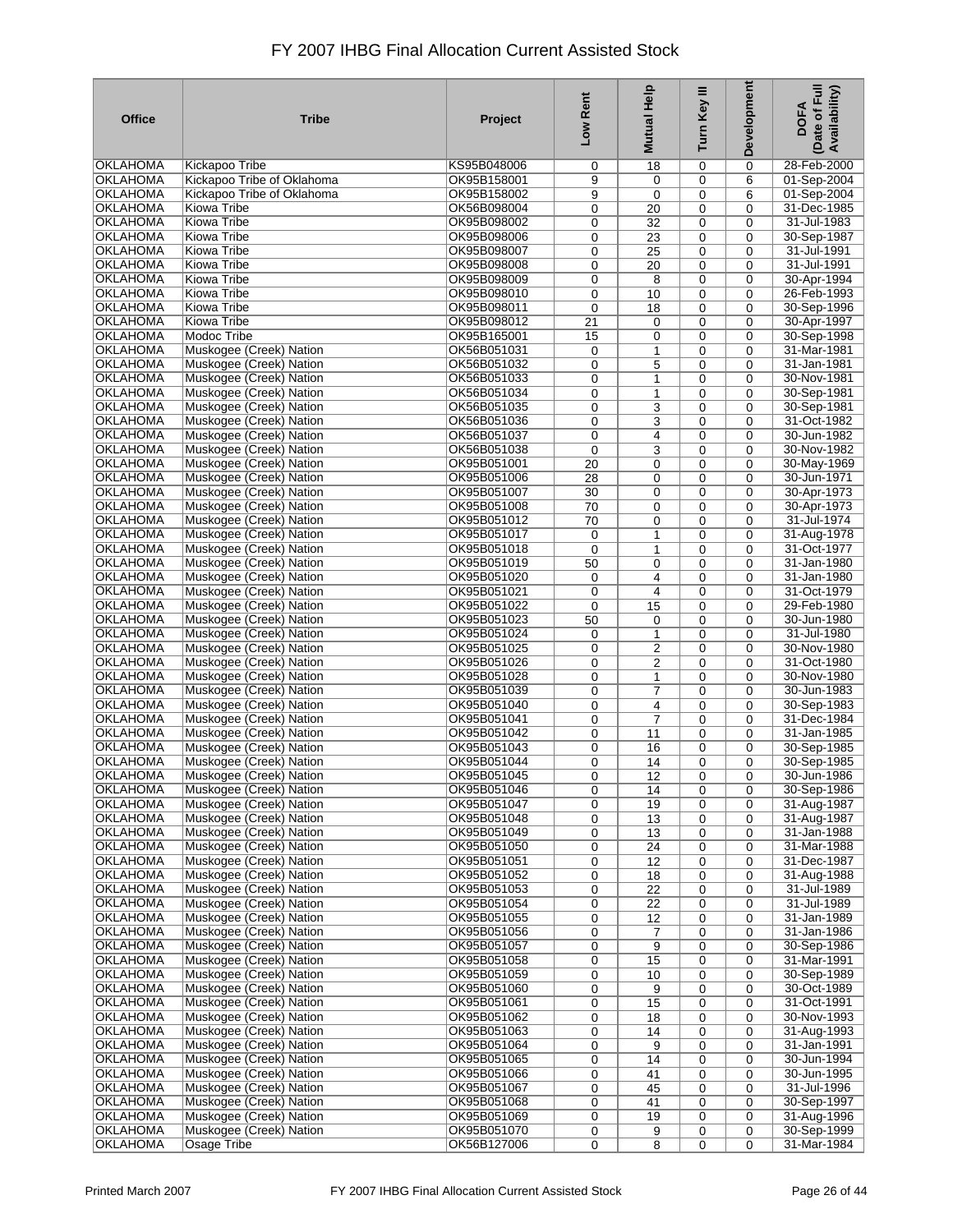| <b>Office</b>                      | Tribe                                              | Project                    | Low Rent         | <b>Mutual Help</b>   | Turn Key III     | Development                | Date of Full<br>Availability)<br><b>DOFA</b> |
|------------------------------------|----------------------------------------------------|----------------------------|------------------|----------------------|------------------|----------------------------|----------------------------------------------|
| OKLAHOMA                           | Kickapoo Tribe                                     | KS95B048006                | 0                | 18                   | 0                | 0                          | 28-Feb-2000                                  |
| <b>OKLAHOMA</b>                    | Kickapoo Tribe of Oklahoma                         | OK95B158001                | 9                | $\mathbf 0$          | $\mathbf 0$      | 6                          | 01-Sep-2004                                  |
| <b>OKLAHOMA</b>                    | Kickapoo Tribe of Oklahoma                         | OK95B158002                | 9                | $\mathbf 0$          | 0                | 6                          | 01-Sep-2004                                  |
| OKLAHOMA                           | Kiowa Tribe                                        | OK56B098004                | 0                | 20                   | 0                | $\mathbf 0$                | 31-Dec-1985                                  |
| <b>OKLAHOMA</b><br><b>OKLAHOMA</b> | Kiowa Tribe<br>Kiowa Tribe                         | OK95B098002<br>OK95B098006 | 0<br>0           | 32<br>23             | 0<br>0           | 0<br>0                     | 31-Jul-1983<br>30-Sep-1987                   |
| <b>OKLAHOMA</b>                    | <b>Kiowa Tribe</b>                                 | OK95B098007                | 0                | 25                   | 0                | 0                          | 31-Jul-1991                                  |
| <b>OKLAHOMA</b>                    | <b>Kiowa Tribe</b>                                 | OK95B098008                | 0                | 20                   | 0                | 0                          | 31-Jul-1991                                  |
| <b>OKLAHOMA</b>                    | Kiowa Tribe                                        | OK95B098009                | 0                | 8                    | 0                | $\mathbf 0$                | 30-Apr-1994                                  |
| <b>OKLAHOMA</b>                    | Kiowa Tribe                                        | OK95B098010                | 0                | 10                   | 0                | 0                          | 26-Feb-1993                                  |
| <b>OKLAHOMA</b>                    | <b>Kiowa Tribe</b>                                 | OK95B098011                | 0                | 18                   | 0                | $\mathbf 0$                | 30-Sep-1996                                  |
| OKLAHOMA                           | Kiowa Tribe                                        | OK95B098012                | 21               | 0                    | 0                | 0                          | 30-Apr-1997                                  |
| <b>OKLAHOMA</b>                    | <b>Modoc Tribe</b>                                 | OK95B165001                | 15               | 0                    | 0                | $\mathbf 0$                | 30-Sep-1998                                  |
| <b>OKLAHOMA</b><br><b>OKLAHOMA</b> | Muskogee (Creek) Nation<br>Muskogee (Creek) Nation | OK56B051031<br>OK56B051032 | 0                | 1                    | 0                | 0                          | 31-Mar-1981<br>31-Jan-1981                   |
| <b>OKLAHOMA</b>                    | Muskogee (Creek) Nation                            | OK56B051033                | 0<br>0           | 5<br>1               | 0<br>0           | $\mathbf 0$<br>0           | 30-Nov-1981                                  |
| <b>OKLAHOMA</b>                    | Muskogee (Creek) Nation                            | OK56B051034                | 0                | 1                    | 0                | $\mathbf 0$                | 30-Sep-1981                                  |
| <b>OKLAHOMA</b>                    | Muskogee (Creek) Nation                            | OK56B051035                | 0                | 3                    | 0                | 0                          | 30-Sep-1981                                  |
| <b>OKLAHOMA</b>                    | Muskogee (Creek) Nation                            | OK56B051036                | 0                | 3                    | 0                | $\mathbf 0$                | 31-Oct-1982                                  |
| <b>OKLAHOMA</b>                    | Muskogee (Creek) Nation                            | OK56B051037                | 0                | 4                    | 0                | $\mathbf 0$                | 30-Jun-1982                                  |
| <b>OKLAHOMA</b>                    | Muskogee (Creek) Nation                            | OK56B051038                | $\mathbf 0$      | 3                    | $\mathbf 0$      | $\mathbf 0$                | 30-Nov-1982                                  |
| OKLAHOMA                           | Muskogee (Creek) Nation                            | OK95B051001                | 20               | $\mathbf 0$          | 0                | $\mathbf 0$                | 30-May-1969                                  |
| <b>OKLAHOMA</b>                    | Muskogee (Creek) Nation                            | OK95B051006                | 28               | $\mathbf 0$          | $\mathbf 0$      | $\mathbf 0$                | 30-Jun-1971                                  |
| OKLAHOMA<br>OKLAHOMA               | Muskogee (Creek) Nation                            | OK95B051007<br>OK95B051008 | 30               | 0                    | 0                | 0                          | 30-Apr-1973<br>30-Apr-1973                   |
| OKLAHOMA                           | Muskogee (Creek) Nation<br>Muskogee (Creek) Nation | OK95B051012                | 70<br>70         | 0<br>0               | $\mathbf 0$<br>0 | $\mathbf 0$<br>$\mathbf 0$ | 31-Jul-1974                                  |
| OKLAHOMA                           | Muskogee (Creek) Nation                            | OK95B051017                | $\mathbf 0$      | $\mathbf{1}$         | 0                | $\mathbf 0$                | 31-Aug-1978                                  |
| <b>OKLAHOMA</b>                    | Muskogee (Creek) Nation                            | OK95B051018                | $\mathbf 0$      | 1                    | 0                | 0                          | 31-Oct-1977                                  |
| OKLAHOMA                           | Muskogee (Creek) Nation                            | OK95B051019                | 50               | 0                    | 0                | $\mathbf 0$                | 31-Jan-1980                                  |
| <b>OKLAHOMA</b>                    | Muskogee (Creek) Nation                            | OK95B051020                | 0                | 4                    | 0                | 0                          | 31-Jan-1980                                  |
| <b>OKLAHOMA</b>                    | Muskogee (Creek) Nation                            | OK95B051021                | 0                | 4                    | 0                | 0                          | 31-Oct-1979                                  |
| <b>OKLAHOMA</b>                    | Muskogee (Creek) Nation                            | OK95B051022                | $\mathbf 0$      | 15                   | 0                | 0                          | 29-Feb-1980                                  |
| <b>OKLAHOMA</b>                    | Muskogee (Creek) Nation                            | OK95B051023                | 50               | $\mathbf 0$          | 0                | 0                          | 30-Jun-1980                                  |
| <b>OKLAHOMA</b><br><b>OKLAHOMA</b> | Muskogee (Creek) Nation<br>Muskogee (Creek) Nation | OK95B051024<br>OK95B051025 | 0                | 1                    | 0<br>0           | $\mathbf 0$<br>0           | 31-Jul-1980<br>30-Nov-1980                   |
| <b>OKLAHOMA</b>                    | Muskogee (Creek) Nation                            | OK95B051026                | 0<br>0           | $\overline{c}$<br>2  | 0                | $\mathbf 0$                | 31-Oct-1980                                  |
| OKLAHOMA                           | Muskogee (Creek) Nation                            | OK95B051028                | 0                | 1                    | 0                | 0                          | 30-Nov-1980                                  |
| <b>OKLAHOMA</b>                    | Muskogee (Creek) Nation                            | OK95B051039                | 0                | $\overline{7}$       | 0                | $\mathbf 0$                | 30-Jun-1983                                  |
| <b>OKLAHOMA</b>                    | Muskogee (Creek) Nation                            | OK95B051040                | 0                | 4                    | 0                | 0                          | 30-Sep-1983                                  |
| <b>OKLAHOMA</b>                    | Muskogee (Creek) Nation                            | OK95B051041                | 0                | $\overline{7}$       | 0                | $\mathbf 0$                | 31-Dec-1984                                  |
| <b>OKLAHOMA</b>                    | Muskogee (Creek) Nation                            | OK95B051042                | 0                | 11                   | 0                | 0                          | 31-Jan-1985                                  |
| <b>OKLAHOMA</b>                    | Muskogee (Creek) Nation                            | OK95B051043                | 0                | 16                   | 0                | $\mathbf 0$                | 30-Sep-1985                                  |
| <b>OKLAHOMA</b>                    | Muskogee (Creek) Nation                            | OK95B051044                | 0                | 14                   | 0                | 0                          | 30-Sep-1985                                  |
| <b>OKLAHOMA</b><br>OKLAHOMA        | Muskogee (Creek) Nation<br>Muskogee (Creek) Nation | OK95B051045<br>OK95B051046 | 0                | $\overline{12}$      | 0                | 0                          | 30-Jun-1986<br>30-Sep-1986                   |
| <b>OKLAHOMA</b>                    | Muskogee (Creek) Nation                            | OK95B051047                | $\mathbf 0$<br>0 | 14<br>19             | $\mathbf 0$<br>0 | 0<br>0                     | 31-Aug-1987                                  |
| OKLAHOMA                           | Muskogee (Creek) Nation                            | OK95B051048                | 0                | 13                   | 0                | 0                          | 31-Aug-1987                                  |
| OKLAHOMA                           | Muskogee (Creek) Nation                            | OK95B051049                | 0                | 13                   | 0                | $\mathbf 0$                | 31-Jan-1988                                  |
| <b>OKLAHOMA</b>                    | Muskogee (Creek) Nation                            | OK95B051050                | 0                | 24                   | 0                | 0                          | 31-Mar-1988                                  |
| <b>OKLAHOMA</b>                    | Muskogee (Creek) Nation                            | OK95B051051                | 0                | 12                   | $\mathbf 0$      | $\mathbf 0$                | 31-Dec-1987                                  |
| <b>OKLAHOMA</b>                    | Muskogee (Creek) Nation                            | OK95B051052                | 0                | 18                   | 0                | 0                          | 31-Aug-1988                                  |
| <b>OKLAHOMA</b>                    | Muskogee (Creek) Nation                            | OK95B051053                | 0                | 22                   | $\mathbf 0$      | $\mathbf 0$                | 31-Jul-1989                                  |
| <b>OKLAHOMA</b>                    | Muskogee (Creek) Nation                            | OK95B051054                | 0                | 22                   | 0                | 0                          | 31-Jul-1989                                  |
| <b>OKLAHOMA</b><br><b>OKLAHOMA</b> | Muskogee (Creek) Nation<br>Muskogee (Creek) Nation | OK95B051055<br>OK95B051056 | 0<br>0           | 12<br>$\overline{7}$ | 0<br>0           | 0<br>$\mathbf 0$           | 31-Jan-1989<br>31-Jan-1986                   |
| <b>OKLAHOMA</b>                    | Muskogee (Creek) Nation                            | OK95B051057                | 0                | 9                    | 0                | 0                          | 30-Sep-1986                                  |
| <b>OKLAHOMA</b>                    | Muskogee (Creek) Nation                            | OK95B051058                | 0                | 15                   | 0                | 0                          | 31-Mar-1991                                  |
| <b>OKLAHOMA</b>                    | Muskogee (Creek) Nation                            | OK95B051059                | 0                | 10                   | 0                | 0                          | 30-Sep-1989                                  |
| <b>OKLAHOMA</b>                    | Muskogee (Creek) Nation                            | OK95B051060                | 0                | 9                    | 0                | 0                          | 30-Oct-1989                                  |
| <b>OKLAHOMA</b>                    | Muskogee (Creek) Nation                            | OK95B051061                | 0                | 15                   | 0                | 0                          | 31-Oct-1991                                  |
| <b>OKLAHOMA</b>                    | Muskogee (Creek) Nation                            | OK95B051062                | 0                | 18                   | 0                | 0                          | 30-Nov-1993                                  |
| <b>OKLAHOMA</b>                    | Muskogee (Creek) Nation                            | OK95B051063                | 0                | 14                   | 0                | 0                          | 31-Aug-1993                                  |
| <b>OKLAHOMA</b>                    | Muskogee (Creek) Nation                            | OK95B051064                | 0                | 9                    | 0                | 0                          | 31-Jan-1991                                  |
| <b>OKLAHOMA</b><br><b>OKLAHOMA</b> | Muskogee (Creek) Nation<br>Muskogee (Creek) Nation | OK95B051065<br>OK95B051066 | 0                | 14                   | 0                | 0<br>$\mathbf 0$           | 30-Jun-1994<br>30-Jun-1995                   |
| <b>OKLAHOMA</b>                    | Muskogee (Creek) Nation                            | OK95B051067                | 0<br>0           | 41<br>45             | 0<br>0           | 0                          | 31-Jul-1996                                  |
| <b>OKLAHOMA</b>                    | Muskogee (Creek) Nation                            | OK95B051068                | 0                | 41                   | 0                | 0                          | 30-Sep-1997                                  |
| <b>OKLAHOMA</b>                    | Muskogee (Creek) Nation                            | OK95B051069                | 0                | 19                   | 0                | 0                          | 31-Aug-1996                                  |
| <b>OKLAHOMA</b>                    | Muskogee (Creek) Nation                            | OK95B051070                | 0                | 9                    | 0                | 0                          | 30-Sep-1999                                  |
| <b>OKLAHOMA</b>                    | Osage Tribe                                        | OK56B127006                | 0                | 8                    | 0                | 0                          | 31-Mar-1984                                  |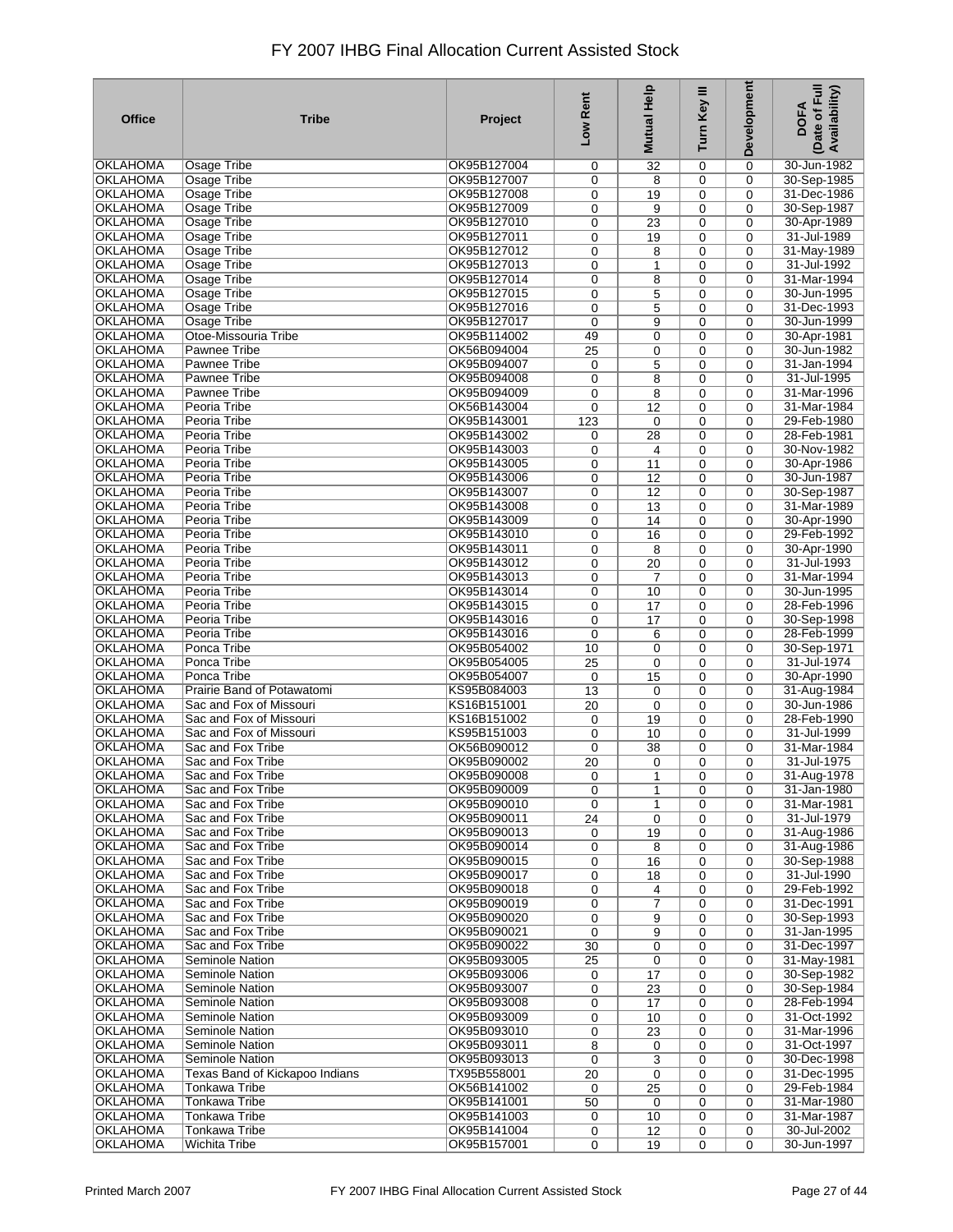| <b>Office</b>   | <b>Tribe</b>                   | Project     | Low Rent    | Help<br><b>Mutual</b> | Turn Key III | Development | Date of Full<br>Availability)<br><b>DOFA</b> |
|-----------------|--------------------------------|-------------|-------------|-----------------------|--------------|-------------|----------------------------------------------|
| <b>OKLAHOMA</b> | Osage Tribe                    | OK95B127004 | 0           | 32                    | 0            | 0           | 30-Jun-1982                                  |
| <b>OKLAHOMA</b> | Osage Tribe                    | OK95B127007 | 0           | 8                     | 0            | 0           | 30-Sep-1985                                  |
| <b>OKLAHOMA</b> | <b>Osage Tribe</b>             | OK95B127008 | 0           | 19                    | 0            | 0           | 31-Dec-1986                                  |
| <b>OKLAHOMA</b> | Osage Tribe                    | OK95B127009 | 0           | 9                     | 0            | 0           | 30-Sep-1987                                  |
| <b>OKLAHOMA</b> | Osage Tribe                    | OK95B127010 | 0           | 23                    | 0            | 0           | 30-Apr-1989                                  |
| <b>OKLAHOMA</b> | Osage Tribe                    | OK95B127011 | 0           | 19                    | 0            | 0           | 31-Jul-1989                                  |
| <b>OKLAHOMA</b> | <b>Osage Tribe</b>             | OK95B127012 | 0           | 8                     | 0            | 0           | 31-May-1989                                  |
| OKLAHOMA        | Osage Tribe                    | OK95B127013 | 0           | 1                     | 0            | 0           | 31-Jul-1992                                  |
| <b>OKLAHOMA</b> | Osage Tribe                    | OK95B127014 | 0           | 8                     | 0            | 0           | 31-Mar-1994                                  |
| OKLAHOMA        | <b>Osage Tribe</b>             | OK95B127015 | 0           | 5                     | 0            | 0           | 30-Jun-1995                                  |
| <b>OKLAHOMA</b> | <b>Osage Tribe</b>             | OK95B127016 | 0           | 5                     | 0            | 0           | 31-Dec-1993                                  |
| OKLAHOMA        | Osage Tribe                    | OK95B127017 | 0           | 9                     | 0            | 0           | 30-Jun-1999                                  |
| <b>OKLAHOMA</b> | Otoe-Missouria Tribe           | OK95B114002 | 49          | $\mathbf 0$           | 0            | 0           | 30-Apr-1981                                  |
| <b>OKLAHOMA</b> | Pawnee Tribe                   | OK56B094004 | 25          | 0                     | 0            | 0           | 30-Jun-1982                                  |
| <b>OKLAHOMA</b> | Pawnee Tribe                   | OK95B094007 | 0           | 5                     | 0            | 0           | 31-Jan-1994                                  |
| <b>OKLAHOMA</b> | Pawnee Tribe                   | OK95B094008 | 0           | 8                     | 0            | 0           | 31-Jul-1995                                  |
| OKLAHOMA        | Pawnee Tribe                   | OK95B094009 | 0           | 8                     | 0            | 0           | 31-Mar-1996                                  |
| <b>OKLAHOMA</b> | Peoria Tribe                   | OK56B143004 | 0           | 12                    | 0            | 0           | 31-Mar-1984                                  |
| <b>OKLAHOMA</b> | Peoria Tribe                   | OK95B143001 | 123         | $\mathbf 0$           | 0            | 0           | 29-Feb-1980                                  |
| <b>OKLAHOMA</b> | Peoria Tribe                   | OK95B143002 | 0           | 28                    | 0            | 0           | 28-Feb-1981                                  |
| OKLAHOMA        | Peoria Tribe                   | OK95B143003 | 0           | $\overline{4}$        | 0            | 0           | 30-Nov-1982                                  |
| OKLAHOMA        | Peoria Tribe                   | OK95B143005 | 0           | 11                    | 0            | 0           | 30-Apr-1986                                  |
| OKLAHOMA        | Peoria Tribe                   | OK95B143006 | 0           | 12                    | 0            | 0           | 30-Jun-1987                                  |
| OKLAHOMA        | Peoria Tribe                   | OK95B143007 | 0           | 12                    | 0            | 0           | 30-Sep-1987                                  |
| OKLAHOMA        | Peoria Tribe                   | OK95B143008 | 0           | 13                    | 0            | 0           | 31-Mar-1989                                  |
| OKLAHOMA        | Peoria Tribe                   | OK95B143009 | 0           | 14                    | 0            | 0           | 30-Apr-1990                                  |
| OKLAHOMA        | Peoria Tribe                   | OK95B143010 | 0           | 16                    | 0            | 0           | 29-Feb-1992                                  |
| <b>OKLAHOMA</b> | Peoria Tribe                   | OK95B143011 | 0           | 8                     | 0            | 0           | 30-Apr-1990                                  |
| <b>OKLAHOMA</b> | Peoria Tribe                   | OK95B143012 | 0           | 20                    | 0            | 0           | 31-Jul-1993                                  |
| <b>OKLAHOMA</b> | Peoria Tribe                   | OK95B143013 | 0           | $\overline{7}$        | 0            | 0           | 31-Mar-1994                                  |
| <b>OKLAHOMA</b> | Peoria Tribe                   | OK95B143014 | 0           | 10                    | 0            | 0           | 30-Jun-1995                                  |
| <b>OKLAHOMA</b> | Peoria Tribe                   | OK95B143015 | 0           | 17                    | 0            | 0           | 28-Feb-1996                                  |
| OKLAHOMA        | Peoria Tribe                   | OK95B143016 | 0           | 17                    | 0            | 0           | 30-Sep-1998                                  |
| <b>OKLAHOMA</b> | Peoria Tribe                   | OK95B143016 | 0           | 6                     | 0            | 0           | 28-Feb-1999                                  |
| OKLAHOMA        | Ponca Tribe                    | OK95B054002 | 10          | 0                     | 0            | 0           | 30-Sep-1971                                  |
| <b>OKLAHOMA</b> | Ponca Tribe                    | OK95B054005 | 25          | 0                     | 0            | 0           | 31-Jul-1974                                  |
| OKLAHOMA        | Ponca Tribe                    | OK95B054007 | 0           | 15                    | 0            | 0           | 30-Apr-1990                                  |
| <b>OKLAHOMA</b> | Prairie Band of Potawatomi     | KS95B084003 | 13          | 0                     | 0            | 0           | 31-Aug-1984                                  |
| <b>OKLAHOMA</b> | Sac and Fox of Missouri        | KS16B151001 | 20          | $\mathbf 0$           | 0            | 0           | 30-Jun-1986                                  |
| <b>OKLAHOMA</b> | Sac and Fox of Missouri        | KS16B151002 | 0           | 19                    | 0            | 0           | 28-Feb-1990                                  |
| <b>OKLAHOMA</b> | Sac and Fox of Missouri        | KS95B151003 | 0           | 10                    | 0            | 0           | 31-Jul-1999                                  |
| OKLAHOMA        | Sac and Fox Tribe              | OK56B090012 | 0           | 38                    | 0            | 0           | 31-Mar-1984                                  |
| <b>OKLAHOMA</b> | Sac and Fox Tribe              | OK95B090002 | 20          | 0                     | 0            | 0           | 31-Jul-1975                                  |
| <b>OKLAHOMA</b> | Sac and Fox Tribe              | OK95B090008 | 0           | 1                     | 0            | 0           | 31-Aug-1978                                  |
| <b>OKLAHOMA</b> | Sac and Fox Tribe              | OK95B090009 | 0           | $\mathbf{1}$          | 0            | 0           | 31-Jan-1980                                  |
| <b>OKLAHOMA</b> | Sac and Fox Tribe              | OK95B090010 | 0           | 1                     | 0            | 0           | 31-Mar-1981                                  |
| <b>OKLAHOMA</b> | Sac and Fox Tribe              | OK95B090011 | 24          | $\mathbf 0$           | 0            | 0           | 31-Jul-1979                                  |
| OKLAHOMA        | Sac and Fox Tribe              | OK95B090013 | 0           | 19                    | $\mathbf 0$  | $\mathbf 0$ | 31-Aug-1986                                  |
| <b>OKLAHOMA</b> | Sac and Fox Tribe              | OK95B090014 | 0           | 8                     | 0            | 0           | 31-Aug-1986                                  |
| <b>OKLAHOMA</b> | Sac and Fox Tribe              | OK95B090015 | 0           | 16                    | $\mathbf 0$  | 0           | 30-Sep-1988                                  |
| <b>OKLAHOMA</b> | Sac and Fox Tribe              | OK95B090017 | 0           | 18                    | 0            | 0           | 31-Jul-1990                                  |
| <b>OKLAHOMA</b> | Sac and Fox Tribe              | OK95B090018 | 0           | 4                     | 0            | $\mathbf 0$ | 29-Feb-1992                                  |
| <b>OKLAHOMA</b> | Sac and Fox Tribe              | OK95B090019 | 0           | $\overline{7}$        | 0            | 0           | 31-Dec-1991                                  |
| <b>OKLAHOMA</b> | Sac and Fox Tribe              | OK95B090020 | 0           | 9                     | 0            | 0           | 30-Sep-1993                                  |
| <b>OKLAHOMA</b> | Sac and Fox Tribe              | OK95B090021 | 0           | 9                     | 0            | 0           | 31-Jan-1995                                  |
| <b>OKLAHOMA</b> | Sac and Fox Tribe              | OK95B090022 | 30          | 0                     | 0            | 0           | 31-Dec-1997                                  |
| <b>OKLAHOMA</b> | <b>Seminole Nation</b>         | OK95B093005 | 25          | 0                     | 0            | 0           | 31-May-1981                                  |
| <b>OKLAHOMA</b> | <b>Seminole Nation</b>         | OK95B093006 | 0           | 17                    | 0            | 0           | 30-Sep-1982                                  |
| <b>OKLAHOMA</b> | <b>Seminole Nation</b>         | OK95B093007 | 0           | 23                    | 0            | 0           | 30-Sep-1984                                  |
| <b>OKLAHOMA</b> | Seminole Nation                | OK95B093008 | 0           | 17                    | 0            | 0           | 28-Feb-1994                                  |
| <b>OKLAHOMA</b> | Seminole Nation                | OK95B093009 | 0           | 10                    | 0            | 0           | 31-Oct-1992                                  |
| <b>OKLAHOMA</b> | Seminole Nation                | OK95B093010 | 0           | 23                    | 0            | 0           | 31-Mar-1996                                  |
| <b>OKLAHOMA</b> | Seminole Nation                | OK95B093011 | 8           | 0                     | 0            | 0           | 31-Oct-1997                                  |
| <b>OKLAHOMA</b> | Seminole Nation                | OK95B093013 | 0           | 3                     | 0            | $\mathbf 0$ | 30-Dec-1998                                  |
| <b>OKLAHOMA</b> | Texas Band of Kickapoo Indians | TX95B558001 | 20          | 0                     | 0            | $\mathbf 0$ | 31-Dec-1995                                  |
| <b>OKLAHOMA</b> | <b>Tonkawa Tribe</b>           | OK56B141002 | 0           | 25                    | 0            | $\mathbf 0$ | 29-Feb-1984                                  |
| <b>OKLAHOMA</b> | <b>Tonkawa Tribe</b>           | OK95B141001 | 50          | $\mathbf 0$           | $\mathbf 0$  | $\mathbf 0$ | 31-Mar-1980                                  |
| <b>OKLAHOMA</b> | <b>Tonkawa Tribe</b>           | OK95B141003 | 0           | 10                    | 0            | 0           | 31-Mar-1987                                  |
| <b>OKLAHOMA</b> | Tonkawa Tribe                  | OK95B141004 | 0           | 12                    | 0            | 0           | 30-Jul-2002                                  |
| <b>OKLAHOMA</b> | Wichita Tribe                  | OK95B157001 | $\mathbf 0$ | 19                    | 0            | 0           | 30-Jun-1997                                  |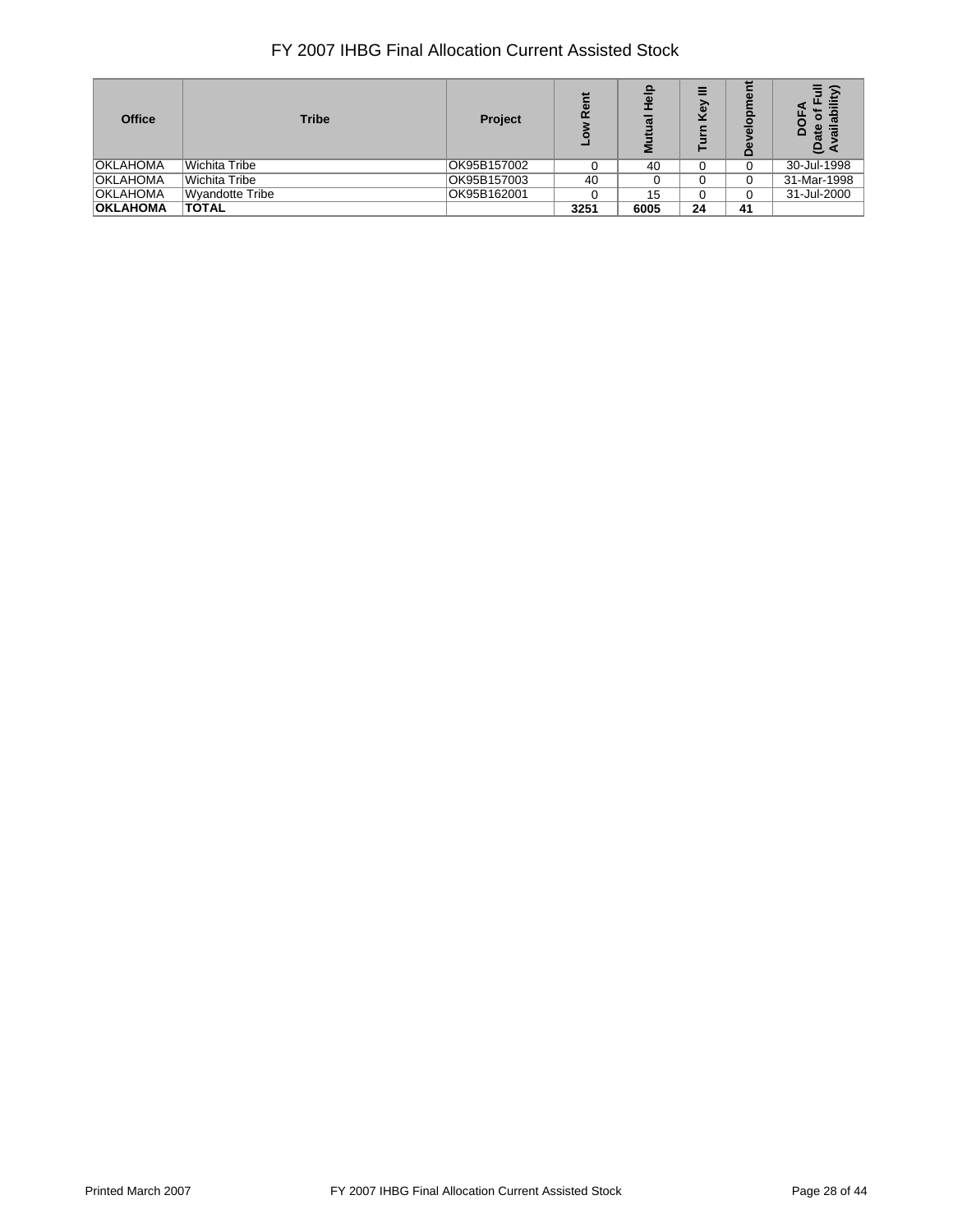| <b>Office</b>   | <b>Tribe</b>    | Project     | ō<br>œ | त्व<br>ΣĒ | =<br>බ | پ<br>ō<br>≏ | œ<br>◠<br>កា<br>ത<br>$\mathbf{e}$ |
|-----------------|-----------------|-------------|--------|-----------|--------|-------------|-----------------------------------|
| <b>OKLAHOMA</b> | Wichita Tribe   | OK95B157002 |        | 40        |        | $\Omega$    | 30-Jul-1998                       |
| <b>OKLAHOMA</b> | Wichita Tribe   | OK95B157003 | 40     |           |        | $\Omega$    | 31-Mar-1998                       |
| <b>OKLAHOMA</b> | Wyandotte Tribe | OK95B162001 |        | 15        |        |             | 31-Jul-2000                       |
| <b>OKLAHOMA</b> | <b>TOTAL</b>    |             | 3251   | 6005      | 24     | 41          |                                   |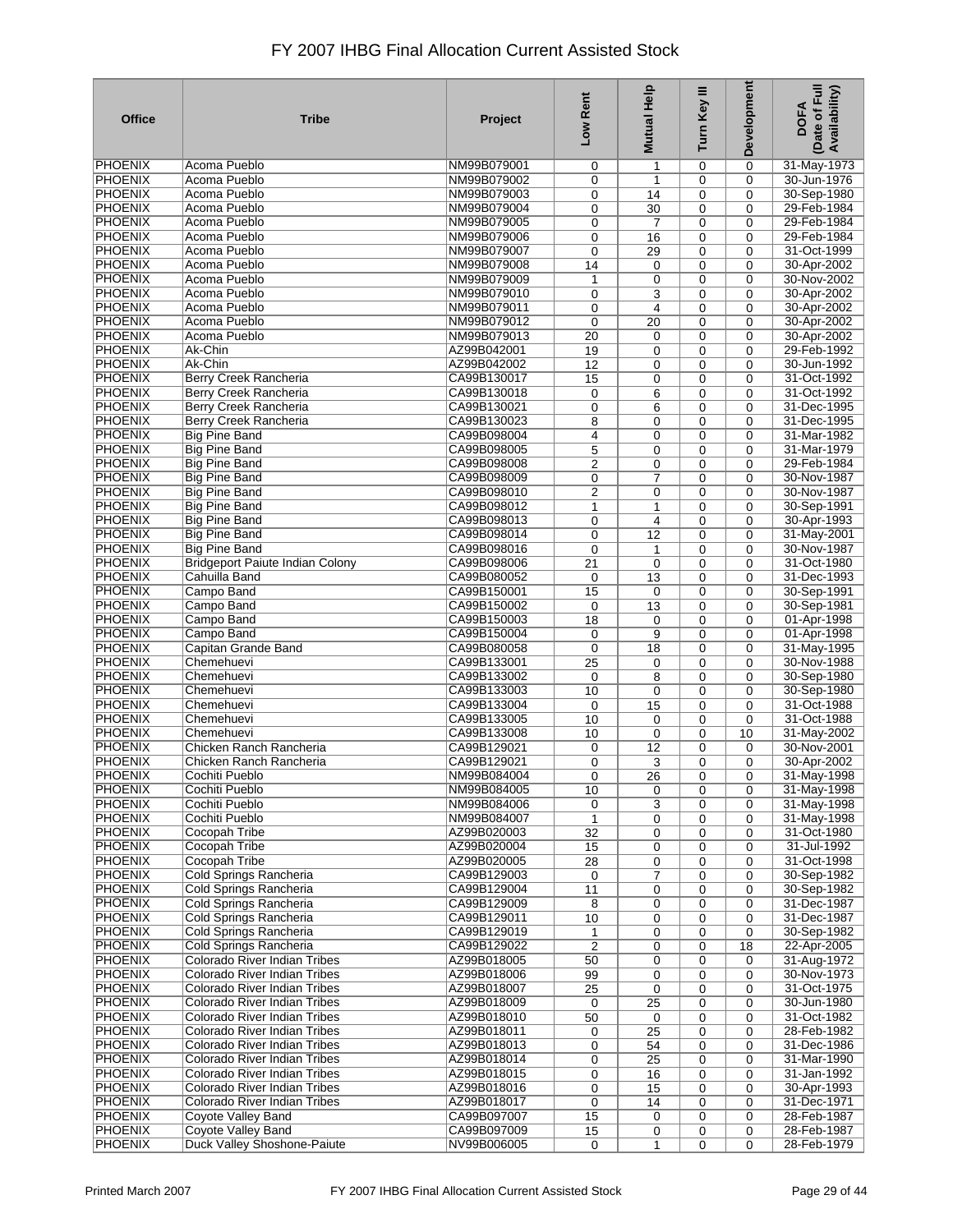| <b>Office</b>                    | <b>Tribe</b>                           | Project                    | Low Rent       | <b>Mutual Help</b> | Turn Key III | Development | Date of Full<br>Availability)<br><b>DOFA</b> |
|----------------------------------|----------------------------------------|----------------------------|----------------|--------------------|--------------|-------------|----------------------------------------------|
| PHOENIX                          | Acoma Pueblo                           | NM99B079001                | 0              | 1                  | 0            | $\mathbf 0$ | 31-May-1973                                  |
| <b>PHOENIX</b>                   | Acoma Pueblo                           | NM99B079002                | 0              | 1                  | $\mathbf 0$  | $\mathbf 0$ | 30-Jun-1976                                  |
| <b>PHOENIX</b>                   | Acoma Pueblo                           | NM99B079003                | 0              | 14                 | 0            | 0           | 30-Sep-1980                                  |
| <b>PHOENIX</b>                   | Acoma Pueblo                           | NM99B079004                | 0              | 30                 | 0            | 0           | 29-Feb-1984                                  |
| <b>PHOENIX</b>                   | Acoma Pueblo                           | NM99B079005                | 0              | $\overline{7}$     | 0            | $\mathbf 0$ | 29-Feb-1984                                  |
| <b>PHOENIX</b>                   | <b>Acoma Pueblo</b>                    | NM99B079006                | 0              | 16                 | 0            | 0           | 29-Feb-1984                                  |
| <b>PHOENIX</b>                   | Acoma Pueblo                           | NM99B079007                | 0              | 29                 | 0            | $\mathbf 0$ | 31-Oct-1999                                  |
| <b>PHOENIX</b>                   | Acoma Pueblo                           | NM99B079008                | 14             | 0                  | 0            | $\mathbf 0$ | 30-Apr-2002                                  |
| <b>PHOENIX</b>                   | Acoma Pueblo                           | NM99B079009                | 1              | 0                  | $\mathbf 0$  | 0           | 30-Nov-2002                                  |
| <b>PHOENIX</b>                   | Acoma Pueblo                           | NM99B079010                | 0              | 3                  | $\mathbf 0$  | $\mathbf 0$ | 30-Apr-2002                                  |
| <b>PHOENIX</b>                   | Acoma Pueblo                           | NM99B079011                | 0              | 4                  | 0            | $\Omega$    | 30-Apr-2002                                  |
| <b>PHOENIX</b>                   | Acoma Pueblo                           | NM99B079012                | $\mathbf 0$    | 20                 | 0            | 0           | 30-Apr-2002                                  |
| <b>PHOENIX</b>                   | Acoma Pueblo                           | NM99B079013                | 20             | 0                  | $\mathbf 0$  | $\mathbf 0$ | 30-Apr-2002                                  |
| <b>PHOENIX</b>                   | Ak-Chin                                | AZ99B042001                | 19             | 0                  | $\mathbf 0$  | $\mathbf 0$ | 29-Feb-1992                                  |
| <b>PHOENIX</b>                   | Ak-Chin                                | AZ99B042002                | 12             | 0                  | $\mathbf 0$  | $\mathbf 0$ | 30-Jun-1992                                  |
| <b>PHOENIX</b>                   | Berry Creek Rancheria                  | CA99B130017                | 15             | 0                  | 0            | $\mathbf 0$ | 31-Oct-1992                                  |
| <b>PHOENIX</b>                   | Berry Creek Rancheria                  | CA99B130018                | 0              | 6                  | $\mathbf 0$  | $\mathbf 0$ | 31-Oct-1992                                  |
| <b>PHOENIX</b>                   | Berry Creek Rancheria                  | CA99B130021                | 0              | 6                  | 0            | 0           | 31-Dec-1995                                  |
| <b>PHOENIX</b>                   | Berry Creek Rancheria                  | CA99B130023                | 8              | 0                  | $\mathbf 0$  | $\mathbf 0$ | 31-Dec-1995                                  |
| <b>PHOENIX</b>                   | <b>Big Pine Band</b>                   | CA99B098004                | $\overline{4}$ | 0                  | 0            | 0           | 31-Mar-1982                                  |
| <b>PHOENIX</b>                   | <b>Big Pine Band</b>                   | CA99B098005                | 5              | 0                  | $\mathbf 0$  | $\mathbf 0$ | 31-Mar-1979                                  |
| <b>PHOENIX</b>                   | <b>Big Pine Band</b>                   | CA99B098008                | $\overline{c}$ | 0                  | 0            | 0           | 29-Feb-1984                                  |
| <b>PHOENIX</b>                   | <b>Big Pine Band</b>                   | CA99B098009                | 0              | 7                  | 0            | $\mathbf 0$ | 30-Nov-1987                                  |
| <b>PHOENIX</b>                   | <b>Big Pine Band</b>                   | CA99B098010                | 2              | 0                  | 0            | $\mathbf 0$ | 30-Nov-1987                                  |
| <b>PHOENIX</b>                   | <b>Big Pine Band</b>                   | CA99B098012                | 1              | 1                  | 0            | $\mathbf 0$ | 30-Sep-1991                                  |
| <b>PHOENIX</b>                   | <b>Big Pine Band</b>                   | CA99B098013                | 0              | 4                  | 0            | $\Omega$    | 30-Apr-1993                                  |
| PHOENIX                          | <b>Big Pine Band</b>                   | CA99B098014                |                |                    |              |             | 31-May-2001                                  |
| <b>PHOENIX</b>                   | <b>Big Pine Band</b>                   |                            | 0              | 12                 | 0<br>0       | 0<br>0      | 30-Nov-1987                                  |
| <b>PHOENIX</b>                   | <b>Bridgeport Paiute Indian Colony</b> | CA99B098016<br>CA99B098006 | 0<br>21        | 1                  | 0            | 0           | 31-Oct-1980                                  |
| <b>PHOENIX</b>                   | Cahuilla Band                          | CA99B080052                |                | 0                  |              |             | 31-Dec-1993                                  |
| <b>PHOENIX</b>                   |                                        |                            | 0              | 13                 | 0            | $\mathbf 0$ |                                              |
| <b>PHOENIX</b>                   | Campo Band                             | CA99B150001                | 15             | 0                  | $\mathbf 0$  | $\mathbf 0$ | 30-Sep-1991                                  |
|                                  | Campo Band                             | CA99B150002                | 0              | 13                 | 0            | $\mathbf 0$ | 30-Sep-1981                                  |
| <b>PHOENIX</b><br><b>PHOENIX</b> | Campo Band                             | CA99B150003                | 18             | 0                  | $\mathbf 0$  | $\mathbf 0$ | 01-Apr-1998                                  |
|                                  | Campo Band                             | CA99B150004                | 0              | 9                  | $\mathbf 0$  | 0           | 01-Apr-1998                                  |
| <b>PHOENIX</b>                   | Capitan Grande Band                    | CA99B080058                | 0              | 18                 | 0            | $\mathbf 0$ | 31-May-1995                                  |
| <b>PHOENIX</b>                   | Chemehuevi                             | CA99B133001                | 25             | 0                  | $\mathbf 0$  | $\Omega$    | 30-Nov-1988                                  |
| <b>PHOENIX</b>                   | Chemehuevi                             | CA99B133002                | 0              | 8                  | 0            | 0           | 30-Sep-1980                                  |
| <b>PHOENIX</b>                   | Chemehuevi                             | CA99B133003                | 10             | 0                  | $\mathbf 0$  | $\mathbf 0$ | 30-Sep-1980                                  |
| <b>PHOENIX</b>                   | Chemehuevi                             | CA99B133004                | 0              | 15                 | 0            | $\mathbf 0$ | 31-Oct-1988                                  |
| <b>PHOENIX</b>                   | Chemehuevi                             | CA99B133005                | 10             | 0                  | 0            | $\mathbf 0$ | 31-Oct-1988                                  |
| <b>PHOENIX</b>                   | Chemehuevi                             | CA99B133008                | 10             | $\mathbf 0$        | 0            | 10          | 31-May-2002                                  |
| <b>PHOENIX</b>                   | Chicken Ranch Rancheria                | CA99B129021                | 0              | 12                 | $\mathbf 0$  | $\mathbf 0$ | 30-Nov-2001                                  |
| <b>PHOENIX</b>                   | Chicken Ranch Rancheria                | CA99B129021                | 0              | 3                  | 0            | 0           | 30-Apr-2002                                  |
| PHOENIX                          | Cochiti Pueblo                         | NM99B084004                | 0              | $\overline{26}$    | 0            | 0           | 31-May-1998                                  |
| PHOENIX                          | Cochiti Pueblo                         | NM99B084005                | 10             | 0                  | 0            | $\Omega$    | 31-May-1998                                  |
| <b>PHOENIX</b>                   | Cochiti Pueblo                         | NM99B084006                | 0              | 3                  | $\mathbf 0$  | 0           | 31-May-1998                                  |
| <b>PHOENIX</b>                   | Cochiti Pueblo                         | NM99B084007                | 1              | 0                  | 0            | 0           | 31-May-1998                                  |
| <b>PHOENIX</b>                   | Cocopah Tribe                          | AZ99B020003                | 32             | 0                  | 0            | $\mathbf 0$ | 31-Oct-1980                                  |
| PHOENIX                          | Cocopah Tribe                          | AZ99B020004                | 15             | 0                  | 0            | $\mathbf 0$ | 31-Jul-1992                                  |
| <b>PHOENIX</b>                   | Cocopah Tribe                          | AZ99B020005                | 28             | 0                  | $\mathbf 0$  | $\mathbf 0$ | 31-Oct-1998                                  |
| <b>PHOENIX</b>                   | Cold Springs Rancheria                 | CA99B129003                | 0              | 7                  | 0            | $\mathbf 0$ | 30-Sep-1982                                  |
| PHOENIX                          | Cold Springs Rancheria                 | CA99B129004                | 11             | 0                  | 0            | $\mathbf 0$ | 30-Sep-1982                                  |
| <b>PHOENIX</b>                   | Cold Springs Rancheria                 | CA99B129009                | 8              | 0                  | 0            | 0           | 31-Dec-1987                                  |
| <b>PHOENIX</b>                   | <b>Cold Springs Rancheria</b>          | CA99B129011                | 10             | 0                  | 0            | 0           | 31-Dec-1987                                  |
| <b>PHOENIX</b>                   | Cold Springs Rancheria                 | CA99B129019                | 1              | 0                  | 0            | $\mathbf 0$ | 30-Sep-1982                                  |
| <b>PHOENIX</b>                   | <b>Cold Springs Rancheria</b>          | CA99B129022                | $\overline{2}$ | 0                  | 0            | 18          | 22-Apr-2005                                  |
| <b>PHOENIX</b>                   | <b>Colorado River Indian Tribes</b>    | AZ99B018005                | 50             | 0                  | 0            | 0           | 31-Aug-1972                                  |
| <b>PHOENIX</b>                   | Colorado River Indian Tribes           | AZ99B018006                | 99             | 0                  | 0            | 0           | 30-Nov-1973                                  |
| <b>PHOENIX</b>                   | Colorado River Indian Tribes           | AZ99B018007                | 25             | 0                  | 0            | $\mathbf 0$ | 31-Oct-1975                                  |
| <b>PHOENIX</b>                   | Colorado River Indian Tribes           | AZ99B018009                | 0              | 25                 | 0            | 0           | 30-Jun-1980                                  |
| <b>PHOENIX</b>                   | <b>Colorado River Indian Tribes</b>    | AZ99B018010                | 50             | 0                  | 0            | $\mathbf 0$ | 31-Oct-1982                                  |
| PHOENIX                          | Colorado River Indian Tribes           | AZ99B018011                | 0              | 25                 | 0            | 0           | 28-Feb-1982                                  |
| <b>PHOENIX</b>                   | Colorado River Indian Tribes           | AZ99B018013                | 0              | 54                 | $\mathbf 0$  | $\mathbf 0$ | 31-Dec-1986                                  |
| <b>PHOENIX</b>                   | Colorado River Indian Tribes           | AZ99B018014                | 0              | 25                 | 0            | $\mathbf 0$ | 31-Mar-1990                                  |
| <b>PHOENIX</b>                   | Colorado River Indian Tribes           | AZ99B018015                | 0              | 16                 | 0            | $\mathbf 0$ | 31-Jan-1992                                  |
| <b>PHOENIX</b>                   | Colorado River Indian Tribes           | AZ99B018016                | 0              | 15                 | 0            | $\mathbf 0$ | 30-Apr-1993                                  |
| PHOENIX                          | Colorado River Indian Tribes           | AZ99B018017                | 0              | 14                 | 0            | $\mathbf 0$ | 31-Dec-1971                                  |
| <b>PHOENIX</b>                   | Coyote Valley Band                     | CA99B097007                | 15             | 0                  | 0            | 0           | 28-Feb-1987                                  |
| <b>PHOENIX</b>                   | <b>Coyote Valley Band</b>              | CA99B097009                | 15             | 0                  | 0            | 0           | 28-Feb-1987                                  |
| <b>PHOENIX</b>                   | Duck Valley Shoshone-Paiute            | NV99B006005                | $\mathbf 0$    | 1                  | 0            | 0           | 28-Feb-1979                                  |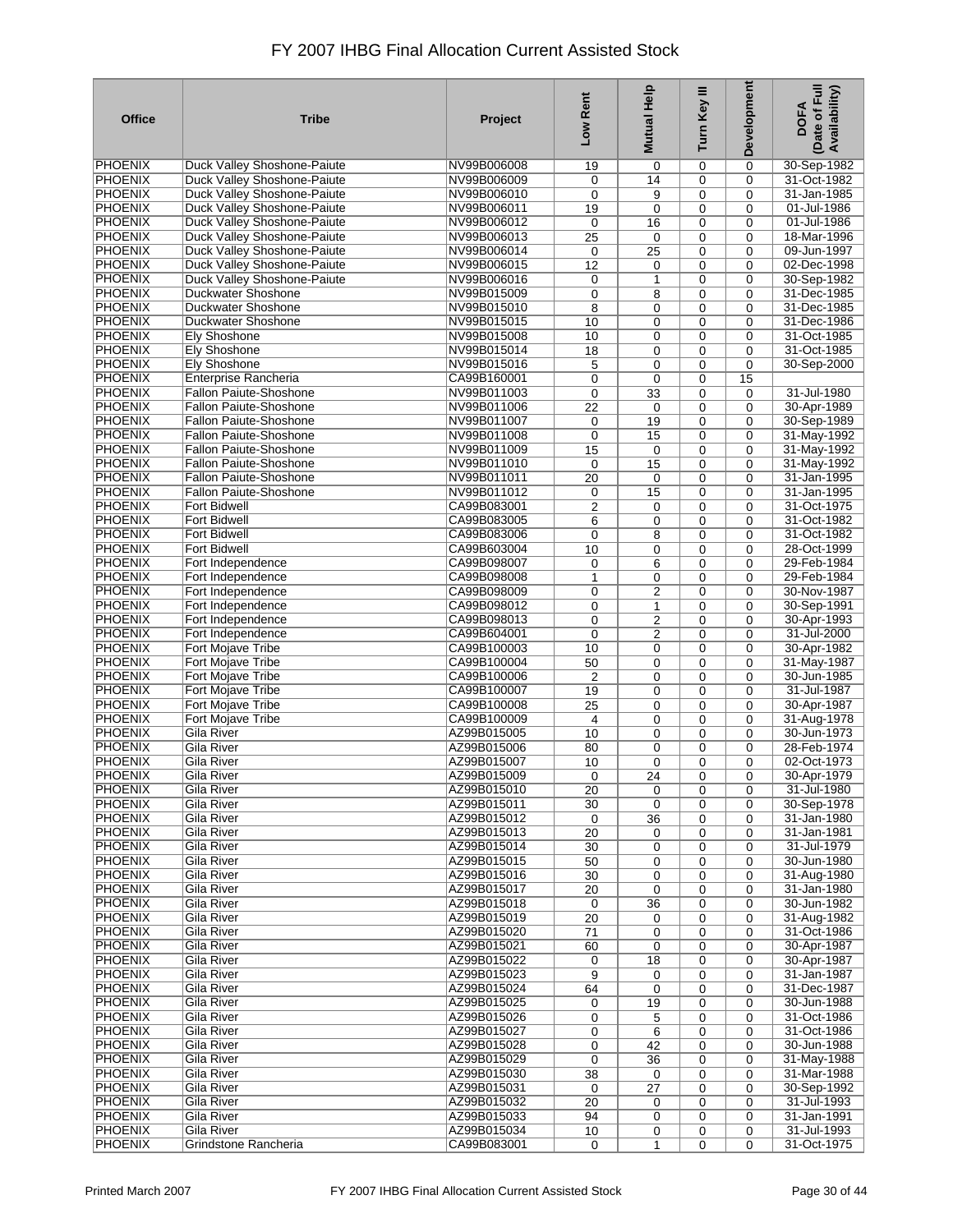| <b>Office</b>  | <b>Tribe</b>                       | Project     | Low Rent       | <b>Mutual Help</b>      | Turn Key III | <b>Development</b> | Date of Full<br><b>Availability</b> )<br><b>DOFA</b> |
|----------------|------------------------------------|-------------|----------------|-------------------------|--------------|--------------------|------------------------------------------------------|
| <b>PHOENIX</b> | Duck Valley Shoshone-Paiute        | NV99B006008 | 19             | 0                       | 0            | 0                  | 30-Sep-1982                                          |
| <b>PHOENIX</b> | Duck Valley Shoshone-Paiute        | NV99B006009 | 0              | 14                      | 0            | 0                  | 31-Oct-1982                                          |
| <b>PHOENIX</b> | Duck Valley Shoshone-Paiute        | NV99B006010 | 0              | 9                       | 0            | 0                  | 31-Jan-1985                                          |
| <b>PHOENIX</b> | Duck Valley Shoshone-Paiute        | NV99B006011 | 19             | 0                       | 0            | 0                  | 01-Jul-1986                                          |
| <b>PHOENIX</b> | Duck Valley Shoshone-Paiute        | NV99B006012 | 0              | 16                      | 0            | 0                  | 01-Jul-1986                                          |
| <b>PHOENIX</b> | <b>Duck Valley Shoshone-Paiute</b> | NV99B006013 | 25             | $\mathbf 0$             | 0            | 0                  | 18-Mar-1996                                          |
| PHOENIX        | Duck Valley Shoshone-Paiute        | NV99B006014 | 0              | $\overline{25}$         | 0            | 0                  | 09-Jun-1997                                          |
| <b>PHOENIX</b> | Duck Valley Shoshone-Paiute        | NV99B006015 | 12             | 0                       | 0            | 0                  | 02-Dec-1998                                          |
| <b>PHOENIX</b> | <b>Duck Valley Shoshone-Paiute</b> | NV99B006016 | 0              | $\mathbf{1}$            | 0            | 0                  | 30-Sep-1982                                          |
| PHOENIX        | Duckwater Shoshone                 | NV99B015009 | 0              | 8                       | 0            | 0                  | 31-Dec-1985                                          |
| <b>PHOENIX</b> | Duckwater Shoshone                 | NV99B015010 | 8              | 0                       | 0            | 0                  | 31-Dec-1985                                          |
| <b>PHOENIX</b> | Duckwater Shoshone                 | NV99B015015 | 10             | 0                       | 0            | 0                  | 31-Dec-1986                                          |
| <b>PHOENIX</b> | <b>Ely Shoshone</b>                | NV99B015008 | 10             | $\mathbf 0$             | 0            | 0                  | 31-Oct-1985                                          |
| <b>PHOENIX</b> | <b>Ely Shoshone</b>                | NV99B015014 | 18             | $\mathbf 0$             | 0            | 0                  | 31-Oct-1985                                          |
| <b>PHOENIX</b> | <b>Ely Shoshone</b>                | NV99B015016 | 5              | 0                       | 0            | 0                  | 30-Sep-2000                                          |
| <b>PHOENIX</b> | <b>Enterprise Rancheria</b>        | CA99B160001 | 0              | $\mathbf 0$             | 0            | 15                 |                                                      |
| <b>PHOENIX</b> | <b>Fallon Paiute-Shoshone</b>      | NV99B011003 | $\mathbf 0$    | 33                      | 0            | $\mathbf 0$        | 31-Jul-1980                                          |
| <b>PHOENIX</b> | <b>Fallon Paiute-Shoshone</b>      | NV99B011006 | 22             | 0                       | 0            | $\mathbf 0$        | 30-Apr-1989                                          |
| <b>PHOENIX</b> | <b>Fallon Paiute-Shoshone</b>      | NV99B011007 | $\mathbf 0$    | 19                      | 0            | 0                  | 30-Sep-1989                                          |
| <b>PHOENIX</b> | <b>Fallon Paiute-Shoshone</b>      | NV99B011008 | $\mathbf 0$    | 15                      | 0            | 0                  | 31-May-1992                                          |
| <b>PHOENIX</b> | <b>Fallon Paiute-Shoshone</b>      | NV99B011009 | 15             | $\mathbf 0$             | 0            | 0                  | 31-May-1992                                          |
| <b>PHOENIX</b> | <b>Fallon Paiute-Shoshone</b>      | NV99B011010 | $\mathbf 0$    | 15                      | 0            | 0                  | 31-May-1992                                          |
| <b>PHOENIX</b> | <b>Fallon Paiute-Shoshone</b>      | NV99B011011 | 20             | 0                       | 0            | 0                  | 31-Jan-1995                                          |
| <b>PHOENIX</b> | <b>Fallon Paiute-Shoshone</b>      | NV99B011012 | 0              | 15                      | 0            | 0                  | 31-Jan-1995                                          |
| <b>PHOENIX</b> | <b>Fort Bidwell</b>                | CA99B083001 | $\overline{2}$ | 0                       | 0            | 0                  | 31-Oct-1975                                          |
| <b>PHOENIX</b> | <b>Fort Bidwell</b>                | CA99B083005 | 6              | $\mathbf 0$             | 0            | 0                  | 31-Oct-1982                                          |
| <b>PHOENIX</b> | <b>Fort Bidwell</b>                | CA99B083006 | 0              | 8                       | 0            | 0                  | 31-Oct-1982                                          |
| <b>PHOENIX</b> | <b>Fort Bidwell</b>                | CA99B603004 | 10             | 0                       | 0            | 0                  | 28-Oct-1999                                          |
| <b>PHOENIX</b> | Fort Independence                  | CA99B098007 | 0              | 6                       | 0            | 0                  | 29-Feb-1984                                          |
| <b>PHOENIX</b> | Fort Independence                  | CA99B098008 | 1              | 0                       | 0            | 0                  | 29-Feb-1984                                          |
| <b>PHOENIX</b> | Fort Independence                  | CA99B098009 | 0              | $\overline{2}$          | 0            | 0                  | 30-Nov-1987                                          |
| <b>PHOENIX</b> | Fort Independence                  | CA99B098012 | 0              | 1                       | 0            | 0                  | 30-Sep-1991                                          |
| <b>PHOENIX</b> | Fort Independence                  | CA99B098013 | 0              | $\overline{\mathbf{c}}$ | 0            | 0                  | 30-Apr-1993                                          |
| <b>PHOENIX</b> | Fort Independence                  | CA99B604001 | 0              | $\overline{2}$          | 0            | 0                  | 31-Jul-2000                                          |
| <b>PHOENIX</b> | Fort Mojave Tribe                  | CA99B100003 | 10             | 0                       | 0            | 0                  | 30-Apr-1982                                          |
| <b>PHOENIX</b> | Fort Mojave Tribe                  | CA99B100004 | 50             | 0                       | 0            | 0                  | 31-May-1987                                          |
| <b>PHOENIX</b> | Fort Mojave Tribe                  | CA99B100006 | $\overline{2}$ | 0                       | 0            | 0                  | 30-Jun-1985                                          |
| <b>PHOENIX</b> | Fort Mojave Tribe                  | CA99B100007 | 19             | $\mathbf 0$             | 0            | 0                  | 31-Jul-1987                                          |
| <b>PHOENIX</b> | Fort Mojave Tribe                  | CA99B100008 | 25             | 0                       | 0            | 0                  | 30-Apr-1987                                          |
| <b>PHOENIX</b> | Fort Mojave Tribe                  | CA99B100009 | 4              | 0                       | 0            | $\mathbf 0$        | 31-Aug-1978                                          |
| <b>PHOENIX</b> | <b>Gila River</b>                  | AZ99B015005 | 10             | 0                       | 0            | 0                  | 30-Jun-1973                                          |
| <b>PHOENIX</b> | <b>Gila River</b>                  | AZ99B015006 | 80             | 0                       | 0            | 0                  | 28-Feb-1974                                          |
| <b>PHOENIX</b> | Gila River                         | AZ99B015007 | 10             | 0                       | 0            | 0                  | 02-Oct-1973                                          |
| <b>PHOENIX</b> | <b>Gila River</b>                  | AZ99B015009 | 0              | $\overline{24}$         | 0            | 0                  | 30-Apr-1979                                          |
| <b>PHOENIX</b> | Gila River                         | AZ99B015010 | 20             | 0                       | 0            | 0                  | 31-Jul-1980                                          |
| <b>PHOENIX</b> | Gila River                         | AZ99B015011 | 30             | $\mathbf 0$             | 0            | 0                  | 30-Sep-1978                                          |
| <b>PHOENIX</b> | Gila River                         | AZ99B015012 | 0              | 36                      | 0            | 0                  | 31-Jan-1980                                          |
| <b>PHOENIX</b> | Gila River                         | AZ99B015013 | 20             | 0                       | 0            | 0                  | 31-Jan-1981                                          |
| PHOENIX        | Gila River                         | AZ99B015014 | 30             | 0                       | 0            | 0                  | 31-Jul-1979                                          |
| <b>PHOENIX</b> | <b>Gila River</b>                  | AZ99B015015 | 50             | 0                       | 0            | 0                  | 30-Jun-1980                                          |
| <b>PHOENIX</b> | <b>Gila River</b>                  | AZ99B015016 | 30             | 0                       | 0            | 0                  | 31-Aug-1980                                          |
| <b>PHOENIX</b> | Gila River                         | AZ99B015017 | 20             | 0                       | 0            | 0                  | 31-Jan-1980                                          |
| <b>PHOENIX</b> | <b>Gila River</b>                  | AZ99B015018 | 0              | 36                      | 0            | 0                  | 30-Jun-1982                                          |
| <b>PHOENIX</b> | <b>Gila River</b>                  | AZ99B015019 | 20             | 0                       | 0            | 0                  | 31-Aug-1982                                          |
| <b>PHOENIX</b> | <b>Gila River</b>                  | AZ99B015020 | 71             | 0                       | 0            | 0                  | 31-Oct-1986                                          |
| <b>PHOENIX</b> | Gila River                         | AZ99B015021 | 60             | 0                       | 0            | 0                  | 30-Apr-1987                                          |
| <b>PHOENIX</b> | <b>Gila River</b>                  | AZ99B015022 | 0              | 18                      | 0            | 0                  | 30-Apr-1987                                          |
| <b>PHOENIX</b> | <b>Gila River</b>                  | AZ99B015023 | 9              | 0                       | 0            | 0                  | 31-Jan-1987                                          |
| <b>PHOENIX</b> | Gila River                         | AZ99B015024 | 64             | $\mathbf 0$             | 0            | 0                  | 31-Dec-1987                                          |
| <b>PHOENIX</b> | Gila River                         | AZ99B015025 | 0              | 19                      | 0            | 0                  | 30-Jun-1988                                          |
| <b>PHOENIX</b> | Gila River                         | AZ99B015026 | 0              | 5                       | 0            | $\mathbf 0$        | 31-Oct-1986                                          |
| PHOENIX        | Gila River                         | AZ99B015027 | 0              | 6                       | 0            | 0                  | 31-Oct-1986                                          |
| <b>PHOENIX</b> | Gila River                         | AZ99B015028 | 0              | 42                      | 0            | 0                  | 30-Jun-1988                                          |
| <b>PHOENIX</b> | <b>Gila River</b>                  | AZ99B015029 | 0              | 36                      | 0            | 0                  | 31-May-1988                                          |
| <b>PHOENIX</b> | Gila River                         | AZ99B015030 | 38             | 0                       | 0            | $\mathbf 0$        | 31-Mar-1988                                          |
| <b>PHOENIX</b> | Gila River                         | AZ99B015031 | 0              | 27                      | 0            | $\mathbf 0$        | 30-Sep-1992                                          |
| <b>PHOENIX</b> | Gila River                         | AZ99B015032 | 20             | $\mathbf 0$             | 0            | $\mathbf 0$        | 31-Jul-1993                                          |
| <b>PHOENIX</b> | Gila River                         | AZ99B015033 | 94             | 0                       | 0            | 0                  | 31-Jan-1991                                          |
| <b>PHOENIX</b> | Gila River                         | AZ99B015034 | 10             | 0                       | 0            | 0                  | 31-Jul-1993                                          |
| <b>PHOENIX</b> | Grindstone Rancheria               | CA99B083001 | $\mathbf 0$    | $\mathbf{1}$            | 0            | 0                  | 31-Oct-1975                                          |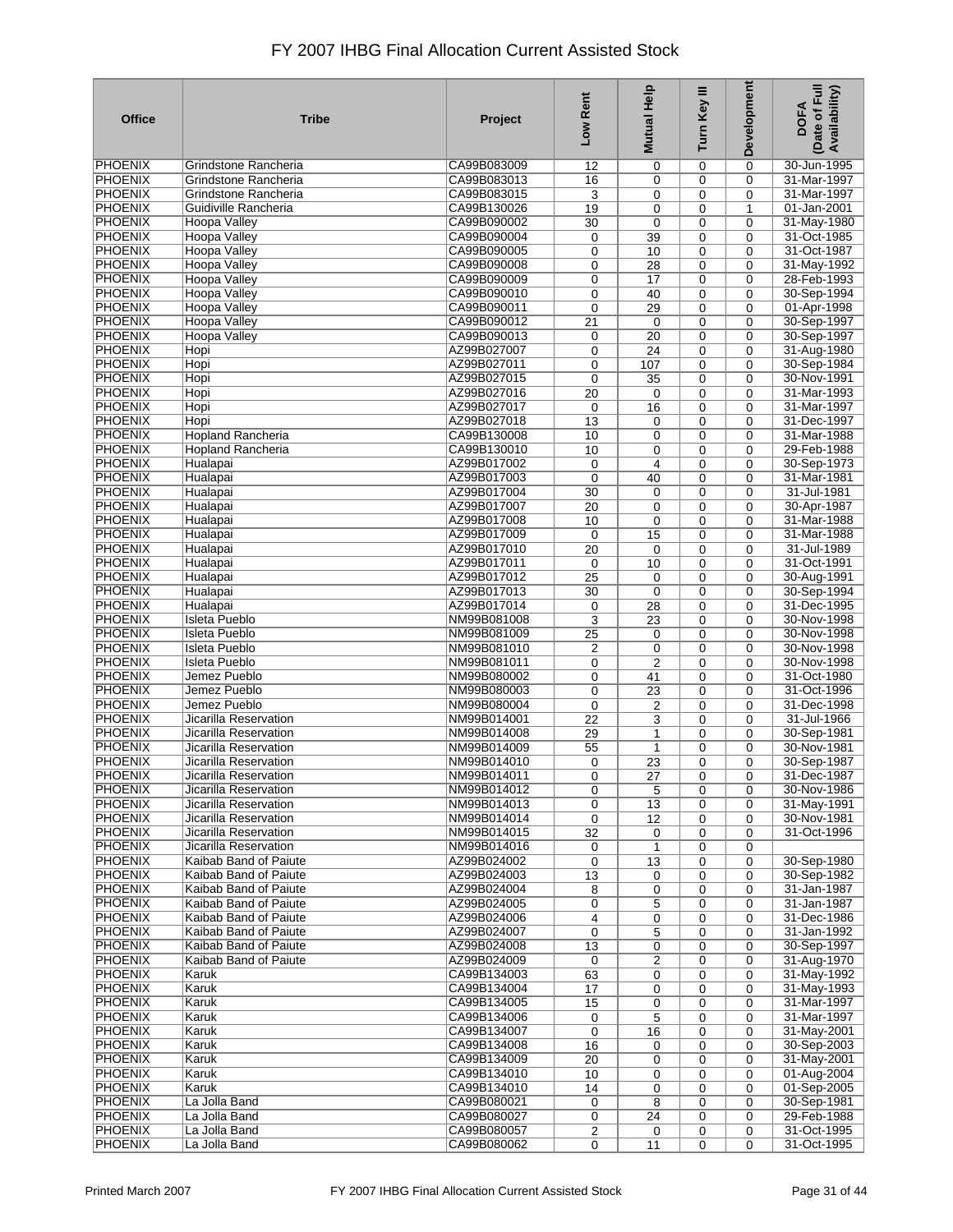| <b>Office</b>                    | <b>Tribe</b>                                   | Project                    | Low Rent        | Help<br><b>Mutual</b> | Turn Key III | Development | Date of Full<br>Availability)<br><b>DOFA</b> |
|----------------------------------|------------------------------------------------|----------------------------|-----------------|-----------------------|--------------|-------------|----------------------------------------------|
| <b>PHOENIX</b>                   | Grindstone Rancheria                           | CA99B083009                | 12              | 0                     | 0            | 0           | 30-Jun-1995                                  |
| <b>PHOENIX</b>                   | Grindstone Rancheria                           | CA99B083013                | 16              | 0                     | 0            | 0           | 31-Mar-1997                                  |
| <b>PHOENIX</b>                   | Grindstone Rancheria                           | CA99B083015                | 3               | 0                     | 0            | 0           | 31-Mar-1997                                  |
| <b>PHOENIX</b>                   | Guidiville Rancheria                           | CA99B130026                | 19              | 0                     | 0            | 1           | 01-Jan-2001                                  |
| <b>PHOENIX</b>                   | <b>Hoopa Valley</b>                            | CA99B090002                | 30              | $\mathbf 0$           | 0            | 0           | 31-May-1980                                  |
| <b>PHOENIX</b>                   | <b>Hoopa Valley</b>                            | CA99B090004                | 0               | 39                    | 0            | 0           | 31-Oct-1985                                  |
| <b>PHOENIX</b>                   | <b>Hoopa Valley</b>                            | CA99B090005                | 0               | 10                    | 0            | 0           | 31-Oct-1987                                  |
| <b>PHOENIX</b>                   | Hoopa Valley                                   | CA99B090008                | 0               | 28                    | 0            | 0           | 31-May-1992                                  |
| <b>PHOENIX</b>                   | <b>Hoopa Valley</b>                            | CA99B090009                | 0               | 17                    | 0            | 0           | 28-Feb-1993                                  |
| <b>PHOENIX</b>                   | <b>Hoopa Valley</b>                            | CA99B090010                | 0               | 40                    | 0            | 0           | 30-Sep-1994                                  |
| <b>PHOENIX</b>                   | Hoopa Valley                                   | CA99B090011                | 0               | 29                    | 0            | 0           | 01-Apr-1998                                  |
| <b>PHOENIX</b>                   | Hoopa Valley                                   | CA99B090012                | 21              | 0                     | 0            | 0           | 30-Sep-1997                                  |
| <b>PHOENIX</b>                   | Hoopa Valley                                   | CA99B090013                | 0               | 20                    | 0            | 0           | 30-Sep-1997                                  |
| <b>PHOENIX</b>                   | Hopi                                           | AZ99B027007                | 0               | 24                    | 0            | 0           | 31-Aug-1980                                  |
| <b>PHOENIX</b>                   | Hopi                                           | AZ99B027011                | 0               | 107                   | $\mathbf 0$  | 0           | 30-Sep-1984                                  |
| <b>PHOENIX</b>                   | Hopi                                           | AZ99B027015                | 0               | 35                    | 0            | 0           | 30-Nov-1991                                  |
| <b>PHOENIX</b>                   | Hopi                                           | AZ99B027016                | 20              | 0                     | 0            | 0           | 31-Mar-1993                                  |
| <b>PHOENIX</b>                   | Hopi                                           | AZ99B027017                | $\mathbf 0$     | 16                    | 0            | 0           | 31-Mar-1997                                  |
| <b>PHOENIX</b>                   | Hopi                                           | AZ99B027018                | 13              | 0                     | 0            | 0           | 31-Dec-1997                                  |
| <b>PHOENIX</b>                   | <b>Hopland Rancheria</b>                       | CA99B130008                | 10              | 0                     | 0            | 0           | 31-Mar-1988                                  |
| <b>PHOENIX</b>                   | <b>Hopland Rancheria</b>                       | CA99B130010                | 10              | $\mathbf 0$           | 0            | 0           | 29-Feb-1988                                  |
| <b>PHOENIX</b>                   | Hualapai                                       | AZ99B017002                | 0               | $\overline{4}$        | 0            | 0           | 30-Sep-1973                                  |
| <b>PHOENIX</b>                   | Hualapai                                       | AZ99B017003                | 0               | 40                    | 0            | 0           | 31-Mar-1981                                  |
| <b>PHOENIX</b>                   | Hualapai                                       | AZ99B017004                | 30              | 0                     | 0            | 0           | 31-Jul-1981                                  |
| <b>PHOENIX</b>                   | Hualapai                                       | AZ99B017007                | $\overline{20}$ | 0                     | 0            | 0           | 30-Apr-1987                                  |
| <b>PHOENIX</b>                   | Hualapai                                       | AZ99B017008                | 10              | $\mathbf 0$           | 0            | 0           | 31-Mar-1988                                  |
| <b>PHOENIX</b>                   | Hualapai                                       | AZ99B017009                | 0               | 15                    | 0            | 0           | 31-Mar-1988                                  |
| <b>PHOENIX</b>                   | Hualapai                                       | AZ99B017010                | $\overline{20}$ | $\mathbf 0$           | 0            | 0           | 31-Jul-1989                                  |
| <b>PHOENIX</b>                   | Hualapai                                       | AZ99B017011                | 0               | 10                    | 0            | 0           | 31-Oct-1991                                  |
| <b>PHOENIX</b>                   | Hualapai                                       | AZ99B017012                | 25              | 0                     | 0            | 0           | 30-Aug-1991                                  |
| <b>PHOENIX</b>                   | Hualapai                                       | AZ99B017013                | 30              | 0                     | 0            | 0           | 30-Sep-1994                                  |
| <b>PHOENIX</b>                   | Hualapai                                       | AZ99B017014                | 0               | 28                    | 0            | 0           | 31-Dec-1995                                  |
| <b>PHOENIX</b>                   | Isleta Pueblo                                  | NM99B081008                | 3               | 23                    | 0            | 0           | 30-Nov-1998                                  |
| <b>PHOENIX</b>                   | Isleta Pueblo                                  | NM99B081009                | $\overline{25}$ | 0                     | 0            | 0           | 30-Nov-1998                                  |
| <b>PHOENIX</b>                   | <b>Isleta Pueblo</b>                           | NM99B081010                | $\overline{c}$  | 0                     | 0            | 0           | 30-Nov-1998                                  |
| <b>PHOENIX</b>                   | <b>Isleta Pueblo</b>                           | NM99B081011                | 0               | $\overline{2}$        | 0            | 0           | 30-Nov-1998                                  |
| <b>PHOENIX</b>                   | Jemez Pueblo                                   | NM99B080002                | 0               | 41                    | 0            | 0           | 31-Oct-1980                                  |
| <b>PHOENIX</b>                   | Jemez Pueblo                                   | NM99B080003                | 0               | 23                    | 0            | 0           | 31-Oct-1996                                  |
| <b>PHOENIX</b>                   | Jemez Pueblo                                   | NM99B080004                | 0               | $\overline{c}$        | 0            | 0           | 31-Dec-1998                                  |
| <b>PHOENIX</b>                   | Jicarilla Reservation                          | NM99B014001                | 22              | 3                     | $\mathbf 0$  | 0           | 31-Jul-1966                                  |
| <b>PHOENIX</b>                   | Jicarilla Reservation                          | NM99B014008                | 29              | 1                     | 0            | 0           | 30-Sep-1981                                  |
| <b>PHOENIX</b>                   | Jicarilla Reservation                          | NM99B014009                | 55              | 1                     | 0            | 0           | 30-Nov-1981                                  |
| <b>PHOENIX</b>                   | Jicarilla Reservation                          | NM99B014010                | 0               | 23                    | 0            | 0           | 30-Sep-1987                                  |
| <b>PHOENIX</b>                   | Jicarilla Reservation                          | NM99B014011                | 0               | $\overline{27}$       | 0            | 0           | 31-Dec-1987                                  |
| PHOENIX                          | Jicarilla Reservation                          | NM99B014012                | $\mathbf 0$     | 5                     | 0            | 0           | 30-Nov-1986                                  |
| <b>PHOENIX</b>                   | Jicarilla Reservation                          | NM99B014013                | 0               | 13                    | 0            | 0           | 31-May-1991                                  |
| <b>PHOENIX</b>                   | Jicarilla Reservation                          | NM99B014014                | 0               | 12                    | 0            | 0           | 30-Nov-1981                                  |
| PHOENIX                          | Jicarilla Reservation                          | NM99B014015                | 32              | 0                     | $\mathbf 0$  | 0           | 31-Oct-1996                                  |
| PHOENIX                          | Jicarilla Reservation                          | NM99B014016                | 0               | 1                     | 0            | 0           |                                              |
| <b>PHOENIX</b>                   | Kaibab Band of Paiute<br>Kaibab Band of Paiute | AZ99B024002                | 0               | 13                    | 0            | 0           | 30-Sep-1980                                  |
| <b>PHOENIX</b>                   |                                                | AZ99B024003                | 13              | 0                     | 0            | 0           | 30-Sep-1982                                  |
| PHOENIX                          | Kaibab Band of Paiute                          | AZ99B024004                | 8               | 0                     | 0            | 0           | 31-Jan-1987                                  |
| <b>PHOENIX</b>                   | Kaibab Band of Paiute                          | AZ99B024005                | 0               | 5                     | 0            | 0           | 31-Jan-1987                                  |
| <b>PHOENIX</b><br><b>PHOENIX</b> | Kaibab Band of Paiute<br>Kaibab Band of Paiute | AZ99B024006<br>AZ99B024007 | 4               | 0                     | 0            | 0           | 31-Dec-1986<br>31-Jan-1992                   |
| <b>PHOENIX</b>                   | Kaibab Band of Paiute                          | AZ99B024008                | 0               | 5                     | 0            | 0           | 30-Sep-1997                                  |
| <b>PHOENIX</b>                   | Kaibab Band of Paiute                          | AZ99B024009                | 13<br>0         | 0<br>2                | 0<br>0       | 0<br>0      | 31-Aug-1970                                  |
| <b>PHOENIX</b>                   | Karuk                                          | CA99B134003                | 63              |                       | 0            | 0           | 31-May-1992                                  |
| <b>PHOENIX</b>                   | Karuk                                          | CA99B134004                | 17              | 0<br>0                | 0            | 0           | 31-May-1993                                  |
| <b>PHOENIX</b>                   | Karuk                                          | CA99B134005                | 15              | 0                     | 0            | 0           | 31-Mar-1997                                  |
| <b>PHOENIX</b>                   | Karuk                                          | CA99B134006                | 0               | 5                     | 0            | 0           | 31-Mar-1997                                  |
| <b>PHOENIX</b>                   | Karuk                                          | CA99B134007                |                 |                       |              | 0           |                                              |
| <b>PHOENIX</b>                   | Karuk                                          | CA99B134008                | 0<br>16         | 16<br>0               | 0<br>0       | 0           | 31-May-2001<br>30-Sep-2003                   |
| <b>PHOENIX</b>                   | Karuk                                          | CA99B134009                | 20              | 0                     | 0            | 0           | 31-May-2001                                  |
| <b>PHOENIX</b>                   | Karuk                                          | CA99B134010                | 10              | 0                     | $\mathbf 0$  | 0           | 01-Aug-2004                                  |
| <b>PHOENIX</b>                   | Karuk                                          | CA99B134010                | 14              | 0                     | 0            | 0           | 01-Sep-2005                                  |
| <b>PHOENIX</b>                   | La Jolla Band                                  | CA99B080021                | 0               | 8                     | $\mathbf 0$  | 0           | 30-Sep-1981                                  |
| <b>PHOENIX</b>                   | La Jolla Band                                  | CA99B080027                | 0               | 24                    | 0            | 0           | 29-Feb-1988                                  |
| PHOENIX                          | La Jolla Band                                  | CA99B080057                | 2               | 0                     | 0            | 0           | 31-Oct-1995                                  |
| <b>PHOENIX</b>                   | La Jolla Band                                  | CA99B080062                | 0               | 11                    | 0            | 0           | 31-Oct-1995                                  |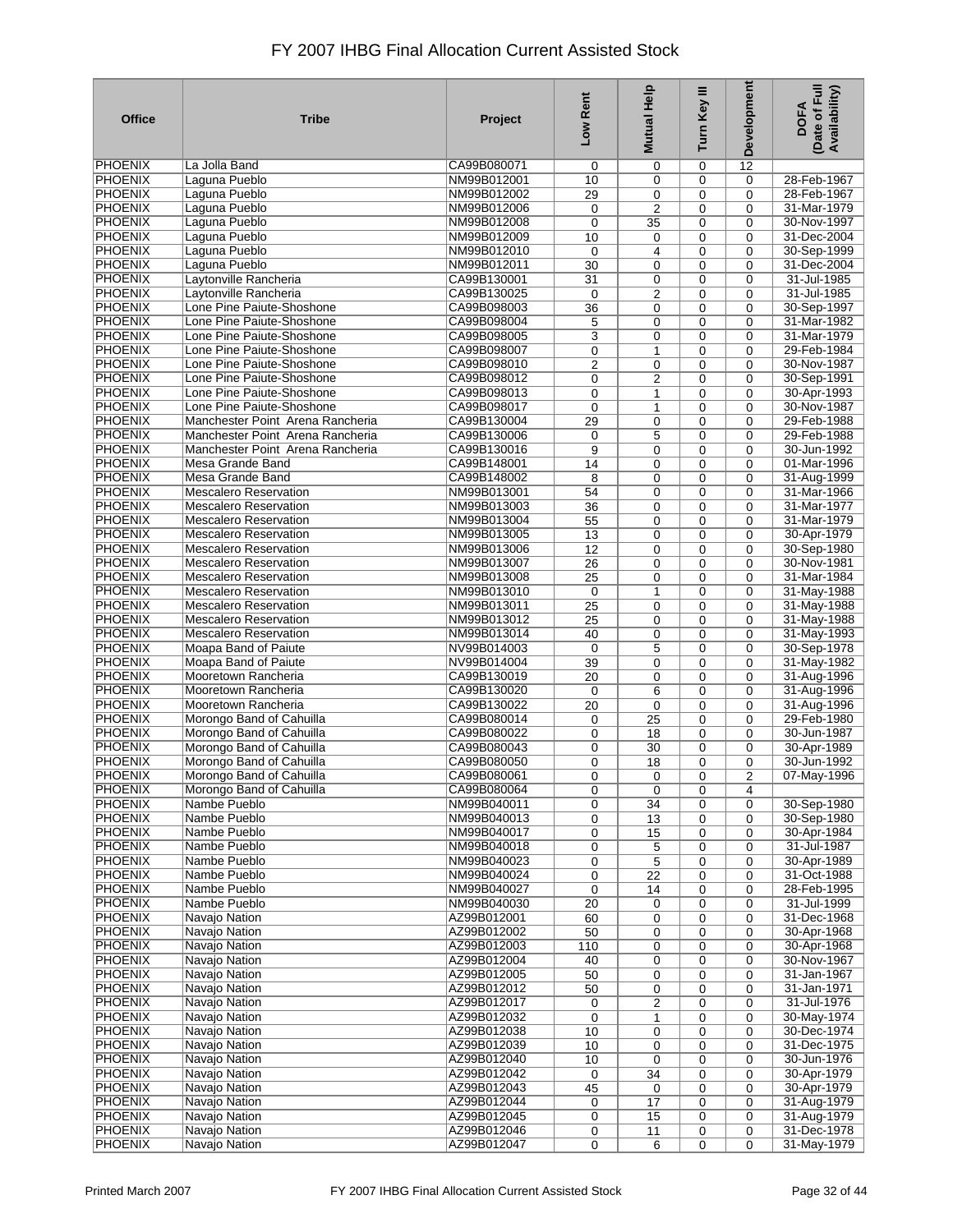| <b>Office</b>                    | <b>Tribe</b>                                         | Project                    | Low Rent         | Mutual Help    | Turn Key III     | Development    | Date of Full<br>Availability)<br><b>DOFA</b> |
|----------------------------------|------------------------------------------------------|----------------------------|------------------|----------------|------------------|----------------|----------------------------------------------|
| <b>PHOENIX</b>                   | La Jolla Band                                        | CA99B080071                | 0                | 0              | 0                | 12             |                                              |
| <b>PHOENIX</b>                   | Laguna Pueblo                                        | NM99B012001                | 10               | 0              | 0                | $\mathbf 0$    | 28-Feb-1967                                  |
| <b>PHOENIX</b>                   | Laguna Pueblo                                        | NM99B012002                | 29               | 0              | 0                | 0              | 28-Feb-1967                                  |
| <b>PHOENIX</b>                   | Laguna Pueblo                                        | NM99B012006                | 0                | $\overline{2}$ | 0                | $\mathbf 0$    | 31-Mar-1979                                  |
| <b>PHOENIX</b>                   | Laguna Pueblo                                        | NM99B012008                | 0                | 35             | 0                | 0              | 30-Nov-1997                                  |
| <b>PHOENIX</b>                   | Laguna Pueblo                                        | NM99B012009                | 10               | 0              | 0                | 0              | 31-Dec-2004                                  |
| <b>PHOENIX</b>                   | Laguna Pueblo                                        | NM99B012010                | 0                | 4              | 0                | 0              | 30-Sep-1999                                  |
| <b>PHOENIX</b>                   | Laguna Pueblo                                        | NM99B012011                | 30               | 0              | 0                | 0              | 31-Dec-2004                                  |
| <b>PHOENIX</b>                   | Laytonville Rancheria                                | CA99B130001                | 31               | $\mathbf 0$    | 0                | 0              | 31-Jul-1985                                  |
| <b>PHOENIX</b>                   | Laytonville Rancheria                                | CA99B130025                | 0                | $\overline{2}$ | 0                | 0              | 31-Jul-1985                                  |
| <b>PHOENIX</b>                   | Lone Pine Paiute-Shoshone                            | CA99B098003                | 36               | 0              | 0                | 0              | 30-Sep-1997                                  |
| <b>PHOENIX</b>                   | Lone Pine Paiute-Shoshone                            | CA99B098004                | 5                | 0              | 0                | $\mathbf 0$    | 31-Mar-1982                                  |
| <b>PHOENIX</b>                   | Lone Pine Paiute-Shoshone                            | CA99B098005                | 3                | 0              | 0                | 0              | 31-Mar-1979                                  |
| <b>PHOENIX</b>                   | Lone Pine Paiute-Shoshone                            | CA99B098007                | 0                | $\mathbf{1}$   | 0                | $\mathbf 0$    | 29-Feb-1984                                  |
| <b>PHOENIX</b>                   | Lone Pine Paiute-Shoshone                            | CA99B098010                | 2                | 0              | 0                | $\Omega$       | 30-Nov-1987                                  |
| <b>PHOENIX</b>                   | Lone Pine Paiute-Shoshone                            | CA99B098012                | 0                | $\overline{2}$ | 0                | $\mathbf 0$    | 30-Sep-1991                                  |
| <b>PHOENIX</b>                   | Lone Pine Paiute-Shoshone                            | CA99B098013                | 0                | $\mathbf{1}$   | 0                | $\mathbf 0$    | 30-Apr-1993                                  |
| <b>PHOENIX</b>                   | Lone Pine Paiute-Shoshone                            | CA99B098017                | 0                | 1              | 0                | $\mathbf 0$    | 30-Nov-1987                                  |
| <b>PHOENIX</b>                   | Manchester Point Arena Rancheria                     | CA99B130004                | $\overline{29}$  | 0              | 0                | $\mathbf 0$    | 29-Feb-1988                                  |
| <b>PHOENIX</b>                   | Manchester Point Arena Rancheria                     | CA99B130006                | 0                | 5              | 0                | $\mathbf 0$    | 29-Feb-1988                                  |
| <b>PHOENIX</b>                   | Manchester Point Arena Rancheria                     | CA99B130016                | 9                | $\mathbf 0$    | 0                | 0              | 30-Jun-1992                                  |
| <b>PHOENIX</b>                   | Mesa Grande Band                                     | CA99B148001                | 14               | $\mathbf 0$    | 0                | $\mathbf 0$    | 01-Mar-1996                                  |
| <b>PHOENIX</b>                   | Mesa Grande Band                                     | CA99B148002                | 8                | 0              | $\mathbf 0$      | $\mathbf 0$    | 31-Aug-1999                                  |
| <b>PHOENIX</b>                   | <b>Mescalero Reservation</b>                         | NM99B013001                | 54               | 0              | 0                | 0              | 31-Mar-1966                                  |
| <b>PHOENIX</b>                   | <b>Mescalero Reservation</b>                         | NM99B013003                | 36               | 0              | 0                | 0              | 31-Mar-1977                                  |
| <b>PHOENIX</b>                   | <b>Mescalero Reservation</b>                         | NM99B013004                | 55               | 0              | 0                | 0              | 31-Mar-1979                                  |
| <b>PHOENIX</b>                   | <b>Mescalero Reservation</b>                         | NM99B013005                | 13               | 0              | 0                | $\mathbf 0$    | 30-Apr-1979                                  |
| <b>PHOENIX</b>                   | <b>Mescalero Reservation</b>                         | NM99B013006                | $\overline{12}$  | 0              | 0                | 0              | 30-Sep-1980                                  |
| <b>PHOENIX</b>                   | <b>Mescalero Reservation</b>                         | NM99B013007                | $\overline{26}$  | 0              | 0                | $\mathbf 0$    | 30-Nov-1981                                  |
| <b>PHOENIX</b>                   | <b>Mescalero Reservation</b>                         | NM99B013008                | 25               | 0              | 0                | 0              | 31-Mar-1984                                  |
| <b>PHOENIX</b>                   | <b>Mescalero Reservation</b>                         | NM99B013010                | 0                | 1              | 0                | 0              | 31-May-1988                                  |
| <b>PHOENIX</b>                   | <b>Mescalero Reservation</b>                         | NM99B013011                | $\overline{25}$  | 0              | 0                | 0              | 31-May-1988                                  |
| <b>PHOENIX</b>                   | <b>Mescalero Reservation</b>                         | NM99B013012                | 25               | 0              | 0                | 0              | 31-May-1988                                  |
| <b>PHOENIX</b>                   | <b>Mescalero Reservation</b>                         | NM99B013014                | 40               | $\mathbf 0$    | 0                | $\mathbf 0$    | 31-May-1993                                  |
| <b>PHOENIX</b>                   | Moapa Band of Paiute                                 | NV99B014003                | 0                | 5              | 0                | $\mathbf 0$    | 30-Sep-1978                                  |
| <b>PHOENIX</b>                   | Moapa Band of Paiute                                 | NV99B014004                | 39               | 0              | 0                | 0              | 31-May-1982                                  |
| <b>PHOENIX</b>                   | Mooretown Rancheria                                  | CA99B130019                | 20               | 0              | $\mathbf 0$      | 0              | 31-Aug-1996                                  |
| <b>PHOENIX</b>                   | Mooretown Rancheria                                  | CA99B130020                | 0                | 6              | 0                | 0              | 31-Aug-1996                                  |
| <b>PHOENIX</b>                   | Mooretown Rancheria                                  | CA99B130022                | 20               | 0              | 0                | $\mathbf 0$    | 31-Aug-1996                                  |
| <b>PHOENIX</b>                   | Morongo Band of Cahuilla                             | CA99B080014                | 0                | 25             | $\mathbf 0$      | $\Omega$       | 29-Feb-1980                                  |
| <b>PHOENIX</b>                   | Morongo Band of Cahuilla                             | CA99B080022                | 0                | 18             | 0                | $\mathbf 0$    | 30-Jun-1987                                  |
| <b>PHOENIX</b>                   | Morongo Band of Cahuilla                             | CA99B080043                | 0                | 30             | 0                | $\mathbf 0$    | 30-Apr-1989                                  |
| <b>PHOENIX</b>                   | Morongo Band of Cahuilla                             | CA99B080050                | 0                | 18             | 0                | 0              | 30-Jun-1992                                  |
| PHOENIX                          | Morongo Band of Cahuilla<br>Morongo Band of Cahuilla | CA99B080061                | 0                | 0              | 0                | $\overline{2}$ | 07-May-1996                                  |
| <b>PHOENIX</b>                   |                                                      | CA99B080064                | 0                | 0              | 0                | 4              |                                              |
| <b>PHOENIX</b>                   | Nambe Pueblo                                         | NM99B040011                | 0                | 34             | 0                | 0              | 30-Sep-1980                                  |
| <b>PHOENIX</b>                   | Nambe Pueblo                                         | NM99B040013                | 0                | 13             | 0                | $\mathbf 0$    | 30-Sep-1980                                  |
| <b>PHOENIX</b><br><b>PHOENIX</b> | Nambe Pueblo<br>Nambe Pueblo                         | NM99B040017                | 0                | 15             | 0                | 0              | 30-Apr-1984                                  |
| <b>PHOENIX</b>                   | Nambe Pueblo                                         | NM99B040018<br>NM99B040023 | 0                | 5              | 0<br>$\mathbf 0$ | $\mathbf 0$    | 31-Jul-1987                                  |
| <b>PHOENIX</b>                   | Nambe Pueblo                                         | NM99B040024                | 0<br>0           | 5<br>22        | 0                | 0<br>0         | 30-Apr-1989<br>31-Oct-1988                   |
| PHOENIX                          | Nambe Pueblo                                         | NM99B040027                | 0                | 14             | 0                | 0              | 28-Feb-1995                                  |
| <b>PHOENIX</b>                   | Nambe Pueblo                                         | NM99B040030                | 20               | 0              | 0                | $\mathbf 0$    | 31-Jul-1999                                  |
| <b>PHOENIX</b>                   | Navajo Nation                                        | AZ99B012001                | 60               | 0              | 0                | 0              | 31-Dec-1968                                  |
| <b>PHOENIX</b>                   | <b>Navajo Nation</b>                                 | AZ99B012002                | 50               | 0              | 0                | 0              | 30-Apr-1968                                  |
| <b>PHOENIX</b>                   | Navajo Nation                                        | AZ99B012003                | 110              | 0              | 0                | 0              | 30-Apr-1968                                  |
| <b>PHOENIX</b>                   | Navajo Nation                                        | AZ99B012004                | 40               | 0              | 0                | 0              | 30-Nov-1967                                  |
| <b>PHOENIX</b>                   | <b>Navajo Nation</b>                                 | AZ99B012005                | 50               | 0              | 0                | 0              | 31-Jan-1967                                  |
| <b>PHOENIX</b>                   | Navajo Nation                                        | AZ99B012012                | 50               | 0              | 0                | 0              | 31-Jan-1971                                  |
| <b>PHOENIX</b>                   | Navajo Nation                                        | AZ99B012017                | 0                | 2              | 0                | 0              | 31-Jul-1976                                  |
| <b>PHOENIX</b>                   | Navajo Nation                                        | AZ99B012032                | $\boldsymbol{0}$ | 1              | 0                | 0              | 30-May-1974                                  |
| PHOENIX                          | Navajo Nation                                        | AZ99B012038                | 10               | 0              | 0                | 0              | 30-Dec-1974                                  |
| <b>PHOENIX</b>                   | Navajo Nation                                        | AZ99B012039                | 10               | 0              | 0                | 0              | 31-Dec-1975                                  |
| <b>PHOENIX</b>                   | Navajo Nation                                        | AZ99B012040                | 10               | 0              | 0                | 0              | 30-Jun-1976                                  |
| <b>PHOENIX</b>                   | Navajo Nation                                        | AZ99B012042                | 0                | 34             | 0                | $\mathbf 0$    | 30-Apr-1979                                  |
| <b>PHOENIX</b>                   | Navajo Nation                                        | AZ99B012043                | 45               | 0              | 0                | 0              | 30-Apr-1979                                  |
| <b>PHOENIX</b>                   | Navajo Nation                                        | AZ99B012044                | 0                | 17             | 0                | 0              | 31-Aug-1979                                  |
| PHOENIX                          | Navajo Nation                                        | AZ99B012045                | 0                | 15             | 0                | 0              | 31-Aug-1979                                  |
| <b>PHOENIX</b>                   | Navajo Nation                                        | AZ99B012046                | 0                | 11             | 0                | 0              | 31-Dec-1978                                  |
| <b>PHOENIX</b>                   | Navajo Nation                                        | AZ99B012047                | 0                | 6              | $\mathbf 0$      | 0              | 31-May-1979                                  |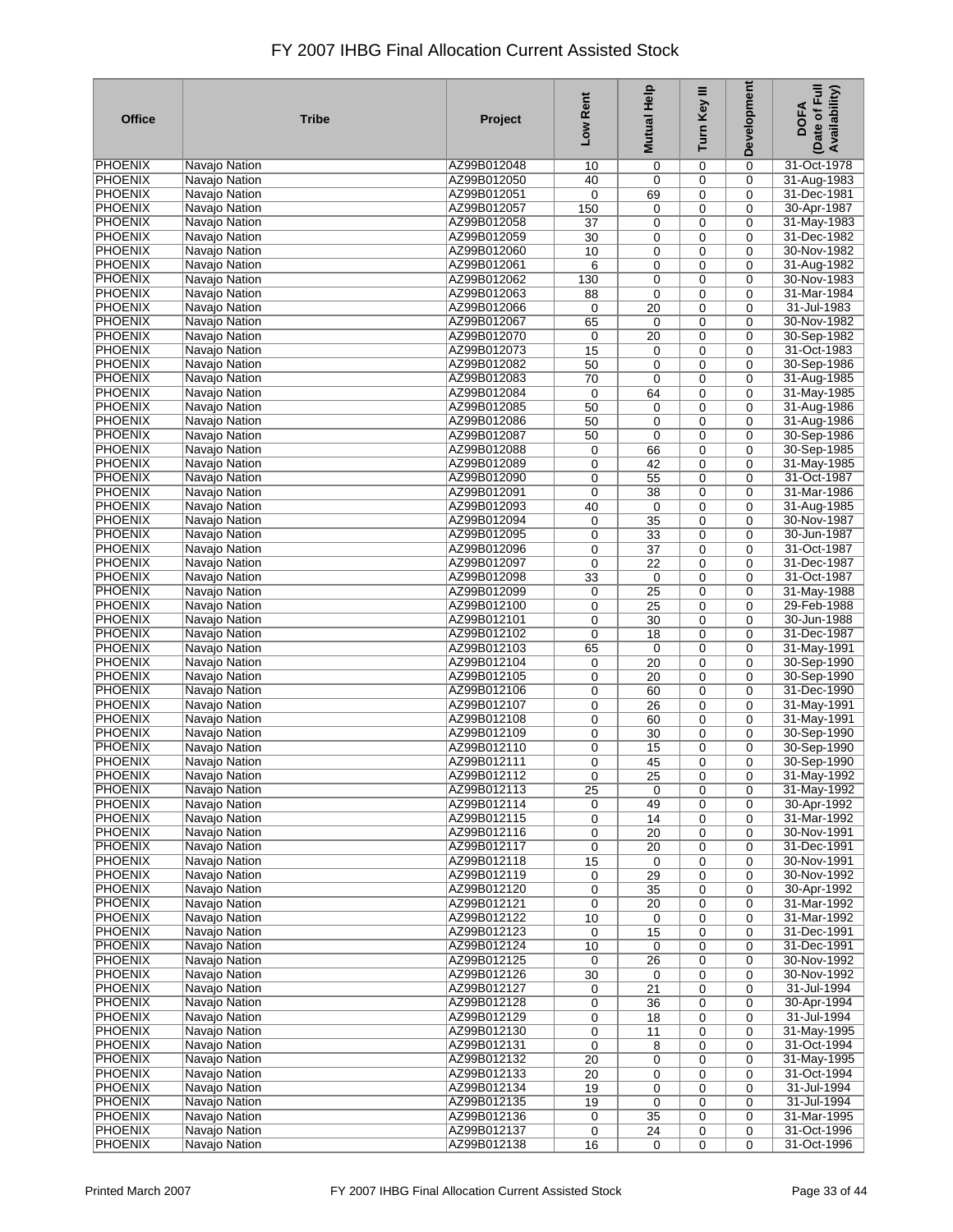| <b>Office</b>  | <b>Tribe</b>                   | Project     | Low Rent | Mutual Help     | Turn Key III | Development | (Date of Full<br>Availability)<br><b>DOFA</b> |
|----------------|--------------------------------|-------------|----------|-----------------|--------------|-------------|-----------------------------------------------|
| <b>PHOENIX</b> | Navajo Nation                  | AZ99B012048 | 10       | 0               | 0            | 0           | 31-Oct-1978                                   |
| <b>PHOENIX</b> | Navajo Nation                  | AZ99B012050 | 40       | 0               | 0            | 0           | 31-Aug-1983                                   |
| <b>PHOENIX</b> | Navajo Nation                  | AZ99B012051 | 0        | 69              | 0            | 0           | 31-Dec-1981                                   |
| <b>PHOENIX</b> | Navajo Nation                  | AZ99B012057 | 150      | 0               | 0            | 0           | 30-Apr-1987                                   |
| <b>PHOENIX</b> | Navajo Nation                  | AZ99B012058 | 37       | $\mathbf 0$     | 0            | 0           | 31-May-1983                                   |
| <b>PHOENIX</b> | Navajo Nation                  | AZ99B012059 | 30       | 0               | 0            | 0           | 31-Dec-1982                                   |
| <b>PHOENIX</b> | Navajo Nation                  | AZ99B012060 | 10       | 0               | 0            | 0           | 30-Nov-1982                                   |
| <b>PHOENIX</b> | Navajo Nation                  | AZ99B012061 | 6        | 0               | 0            | 0           | 31-Aug-1982                                   |
| <b>PHOENIX</b> | Navajo Nation                  | AZ99B012062 | 130      | 0               | 0            | 0           | 30-Nov-1983                                   |
| <b>PHOENIX</b> |                                | AZ99B012063 |          |                 |              |             | 31-Mar-1984                                   |
| <b>PHOENIX</b> | Navajo Nation                  | AZ99B012066 | 88       | 0               | 0            | 0           | 31-Jul-1983                                   |
|                | Navajo Nation                  |             | 0        | 20              | 0            | 0           |                                               |
| <b>PHOENIX</b> | Navajo Nation                  | AZ99B012067 | 65       | $\mathbf 0$     | 0            | 0           | 30-Nov-1982                                   |
| <b>PHOENIX</b> | Navajo Nation                  | AZ99B012070 | 0        | 20              | 0            | 0           | 30-Sep-1982                                   |
| <b>PHOENIX</b> | Navajo Nation                  | AZ99B012073 | 15       | 0               | 0            | $\mathbf 0$ | 31-Oct-1983                                   |
| <b>PHOENIX</b> | Navajo Nation                  | AZ99B012082 | 50       | 0               | 0            | $\mathbf 0$ | 30-Sep-1986                                   |
| <b>PHOENIX</b> | Navajo Nation                  | AZ99B012083 | 70       | 0               | 0            | $\mathbf 0$ | 31-Aug-1985                                   |
| <b>PHOENIX</b> | Navajo Nation                  | AZ99B012084 | 0        | 64              | $\mathbf 0$  | $\mathbf 0$ | 31-May-1985                                   |
| <b>PHOENIX</b> | Navajo Nation                  | AZ99B012085 | 50       | 0               | 0            | $\mathbf 0$ | 31-Aug-1986                                   |
| <b>PHOENIX</b> | Navajo Nation                  | AZ99B012086 | 50       | 0               | 0            | $\mathbf 0$ | 31-Aug-1986                                   |
| <b>PHOENIX</b> | Navajo Nation                  | AZ99B012087 | 50       | $\mathbf 0$     | 0            | $\mathbf 0$ | 30-Sep-1986                                   |
| <b>PHOENIX</b> | Navajo Nation                  | AZ99B012088 | 0        | 66              | 0            | 0           | 30-Sep-1985                                   |
| <b>PHOENIX</b> | Navajo Nation                  | AZ99B012089 | 0        | 42              | 0            | 0           | 31-May-1985                                   |
| <b>PHOENIX</b> | Navajo Nation                  | AZ99B012090 | 0        | 55              | 0            | $\mathbf 0$ | 31-Oct-1987                                   |
| <b>PHOENIX</b> | Navajo Nation                  | AZ99B012091 | 0        | 38              | 0            | 0           | 31-Mar-1986                                   |
| <b>PHOENIX</b> | Navajo Nation                  | AZ99B012093 | 40       | $\mathbf 0$     | 0            | 0           | 31-Aug-1985                                   |
| <b>PHOENIX</b> | Navajo Nation                  | AZ99B012094 | 0        | 35              | 0            | 0           | 30-Nov-1987                                   |
| <b>PHOENIX</b> |                                | AZ99B012095 |          |                 |              | $\mathbf 0$ | 30-Jun-1987                                   |
|                | Navajo Nation<br>Navajo Nation |             | 0        | 33              | 0            |             |                                               |
| <b>PHOENIX</b> |                                | AZ99B012096 | 0        | $\overline{37}$ | 0            | 0           | 31-Oct-1987                                   |
| <b>PHOENIX</b> | Navajo Nation                  | AZ99B012097 | 0        | $\overline{22}$ | 0            | 0           | 31-Dec-1987                                   |
| <b>PHOENIX</b> | Navajo Nation                  | AZ99B012098 | 33       | 0               | 0            | 0           | 31-Oct-1987                                   |
| <b>PHOENIX</b> | Navajo Nation                  | AZ99B012099 | 0        | 25              | 0            | 0           | 31-May-1988                                   |
| <b>PHOENIX</b> | Navajo Nation                  | AZ99B012100 | 0        | 25              | 0            | 0           | 29-Feb-1988                                   |
| <b>PHOENIX</b> | Navajo Nation                  | AZ99B012101 | 0        | 30              | 0            | 0           | 30-Jun-1988                                   |
| <b>PHOENIX</b> | Navajo Nation                  | AZ99B012102 | 0        | 18              | 0            | 0           | 31-Dec-1987                                   |
| <b>PHOENIX</b> | Navajo Nation                  | AZ99B012103 | 65       | $\mathbf 0$     | 0            | 0           | 31-May-1991                                   |
| <b>PHOENIX</b> | Navajo Nation                  | AZ99B012104 | 0        | 20              | 0            | 0           | 30-Sep-1990                                   |
| <b>PHOENIX</b> | Navajo Nation                  | AZ99B012105 | 0        | 20              | 0            | 0           | 30-Sep-1990                                   |
| <b>PHOENIX</b> | Navajo Nation                  | AZ99B012106 | 0        | 60              | 0            | 0           | 31-Dec-1990                                   |
| <b>PHOENIX</b> | Navajo Nation                  | AZ99B012107 | 0        | 26              | 0            | 0           | 31-May-1991                                   |
| <b>PHOENIX</b> | Navajo Nation                  | AZ99B012108 | 0        | 60              | $\mathbf 0$  | $\mathbf 0$ | 31-May-1991                                   |
| <b>PHOENIX</b> | Navajo Nation                  | AZ99B012109 | 0        | 30              | 0            | $\mathbf 0$ | 30-Sep-1990                                   |
| <b>PHOENIX</b> | Navajo Nation                  | AZ99B012110 | 0        | 15              | 0            | $\mathbf 0$ | 30-Sep-1990                                   |
| <b>PHOENIX</b> | Navajo Nation                  | AZ99B012111 | 0        | 45              | 0            | 0           | 30-Sep-1990                                   |
| PHOENIX        | Navajo Nation                  | AZ99B012112 | 0        | $\overline{25}$ | 0            | 0           | 31-May-1992                                   |
| <b>PHOENIX</b> | Navajo Nation                  | AZ99B012113 | 25       | $\mathbf 0$     | $\mathbf 0$  | 0           | 31-May-1992                                   |
| <b>PHOENIX</b> | Navajo Nation                  | AZ99B012114 | 0        | 49              | $\mathbf 0$  | 0           | 30-Apr-1992                                   |
| <b>PHOENIX</b> | Navajo Nation                  | AZ99B012115 | 0        | 14              | 0            | 0           | 31-Mar-1992                                   |
| <b>PHOENIX</b> | Navajo Nation                  | AZ99B012116 | 0        | 20              | $\mathbf 0$  | $\mathbf 0$ | 30-Nov-1991                                   |
| <b>PHOENIX</b> | Navajo Nation                  | AZ99B012117 | 0        | 20              | 0            | 0           | 31-Dec-1991                                   |
| <b>PHOENIX</b> | <b>Navajo Nation</b>           | AZ99B012118 | 15       | $\mathbf 0$     | $\mathbf 0$  | 0           | 30-Nov-1991                                   |
| <b>PHOENIX</b> | Navajo Nation                  | AZ99B012119 | 0        | 29              | 0            | 0           | 30-Nov-1992                                   |
| PHOENIX        | Navajo Nation                  | AZ99B012120 |          | 35              | 0            | 0           | 30-Apr-1992                                   |
| <b>PHOENIX</b> | Navajo Nation                  | AZ99B012121 | 0<br>0   |                 | 0            | $\mathbf 0$ | 31-Mar-1992                                   |
| <b>PHOENIX</b> | Navajo Nation                  | AZ99B012122 |          | 20              |              |             | 31-Mar-1992                                   |
| <b>PHOENIX</b> | <b>Navajo Nation</b>           |             | 10       | 0               | 0            | 0           |                                               |
|                |                                | AZ99B012123 | 0        | 15              | 0            | 0           | 31-Dec-1991                                   |
| <b>PHOENIX</b> | Navajo Nation                  | AZ99B012124 | 10       | 0               | 0            | 0           | 31-Dec-1991                                   |
| <b>PHOENIX</b> | Navajo Nation                  | AZ99B012125 | 0        | 26              | 0            | 0           | 30-Nov-1992                                   |
| <b>PHOENIX</b> | Navajo Nation                  | AZ99B012126 | 30       | $\mathbf 0$     | 0            | 0           | 30-Nov-1992                                   |
| <b>PHOENIX</b> | <b>Navajo Nation</b>           | AZ99B012127 | 0        | $\overline{21}$ | 0            | 0           | 31-Jul-1994                                   |
| <b>PHOENIX</b> | Navajo Nation                  | AZ99B012128 | 0        | 36              | 0            | 0           | 30-Apr-1994                                   |
| <b>PHOENIX</b> | Navajo Nation                  | AZ99B012129 | 0        | 18              | 0            | 0           | 31-Jul-1994                                   |
| PHOENIX        | Navajo Nation                  | AZ99B012130 | 0        | 11              | 0            | 0           | 31-May-1995                                   |
| <b>PHOENIX</b> | Navajo Nation                  | AZ99B012131 | 0        | 8               | 0            | 0           | 31-Oct-1994                                   |
| <b>PHOENIX</b> | Navajo Nation                  | AZ99B012132 | 20       | 0               | 0            | 0           | 31-May-1995                                   |
| <b>PHOENIX</b> | Navajo Nation                  | AZ99B012133 | 20       | 0               | 0            | $\mathbf 0$ | 31-Oct-1994                                   |
| <b>PHOENIX</b> | Navajo Nation                  | AZ99B012134 | 19       | 0               | 0            | 0           | 31-Jul-1994                                   |
| <b>PHOENIX</b> | Navajo Nation                  | AZ99B012135 | 19       | $\mathbf 0$     | 0            | 0           | 31-Jul-1994                                   |
| PHOENIX        | Navajo Nation                  | AZ99B012136 | 0        | 35              | 0            | 0           | 31-Mar-1995                                   |
| <b>PHOENIX</b> | Navajo Nation                  | AZ99B012137 | 0        | 24              | 0            | 0           | 31-Oct-1996                                   |
| <b>PHOENIX</b> | Navajo Nation                  | AZ99B012138 | 16       | $\mathbf 0$     | $\mathbf 0$  | $\mathbf 0$ | 31-Oct-1996                                   |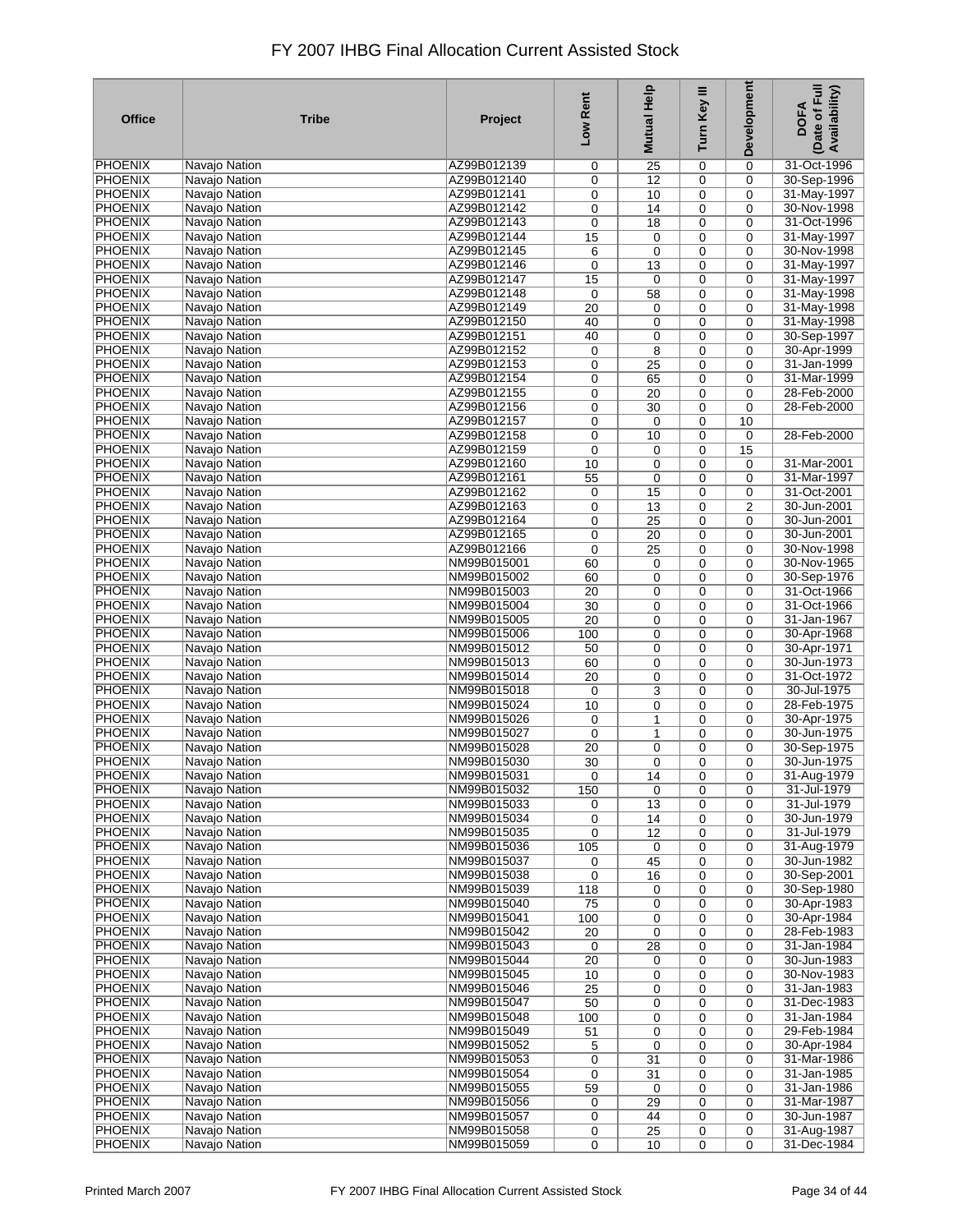| <b>Office</b>  | <b>Tribe</b>         | Project     | Low Rent        | Mutual Help     | Turn Key III | <b>Development</b> | Date of Full<br>Availability)<br><b>DOFA</b> |
|----------------|----------------------|-------------|-----------------|-----------------|--------------|--------------------|----------------------------------------------|
| PHOENIX        | Navajo Nation        | AZ99B012139 | 0               | 25              | 0            | 0                  | 31-Oct-1996                                  |
| <b>PHOENIX</b> | <b>Navajo Nation</b> | AZ99B012140 | 0               | 12              | 0            | 0                  | 30-Sep-1996                                  |
| <b>PHOENIX</b> | Navajo Nation        | AZ99B012141 | 0               | 10              | 0            | 0                  | 31-May-1997                                  |
| <b>PHOENIX</b> | Navajo Nation        | AZ99B012142 | 0               | 14              | 0            | 0                  | 30-Nov-1998                                  |
| <b>PHOENIX</b> | Navajo Nation        | AZ99B012143 | 0               | 18              | 0            | 0                  | 31-Oct-1996                                  |
| <b>PHOENIX</b> | <b>Navajo Nation</b> | AZ99B012144 | 15              | 0               | 0            | 0                  | 31-May-1997                                  |
| <b>PHOENIX</b> | Navajo Nation        | AZ99B012145 | 6               | 0               | 0            | 0                  | 30-Nov-1998                                  |
| <b>PHOENIX</b> | Navajo Nation        | AZ99B012146 | 0               | 13              | 0            | 0                  | 31-May-1997                                  |
| <b>PHOENIX</b> | Navajo Nation        | AZ99B012147 | 15              | 0               | 0            | 0                  | 31-May-1997                                  |
| <b>PHOENIX</b> | Navajo Nation        | AZ99B012148 | 0               | 58              | 0            | 0                  | 31-May-1998                                  |
| <b>PHOENIX</b> | Navajo Nation        | AZ99B012149 | 20              | 0               | 0            | 0                  | 31-May-1998                                  |
| <b>PHOENIX</b> | Navajo Nation        | AZ99B012150 | 40              | 0               | 0            | 0                  | 31-May-1998                                  |
| <b>PHOENIX</b> | Navajo Nation        | AZ99B012151 | 40              | $\mathbf 0$     | 0            | 0                  | 30-Sep-1997                                  |
| <b>PHOENIX</b> | Navajo Nation        | AZ99B012152 | 0               | 8               | 0            | 0                  | 30-Apr-1999                                  |
| <b>PHOENIX</b> | Navajo Nation        | AZ99B012153 | 0               | 25              | 0            | 0                  | 31-Jan-1999                                  |
| <b>PHOENIX</b> | Navajo Nation        | AZ99B012154 | 0               | 65              | 0            | 0                  | 31-Mar-1999                                  |
| <b>PHOENIX</b> | Navajo Nation        | AZ99B012155 | 0               | 20              | 0            | 0                  | 28-Feb-2000                                  |
| <b>PHOENIX</b> | Navajo Nation        | AZ99B012156 | 0               | 30              | 0            | 0                  | 28-Feb-2000                                  |
| <b>PHOENIX</b> | Navajo Nation        | AZ99B012157 | 0               | $\mathbf 0$     | 0            | 10                 |                                              |
| <b>PHOENIX</b> | Navajo Nation        | AZ99B012158 | 0               | 10              | 0            | $\mathbf 0$        | 28-Feb-2000                                  |
| <b>PHOENIX</b> | Navajo Nation        | AZ99B012159 | 0               | 0               | 0            | 15                 |                                              |
| <b>PHOENIX</b> | Navajo Nation        | AZ99B012160 | 10              | 0               | 0            | 0                  | 31-Mar-2001                                  |
| <b>PHOENIX</b> | Navajo Nation        | AZ99B012161 | 55              | 0               | 0            | 0                  | 31-Mar-1997                                  |
| <b>PHOENIX</b> | Navajo Nation        | AZ99B012162 | 0               | 15              | 0            | 0                  | 31-Oct-2001                                  |
| <b>PHOENIX</b> | Navajo Nation        | AZ99B012163 | 0               | $\overline{13}$ | 0            | 2                  | 30-Jun-2001                                  |
| <b>PHOENIX</b> | Navajo Nation        | AZ99B012164 | 0               | $\overline{25}$ | 0            | 0                  | 30-Jun-2001                                  |
| <b>PHOENIX</b> | Navajo Nation        | AZ99B012165 | 0               | 20              | 0            | 0                  | 30-Jun-2001                                  |
| <b>PHOENIX</b> | Navajo Nation        | AZ99B012166 | 0               | 25              | 0            | 0                  | 30-Nov-1998                                  |
| <b>PHOENIX</b> | Navajo Nation        | NM99B015001 | 60              | 0               | 0            | 0                  | 30-Nov-1965                                  |
| <b>PHOENIX</b> | Navajo Nation        | NM99B015002 | 60              | 0               | 0            | 0                  | 30-Sep-1976                                  |
| <b>PHOENIX</b> | Navajo Nation        | NM99B015003 | 20              | 0               | 0            | 0                  | 31-Oct-1966                                  |
| <b>PHOENIX</b> | Navajo Nation        | NM99B015004 | $\overline{30}$ | $\mathbf 0$     | 0            | 0                  | 31-Oct-1966                                  |
| <b>PHOENIX</b> | Navajo Nation        | NM99B015005 | 20              | 0               | 0            | 0                  | 31-Jan-1967                                  |
| <b>PHOENIX</b> | Navajo Nation        | NM99B015006 | 100             | 0               | 0            | 0                  | 30-Apr-1968                                  |
| <b>PHOENIX</b> | Navajo Nation        | NM99B015012 | 50              | 0               | 0            | 0                  | 30-Apr-1971                                  |
| <b>PHOENIX</b> | Navajo Nation        | NM99B015013 | 60              | $\mathbf 0$     | 0            | 0                  | 30-Jun-1973                                  |
| <b>PHOENIX</b> | Navajo Nation        | NM99B015014 | 20              | 0               | 0            | 0                  | 31-Oct-1972                                  |
| <b>PHOENIX</b> | Navajo Nation        | NM99B015018 | 0               | 3               | 0            | 0                  | 30-Jul-1975                                  |
| <b>PHOENIX</b> | Navajo Nation        | NM99B015024 | 10              | 0               | 0            | 0                  | 28-Feb-1975                                  |
| <b>PHOENIX</b> | Navajo Nation        | NM99B015026 | 0               | 1               | 0            | 0                  | 30-Apr-1975                                  |
| <b>PHOENIX</b> | Navajo Nation        | NM99B015027 | 0               | 1               | 0            | 0                  | 30-Jun-1975                                  |
| <b>PHOENIX</b> | Navajo Nation        | NM99B015028 | 20              | 0               | 0            | 0                  | 30-Sep-1975                                  |
| <b>PHOENIX</b> | Navajo Nation        | NM99B015030 | 30              | $\mathbf 0$     | 0            | 0                  | 30-Jun-1975                                  |
| <b>PHOENIX</b> | Navajo Nation        | NM99B015031 | $\mathbf 0$     | $\overline{14}$ | 0            | 0                  | 31-Aug-1979                                  |
| PHOENIX        | Navajo Nation        | NM99B015032 | 150             | 0               | 0            | 0                  | 31-Jul-1979                                  |
| <b>PHOENIX</b> | Navajo Nation        | NM99B015033 | 0               | 13              | 0            | 0                  | 31-Jul-1979                                  |
| PHOENIX        | Navajo Nation        | NM99B015034 | 0               | 14              | 0            | 0                  | 30-Jun-1979                                  |
| <b>PHOENIX</b> | Navajo Nation        | NM99B015035 |                 |                 |              |                    | 31-Jul-1979                                  |
| PHOENIX        | Navajo Nation        | NM99B015036 | 0<br>105        | 12<br>0         | 0<br>0       | 0<br>0             | 31-Aug-1979                                  |
| <b>PHOENIX</b> | Navajo Nation        | NM99B015037 | 0               | 45              | 0            | 0                  | 30-Jun-1982                                  |
| <b>PHOENIX</b> | Navajo Nation        | NM99B015038 | 0               | 16              | 0            | 0                  | 30-Sep-2001                                  |
| PHOENIX        | Navajo Nation        | NM99B015039 | 118             | 0               | 0            | 0                  | 30-Sep-1980                                  |
| <b>PHOENIX</b> | Navajo Nation        | NM99B015040 | 75              | 0               | 0            | 0                  | 30-Apr-1983                                  |
| <b>PHOENIX</b> | Navajo Nation        | NM99B015041 | 100             | 0               | 0            | 0                  | 30-Apr-1984                                  |
| <b>PHOENIX</b> | Navajo Nation        | NM99B015042 | 20              | 0               | 0            | 0                  | 28-Feb-1983                                  |
| <b>PHOENIX</b> | Navajo Nation        | NM99B015043 | $\mathbf 0$     | 28              | 0            | 0                  | 31-Jan-1984                                  |
| <b>PHOENIX</b> | Navajo Nation        | NM99B015044 | $\overline{20}$ | 0               | 0            | 0                  | 30-Jun-1983                                  |
| <b>PHOENIX</b> | Navajo Nation        | NM99B015045 | 10              |                 | 0            | 0                  | 30-Nov-1983                                  |
| <b>PHOENIX</b> | Navajo Nation        | NM99B015046 | 25              | 0<br>0          | 0            | 0                  | 31-Jan-1983                                  |
| <b>PHOENIX</b> | Navajo Nation        | NM99B015047 | 50              | 0               | 0            | 0                  | 31-Dec-1983                                  |
| <b>PHOENIX</b> | Navajo Nation        | NM99B015048 | 100             | 0               | 0            | 0                  | 31-Jan-1984                                  |
| PHOENIX        | Navajo Nation        | NM99B015049 | 51              | 0               | 0            | 0                  | 29-Feb-1984                                  |
| <b>PHOENIX</b> | Navajo Nation        | NM99B015052 | 5               | $\mathbf 0$     | $\mathbf 0$  | 0                  | 30-Apr-1984                                  |
| <b>PHOENIX</b> | Navajo Nation        | NM99B015053 | 0               | 31              | 0            | 0                  | 31-Mar-1986                                  |
| <b>PHOENIX</b> | Navajo Nation        | NM99B015054 | 0               | 31              | 0            | 0                  | 31-Jan-1985                                  |
| <b>PHOENIX</b> | Navajo Nation        | NM99B015055 | 59              | 0               | 0            | 0                  | 31-Jan-1986                                  |
| PHOENIX        | Navajo Nation        | NM99B015056 |                 |                 |              | 0                  | 31-Mar-1987                                  |
| <b>PHOENIX</b> | Navajo Nation        | NM99B015057 | 0               | 29              | 0<br>0       | 0                  | 30-Jun-1987                                  |
| <b>PHOENIX</b> | Navajo Nation        | NM99B015058 | 0<br>0          | 44              | 0            | 0                  | 31-Aug-1987                                  |
| <b>PHOENIX</b> | Navajo Nation        | NM99B015059 |                 | 25              | 0            |                    | 31-Dec-1984                                  |
|                |                      |             | 0               | 10              |              | 0                  |                                              |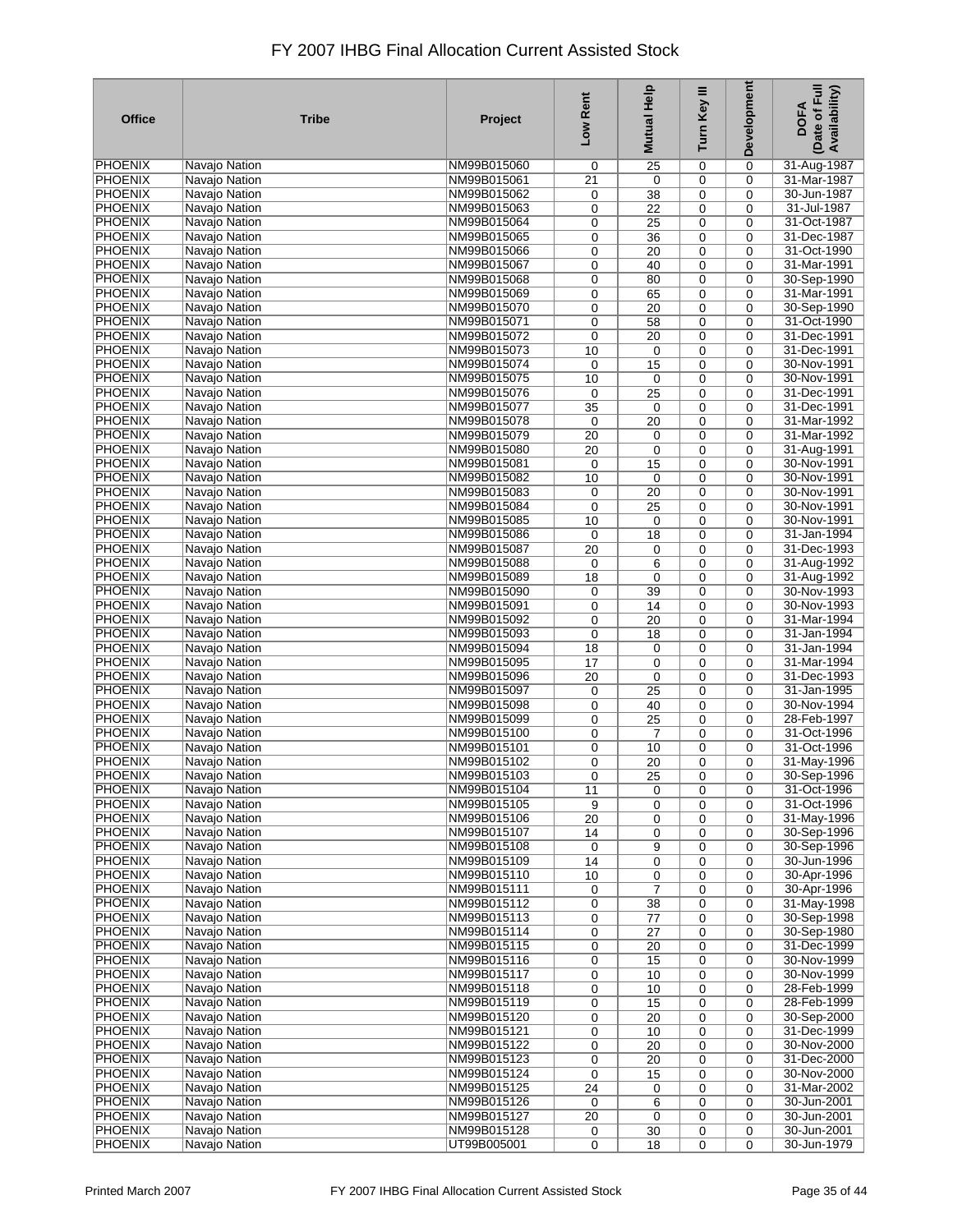| <b>Office</b>  | <b>Tribe</b>         | Project     | Low Rent        | <b>Mutual Help</b> | Turn Key III | Development | Date of Full<br>Availability)<br><b>DOFA</b> |
|----------------|----------------------|-------------|-----------------|--------------------|--------------|-------------|----------------------------------------------|
| <b>PHOENIX</b> | Navajo Nation        | NM99B015060 | 0               | 25                 | 0            | 0           | 31-Aug-1987                                  |
| <b>PHOENIX</b> | Navajo Nation        | NM99B015061 | 21              | 0                  | 0            | $\mathbf 0$ | 31-Mar-1987                                  |
| <b>PHOENIX</b> | Navajo Nation        | NM99B015062 | 0               | 38                 | 0            | 0           | 30-Jun-1987                                  |
| <b>PHOENIX</b> | Navajo Nation        | NM99B015063 | 0               | $\overline{22}$    | 0            | 0           | 31-Jul-1987                                  |
| <b>PHOENIX</b> | Navajo Nation        | NM99B015064 | 0               | 25                 | 0            | 0           | 31-Oct-1987                                  |
| <b>PHOENIX</b> | Navajo Nation        | NM99B015065 | 0               | 36                 | 0            | 0           | 31-Dec-1987                                  |
| <b>PHOENIX</b> | Navajo Nation        | NM99B015066 | 0               | 20                 | 0            | 0           | 31-Oct-1990                                  |
| <b>PHOENIX</b> | Navajo Nation        | NM99B015067 | 0               | 40                 | 0            | 0           | 31-Mar-1991                                  |
| <b>PHOENIX</b> | Navajo Nation        | NM99B015068 |                 |                    |              |             | 30-Sep-1990                                  |
| <b>PHOENIX</b> |                      |             | 0               | 80                 | 0            | 0           | 31-Mar-1991                                  |
|                | Navajo Nation        | NM99B015069 | 0               | 65                 | 0            | 0           |                                              |
| <b>PHOENIX</b> | Navajo Nation        | NM99B015070 | 0               | 20                 | 0            | 0           | 30-Sep-1990                                  |
| <b>PHOENIX</b> | Navajo Nation        | NM99B015071 | 0               | 58                 | 0            | 0           | 31-Oct-1990                                  |
| <b>PHOENIX</b> | Navajo Nation        | NM99B015072 | 0               | $\overline{20}$    | 0            | 0           | 31-Dec-1991                                  |
| <b>PHOENIX</b> | Navajo Nation        | NM99B015073 | 10              | 0                  | 0            | $\mathbf 0$ | 31-Dec-1991                                  |
| <b>PHOENIX</b> | Navajo Nation        | NM99B015074 | 0               | 15                 | 0            | $\mathbf 0$ | 30-Nov-1991                                  |
| <b>PHOENIX</b> | Navajo Nation        | NM99B015075 | 10              | $\mathbf 0$        | 0            | $\mathbf 0$ | 30-Nov-1991                                  |
| <b>PHOENIX</b> | Navajo Nation        | NM99B015076 | 0               | 25                 | $\mathbf 0$  | $\mathbf 0$ | 31-Dec-1991                                  |
| <b>PHOENIX</b> | Navajo Nation        | NM99B015077 | 35              | 0                  | 0            | $\mathbf 0$ | 31-Dec-1991                                  |
| <b>PHOENIX</b> | Navajo Nation        | NM99B015078 | 0               | 20                 | $\mathbf 0$  | $\mathbf 0$ | 31-Mar-1992                                  |
| <b>PHOENIX</b> | Navajo Nation        | NM99B015079 | 20              | $\mathbf 0$        | 0            | $\mathbf 0$ | 31-Mar-1992                                  |
| <b>PHOENIX</b> | Navajo Nation        | NM99B015080 | 20              | $\mathbf 0$        | $\mathbf 0$  | 0           | 31-Aug-1991                                  |
| <b>PHOENIX</b> | Navajo Nation        | NM99B015081 | 0               | 15                 | 0            | 0           | 30-Nov-1991                                  |
| <b>PHOENIX</b> | Navajo Nation        | NM99B015082 |                 |                    |              |             | 30-Nov-1991                                  |
| <b>PHOENIX</b> |                      |             | 10              | $\mathbf 0$        | $\mathbf 0$  | $\mathbf 0$ |                                              |
|                | Navajo Nation        | NM99B015083 | 0               | 20                 | 0            | 0           | 30-Nov-1991                                  |
| <b>PHOENIX</b> | Navajo Nation        | NM99B015084 | 0               | 25                 | 0            | 0           | 30-Nov-1991                                  |
| <b>PHOENIX</b> | Navajo Nation        | NM99B015085 | 10              | 0                  | 0            | 0           | 30-Nov-1991                                  |
| <b>PHOENIX</b> | Navajo Nation        | NM99B015086 | 0               | 18                 | 0            | $\mathbf 0$ | 31-Jan-1994                                  |
| <b>PHOENIX</b> | Navajo Nation        | NM99B015087 | $\overline{20}$ | 0                  | 0            | 0           | 31-Dec-1993                                  |
| <b>PHOENIX</b> | Navajo Nation        | NM99B015088 | 0               | 6                  | 0            | 0           | 31-Aug-1992                                  |
| <b>PHOENIX</b> | Navajo Nation        | NM99B015089 | 18              | $\mathbf 0$        | 0            | 0           | 31-Aug-1992                                  |
| <b>PHOENIX</b> | Navajo Nation        | NM99B015090 | 0               | 39                 | 0            | 0           | 30-Nov-1993                                  |
| <b>PHOENIX</b> | Navajo Nation        | NM99B015091 | 0               | 14                 | 0            | 0           | 30-Nov-1993                                  |
| <b>PHOENIX</b> | Navajo Nation        | NM99B015092 | 0               | 20                 | 0            | 0           | 31-Mar-1994                                  |
| <b>PHOENIX</b> | Navajo Nation        | NM99B015093 | 0               | 18                 | 0            | 0           | 31-Jan-1994                                  |
| <b>PHOENIX</b> | Navajo Nation        | NM99B015094 | 18              | 0                  | 0            | 0           | 31-Jan-1994                                  |
| <b>PHOENIX</b> | Navajo Nation        | NM99B015095 | 17              | 0                  | 0            | 0           | 31-Mar-1994                                  |
| <b>PHOENIX</b> | Navajo Nation        | NM99B015096 | 20              | $\mathbf 0$        | 0            | 0           | 31-Dec-1993                                  |
| <b>PHOENIX</b> | Navajo Nation        | NM99B015097 | 0               | 25                 | 0            | 0           | 31-Jan-1995                                  |
| <b>PHOENIX</b> | Navajo Nation        | NM99B015098 | 0               | 40                 | 0            | 0           | 30-Nov-1994                                  |
| <b>PHOENIX</b> | Navajo Nation        | NM99B015099 | 0               | 25                 | $\mathbf 0$  | $\mathbf 0$ | 28-Feb-1997                                  |
| <b>PHOENIX</b> | Navajo Nation        | NM99B015100 | 0               | $\overline{7}$     | 0            | $\mathbf 0$ | 31-Oct-1996                                  |
| <b>PHOENIX</b> |                      |             |                 |                    |              |             | 31-Oct-1996                                  |
|                | Navajo Nation        | NM99B015101 | 0               | 10                 | 0            | $\mathbf 0$ |                                              |
| <b>PHOENIX</b> | Navajo Nation        | NM99B015102 | 0               | 20                 | 0            | 0           | 31-May-1996                                  |
| PHOENIX        | Navajo Nation        | NM99B015103 | 0               | $\overline{25}$    | 0            | 0           | 30-Sep-1996                                  |
| PHOENIX        | Navajo Nation        | NM99B015104 | 11              | 0                  | 0            | 0           | 31-Oct-1996                                  |
| <b>PHOENIX</b> | Navajo Nation        | NM99B015105 | 9               | 0                  | 0            | 0           | 31-Oct-1996                                  |
| <b>PHOENIX</b> | Navajo Nation        | NM99B015106 | 20              | 0                  | 0            | 0           | 31-May-1996                                  |
| <b>PHOENIX</b> | Navajo Nation        | NM99B015107 | 14              | 0                  | $\mathbf 0$  | $\mathbf 0$ | 30-Sep-1996                                  |
| <b>PHOENIX</b> | Navajo Nation        | NM99B015108 | 0               | 9                  | 0            | $\mathbf 0$ | 30-Sep-1996                                  |
| <b>PHOENIX</b> | Navajo Nation        | NM99B015109 | 14              | 0                  | $\mathbf 0$  | $\mathbf 0$ | 30-Jun-1996                                  |
| <b>PHOENIX</b> | Navajo Nation        | NM99B015110 | 10              | 0                  | 0            | 0           | 30-Apr-1996                                  |
| PHOENIX        | Navajo Nation        | NM99B015111 | 0               | $\overline{7}$     | 0            | $\mathbf 0$ | 30-Apr-1996                                  |
| <b>PHOENIX</b> | <b>Navajo Nation</b> | NM99B015112 | 0               | 38                 | 0            | $\mathbf 0$ | 31-May-1998                                  |
| <b>PHOENIX</b> | Navajo Nation        | NM99B015113 | 0               | 77                 | 0            | 0           | 30-Sep-1998                                  |
| <b>PHOENIX</b> | <b>Navajo Nation</b> | NM99B015114 | 0               | 27                 | 0            | 0           | 30-Sep-1980                                  |
| <b>PHOENIX</b> | Navajo Nation        | NM99B015115 | 0               | 20                 | 0            | 0           | 31-Dec-1999                                  |
| <b>PHOENIX</b> | Navajo Nation        | NM99B015116 | 0               | 15                 | 0            | 0           | 30-Nov-1999                                  |
| <b>PHOENIX</b> | Navajo Nation        | NM99B015117 | 0               | 10                 | 0            | 0           | 30-Nov-1999                                  |
| <b>PHOENIX</b> | Navajo Nation        | NM99B015118 | 0               | 10                 | 0            | 0           | 28-Feb-1999                                  |
| <b>PHOENIX</b> | Navajo Nation        | NM99B015119 | 0               | 15                 | 0            | 0           | 28-Feb-1999                                  |
| <b>PHOENIX</b> | Navajo Nation        |             |                 |                    |              |             |                                              |
|                |                      | NM99B015120 | 0               | 20                 | 0            | 0           | 30-Sep-2000                                  |
| PHOENIX        | Navajo Nation        | NM99B015121 | 0               | 10                 | 0            | 0           | 31-Dec-1999                                  |
| <b>PHOENIX</b> | Navajo Nation        | NM99B015122 | 0               | 20                 | 0            | 0           | 30-Nov-2000                                  |
| <b>PHOENIX</b> | Navajo Nation        | NM99B015123 | 0               | 20                 | 0            | 0           | 31-Dec-2000                                  |
| <b>PHOENIX</b> | Navajo Nation        | NM99B015124 | 0               | 15                 | 0            | $\mathbf 0$ | 30-Nov-2000                                  |
| <b>PHOENIX</b> | Navajo Nation        | NM99B015125 | 24              | 0                  | 0            | 0           | 31-Mar-2002                                  |
| <b>PHOENIX</b> | Navajo Nation        | NM99B015126 | 0               | 6                  | 0            | 0           | 30-Jun-2001                                  |
| PHOENIX        | Navajo Nation        | NM99B015127 | 20              | $\mathbf 0$        | 0            | $\mathbf 0$ | 30-Jun-2001                                  |
| <b>PHOENIX</b> | Navajo Nation        | NM99B015128 | 0               | 30                 | 0            | 0           | 30-Jun-2001                                  |
| <b>PHOENIX</b> | Navajo Nation        | UT99B005001 | $\mathbf 0$     | 18                 | $\mathbf 0$  | $\mathbf 0$ | 30-Jun-1979                                  |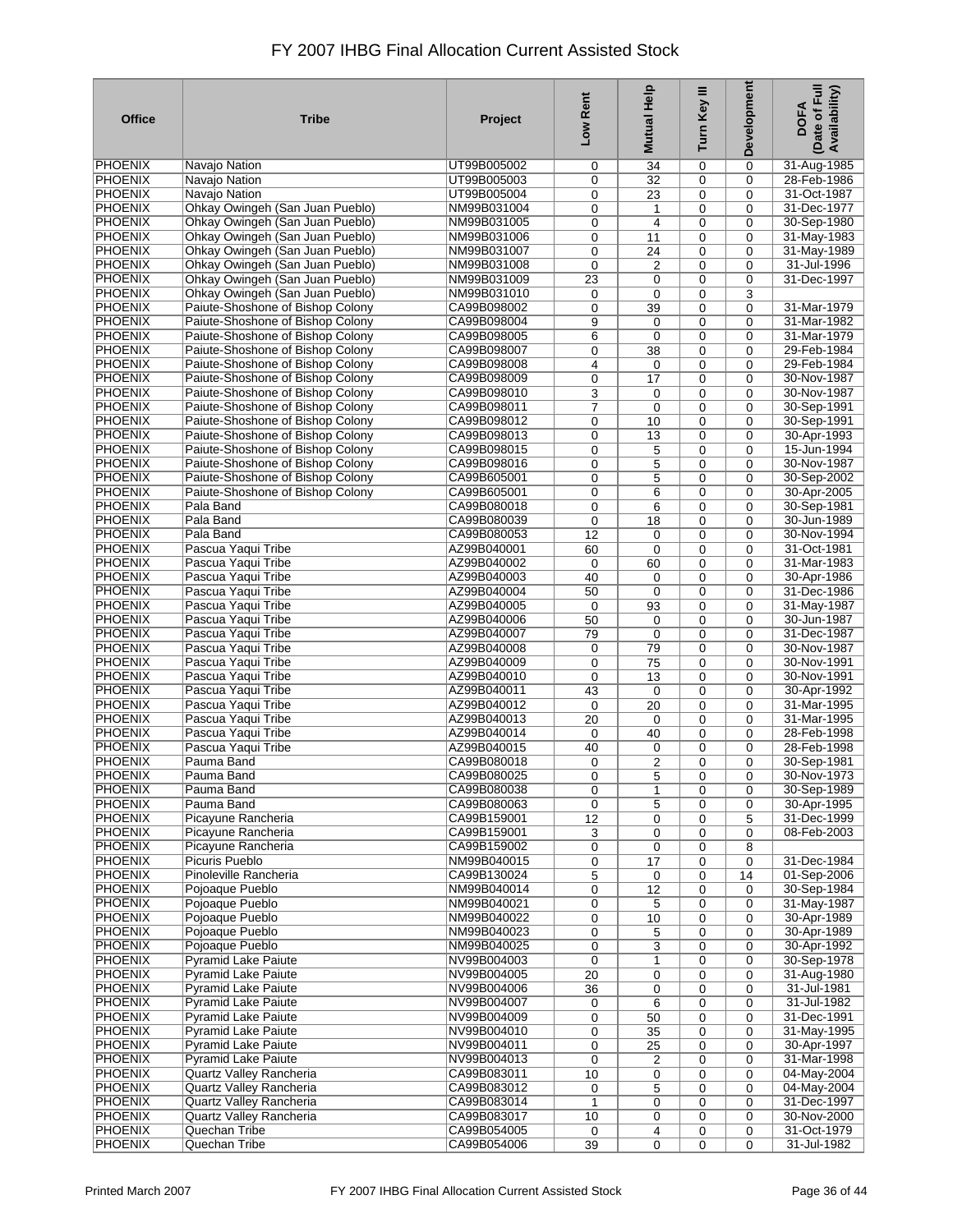| <b>Office</b>                    | <b>Tribe</b>                                                         | Project                    | Low Rent        | Help<br><b>Mutual</b> | Turn Key III | Development                | Date of Full<br>Availability)<br><b>DOFA</b> |
|----------------------------------|----------------------------------------------------------------------|----------------------------|-----------------|-----------------------|--------------|----------------------------|----------------------------------------------|
| PHOENIX                          | Navajo Nation                                                        | UT99B005002                | 0               | 34                    | 0            | 0                          | 31-Aug-1985                                  |
| <b>PHOENIX</b>                   | Navajo Nation                                                        | UT99B005003                | 0               | 32                    | 0            | $\mathbf 0$                | 28-Feb-1986                                  |
| <b>PHOENIX</b>                   | Navajo Nation                                                        | UT99B005004                | 0               | 23                    | 0            | $\Omega$                   | 31-Oct-1987                                  |
| <b>PHOENIX</b>                   | Ohkay Owingeh (San Juan Pueblo)                                      | NM99B031004                | 0               | 1                     | 0            | $\mathbf 0$                | 31-Dec-1977                                  |
| <b>PHOENIX</b>                   | Ohkay Owingeh (San Juan Pueblo)                                      | NM99B031005                | 0               | $\overline{4}$        | 0            | $\Omega$                   | 30-Sep-1980                                  |
| <b>PHOENIX</b>                   | Ohkay Owingeh (San Juan Pueblo)                                      | NM99B031006                | 0               | 11                    | 0            | $\mathbf 0$                | 31-May-1983                                  |
| <b>PHOENIX</b>                   | Ohkay Owingeh (San Juan Pueblo)                                      | NM99B031007                | 0               | $\overline{24}$       | 0            | $\mathbf 0$                | 31-May-1989                                  |
| <b>PHOENIX</b>                   | Ohkay Owingeh (San Juan Pueblo)                                      | NM99B031008                | 0               | $\overline{2}$        | 0            | $\mathbf 0$                | 31-Jul-1996                                  |
| <b>PHOENIX</b><br><b>PHOENIX</b> | Ohkay Owingeh (San Juan Pueblo)                                      | NM99B031009                | $\overline{23}$ | $\mathbf 0$           | 0            | $\mathbf 0$                | 31-Dec-1997                                  |
| <b>PHOENIX</b>                   | Ohkay Owingeh (San Juan Pueblo)                                      | NM99B031010<br>CA99B098002 | 0               | $\mathbf 0$           | 0            | 3                          | 31-Mar-1979                                  |
| <b>PHOENIX</b>                   | Paiute-Shoshone of Bishop Colony<br>Paiute-Shoshone of Bishop Colony | CA99B098004                | 0<br>9          | 39<br>$\mathbf 0$     | 0<br>0       | $\mathbf 0$<br>$\mathbf 0$ | 31-Mar-1982                                  |
| <b>PHOENIX</b>                   | Paiute-Shoshone of Bishop Colony                                     | CA99B098005                | 6               | $\mathbf 0$           | 0            | $\mathbf 0$                | 31-Mar-1979                                  |
| <b>PHOENIX</b>                   | Paiute-Shoshone of Bishop Colony                                     | CA99B098007                | 0               | 38                    | 0            | $\mathbf 0$                | 29-Feb-1984                                  |
| <b>PHOENIX</b>                   | Paiute-Shoshone of Bishop Colony                                     | CA99B098008                | 4               | $\mathbf 0$           | 0            | $\mathbf 0$                | 29-Feb-1984                                  |
| <b>PHOENIX</b>                   | Paiute-Shoshone of Bishop Colony                                     | CA99B098009                | 0               | 17                    | 0            | $\mathbf 0$                | 30-Nov-1987                                  |
| <b>PHOENIX</b>                   | Paiute-Shoshone of Bishop Colony                                     | CA99B098010                | 3               | $\mathbf 0$           | 0            | $\mathbf 0$                | 30-Nov-1987                                  |
| <b>PHOENIX</b>                   | Paiute-Shoshone of Bishop Colony                                     | CA99B098011                | 7               | $\mathbf 0$           | 0            | $\mathbf 0$                | 30-Sep-1991                                  |
| <b>PHOENIX</b>                   | Paiute-Shoshone of Bishop Colony                                     | CA99B098012                | 0               | 10                    | 0            | $\mathbf 0$                | 30-Sep-1991                                  |
| <b>PHOENIX</b>                   | Paiute-Shoshone of Bishop Colony                                     | CA99B098013                | 0               | 13                    | 0            | $\mathbf 0$                | 30-Apr-1993                                  |
| <b>PHOENIX</b>                   | Paiute-Shoshone of Bishop Colony                                     | CA99B098015                | 0               | 5                     | 0            | $\mathbf 0$                | 15-Jun-1994                                  |
| <b>PHOENIX</b>                   | Paiute-Shoshone of Bishop Colony                                     | CA99B098016                | 0               | 5                     | 0            | $\Omega$                   | 30-Nov-1987                                  |
| <b>PHOENIX</b>                   | Paiute-Shoshone of Bishop Colony                                     | CA99B605001                | 0               | 5                     | 0            | $\Omega$                   | 30-Sep-2002                                  |
| <b>PHOENIX</b>                   | Paiute-Shoshone of Bishop Colony                                     | CA99B605001                | 0               | 6                     | 0            | $\Omega$                   | 30-Apr-2005                                  |
| <b>PHOENIX</b>                   | Pala Band                                                            | CA99B080018                | 0               | 6                     | 0            | $\mathbf 0$                | 30-Sep-1981                                  |
| <b>PHOENIX</b>                   | Pala Band                                                            | CA99B080039                | 0               | 18                    | 0            | $\mathbf 0$                | 30-Jun-1989                                  |
| <b>PHOENIX</b>                   | Pala Band                                                            | CA99B080053                | 12              | $\mathbf 0$           | 0            | $\mathbf 0$                | 30-Nov-1994                                  |
| <b>PHOENIX</b>                   | Pascua Yaqui Tribe                                                   | AZ99B040001                | 60              | $\mathbf 0$           | 0            | $\Omega$                   | 31-Oct-1981                                  |
| <b>PHOENIX</b>                   | Pascua Yaqui Tribe                                                   | AZ99B040002                | 0               | 60                    | 0            | $\mathbf 0$                | 31-Mar-1983                                  |
| <b>PHOENIX</b>                   | Pascua Yaqui Tribe                                                   | AZ99B040003                | 40              | 0                     | 0            | $\Omega$                   | 30-Apr-1986                                  |
| <b>PHOENIX</b>                   | Pascua Yaqui Tribe                                                   | AZ99B040004                | 50              | 0                     | 0            | $\mathbf 0$                | 31-Dec-1986                                  |
| <b>PHOENIX</b>                   | Pascua Yaqui Tribe                                                   | AZ99B040005<br>AZ99B040006 | 0               | 93                    | 0            | $\mathbf 0$                | 31-May-1987                                  |
| <b>PHOENIX</b><br><b>PHOENIX</b> | Pascua Yaqui Tribe<br>Pascua Yaqui Tribe                             | AZ99B040007                | 50              | 0                     | 0<br>0       | $\mathbf 0$<br>$\Omega$    | 30-Jun-1987<br>31-Dec-1987                   |
| <b>PHOENIX</b>                   | Pascua Yaqui Tribe                                                   | AZ99B040008                | 79<br>0         | $\mathbf 0$<br>79     | 0            | $\mathbf 0$                | 30-Nov-1987                                  |
| <b>PHOENIX</b>                   | Pascua Yaqui Tribe                                                   | AZ99B040009                | 0               | 75                    | 0            | $\Omega$                   | 30-Nov-1991                                  |
| <b>PHOENIX</b>                   | Pascua Yaqui Tribe                                                   | AZ99B040010                | 0               | 13                    | 0            | $\mathbf 0$                | 30-Nov-1991                                  |
| <b>PHOENIX</b>                   | Pascua Yaqui Tribe                                                   | AZ99B040011                | 43              | $\mathbf 0$           | 0            | $\mathbf 0$                | 30-Apr-1992                                  |
| <b>PHOENIX</b>                   | Pascua Yaqui Tribe                                                   | AZ99B040012                | 0               | 20                    | 0            | $\mathbf 0$                | 31-Mar-1995                                  |
| <b>PHOENIX</b>                   | Pascua Yaqui Tribe                                                   | AZ99B040013                | 20              | $\mathbf 0$           | 0            | $\mathbf 0$                | 31-Mar-1995                                  |
| <b>PHOENIX</b>                   | Pascua Yaqui Tribe                                                   | AZ99B040014                | $\mathbf 0$     | 40                    | 0            | $\Omega$                   | 28-Feb-1998                                  |
| <b>PHOENIX</b>                   | Pascua Yaqui Tribe                                                   | AZ99B040015                | 40              | 0                     | 0            | $\mathbf 0$                | 28-Feb-1998                                  |
| <b>PHOENIX</b>                   | Pauma Band                                                           | CA99B080018                | 0               | 2                     | 0            | $\mathbf 0$                | 30-Sep-1981                                  |
| <b>PHOENIX</b>                   | Pauma Band                                                           | CA99B080025                | 0               | $\overline{5}$        | 0            | 0                          | 30-Nov-1973                                  |
| <b>PHOENIX</b>                   | Pauma Band                                                           | CA99B080038                | 0               | 1                     | 0            | 0                          | 30-Sep-1989                                  |
| <b>PHOENIX</b>                   | Pauma Band                                                           | CA99B080063                | 0               | 5                     | 0            | 0                          | 30-Apr-1995                                  |
| <b>PHOENIX</b>                   | Picayune Rancheria                                                   | CA99B159001                | 12              | 0                     | 0            | 5                          | 31-Dec-1999                                  |
| <b>PHOENIX</b>                   | Picayune Rancheria                                                   | CA99B159001                | 3               | $\mathbf 0$           | 0            | $\mathbf 0$                | 08-Feb-2003                                  |
| <b>PHOENIX</b>                   | Picayune Rancheria                                                   | CA99B159002                | 0               | $\mathbf 0$           | 0            | 8                          |                                              |
| <b>PHOENIX</b>                   | Picuris Pueblo                                                       | NM99B040015                | 0               | 17                    | 0            | $\mathbf 0$                | 31-Dec-1984                                  |
| <b>PHOENIX</b>                   | Pinoleville Rancheria                                                | CA99B130024                | 5               | $\mathbf 0$           | 0            | 14                         | 01-Sep-2006                                  |
| <b>PHOENIX</b>                   | Pojoaque Pueblo                                                      | NM99B040014                | 0               | 12                    | 0            | $\mathbf 0$                | 30-Sep-1984                                  |
| <b>PHOENIX</b><br><b>PHOENIX</b> | Pojoaque Pueblo<br>Pojoaque Pueblo                                   | NM99B040021<br>NM99B040022 | 0               | 5<br>10               | 0<br>0       | $\mathbf 0$<br>$\mathbf 0$ | 31-May-1987<br>30-Apr-1989                   |
| <b>PHOENIX</b>                   | Pojoaque Pueblo                                                      | NM99B040023                | 0<br>0          | 5                     | 0            | $\mathbf 0$                | 30-Apr-1989                                  |
| <b>PHOENIX</b>                   | Pojoaque Pueblo                                                      | NM99B040025                | 0               | 3                     | 0            | 0                          | 30-Apr-1992                                  |
| <b>PHOENIX</b>                   | <b>Pyramid Lake Paiute</b>                                           | NV99B004003                | 0               | 1                     | 0            | $\mathbf 0$                | 30-Sep-1978                                  |
| <b>PHOENIX</b>                   | <b>Pyramid Lake Paiute</b>                                           | NV99B004005                | 20              | 0                     | 0            | $\mathbf 0$                | 31-Aug-1980                                  |
| <b>PHOENIX</b>                   | Pyramid Lake Paiute                                                  | NV99B004006                | 36              | 0                     | 0            | $\mathbf 0$                | 31-Jul-1981                                  |
| <b>PHOENIX</b>                   | <b>Pyramid Lake Paiute</b>                                           | NV99B004007                | 0               | 6                     | 0            | 0                          | 31-Jul-1982                                  |
| <b>PHOENIX</b>                   | <b>Pyramid Lake Paiute</b>                                           | NV99B004009                | 0               | 50                    | 0            | $\mathbf 0$                | 31-Dec-1991                                  |
| <b>PHOENIX</b>                   | <b>Pyramid Lake Paiute</b>                                           | NV99B004010                | 0               | 35                    | 0            | $\mathbf 0$                | 31-May-1995                                  |
| <b>PHOENIX</b>                   | <b>Pyramid Lake Paiute</b>                                           | NV99B004011                | 0               | 25                    | 0            | $\mathbf 0$                | 30-Apr-1997                                  |
| <b>PHOENIX</b>                   | <b>Pyramid Lake Paiute</b>                                           | NV99B004013                | 0               | $\overline{2}$        | 0            | 0                          | 31-Mar-1998                                  |
| <b>PHOENIX</b>                   | Quartz Valley Rancheria                                              | CA99B083011                | 10              | $\mathbf 0$           | 0            | $\mathbf 0$                | 04-May-2004                                  |
| <b>PHOENIX</b>                   | Quartz Valley Rancheria                                              | CA99B083012                | 0               | 5                     | 0            | $\mathbf 0$                | 04-May-2004                                  |
| <b>PHOENIX</b>                   | Quartz Valley Rancheria                                              | CA99B083014                | 1               | $\mathbf 0$           | 0            | $\mathbf 0$                | 31-Dec-1997                                  |
| <b>PHOENIX</b>                   | Quartz Valley Rancheria                                              | CA99B083017                | 10              | $\mathbf 0$           | 0            | $\mathbf 0$                | 30-Nov-2000                                  |
| <b>PHOENIX</b>                   | Quechan Tribe                                                        | CA99B054005                | 0               | 4                     | 0            | 0                          | 31-Oct-1979                                  |
| <b>PHOENIX</b>                   | Quechan Tribe                                                        | CA99B054006                | 39              | 0                     | 0            | $\mathbf 0$                | 31-Jul-1982                                  |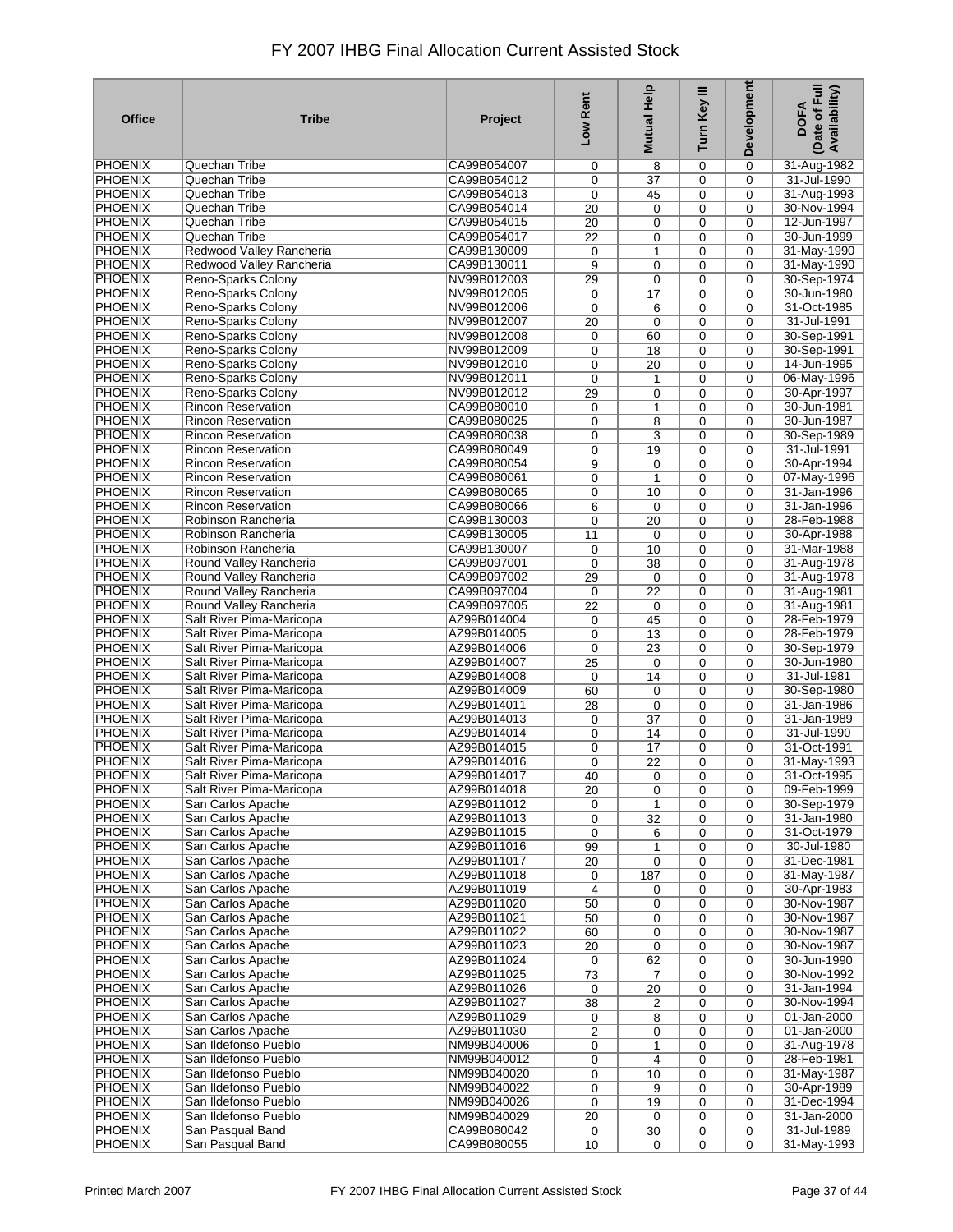| <b>Office</b>  | <b>Tribe</b>              | Project     | Low Rent        | Help<br><b>Mutual</b> | Turn Key III | Development | Date of Full<br>Availability)<br><b>DOFA</b> |
|----------------|---------------------------|-------------|-----------------|-----------------------|--------------|-------------|----------------------------------------------|
| <b>PHOENIX</b> | Quechan Tribe             | CA99B054007 | 0               | 8                     | 0            | 0           | 31-Aug-1982                                  |
| <b>PHOENIX</b> | Quechan Tribe             | CA99B054012 | 0               | 37                    | 0            | $\mathbf 0$ | 31-Jul-1990                                  |
| <b>PHOENIX</b> | Quechan Tribe             | CA99B054013 | 0               | 45                    | 0            | 0           | 31-Aug-1993                                  |
| <b>PHOENIX</b> | Quechan Tribe             | CA99B054014 | 20              | 0                     | 0            | $\mathbf 0$ | 30-Nov-1994                                  |
| <b>PHOENIX</b> | Quechan Tribe             | CA99B054015 | 20              | $\mathbf 0$           | 0            | 0           | 12-Jun-1997                                  |
| <b>PHOENIX</b> | Quechan Tribe             | CA99B054017 | 22              | 0                     | 0            | 0           | 30-Jun-1999                                  |
| <b>PHOENIX</b> | Redwood Valley Rancheria  | CA99B130009 | 0               | 1                     | 0            | 0           | 31-May-1990                                  |
| <b>PHOENIX</b> | Redwood Valley Rancheria  | CA99B130011 | 9               | 0                     | 0            | 0           | 31-May-1990                                  |
| <b>PHOENIX</b> | Reno-Sparks Colony        | NV99B012003 | $\overline{29}$ |                       |              |             | 30-Sep-1974                                  |
|                |                           |             |                 | $\mathbf 0$           | 0            | 0           |                                              |
| <b>PHOENIX</b> | <b>Reno-Sparks Colony</b> | NV99B012005 | 0               | 17                    | 0            | 0           | 30-Jun-1980                                  |
| <b>PHOENIX</b> | Reno-Sparks Colony        | NV99B012006 | 0               | 6                     | 0            | 0           | 31-Oct-1985                                  |
| <b>PHOENIX</b> | Reno-Sparks Colony        | NV99B012007 | 20              | $\mathbf 0$           | $\mathbf 0$  | $\mathbf 0$ | 31-Jul-1991                                  |
| <b>PHOENIX</b> | Reno-Sparks Colony        | NV99B012008 | 0               | 60                    | 0            | 0           | 30-Sep-1991                                  |
| <b>PHOENIX</b> | Reno-Sparks Colony        | NV99B012009 | 0               | 18                    | 0            | $\mathbf 0$ | 30-Sep-1991                                  |
| <b>PHOENIX</b> | Reno-Sparks Colony        | NV99B012010 | 0               | 20                    | 0            | $\mathbf 0$ | 14-Jun-1995                                  |
| <b>PHOENIX</b> | Reno-Sparks Colony        | NV99B012011 | 0               | 1                     | 0            | $\mathbf 0$ | 06-May-1996                                  |
| <b>PHOENIX</b> | Reno-Sparks Colony        | NV99B012012 | 29              | 0                     | $\mathbf 0$  | $\mathbf 0$ | 30-Apr-1997                                  |
| <b>PHOENIX</b> | <b>Rincon Reservation</b> | CA99B080010 | 0               | 1                     | 0            | $\mathbf 0$ | 30-Jun-1981                                  |
| <b>PHOENIX</b> | <b>Rincon Reservation</b> | CA99B080025 | 0               | 8                     | $\mathbf 0$  | $\mathbf 0$ | 30-Jun-1987                                  |
| <b>PHOENIX</b> | <b>Rincon Reservation</b> | CA99B080038 | 0               | 3                     | 0            | $\mathbf 0$ | 30-Sep-1989                                  |
| <b>PHOENIX</b> | <b>Rincon Reservation</b> | CA99B080049 | 0               | 19                    | $\mathbf 0$  | 0           | 31-Jul-1991                                  |
| <b>PHOENIX</b> | <b>Rincon Reservation</b> | CA99B080054 | 9               |                       | 0            | $\mathbf 0$ | 30-Apr-1994                                  |
|                | <b>Rincon Reservation</b> |             |                 | 0                     |              |             |                                              |
| <b>PHOENIX</b> |                           | CA99B080061 | 0               | $\mathbf{1}$          | $\mathbf 0$  | $\mathbf 0$ | 07-May-1996                                  |
| <b>PHOENIX</b> | <b>Rincon Reservation</b> | CA99B080065 | 0               | 10                    | 0            | 0           | 31-Jan-1996                                  |
| <b>PHOENIX</b> | <b>Rincon Reservation</b> | CA99B080066 | 6               | $\mathbf 0$           | 0            | 0           | 31-Jan-1996                                  |
| <b>PHOENIX</b> | Robinson Rancheria        | CA99B130003 | 0               | 20                    | 0            | 0           | 28-Feb-1988                                  |
| <b>PHOENIX</b> | Robinson Rancheria        | CA99B130005 | 11              | 0                     | 0            | $\mathbf 0$ | 30-Apr-1988                                  |
| <b>PHOENIX</b> | Robinson Rancheria        | CA99B130007 | 0               | 10                    | 0            | 0           | 31-Mar-1988                                  |
| <b>PHOENIX</b> | Round Valley Rancheria    | CA99B097001 | 0               | 38                    | 0            | $\mathbf 0$ | 31-Aug-1978                                  |
| <b>PHOENIX</b> | Round Valley Rancheria    | CA99B097002 | 29              | 0                     | 0            | 0           | 31-Aug-1978                                  |
| <b>PHOENIX</b> | Round Valley Rancheria    | CA99B097004 | 0               | 22                    | 0            | 0           | 31-Aug-1981                                  |
| <b>PHOENIX</b> | Round Valley Rancheria    | CA99B097005 | $\overline{22}$ | 0                     | 0            | 0           | 31-Aug-1981                                  |
| <b>PHOENIX</b> | Salt River Pima-Maricopa  | AZ99B014004 | 0               | 45                    | 0            | 0           | 28-Feb-1979                                  |
| <b>PHOENIX</b> | Salt River Pima-Maricopa  | AZ99B014005 | 0               | 13                    | 0            | 0           | 28-Feb-1979                                  |
| <b>PHOENIX</b> | Salt River Pima-Maricopa  | AZ99B014006 | 0               | 23                    | 0            | 0           | 30-Sep-1979                                  |
| <b>PHOENIX</b> | Salt River Pima-Maricopa  | AZ99B014007 | 25              | 0                     | 0            | 0           | 30-Jun-1980                                  |
| <b>PHOENIX</b> | Salt River Pima-Maricopa  | AZ99B014008 | 0               | 14                    | $\mathbf 0$  | 0           | 31-Jul-1981                                  |
| <b>PHOENIX</b> | Salt River Pima-Maricopa  |             |                 |                       |              |             |                                              |
| <b>PHOENIX</b> |                           | AZ99B014009 | 60              | 0                     | 0            | 0           | 30-Sep-1980                                  |
|                | Salt River Pima-Maricopa  | AZ99B014011 | 28              | $\mathbf 0$           | 0            | $\mathbf 0$ | 31-Jan-1986                                  |
| <b>PHOENIX</b> | Salt River Pima-Maricopa  | AZ99B014013 | 0               | 37                    | 0            | $\mathbf 0$ | 31-Jan-1989                                  |
| <b>PHOENIX</b> | Salt River Pima-Maricopa  | AZ99B014014 | 0               | 14                    | 0            | $\mathbf 0$ | 31-Jul-1990                                  |
| <b>PHOENIX</b> | Salt River Pima-Maricopa  | AZ99B014015 | 0               | 17                    | $\mathbf 0$  | $\mathbf 0$ | 31-Oct-1991                                  |
| <b>PHOENIX</b> | Salt River Pima-Maricopa  | AZ99B014016 | 0               | 22                    | 0            | 0           | 31-May-1993                                  |
| PHOENIX        | Salt River Pima-Maricopa  | AZ99B014017 | 40              | 0                     | 0            | 0           | 31-Oct-1995                                  |
| <b>PHOENIX</b> | Salt River Pima-Maricopa  | AZ99B014018 | 20              | $\mathbf 0$           | 0            | 0           | 09-Feb-1999                                  |
| <b>PHOENIX</b> | San Carlos Apache         | AZ99B011012 | 0               | $\mathbf{1}$          | 0            | 0           | 30-Sep-1979                                  |
| <b>PHOENIX</b> | San Carlos Apache         | AZ99B011013 | 0               | 32                    | 0            | 0           | 31-Jan-1980                                  |
| <b>PHOENIX</b> | San Carlos Apache         | AZ99B011015 | 0               | 6                     | $\mathbf 0$  | $\mathbf 0$ | 31-Oct-1979                                  |
| PHOENIX        | San Carlos Apache         | AZ99B011016 | 99              | 1                     | 0            | $\mathbf 0$ | 30-Jul-1980                                  |
| <b>PHOENIX</b> | San Carlos Apache         | AZ99B011017 | 20              | 0                     | $\mathbf 0$  | 0           | 31-Dec-1981                                  |
| <b>PHOENIX</b> | San Carlos Apache         | AZ99B011018 | 0               | 187                   | 0            | 0           | 31-May-1987                                  |
| PHOENIX        | San Carlos Apache         | AZ99B011019 | $\overline{4}$  | 0                     | 0            | 0           | 30-Apr-1983                                  |
| <b>PHOENIX</b> | San Carlos Apache         | AZ99B011020 | 50              | 0                     | 0            | 0           | 30-Nov-1987                                  |
| <b>PHOENIX</b> | San Carlos Apache         | AZ99B011021 | 50              |                       | 0            | 0           | 30-Nov-1987                                  |
| <b>PHOENIX</b> |                           |             |                 | 0                     |              |             |                                              |
|                | San Carlos Apache         | AZ99B011022 | 60              | $\mathbf 0$           | 0            | $\mathbf 0$ | 30-Nov-1987                                  |
| <b>PHOENIX</b> | San Carlos Apache         | AZ99B011023 | 20              | 0                     | 0            | 0           | 30-Nov-1987                                  |
| <b>PHOENIX</b> | San Carlos Apache         | AZ99B011024 | 0               | 62                    | 0            | 0           | 30-Jun-1990                                  |
| <b>PHOENIX</b> | San Carlos Apache         | AZ99B011025 | 73              | 7                     | 0            | 0           | 30-Nov-1992                                  |
| <b>PHOENIX</b> | San Carlos Apache         | AZ99B011026 | 0               | $\overline{20}$       | 0            | 0           | 31-Jan-1994                                  |
| <b>PHOENIX</b> | San Carlos Apache         | AZ99B011027 | 38              | 2                     | 0            | 0           | 30-Nov-1994                                  |
| <b>PHOENIX</b> | San Carlos Apache         | AZ99B011029 | 0               | 8                     | 0            | 0           | 01-Jan-2000                                  |
| PHOENIX        | San Carlos Apache         | AZ99B011030 | 2               | 0                     | 0            | 0           | 01-Jan-2000                                  |
| <b>PHOENIX</b> | San Ildefonso Pueblo      | NM99B040006 | 0               | 1                     | 0            | 0           | 31-Aug-1978                                  |
| <b>PHOENIX</b> | San Ildefonso Pueblo      | NM99B040012 | 0               | 4                     | 0            | 0           | 28-Feb-1981                                  |
| PHOENIX        | San Ildefonso Pueblo      | NM99B040020 | 0               | 10                    | 0            | $\mathbf 0$ | 31-May-1987                                  |
| <b>PHOENIX</b> | San Ildefonso Pueblo      | NM99B040022 | 0               | 9                     | 0            | 0           | 30-Apr-1989                                  |
| <b>PHOENIX</b> | San Ildefonso Pueblo      | NM99B040026 | 0               | 19                    | 0            | 0           | 31-Dec-1994                                  |
| PHOENIX        | San Ildefonso Pueblo      | NM99B040029 |                 |                       |              |             | 31-Jan-2000                                  |
|                |                           |             | 20              | 0                     | 0            | 0           |                                              |
| <b>PHOENIX</b> | San Pasqual Band          | CA99B080042 | 0               | 30                    | 0            | 0           | 31-Jul-1989                                  |
| <b>PHOENIX</b> | San Pasqual Band          | CA99B080055 | 10              | $\mathbf 0$           | $\mathbf 0$  | $\mathbf 0$ | 31-May-1993                                  |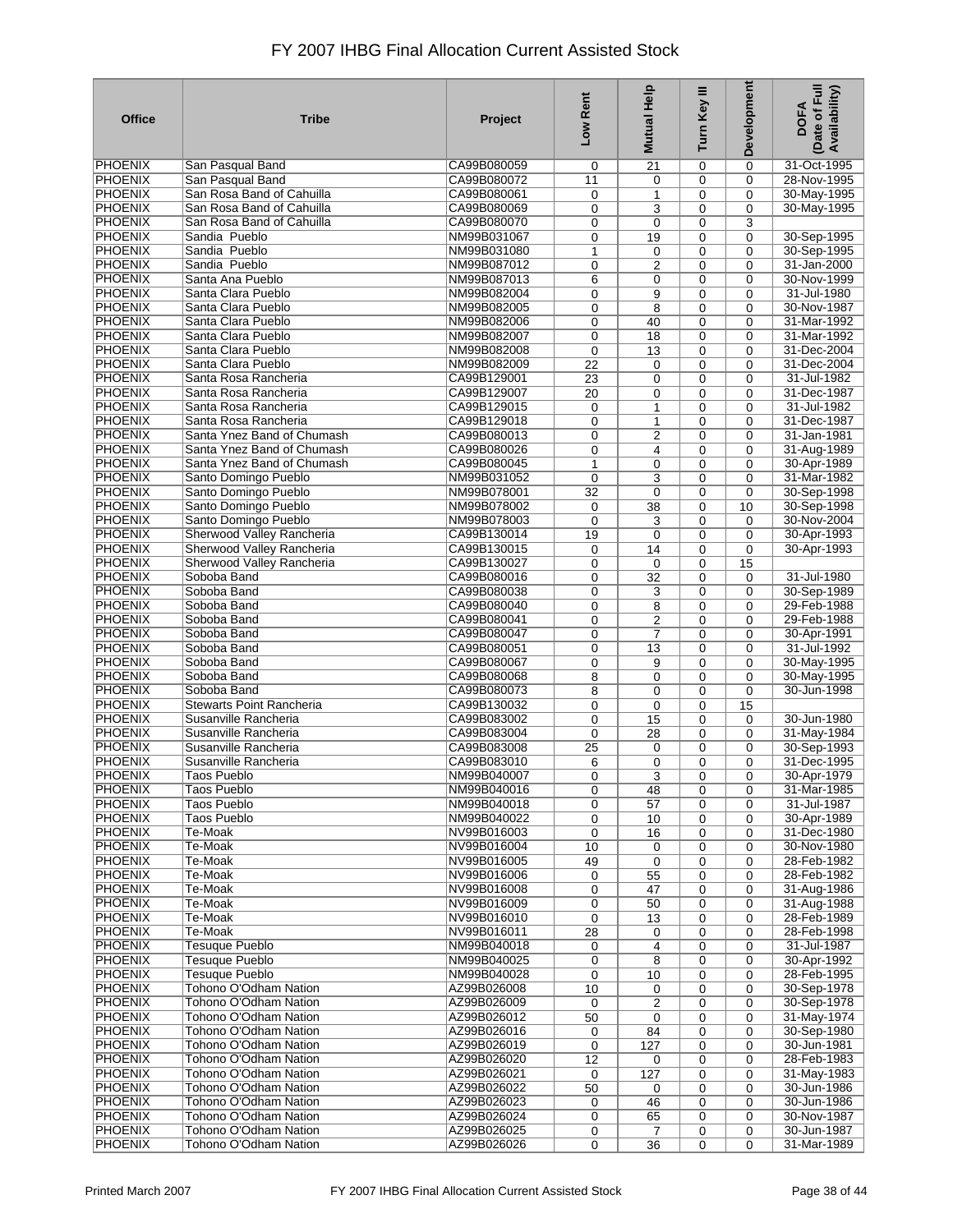| <b>Office</b>  | <b>Tribe</b>               | Project     | Low Rent    | <b>Mutual Help</b> | Turn Key III | <b>Development</b> | (Date of Full<br>Availability)<br><b>DOFA</b> |
|----------------|----------------------------|-------------|-------------|--------------------|--------------|--------------------|-----------------------------------------------|
| <b>PHOENIX</b> | San Pasqual Band           | CA99B080059 | 0           | 21                 | 0            | 0                  | 31-Oct-1995                                   |
| <b>PHOENIX</b> | San Pasqual Band           | CA99B080072 | 11          | 0                  | 0            | 0                  | 28-Nov-1995                                   |
| <b>PHOENIX</b> | San Rosa Band of Cahuilla  | CA99B080061 | 0           | 1                  | 0            | 0                  | 30-May-1995                                   |
| <b>PHOENIX</b> | San Rosa Band of Cahuilla  | CA99B080069 | 0           | 3                  | 0            | 0                  | 30-May-1995                                   |
| <b>PHOENIX</b> | San Rosa Band of Cahuilla  | CA99B080070 | 0           | $\mathbf 0$        | 0            | 3                  |                                               |
| PHOENIX        | Sandia Pueblo              | NM99B031067 | 0           | 19                 | 0            | 0                  | 30-Sep-1995                                   |
| <b>PHOENIX</b> | Sandia Pueblo              | NM99B031080 | 1           | 0                  | 0            | 0                  | 30-Sep-1995                                   |
| <b>PHOENIX</b> | Sandia Pueblo              | NM99B087012 | 0           | $\overline{2}$     | 0            | $\mathbf 0$        | 31-Jan-2000                                   |
| <b>PHOENIX</b> | Santa Ana Pueblo           | NM99B087013 | 6           | $\mathbf 0$        | 0            | $\mathbf 0$        | 30-Nov-1999                                   |
| <b>PHOENIX</b> | Santa Clara Pueblo         | NM99B082004 | 0           | 9                  | 0            | $\mathbf 0$        | 31-Jul-1980                                   |
| <b>PHOENIX</b> | Santa Clara Pueblo         | NM99B082005 | 0           | 8                  | 0            | $\mathbf 0$        | 30-Nov-1987                                   |
| <b>PHOENIX</b> | Santa Clara Pueblo         | NM99B082006 | 0           | 40                 | 0            | $\mathbf 0$        | 31-Mar-1992                                   |
| <b>PHOENIX</b> | Santa Clara Pueblo         | NM99B082007 | 0           | 18                 | $\mathbf 0$  | $\mathbf 0$        | 31-Mar-1992                                   |
| <b>PHOENIX</b> | Santa Clara Pueblo         | NM99B082008 | 0           | 13                 | 0            | $\mathbf 0$        | 31-Dec-2004                                   |
| <b>PHOENIX</b> | Santa Clara Pueblo         | NM99B082009 | 22          | 0                  | 0            | 0                  | 31-Dec-2004                                   |
| <b>PHOENIX</b> | Santa Rosa Rancheria       | CA99B129001 | 23          | 0                  | 0            | $\mathbf 0$        | 31-Jul-1982                                   |
| <b>PHOENIX</b> | Santa Rosa Rancheria       | CA99B129007 | 20          | 0                  | $\mathbf 0$  | $\mathbf 0$        | 31-Dec-1987                                   |
| <b>PHOENIX</b> | Santa Rosa Rancheria       | CA99B129015 | 0           | 1                  | 0            | 0                  | 31-Jul-1982                                   |
| <b>PHOENIX</b> | Santa Rosa Rancheria       | CA99B129018 | 0           | 1                  | 0            | 0                  | 31-Dec-1987                                   |
| <b>PHOENIX</b> | Santa Ynez Band of Chumash | CA99B080013 | 0           | 2                  | 0            | 0                  | 31-Jan-1981                                   |
| PHOENIX        | Santa Ynez Band of Chumash | CA99B080026 | 0           | $\overline{4}$     | 0            | $\mathbf 0$        | 31-Aug-1989                                   |
| <b>PHOENIX</b> | Santa Ynez Band of Chumash | CA99B080045 | 1           | 0                  | 0            | 0                  | 30-Apr-1989                                   |
| <b>PHOENIX</b> | Santo Domingo Pueblo       | NM99B031052 | 0           | 3                  | 0            | $\mathbf 0$        | 31-Mar-1982                                   |
| <b>PHOENIX</b> | Santo Domingo Pueblo       | NM99B078001 | 32          | 0                  | 0            | 0                  | 30-Sep-1998                                   |
| <b>PHOENIX</b> | Santo Domingo Pueblo       | NM99B078002 | 0           | 38                 | 0            | 10                 | 30-Sep-1998                                   |
| <b>PHOENIX</b> | Santo Domingo Pueblo       | NM99B078003 | 0           | 3                  | 0            | 0                  | 30-Nov-2004                                   |
| <b>PHOENIX</b> | Sherwood Valley Rancheria  | CA99B130014 | 19          | 0                  | 0            | $\mathbf 0$        | 30-Apr-1993                                   |
| <b>PHOENIX</b> | Sherwood Valley Rancheria  | CA99B130015 | 0           | 14                 | 0            | $\mathbf 0$        | 30-Apr-1993                                   |
| <b>PHOENIX</b> | Sherwood Valley Rancheria  | CA99B130027 | 0           | $\mathbf 0$        | 0            | 15                 |                                               |
| <b>PHOENIX</b> | Soboba Band                | CA99B080016 | 0           | 32                 | $\mathbf 0$  | $\mathbf 0$        | 31-Jul-1980                                   |
| <b>PHOENIX</b> | Soboba Band                | CA99B080038 | 0           | 3                  | 0            | $\mathbf 0$        | 30-Sep-1989                                   |
| <b>PHOENIX</b> | Soboba Band                | CA99B080040 | 0           | 8                  | 0            | 0                  | 29-Feb-1988                                   |
| <b>PHOENIX</b> | Soboba Band                | CA99B080041 | 0           | $\overline{c}$     | 0            | $\mathbf 0$        | 29-Feb-1988                                   |
| <b>PHOENIX</b> | Soboba Band                | CA99B080047 | 0           | $\overline{7}$     | 0            | $\mathbf 0$        | 30-Apr-1991                                   |
| <b>PHOENIX</b> | Soboba Band                | CA99B080051 | 0           | 13                 | 0            | $\mathbf 0$        | 31-Jul-1992                                   |
| <b>PHOENIX</b> | Soboba Band                | CA99B080067 | 0           | 9                  | 0            | $\mathbf 0$        | 30-May-1995                                   |
| PHOENIX        | Soboba Band                | CA99B080068 | 8           | 0                  | 0            | $\mathbf 0$        | 30-May-1995                                   |
| <b>PHOENIX</b> | Soboba Band                | CA99B080073 | 8           | 0                  | 0            | $\mathbf 0$        | 30-Jun-1998                                   |
| <b>PHOENIX</b> | Stewarts Point Rancheria   | CA99B130032 | 0           | $\mathbf 0$        | 0            | 15                 |                                               |
| <b>PHOENIX</b> | Susanville Rancheria       | CA99B083002 | 0           | 15                 | $\mathbf 0$  | 0                  | 30-Jun-1980                                   |
| <b>PHOENIX</b> | Susanville Rancheria       | CA99B083004 | 0           | 28                 | 0            | 0                  | 31-May-1984                                   |
| <b>PHOENIX</b> | Susanville Rancheria       | CA99B083008 | 25          | 0                  | 0            | $\mathbf 0$        | 30-Sep-1993                                   |
| <b>PHOENIX</b> | Susanville Rancheria       | CA99B083010 | 6           | $\mathbf 0$        | 0            | 0                  | 31-Dec-1995                                   |
| <b>PHOENIX</b> | <b>Taos Pueblo</b>         | NM99B040007 | 0           | $\overline{3}$     | 0            | 0                  | 30-Apr-1979                                   |
| PHOENIX        | <b>Taos Pueblo</b>         | NM99B040016 | 0           | 48                 | 0            | 0                  | 31-Mar-1985                                   |
| <b>PHOENIX</b> | <b>Taos Pueblo</b>         | NM99B040018 | 0           | 57                 | 0            | 0                  | 31-Jul-1987                                   |
| <b>PHOENIX</b> | <b>Taos Pueblo</b>         | NM99B040022 | 0           | 10                 | 0            | $\mathbf 0$        | 30-Apr-1989                                   |
| <b>PHOENIX</b> | Te-Moak                    | NV99B016003 | 0           | 16                 | 0            | 0                  | 31-Dec-1980                                   |
| <b>PHOENIX</b> | Te-Moak                    | NV99B016004 | 10          | 0                  | 0            | 0                  | 30-Nov-1980                                   |
| <b>PHOENIX</b> | Te-Moak                    | NV99B016005 | 49          | 0                  | 0            | 0                  | 28-Feb-1982                                   |
| <b>PHOENIX</b> | Te-Moak                    | NV99B016006 | 0           | 55                 | 0            | 0                  | 28-Feb-1982                                   |
| <b>PHOENIX</b> | Te-Moak                    | NV99B016008 | 0           | 47                 | 0            | 0                  | 31-Aug-1986                                   |
| <b>PHOENIX</b> | Te-Moak                    | NV99B016009 | 0           | 50                 | 0            | $\mathbf 0$        | 31-Aug-1988                                   |
| <b>PHOENIX</b> | Te-Moak                    | NV99B016010 | 0           | 13                 | 0            | 0                  | 28-Feb-1989                                   |
| <b>PHOENIX</b> | Te-Moak                    | NV99B016011 | 28          | 0                  | 0            | $\mathbf 0$        | 28-Feb-1998                                   |
| <b>PHOENIX</b> | <b>Tesuque Pueblo</b>      | NM99B040018 | 0           | 4                  | 0            | $\mathbf 0$        | 31-Jul-1987                                   |
| <b>PHOENIX</b> | <b>Tesuque Pueblo</b>      | NM99B040025 | 0           | 8                  | $\mathbf 0$  | $\mathbf 0$        | 30-Apr-1992                                   |
| <b>PHOENIX</b> | <b>Tesuque Pueblo</b>      | NM99B040028 | 0           | 10                 | 0            | $\mathbf 0$        | 28-Feb-1995                                   |
| <b>PHOENIX</b> | Tohono O'Odham Nation      | AZ99B026008 | 10          | 0                  | 0            | $\mathbf 0$        | 30-Sep-1978                                   |
| <b>PHOENIX</b> | Tohono O'Odham Nation      | AZ99B026009 | $\mathbf 0$ | $\overline{2}$     | 0            | $\mathbf 0$        | 30-Sep-1978                                   |
| <b>PHOENIX</b> | Tohono O'Odham Nation      | AZ99B026012 | 50          | $\mathbf 0$        | 0            | $\mathbf 0$        | 31-May-1974                                   |
| PHOENIX        | Tohono O'Odham Nation      | AZ99B026016 | 0           | 84                 | 0            | $\mathbf 0$        | 30-Sep-1980                                   |
| <b>PHOENIX</b> | Tohono O'Odham Nation      | AZ99B026019 | 0           | 127                | 0            | $\mathbf 0$        | 30-Jun-1981                                   |
| <b>PHOENIX</b> | Tohono O'Odham Nation      | AZ99B026020 | 12          | 0                  | $\mathbf 0$  | $\mathbf 0$        | 28-Feb-1983                                   |
| <b>PHOENIX</b> | Tohono O'Odham Nation      | AZ99B026021 | 0           | 127                | $\mathbf 0$  | 0                  | 31-May-1983                                   |
| <b>PHOENIX</b> | Tohono O'Odham Nation      | AZ99B026022 | 50          | 0                  | 0            | $\mathbf 0$        | 30-Jun-1986                                   |
| <b>PHOENIX</b> | Tohono O'Odham Nation      | AZ99B026023 | 0           | 46                 | $\mathbf 0$  | $\mathbf 0$        | 30-Jun-1986                                   |
| <b>PHOENIX</b> | Tohono O'Odham Nation      | AZ99B026024 | 0           | 65                 | 0            | 0                  | 30-Nov-1987                                   |
| <b>PHOENIX</b> | Tohono O'Odham Nation      | AZ99B026025 | 0           | $\overline{7}$     | 0            | 0                  | 30-Jun-1987                                   |
| <b>PHOENIX</b> | Tohono O'Odham Nation      | AZ99B026026 | 0           | 36                 | 0            | 0                  | 31-Mar-1989                                   |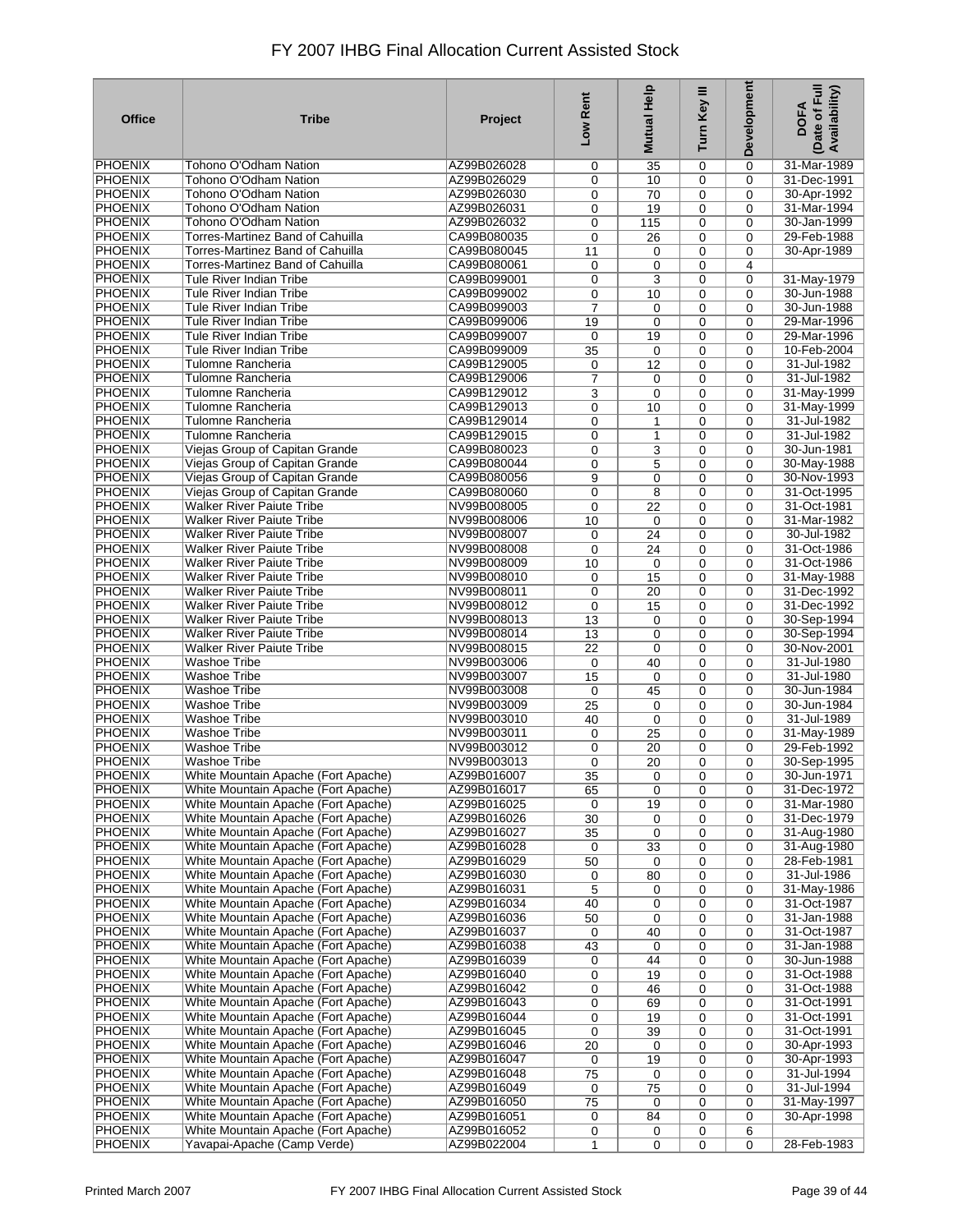| <b>Office</b>                    | <b>Tribe</b>                                                               | Project                    | Low Rent              | Help<br><b>Mutual</b> | Turn Key III | Development                | Date of Full<br>Availability)<br><b>DOFA</b> |
|----------------------------------|----------------------------------------------------------------------------|----------------------------|-----------------------|-----------------------|--------------|----------------------------|----------------------------------------------|
| <b>PHOENIX</b>                   | Tohono O'Odham Nation                                                      | AZ99B026028                | 0                     | 35                    | 0            | $\Omega$                   | 31-Mar-1989                                  |
| <b>PHOENIX</b>                   | Tohono O'Odham Nation                                                      | AZ99B026029                | 0                     | 10                    | 0            | $\mathbf 0$                | 31-Dec-1991                                  |
| <b>PHOENIX</b>                   | Tohono O'Odham Nation                                                      | AZ99B026030                | 0                     | 70                    | 0            | $\Omega$                   | 30-Apr-1992                                  |
| <b>PHOENIX</b><br><b>PHOENIX</b> | Tohono O'Odham Nation<br>Tohono O'Odham Nation                             | AZ99B026031<br>AZ99B026032 | 0<br>0                | 19<br>115             | 0<br>0       | $\mathbf 0$<br>$\Omega$    | 31-Mar-1994<br>30-Jan-1999                   |
| <b>PHOENIX</b>                   | Torres-Martinez Band of Cahuilla                                           | CA99B080035                | 0                     | 26                    | 0            | $\mathbf 0$                | 29-Feb-1988                                  |
| <b>PHOENIX</b>                   | Torres-Martinez Band of Cahuilla                                           | CA99B080045                | 11                    | 0                     | 0            | $\mathbf 0$                | 30-Apr-1989                                  |
| <b>PHOENIX</b>                   | Torres-Martinez Band of Cahuilla                                           | CA99B080061                | 0                     | $\mathbf 0$           | 0            | 4                          |                                              |
| <b>PHOENIX</b>                   | Tule River Indian Tribe                                                    | CA99B099001                | 0                     | 3                     | 0            | $\mathbf 0$                | 31-May-1979                                  |
| <b>PHOENIX</b>                   | Tule River Indian Tribe                                                    | CA99B099002                | 0                     | 10                    | 0            | $\mathbf 0$                | 30-Jun-1988                                  |
| <b>PHOENIX</b>                   | Tule River Indian Tribe                                                    | CA99B099003                | $\overline{7}$        | $\mathbf 0$           | 0            | $\Omega$                   | 30-Jun-1988                                  |
| <b>PHOENIX</b><br><b>PHOENIX</b> | Tule River Indian Tribe                                                    | CA99B099006                | 19                    | $\mathbf 0$           | 0            | $\mathbf 0$                | 29-Mar-1996                                  |
| <b>PHOENIX</b>                   | Tule River Indian Tribe<br>Tule River Indian Tribe                         | CA99B099007<br>CA99B099009 | 0<br>35               | 19<br>$\mathbf 0$     | 0<br>0       | $\mathbf 0$<br>$\mathbf 0$ | 29-Mar-1996<br>10-Feb-2004                   |
| <b>PHOENIX</b>                   | Tulomne Rancheria                                                          | CA99B129005                | 0                     | 12                    | 0            | $\mathbf 0$                | 31-Jul-1982                                  |
| <b>PHOENIX</b>                   | Tulomne Rancheria                                                          | CA99B129006                | 7                     | 0                     | 0            | $\mathbf 0$                | 31-Jul-1982                                  |
| <b>PHOENIX</b>                   | Tulomne Rancheria                                                          | CA99B129012                | 3                     | $\mathbf 0$           | 0            | $\Omega$                   | 31-May-1999                                  |
| <b>PHOENIX</b>                   | Tulomne Rancheria                                                          | CA99B129013                | 0                     | 10                    | 0            | $\mathbf 0$                | 31-May-1999                                  |
| <b>PHOENIX</b>                   | Tulomne Rancheria                                                          | CA99B129014                | 0                     | 1                     | 0            | $\mathbf 0$                | 31-Jul-1982                                  |
| <b>PHOENIX</b>                   | Tulomne Rancheria                                                          | CA99B129015                | 0                     | $\mathbf{1}$          | 0            | $\Omega$                   | 31-Jul-1982                                  |
| <b>PHOENIX</b>                   | Viejas Group of Capitan Grande                                             | CA99B080023                | 0                     | 3                     | 0            | $\Omega$                   | 30-Jun-1981                                  |
| <b>PHOENIX</b>                   | Viejas Group of Capitan Grande                                             | CA99B080044<br>CA99B080056 | 0                     | 5                     | 0            | $\Omega$                   | 30-May-1988                                  |
| <b>PHOENIX</b><br><b>PHOENIX</b> | Viejas Group of Capitan Grande<br>Viejas Group of Capitan Grande           | CA99B080060                | 9<br>0                | $\mathbf 0$<br>8      | 0<br>0       | $\Omega$<br>$\Omega$       | 30-Nov-1993<br>31-Oct-1995                   |
| <b>PHOENIX</b>                   | Walker River Paiute Tribe                                                  | NV99B008005                | 0                     | 22                    | 0            | $\mathbf 0$                | 31-Oct-1981                                  |
| <b>PHOENIX</b>                   | <b>Walker River Paiute Tribe</b>                                           | NV99B008006                | 10                    | $\mathbf 0$           | 0            | $\Omega$                   | 31-Mar-1982                                  |
| <b>PHOENIX</b>                   | <b>Walker River Paiute Tribe</b>                                           | NV99B008007                | 0                     | 24                    | 0            | $\Omega$                   | 30-Jul-1982                                  |
| <b>PHOENIX</b>                   | <b>Walker River Paiute Tribe</b>                                           | NV99B008008                | 0                     | 24                    | 0            | $\Omega$                   | 31-Oct-1986                                  |
| <b>PHOENIX</b>                   | <b>Walker River Paiute Tribe</b>                                           | NV99B008009                | 10                    | $\mathbf 0$           | 0            | $\mathbf 0$                | 31-Oct-1986                                  |
| <b>PHOENIX</b>                   | <b>Walker River Paiute Tribe</b>                                           | NV99B008010                | 0                     | 15                    | 0            | $\Omega$                   | 31-May-1988                                  |
| <b>PHOENIX</b>                   | <b>Walker River Paiute Tribe</b>                                           | NV99B008011                | 0                     | 20                    | 0            | $\mathbf 0$                | 31-Dec-1992                                  |
| <b>PHOENIX</b><br><b>PHOENIX</b> | <b>Walker River Paiute Tribe</b><br>Walker River Paiute Tribe              | NV99B008012<br>NV99B008013 | 0                     | 15                    | 0            | $\Omega$<br>$\mathbf 0$    | 31-Dec-1992<br>30-Sep-1994                   |
| <b>PHOENIX</b>                   | <b>Walker River Paiute Tribe</b>                                           | NV99B008014                | 13<br>$\overline{13}$ | 0<br>$\mathbf 0$      | 0<br>0       | $\Omega$                   | 30-Sep-1994                                  |
| <b>PHOENIX</b>                   | Walker River Paiute Tribe                                                  | NV99B008015                | 22                    | $\mathbf 0$           | 0            | $\mathbf 0$                | 30-Nov-2001                                  |
| <b>PHOENIX</b>                   | <b>Washoe Tribe</b>                                                        | NV99B003006                | 0                     | 40                    | 0            | $\Omega$                   | 31-Jul-1980                                  |
| <b>PHOENIX</b>                   | Washoe Tribe                                                               | NV99B003007                | 15                    | $\mathbf 0$           | 0            | $\mathbf 0$                | 31-Jul-1980                                  |
| <b>PHOENIX</b>                   | <b>Washoe Tribe</b>                                                        | NV99B003008                | 0                     | 45                    | 0            | $\mathbf 0$                | 30-Jun-1984                                  |
| <b>PHOENIX</b>                   | <b>Washoe Tribe</b>                                                        | NV99B003009                | 25                    | 0                     | 0            | $\mathbf 0$                | 30-Jun-1984                                  |
| <b>PHOENIX</b>                   | <b>Washoe Tribe</b>                                                        | NV99B003010                | 40                    | $\mathbf 0$           | 0            | $\mathbf 0$                | 31-Jul-1989                                  |
| <b>PHOENIX</b><br><b>PHOENIX</b> | Washoe Tribe<br><b>Washoe Tribe</b>                                        | NV99B003011<br>NV99B003012 | 0                     | 25                    | 0            | $\Omega$                   | 31-May-1989<br>29-Feb-1992                   |
| <b>PHOENIX</b>                   | Washoe Tribe                                                               | NV99B003013                | 0<br>0                | 20<br>20              | 0<br>0       | $\Omega$<br>$\mathbf 0$    | 30-Sep-1995                                  |
| <b>PHOENIX</b>                   | White Mountain Apache (Fort Apache)                                        | AZ99B016007                | $\overline{35}$       | 0                     | 0            | 0                          | 30-Jun-1971                                  |
| <b>PHOENIX</b>                   | White Mountain Apache (Fort Apache)                                        | AZ99B016017                | 65                    | 0                     | 0            | 0                          | 31-Dec-1972                                  |
| <b>PHOENIX</b>                   | White Mountain Apache (Fort Apache)                                        | AZ99B016025                | 0                     | 19                    | 0            | 0                          | 31-Mar-1980                                  |
| <b>PHOENIX</b>                   | White Mountain Apache (Fort Apache)                                        | AZ99B016026                | 30                    | 0                     | 0            | 0                          | 31-Dec-1979                                  |
| <b>PHOENIX</b>                   | White Mountain Apache (Fort Apache)                                        | AZ99B016027                | 35                    | $\mathbf 0$           | 0            | $\mathbf 0$                | 31-Aug-1980                                  |
| <b>PHOENIX</b>                   | White Mountain Apache (Fort Apache)                                        | AZ99B016028                | 0                     | 33                    | 0            | $\mathbf 0$                | 31-Aug-1980                                  |
| <b>PHOENIX</b><br><b>PHOENIX</b> | White Mountain Apache (Fort Apache)<br>White Mountain Apache (Fort Apache) | AZ99B016029<br>AZ99B016030 | 50                    | 0                     | 0            | $\mathbf 0$                | 28-Feb-1981                                  |
| <b>PHOENIX</b>                   | White Mountain Apache (Fort Apache)                                        | AZ99B016031                | 0<br>5                | 80<br>0               | 0<br>0       | 0<br>$\mathbf 0$           | 31-Jul-1986<br>31-May-1986                   |
| <b>PHOENIX</b>                   | White Mountain Apache (Fort Apache)                                        | AZ99B016034                | 40                    | $\mathbf 0$           | 0            | $\mathbf 0$                | 31-Oct-1987                                  |
| <b>PHOENIX</b>                   | White Mountain Apache (Fort Apache)                                        | AZ99B016036                | 50                    | $\mathbf 0$           | 0            | 0                          | 31-Jan-1988                                  |
| <b>PHOENIX</b>                   | White Mountain Apache (Fort Apache)                                        | AZ99B016037                | 0                     | 40                    | 0            | $\mathbf 0$                | 31-Oct-1987                                  |
| <b>PHOENIX</b>                   | White Mountain Apache (Fort Apache)                                        | AZ99B016038                | 43                    | 0                     | 0            | 0                          | 31-Jan-1988                                  |
| <b>PHOENIX</b>                   | White Mountain Apache (Fort Apache)                                        | AZ99B016039                | 0                     | 44                    | 0            | $\mathbf 0$                | 30-Jun-1988                                  |
| <b>PHOENIX</b>                   | White Mountain Apache (Fort Apache)                                        | AZ99B016040                | 0                     | 19                    | 0            | 0                          | 31-Oct-1988                                  |
| <b>PHOENIX</b>                   | White Mountain Apache (Fort Apache)                                        | AZ99B016042                | 0                     | 46                    | 0            | $\mathbf 0$                | 31-Oct-1988                                  |
| <b>PHOENIX</b><br><b>PHOENIX</b> | White Mountain Apache (Fort Apache)<br>White Mountain Apache (Fort Apache) | AZ99B016043<br>AZ99B016044 | 0                     | 69                    | 0            | 0                          | 31-Oct-1991<br>31-Oct-1991                   |
| <b>PHOENIX</b>                   | White Mountain Apache (Fort Apache)                                        | AZ99B016045                | 0<br>0                | 19<br>39              | 0<br>0       | 0<br>$\mathbf 0$           | 31-Oct-1991                                  |
| <b>PHOENIX</b>                   | White Mountain Apache (Fort Apache)                                        | AZ99B016046                | 20                    | $\mathbf 0$           | 0            | $\mathbf 0$                | 30-Apr-1993                                  |
| <b>PHOENIX</b>                   | White Mountain Apache (Fort Apache)                                        | AZ99B016047                | 0                     | 19                    | 0            | $\mathbf 0$                | 30-Apr-1993                                  |
| <b>PHOENIX</b>                   | White Mountain Apache (Fort Apache)                                        | AZ99B016048                | 75                    | $\mathbf 0$           | 0            | $\mathbf 0$                | 31-Jul-1994                                  |
| <b>PHOENIX</b>                   | White Mountain Apache (Fort Apache)                                        | AZ99B016049                | 0                     | 75                    | 0            | $\mathbf 0$                | 31-Jul-1994                                  |
| <b>PHOENIX</b>                   | White Mountain Apache (Fort Apache)                                        | AZ99B016050                | 75                    | $\mathbf 0$           | 0            | $\mathbf 0$                | 31-May-1997                                  |
| <b>PHOENIX</b>                   | White Mountain Apache (Fort Apache)                                        | AZ99B016051                | 0                     | 84                    | 0            | 0                          | 30-Apr-1998                                  |
| <b>PHOENIX</b>                   | White Mountain Apache (Fort Apache)                                        | AZ99B016052                | 0                     | 0                     | 0            | 6                          |                                              |
| <b>PHOENIX</b>                   | Yavapai-Apache (Camp Verde)                                                | AZ99B022004                | 1                     | 0                     | 0            | 0                          | 28-Feb-1983                                  |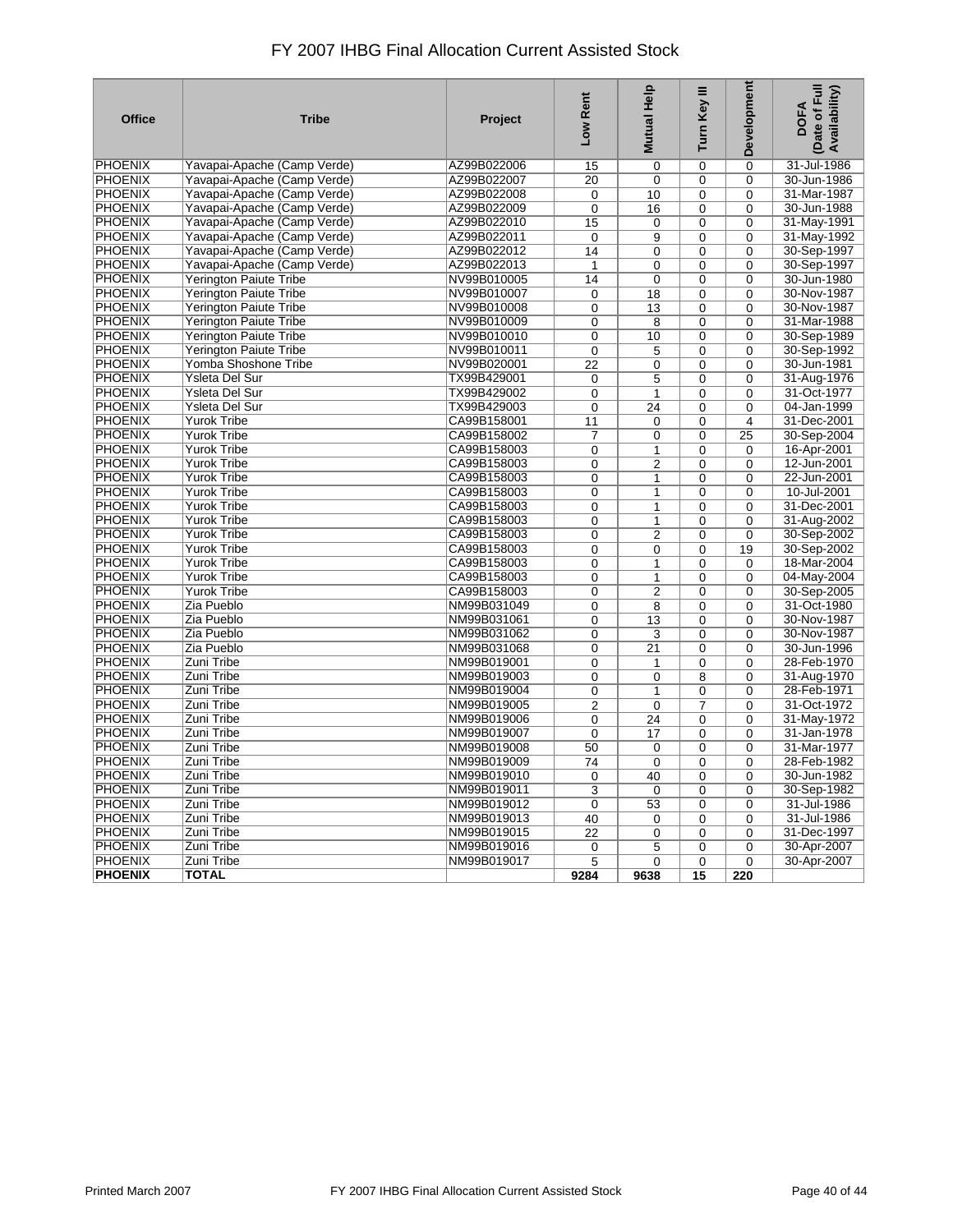| <b>Office</b>  | <b>Tribe</b>                  | Project     | Low Rent       | Mutual Help             | Turn Key III   | Development    | Date of Full<br>Availability)<br><b>DOFA</b> |
|----------------|-------------------------------|-------------|----------------|-------------------------|----------------|----------------|----------------------------------------------|
| <b>PHOENIX</b> | Yavapai-Apache (Camp Verde)   | AZ99B022006 | 15             | $\mathbf 0$             | $\Omega$       | $\overline{0}$ | 31-Jul-1986                                  |
| <b>PHOENIX</b> | Yavapai-Apache (Camp Verde)   | AZ99B022007 | 20             | $\mathbf 0$             | $\mathbf 0$    | 0              | 30-Jun-1986                                  |
| <b>PHOENIX</b> | Yavapai-Apache (Camp Verde)   | AZ99B022008 | 0              | 10                      | $\mathbf 0$    | 0              | 31-Mar-1987                                  |
| <b>PHOENIX</b> | Yavapai-Apache (Camp Verde)   | AZ99B022009 | 0              | 16                      | $\mathbf 0$    | 0              | 30-Jun-1988                                  |
| <b>PHOENIX</b> | Yavapai-Apache (Camp Verde)   | AZ99B022010 | 15             | 0                       | 0              | $\Omega$       | 31-May-1991                                  |
| <b>PHOENIX</b> | Yavapai-Apache (Camp Verde)   | AZ99B022011 | 0              | 9                       | 0              | 0              | 31-May-1992                                  |
| <b>PHOENIX</b> | Yavapai-Apache (Camp Verde)   | AZ99B022012 | 14             | $\mathbf 0$             | 0              | $\mathbf 0$    | 30-Sep-1997                                  |
| <b>PHOENIX</b> | Yavapai-Apache (Camp Verde)   | AZ99B022013 | $\mathbf{1}$   | $\mathbf 0$             | 0              | $\Omega$       | 30-Sep-1997                                  |
| <b>PHOENIX</b> | <b>Yerington Paiute Tribe</b> | NV99B010005 | 14             | $\mathbf 0$             | $\Omega$       | $\Omega$       | 30-Jun-1980                                  |
| <b>PHOENIX</b> | <b>Yerington Paiute Tribe</b> | NV99B010007 | 0              | 18                      | 0              | 0              | 30-Nov-1987                                  |
| <b>PHOENIX</b> | <b>Yerington Paiute Tribe</b> | NV99B010008 | 0              | 13                      | $\Omega$       | $\Omega$       | 30-Nov-1987                                  |
| <b>PHOENIX</b> | <b>Yerington Paiute Tribe</b> | NV99B010009 | 0              | 8                       | $\mathbf 0$    | $\Omega$       | 31-Mar-1988                                  |
| <b>PHOENIX</b> | <b>Yerington Paiute Tribe</b> | NV99B010010 | 0              | 10                      | 0              | 0              | 30-Sep-1989                                  |
| <b>PHOENIX</b> | Yerington Paiute Tribe        | NV99B010011 | 0              | 5                       | 0              | 0              | 30-Sep-1992                                  |
| <b>PHOENIX</b> | Yomba Shoshone Tribe          | NV99B020001 | 22             | $\mathbf 0$             | $\mathbf{0}$   | $\Omega$       | 30-Jun-1981                                  |
| <b>PHOENIX</b> | <b>Ysleta Del Sur</b>         | TX99B429001 | 0              | 5                       | 0              | 0              | 31-Aug-1976                                  |
| <b>PHOENIX</b> | Ysleta Del Sur                | TX99B429002 | 0              | $\mathbf{1}$            | 0              | $\mathbf 0$    | 31-Oct-1977                                  |
| <b>PHOENIX</b> | Ysleta Del Sur                | TX99B429003 | 0              | 24                      | 0              | 0              | 04-Jan-1999                                  |
| <b>PHOENIX</b> | <b>Yurok Tribe</b>            | CA99B158001 | 11             | $\mathbf 0$             | $\mathbf{0}$   | 4              | 31-Dec-2001                                  |
| <b>PHOENIX</b> | <b>Yurok Tribe</b>            | CA99B158002 | $\overline{7}$ | $\mathbf 0$             | 0              | 25             | 30-Sep-2004                                  |
| <b>PHOENIX</b> | <b>Yurok Tribe</b>            | CA99B158003 | 0              | 1                       | 0              | $\mathbf 0$    | 16-Apr-2001                                  |
| <b>PHOENIX</b> | <b>Yurok Tribe</b>            | CA99B158003 | 0              | $\overline{2}$          | $\mathbf{0}$   | $\mathbf 0$    | 12-Jun-2001                                  |
| <b>PHOENIX</b> | <b>Yurok Tribe</b>            | CA99B158003 | 0              | 1                       | $\mathbf{0}$   | $\Omega$       | 22-Jun-2001                                  |
| <b>PHOENIX</b> | <b>Yurok Tribe</b>            | CA99B158003 | 0              | 1                       | 0              | 0              | 10-Jul-2001                                  |
| <b>PHOENIX</b> | <b>Yurok Tribe</b>            | CA99B158003 | 0              | 1                       | 0              | 0              | 31-Dec-2001                                  |
| <b>PHOENIX</b> | <b>Yurok Tribe</b>            | CA99B158003 | 0              | $\mathbf{1}$            | 0              | $\mathbf 0$    | 31-Aug-2002                                  |
| <b>PHOENIX</b> | <b>Yurok Tribe</b>            | CA99B158003 | 0              | $\overline{2}$          | 0              | $\overline{0}$ | 30-Sep-2002                                  |
| <b>PHOENIX</b> | <b>Yurok Tribe</b>            | CA99B158003 | 0              | 0                       | $\mathbf 0$    | 19             | 30-Sep-2002                                  |
| <b>PHOENIX</b> | <b>Yurok Tribe</b>            | CA99B158003 | 0              | 1                       | 0              | $\mathbf 0$    | 18-Mar-2004                                  |
| <b>PHOENIX</b> | <b>Yurok Tribe</b>            | CA99B158003 | $\overline{0}$ | 1                       | $\overline{0}$ | $\Omega$       | 04-May-2004                                  |
| <b>PHOENIX</b> | <b>Yurok Tribe</b>            | CA99B158003 | $\overline{0}$ | $\overline{2}$          | $\overline{0}$ | 0              | 30-Sep-2005                                  |
| <b>PHOENIX</b> | Zia Pueblo                    | NM99B031049 | 0              | 8                       | 0              | $\mathbf 0$    | 31-Oct-1980                                  |
| <b>PHOENIX</b> | Zia Pueblo                    | NM99B031061 | 0              | 13                      | $\mathbf{0}$   | $\Omega$       | 30-Nov-1987                                  |
| <b>PHOENIX</b> | Zia Pueblo                    | NM99B031062 | $\overline{0}$ | $\overline{\mathbf{3}}$ | $\overline{0}$ | $\overline{0}$ | 30-Nov-1987                                  |
| <b>PHOENIX</b> | Zia Pueblo                    | NM99B031068 | 0              | 21                      | 0              | 0              | 30-Jun-1996                                  |
| <b>PHOENIX</b> | Zuni Tribe                    | NM99B019001 | 0              | $\mathbf{1}$            | 0              | $\mathbf 0$    | 28-Feb-1970                                  |
| <b>PHOENIX</b> | Zuni Tribe                    | NM99B019003 | 0              | $\mathbf 0$             | 8              | 0              | 31-Aug-1970                                  |
| <b>PHOENIX</b> | Zuni Tribe                    | NM99B019004 | 0              | $\overline{1}$          | $\overline{0}$ | 0              | 28-Feb-1971                                  |
| <b>PHOENIX</b> | Zuni Tribe                    | NM99B019005 | $\overline{2}$ | $\mathbf 0$             | 7              | $\mathbf 0$    | 31-Oct-1972                                  |
| <b>PHOENIX</b> | Zuni Tribe                    | NM99B019006 | 0              | 24                      | $\mathbf{0}$   | 0              | 31-May-1972                                  |
| <b>PHOENIX</b> | Zuni Tribe                    | NM99B019007 | 0              | 17                      | $\mathbf{0}$   | $\Omega$       | 31-Jan-1978                                  |
| <b>PHOENIX</b> | Zuni Tribe                    | NM99B019008 | 50             | $\mathbf 0$             | $\mathbf 0$    | $\overline{0}$ | 31-Mar-1977                                  |
| <b>PHOENIX</b> | Zuni Tribe                    | NM99B019009 | 74             | $\mathbf 0$             | 0              | 0              | 28-Feb-1982                                  |
| <b>PHOENIX</b> | Zuni Tribe                    | NM99B019010 | 0              | 40                      | $\Omega$       | 0              | 30-Jun-1982                                  |
| <b>PHOENIX</b> | Zuni Tribe                    | NM99B019011 | 3              | $\mathbf 0$             | $\mathbf 0$    | $\mathbf 0$    | 30-Sep-1982                                  |
| <b>PHOENIX</b> | Zuni Tribe                    | NM99B019012 | 0              | 53                      | 0              | $\Omega$       | 31-Jul-1986                                  |
| <b>PHOENIX</b> | Zuni Tribe                    | NM99B019013 | 40             | 0                       | $\mathbf 0$    | $\mathbf 0$    | 31-Jul-1986                                  |
| <b>PHOENIX</b> | Zuni Tribe                    | NM99B019015 | 22             | $\mathbf 0$             | $\mathbf{0}$   | $\mathbf 0$    | 31-Dec-1997                                  |
| <b>PHOENIX</b> | Zuni Tribe                    | NM99B019016 | 0              | 5                       | 0              | $\overline{0}$ | 30-Apr-2007                                  |
| <b>PHOENIX</b> | Zuni Tribe                    | NM99B019017 | 5              | $\mathbf 0$             | 0              | 0              | 30-Apr-2007                                  |
| <b>PHOENIX</b> | <b>TOTAL</b>                  |             | 9284           | 9638                    | 15             | 220            |                                              |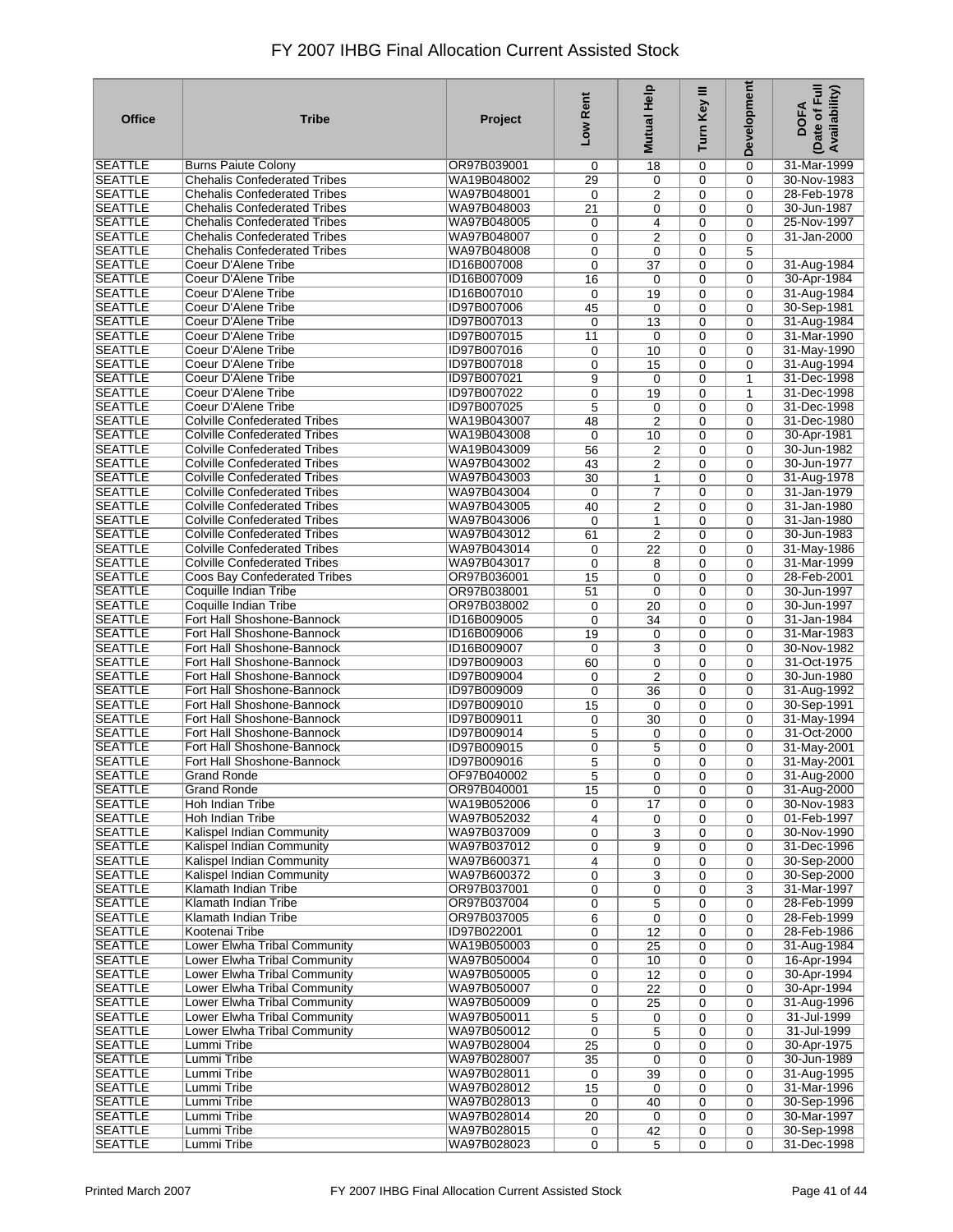| <b>Office</b>                    | <b>Tribe</b>                                                               | Project                    | Low Rent          | Help<br><b>Mutual</b>            | Turn Key III | Development                | Date of Full<br>Availability)<br><b>DOFA</b> |
|----------------------------------|----------------------------------------------------------------------------|----------------------------|-------------------|----------------------------------|--------------|----------------------------|----------------------------------------------|
| SEATTLE                          | <b>Burns Paiute Colony</b>                                                 | OR97B039001                | 0                 | 18                               | 0            | 0                          | 31-Mar-1999                                  |
| <b>SEATTLE</b>                   | <b>Chehalis Confederated Tribes</b>                                        | WA19B048002                | 29                | $\mathbf 0$                      | 0            | $\mathbf 0$                | 30-Nov-1983                                  |
| <b>SEATTLE</b>                   | <b>Chehalis Confederated Tribes</b>                                        | WA97B048001                | 0                 | 2                                | 0            | $\mathbf 0$                | 28-Feb-1978                                  |
| <b>SEATTLE</b><br><b>SEATTLE</b> | <b>Chehalis Confederated Tribes</b><br><b>Chehalis Confederated Tribes</b> | WA97B048003<br>WA97B048005 | 21<br>0           | 0<br>4                           | 0<br>0       | $\mathbf 0$<br>$\mathbf 0$ | 30-Jun-1987<br>25-Nov-1997                   |
| <b>SEATTLE</b>                   | <b>Chehalis Confederated Tribes</b>                                        | WA97B048007                | 0                 | $\overline{2}$                   | 0            | $\mathbf 0$                | 31-Jan-2000                                  |
| <b>SEATTLE</b>                   | <b>Chehalis Confederated Tribes</b>                                        | WA97B048008                | 0                 | 0                                | 0            | 5                          |                                              |
| <b>SEATTLE</b>                   | Coeur D'Alene Tribe                                                        | ID16B007008                | 0                 | 37                               | 0            | 0                          | 31-Aug-1984                                  |
| <b>SEATTLE</b>                   | Coeur D'Alene Tribe                                                        | ID16B007009                | 16                | $\mathbf 0$                      | 0            | $\mathbf 0$                | 30-Apr-1984                                  |
| <b>SEATTLE</b>                   | Coeur D'Alene Tribe                                                        | ID16B007010                | 0                 | 19                               | 0            | $\mathbf 0$                | 31-Aug-1984                                  |
| <b>SEATTLE</b>                   | Coeur D'Alene Tribe                                                        | ID97B007006                | 45                | $\mathbf 0$                      | 0            | $\Omega$                   | 30-Sep-1981                                  |
| <b>SEATTLE</b>                   | Coeur D'Alene Tribe                                                        | ID97B007013                | $\mathbf 0$       | 13                               | 0            | $\mathbf 0$                | 31-Aug-1984                                  |
| <b>SEATTLE</b><br><b>SEATTLE</b> | Coeur D'Alene Tribe<br>Coeur D'Alene Tribe                                 | ID97B007015<br>ID97B007016 | 11                | $\mathbf 0$                      | 0            | $\Omega$                   | 31-Mar-1990                                  |
| <b>SEATTLE</b>                   | Coeur D'Alene Tribe                                                        | ID97B007018                | 0<br>0            | 10<br>15                         | 0<br>0       | $\mathbf 0$<br>$\Omega$    | 31-May-1990<br>31-Aug-1994                   |
| <b>SEATTLE</b>                   | Coeur D'Alene Tribe                                                        | ID97B007021                | 9                 | 0                                | 0            | 1                          | 31-Dec-1998                                  |
| <b>SEATTLE</b>                   | Coeur D'Alene Tribe                                                        | ID97B007022                | 0                 | 19                               | 0            | $\mathbf{1}$               | 31-Dec-1998                                  |
| <b>SEATTLE</b>                   | Coeur D'Alene Tribe                                                        | ID97B007025                | 5                 | 0                                | 0            | $\mathbf 0$                | 31-Dec-1998                                  |
| <b>SEATTLE</b>                   | <b>Colville Confederated Tribes</b>                                        | WA19B043007                | 48                | $\overline{2}$                   | 0            | $\mathbf 0$                | 31-Dec-1980                                  |
| <b>SEATTLE</b>                   | <b>Colville Confederated Tribes</b>                                        | WA19B043008                | $\mathbf 0$       | 10                               | 0            | $\Omega$                   | 30-Apr-1981                                  |
| <b>SEATTLE</b>                   | <b>Colville Confederated Tribes</b>                                        | WA19B043009                | 56                | $\overline{2}$                   | 0            | $\Omega$                   | 30-Jun-1982                                  |
| <b>SEATTLE</b>                   | <b>Colville Confederated Tribes</b>                                        | WA97B043002                | 43                | $\overline{2}$                   | 0            | $\Omega$                   | 30-Jun-1977                                  |
| <b>SEATTLE</b>                   | <b>Colville Confederated Tribes</b>                                        | WA97B043003                | 30                | 1                                | 0            | $\Omega$                   | 31-Aug-1978                                  |
| <b>SEATTLE</b><br><b>SEATTLE</b> | <b>Colville Confederated Tribes</b><br><b>Colville Confederated Tribes</b> | WA97B043004<br>WA97B043005 | $\mathbf 0$<br>40 | $\overline{7}$<br>$\overline{2}$ | 0<br>0       | $\Omega$<br>$\mathbf 0$    | 31-Jan-1979<br>31-Jan-1980                   |
| <b>SEATTLE</b>                   | <b>Colville Confederated Tribes</b>                                        | WA97B043006                | $\mathbf 0$       | 1                                | 0            | $\Omega$                   | 31-Jan-1980                                  |
| <b>SEATTLE</b>                   | <b>Colville Confederated Tribes</b>                                        | WA97B043012                | 61                | $\overline{2}$                   | 0            | $\mathbf 0$                | 30-Jun-1983                                  |
| <b>SEATTLE</b>                   | <b>Colville Confederated Tribes</b>                                        | WA97B043014                | 0                 | 22                               | 0            | $\mathbf 0$                | 31-May-1986                                  |
| <b>SEATTLE</b>                   | <b>Colville Confederated Tribes</b>                                        | WA97B043017                | 0                 | 8                                | 0            | $\mathbf 0$                | 31-Mar-1999                                  |
| <b>SEATTLE</b>                   | Coos Bay Confederated Tribes                                               | OR97B036001                | 15                | $\mathbf 0$                      | 0            | $\Omega$                   | 28-Feb-2001                                  |
| <b>SEATTLE</b>                   | Coquille Indian Tribe                                                      | OR97B038001                | 51                | $\mathbf 0$                      | 0            | 0                          | 30-Jun-1997                                  |
| <b>SEATTLE</b>                   | Coquille Indian Tribe                                                      | OR97B038002                | 0                 | $\overline{20}$                  | 0            | $\Omega$                   | 30-Jun-1997                                  |
| <b>SEATTLE</b><br><b>SEATTLE</b> | Fort Hall Shoshone-Bannock<br>Fort Hall Shoshone-Bannock                   | ID16B009005<br>ID16B009006 | $\mathbf 0$<br>19 | 34<br>$\mathbf 0$                | 0<br>0       | $\mathbf 0$<br>$\Omega$    | 31-Jan-1984<br>31-Mar-1983                   |
| <b>SEATTLE</b>                   | Fort Hall Shoshone-Bannock                                                 | ID16B009007                | $\mathbf 0$       | 3                                | 0            | $\mathbf 0$                | 30-Nov-1982                                  |
| <b>SEATTLE</b>                   | Fort Hall Shoshone-Bannock                                                 | ID97B009003                | 60                | $\mathbf 0$                      | 0            | $\Omega$                   | 31-Oct-1975                                  |
| <b>SEATTLE</b>                   | Fort Hall Shoshone-Bannock                                                 | ID97B009004                | 0                 | $\overline{2}$                   | 0            | $\mathbf 0$                | 30-Jun-1980                                  |
| <b>SEATTLE</b>                   | Fort Hall Shoshone-Bannock                                                 | ID97B009009                | 0                 | 36                               | 0            | $\mathbf 0$                | 31-Aug-1992                                  |
| <b>SEATTLE</b>                   | Fort Hall Shoshone-Bannock                                                 | ID97B009010                | 15                | 0                                | 0            | $\mathbf 0$                | 30-Sep-1991                                  |
| <b>SEATTLE</b>                   | Fort Hall Shoshone-Bannock                                                 | ID97B009011                | 0                 | 30                               | 0            | $\mathbf 0$                | 31-May-1994                                  |
| <b>SEATTLE</b>                   | Fort Hall Shoshone-Bannock                                                 | ID97B009014                | 5                 | 0                                | 0            | $\Omega$                   | 31-Oct-2000                                  |
| <b>SEATTLE</b><br><b>SEATTLE</b> | Fort Hall Shoshone-Bannock<br>Fort Hall Shoshone-Bannock                   | ID97B009015<br>ID97B009016 | 0<br>5            | 5<br>$\mathbf 0$                 | 0<br>0       | $\Omega$<br>$\mathbf 0$    | 31-May-2001<br>31-May-2001                   |
| <b>SEATTLE</b>                   | <b>Grand Ronde</b>                                                         | OF97B040002                | $\overline{5}$    | 0                                | 0            | 0                          | 31-Aug-2000                                  |
| <b>SEATTLE</b>                   | <b>Grand Ronde</b>                                                         | OR97B040001                | 15                | $\mathbf 0$                      | 0            | 0                          | 31-Aug-2000                                  |
| <b>SEATTLE</b>                   | Hoh Indian Tribe                                                           | WA19B052006                | 0                 | 17                               | 0            | 0                          | 30-Nov-1983                                  |
| <b>SEATTLE</b>                   | Hoh Indian Tribe                                                           | WA97B052032                | $\overline{4}$    | 0                                | 0            | 0                          | 01-Feb-1997                                  |
| SEATTLE                          | Kalispel Indian Community                                                  | WA97B037009                | 0                 | 3                                | 0            | $\mathbf 0$                | 30-Nov-1990                                  |
| <b>SEATTLE</b>                   | Kalispel Indian Community                                                  | WA97B037012                | 0                 | 9                                | 0            | $\Omega$                   | 31-Dec-1996                                  |
| <b>SEATTLE</b>                   | Kalispel Indian Community                                                  | WA97B600371                | 4                 | 0                                | 0            | $\mathbf 0$                | 30-Sep-2000                                  |
| <b>SEATTLE</b><br><b>SEATTLE</b> | Kalispel Indian Community<br>Klamath Indian Tribe                          | WA97B600372<br>OR97B037001 | 0                 | 3                                | 0<br>0       | $\mathbf 0$                | 30-Sep-2000<br>31-Mar-1997                   |
| <b>SEATTLE</b>                   | Klamath Indian Tribe                                                       | OR97B037004                | 0<br>0            | 0<br>5                           | 0            | 3<br>$\mathbf 0$           | 28-Feb-1999                                  |
| <b>SEATTLE</b>                   | <b>Klamath Indian Tribe</b>                                                | OR97B037005                | 6                 | $\mathbf 0$                      | 0            | $\mathbf 0$                | 28-Feb-1999                                  |
| <b>SEATTLE</b>                   | Kootenai Tribe                                                             | ID97B022001                | 0                 | 12                               | 0            | $\mathbf 0$                | 28-Feb-1986                                  |
| <b>SEATTLE</b>                   | Lower Elwha Tribal Community                                               | WA19B050003                | 0                 | 25                               | 0            | 0                          | 31-Aug-1984                                  |
| <b>SEATTLE</b>                   | Lower Elwha Tribal Community                                               | WA97B050004                | 0                 | 10                               | 0            | $\mathbf 0$                | 16-Apr-1994                                  |
| <b>SEATTLE</b>                   | Lower Elwha Tribal Community                                               | WA97B050005                | 0                 | 12                               | 0            | $\mathbf 0$                | 30-Apr-1994                                  |
| <b>SEATTLE</b>                   | Lower Elwha Tribal Community                                               | WA97B050007                | 0                 | $\overline{22}$                  | 0            | $\mathbf 0$                | 30-Apr-1994                                  |
| <b>SEATTLE</b>                   | Lower Elwha Tribal Community                                               | WA97B050009                | 0                 | 25                               | 0            | $\mathbf 0$                | 31-Aug-1996                                  |
| <b>SEATTLE</b><br><b>SEATTLE</b> | Lower Elwha Tribal Community<br>Lower Elwha Tribal Community               | WA97B050011<br>WA97B050012 | 5<br>0            | 0                                | 0<br>0       | $\mathbf 0$<br>$\mathbf 0$ | 31-Jul-1999<br>31-Jul-1999                   |
| <b>SEATTLE</b>                   | Lummi Tribe                                                                | WA97B028004                | 25                | 5<br>$\mathbf 0$                 | 0            | $\mathbf 0$                | 30-Apr-1975                                  |
| <b>SEATTLE</b>                   | Lummi Tribe                                                                | WA97B028007                | 35                | $\mathbf 0$                      | 0            | $\mathbf 0$                | 30-Jun-1989                                  |
| <b>SEATTLE</b>                   | Lummi Tribe                                                                | WA97B028011                | 0                 | 39                               | 0            | $\mathbf 0$                | 31-Aug-1995                                  |
| <b>SEATTLE</b>                   | Lummi Tribe                                                                | WA97B028012                | 15                | 0                                | 0            | $\mathbf 0$                | 31-Mar-1996                                  |
| <b>SEATTLE</b>                   | Lummi Tribe                                                                | WA97B028013                | 0                 | 40                               | 0            | $\mathbf 0$                | 30-Sep-1996                                  |
| <b>SEATTLE</b>                   | Lummi Tribe                                                                | WA97B028014                | 20                | 0                                | 0            | $\mathbf 0$                | 30-Mar-1997                                  |
| <b>SEATTLE</b>                   | Lummi Tribe                                                                | WA97B028015                | 0                 | 42                               | 0            | $\mathbf 0$                | 30-Sep-1998                                  |
| <b>SEATTLE</b>                   | Lummi Tribe                                                                | WA97B028023                | 0                 | 5                                | 0            | $\mathbf 0$                | 31-Dec-1998                                  |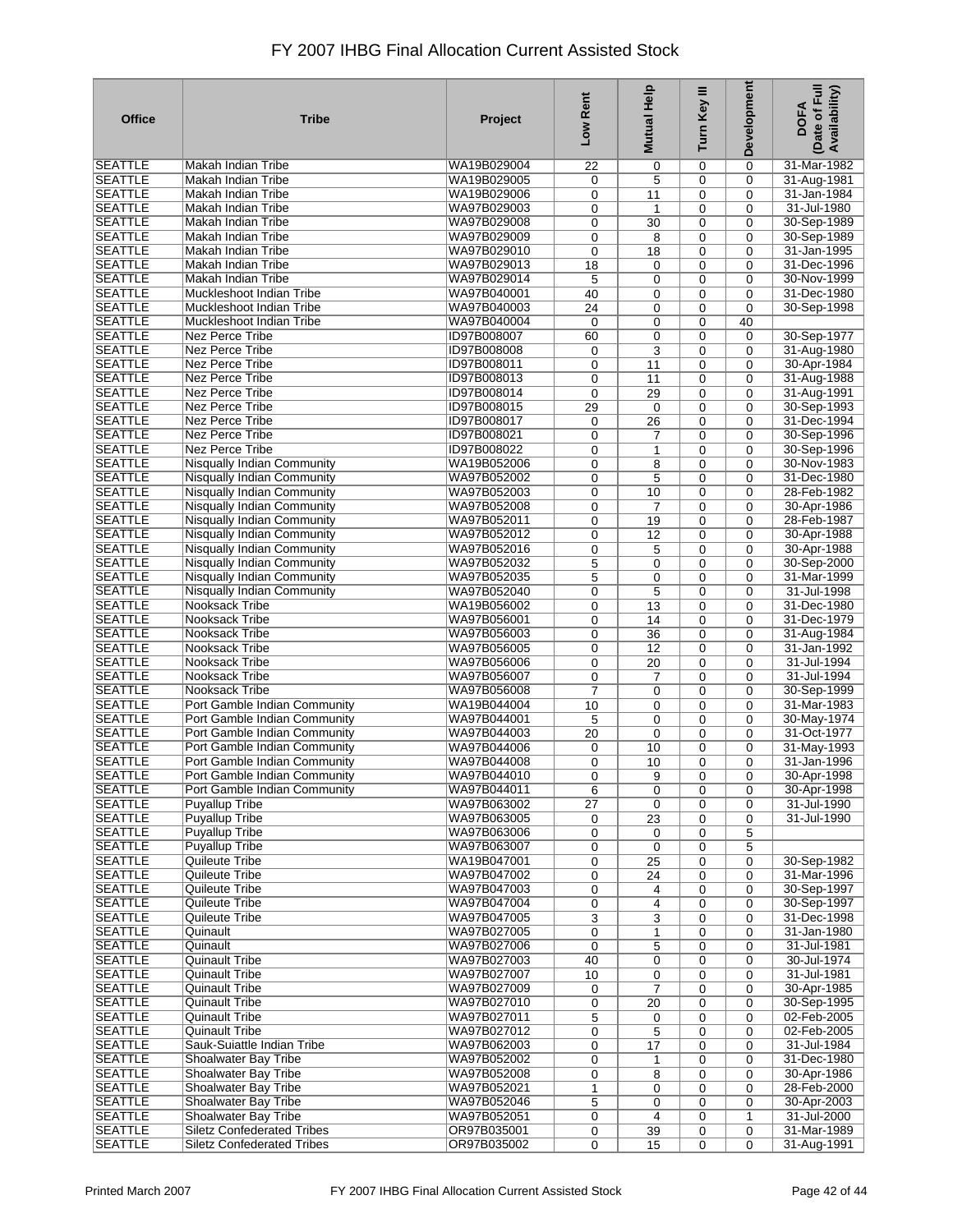| <b>Office</b>                    | <b>Tribe</b>                                              | Project                    | Low Rent       | <b>Mutual Help</b> | Turn Key III   | Development             | Date of Full<br>Availability)<br><b>DOFA</b> |
|----------------------------------|-----------------------------------------------------------|----------------------------|----------------|--------------------|----------------|-------------------------|----------------------------------------------|
| SEATTLE                          | Makah Indian Tribe                                        | WA19B029004                | 22             | 0                  | 0              | $\Omega$                | 31-Mar-1982                                  |
| <b>SEATTLE</b>                   | Makah Indian Tribe                                        | WA19B029005                | 0              | 5                  | 0              | $\mathbf 0$             | 31-Aug-1981                                  |
| <b>SEATTLE</b>                   | Makah Indian Tribe                                        | WA19B029006                | 0              | 11                 | 0              | $\mathbf 0$             | 31-Jan-1984                                  |
| <b>SEATTLE</b>                   | Makah Indian Tribe                                        | WA97B029003                | 0              | 1                  | 0              | 0                       | 31-Jul-1980                                  |
| <b>SEATTLE</b>                   | Makah Indian Tribe                                        | WA97B029008                | 0              | 30                 | 0              | $\Omega$                | 30-Sep-1989                                  |
| <b>SEATTLE</b>                   | Makah Indian Tribe                                        | WA97B029009                | 0              | 8                  | 0              | 0                       | 30-Sep-1989                                  |
| <b>SEATTLE</b>                   | Makah Indian Tribe                                        | WA97B029010                | 0              | 18                 | 0              | $\Omega$                | 31-Jan-1995                                  |
| <b>SEATTLE</b>                   | Makah Indian Tribe                                        | WA97B029013                | 18             | 0                  | 0              | $\Omega$                | 31-Dec-1996                                  |
| <b>SEATTLE</b>                   | Makah Indian Tribe                                        | WA97B029014                | 5              | 0                  | 0              | $\Omega$                | 30-Nov-1999                                  |
| <b>SEATTLE</b>                   | Muckleshoot Indian Tribe                                  | WA97B040001                | 40             | 0                  | 0              | $\Omega$                | 31-Dec-1980                                  |
| <b>SEATTLE</b>                   | Muckleshoot Indian Tribe                                  | WA97B040003                | 24             | 0                  | 0              | $\Omega$                | 30-Sep-1998                                  |
| <b>SEATTLE</b>                   | Muckleshoot Indian Tribe                                  | WA97B040004                | 0              | 0                  | 0              | 40                      |                                              |
| <b>SEATTLE</b>                   | Nez Perce Tribe                                           | ID97B008007                | 60             | $\mathbf 0$        | 0              | $\Omega$                | 30-Sep-1977                                  |
| <b>SEATTLE</b>                   | <b>Nez Perce Tribe</b>                                    | ID97B008008                | 0              | 3                  | 0              | $\mathbf 0$             | 31-Aug-1980                                  |
| <b>SEATTLE</b>                   | Nez Perce Tribe                                           | ID97B008011                | 0              | 11                 | $\mathbf 0$    | $\mathbf 0$             | 30-Apr-1984                                  |
| <b>SEATTLE</b>                   | Nez Perce Tribe                                           | ID97B008013                | 0              | 11                 | 0              | $\mathbf 0$             | 31-Aug-1988                                  |
| <b>SEATTLE</b>                   | Nez Perce Tribe                                           | ID97B008014                | $\mathbf 0$    | 29                 | 0              | $\mathbf 0$             | 31-Aug-1991                                  |
| <b>SEATTLE</b>                   | Nez Perce Tribe                                           | ID97B008015                | 29             | $\mathbf 0$        | 0              | $\Omega$                | 30-Sep-1993                                  |
| <b>SEATTLE</b>                   | <b>Nez Perce Tribe</b>                                    | ID97B008017                | 0              | 26                 | 0              | $\Omega$                | 31-Dec-1994                                  |
| <b>SEATTLE</b>                   | Nez Perce Tribe                                           | ID97B008021                | 0              | $\overline{7}$     | 0              | $\Omega$                | 30-Sep-1996                                  |
| <b>SEATTLE</b>                   | Nez Perce Tribe                                           | ID97B008022                | 0              | 1                  | 0              | $\Omega$                | 30-Sep-1996                                  |
| <b>SEATTLE</b>                   | Nisqually Indian Community                                | WA19B052006                | 0              | 8                  | 0              | $\Omega$                | 30-Nov-1983                                  |
| <b>SEATTLE</b>                   | Nisqually Indian Community                                | WA97B052002                | 0              | 5                  | 0              | $\mathbf 0$             | 31-Dec-1980                                  |
| <b>SEATTLE</b>                   | Nisqually Indian Community                                | WA97B052003                | 0              | 10                 | 0              | $\Omega$                | 28-Feb-1982                                  |
| <b>SEATTLE</b>                   | Nisqually Indian Community                                | WA97B052008                | 0              | $\overline{7}$     | 0              | $\mathbf 0$             | 30-Apr-1986                                  |
| <b>SEATTLE</b>                   | Nisqually Indian Community                                | WA97B052011                | 0              | 19                 | 0              | $\Omega$                | 28-Feb-1987                                  |
| <b>SEATTLE</b>                   | Nisqually Indian Community                                | WA97B052012                | 0              | 12                 | 0              | $\mathbf 0$             | 30-Apr-1988                                  |
| <b>SEATTLE</b>                   | Nisqually Indian Community                                | WA97B052016                | 0              | 5                  | 0              | $\mathbf 0$             | 30-Apr-1988                                  |
| <b>SEATTLE</b><br><b>SEATTLE</b> | Nisqually Indian Community                                | WA97B052032<br>WA97B052035 | 5              | 0                  | 0              | 0                       | 30-Sep-2000                                  |
| <b>SEATTLE</b>                   | Nisqually Indian Community<br>Nisqually Indian Community  | WA97B052040                | 5              | 0<br>5             | 0              | $\Omega$                | 31-Mar-1999<br>31-Jul-1998                   |
| <b>SEATTLE</b>                   | Nooksack Tribe                                            | WA19B056002                | 0<br>0         | 13                 | 0<br>0         | $\mathbf 0$<br>$\Omega$ | 31-Dec-1980                                  |
| <b>SEATTLE</b>                   | Nooksack Tribe                                            | WA97B056001                | 0              | 14                 | $\mathbf 0$    | $\Omega$                | 31-Dec-1979                                  |
| <b>SEATTLE</b>                   | Nooksack Tribe                                            | WA97B056003                | 0              | $\overline{36}$    | 0              | $\Omega$                | 31-Aug-1984                                  |
| <b>SEATTLE</b>                   | Nooksack Tribe                                            | WA97B056005                | 0              | 12                 | 0              | $\mathbf 0$             | 31-Jan-1992                                  |
| <b>SEATTLE</b>                   | Nooksack Tribe                                            | WA97B056006                | 0              | 20                 | 0              | $\Omega$                | 31-Jul-1994                                  |
| <b>SEATTLE</b>                   | Nooksack Tribe                                            | WA97B056007                | 0              | 7                  | 0              | 0                       | 31-Jul-1994                                  |
| <b>SEATTLE</b>                   | Nooksack Tribe                                            | WA97B056008                | $\overline{7}$ | $\mathbf 0$        | 0              | $\Omega$                | 30-Sep-1999                                  |
| <b>SEATTLE</b>                   | Port Gamble Indian Community                              | WA19B044004                | 10             | 0                  | 0              | $\mathbf 0$             | 31-Mar-1983                                  |
| <b>SEATTLE</b>                   | Port Gamble Indian Community                              | WA97B044001                | 5              | 0                  | $\mathbf 0$    | $\mathbf 0$             | 30-May-1974                                  |
| <b>SEATTLE</b>                   | Port Gamble Indian Community                              | WA97B044003                | 20             | $\mathbf 0$        | 0              | $\mathbf 0$             | 31-Oct-1977                                  |
| <b>SEATTLE</b>                   | Port Gamble Indian Community                              | WA97B044006                | 0              | 10                 | 0              | $\mathbf 0$             | 31-May-1993                                  |
| <b>SEATTLE</b>                   | Port Gamble Indian Community                              | WA97B044008                | 0              | 10                 | 0              | $\mathbf 0$             | 31-Jan-1996                                  |
| <b>SEATTLE</b>                   | Port Gamble Indian Community                              | WA97B044010                | 0              | 9                  | $\overline{0}$ | 0                       | 30-Apr-1998                                  |
| <b>SEATTLE</b>                   | Port Gamble Indian Community                              | WA97B044011                | 6              | $\mathbf 0$        | 0              | $\Omega$                | 30-Apr-1998                                  |
| <b>SEATTLE</b>                   | <b>Puyallup Tribe</b>                                     | WA97B063002                | 27             | $\mathbf 0$        | 0              | 0                       | 31-Jul-1990                                  |
| <b>SEATTLE</b>                   | <b>Puyallup Tribe</b>                                     | WA97B063005                | 0              | 23                 | 0              | $\mathbf 0$             | 31-Jul-1990                                  |
| <b>SEATTLE</b>                   | <b>Puyallup Tribe</b>                                     | WA97B063006                | $\mathbf 0$    | 0                  | 0              | 5                       |                                              |
| <b>SEATTLE</b>                   | <b>Puyallup Tribe</b>                                     | WA97B063007                | 0              | 0                  | 0              | 5                       |                                              |
| <b>SEATTLE</b>                   | Quileute Tribe                                            | WA19B047001                | 0              | $\overline{25}$    | 0              | $\mathbf 0$             | 30-Sep-1982                                  |
| <b>SEATTLE</b>                   | Quileute Tribe                                            | WA97B047002                | 0              | 24                 | 0              | $\mathbf 0$             | 31-Mar-1996                                  |
| <b>SEATTLE</b>                   | Quileute Tribe                                            | WA97B047003                | 0              | 4                  | 0              | $\mathbf 0$             | 30-Sep-1997                                  |
| <b>SEATTLE</b>                   | Quileute Tribe                                            | WA97B047004                | 0              | 4                  | 0              | $\mathbf 0$             | 30-Sep-1997                                  |
| <b>SEATTLE</b>                   | Quileute Tribe                                            | WA97B047005                | 3              | 3                  | 0              | 0                       | 31-Dec-1998                                  |
| <b>SEATTLE</b>                   | Quinault                                                  | WA97B027005                | 0              | 1                  | 0              | $\mathbf 0$             | 31-Jan-1980                                  |
| <b>SEATTLE</b>                   | Quinault                                                  | WA97B027006                | 0              | 5                  | $\mathbf 0$    | $\mathbf 0$             | 31-Jul-1981                                  |
| <b>SEATTLE</b>                   | <b>Quinault Tribe</b>                                     | WA97B027003                | 40             | 0                  | 0              | $\mathbf 0$             | 30-Jul-1974                                  |
| <b>SEATTLE</b>                   | <b>Quinault Tribe</b>                                     | WA97B027007                | 10             | 0                  | $\mathbf 0$    | $\mathbf 0$             | 31-Jul-1981                                  |
| <b>SEATTLE</b>                   | Quinault Tribe                                            | WA97B027009                | 0              | $\overline{7}$     | $\mathbf 0$    | $\Omega$                | 30-Apr-1985                                  |
| <b>SEATTLE</b>                   | Quinault Tribe                                            | WA97B027010                | 0              | 20                 | 0              | $\mathbf 0$             | 30-Sep-1995                                  |
| <b>SEATTLE</b>                   | Quinault Tribe                                            | WA97B027011                | 5              | 0                  | $\mathbf 0$    | $\mathbf 0$             | 02-Feb-2005                                  |
| <b>SEATTLE</b>                   | <b>Quinault Tribe</b>                                     | WA97B027012                | 0              | 5                  | 0              | $\mathbf 0$             | 02-Feb-2005                                  |
| <b>SEATTLE</b>                   | Sauk-Suiattle Indian Tribe                                | WA97B062003                | 0              | 17                 | 0              | $\mathbf 0$             | 31-Jul-1984                                  |
| <b>SEATTLE</b>                   | Shoalwater Bay Tribe                                      | WA97B052002                | 0              | 1                  | 0              | $\mathbf 0$             | 31-Dec-1980                                  |
| <b>SEATTLE</b>                   | Shoalwater Bay Tribe                                      | WA97B052008                | 0              | 8                  | $\mathbf 0$    | $\mathbf 0$             | 30-Apr-1986                                  |
| <b>SEATTLE</b>                   | <b>Shoalwater Bay Tribe</b>                               | WA97B052021                | 1              | 0                  | 0              | $\mathbf 0$             | 28-Feb-2000                                  |
| SEATTLE                          | Shoalwater Bay Tribe                                      | WA97B052046                | 5              | 0                  | $\mathbf 0$    | $\mathbf 0$             | 30-Apr-2003                                  |
| <b>SEATTLE</b><br><b>SEATTLE</b> | Shoalwater Bay Tribe<br><b>Siletz Confederated Tribes</b> | WA97B052051<br>OR97B035001 | 0              | $\overline{4}$     | 0              | 1                       | 31-Jul-2000<br>31-Mar-1989                   |
| <b>SEATTLE</b>                   | <b>Siletz Confederated Tribes</b>                         |                            | 0              | 39                 | 0              | 0                       |                                              |
|                                  |                                                           | OR97B035002                | 0              | 15                 | $\mathbf 0$    | $\mathbf 0$             | 31-Aug-1991                                  |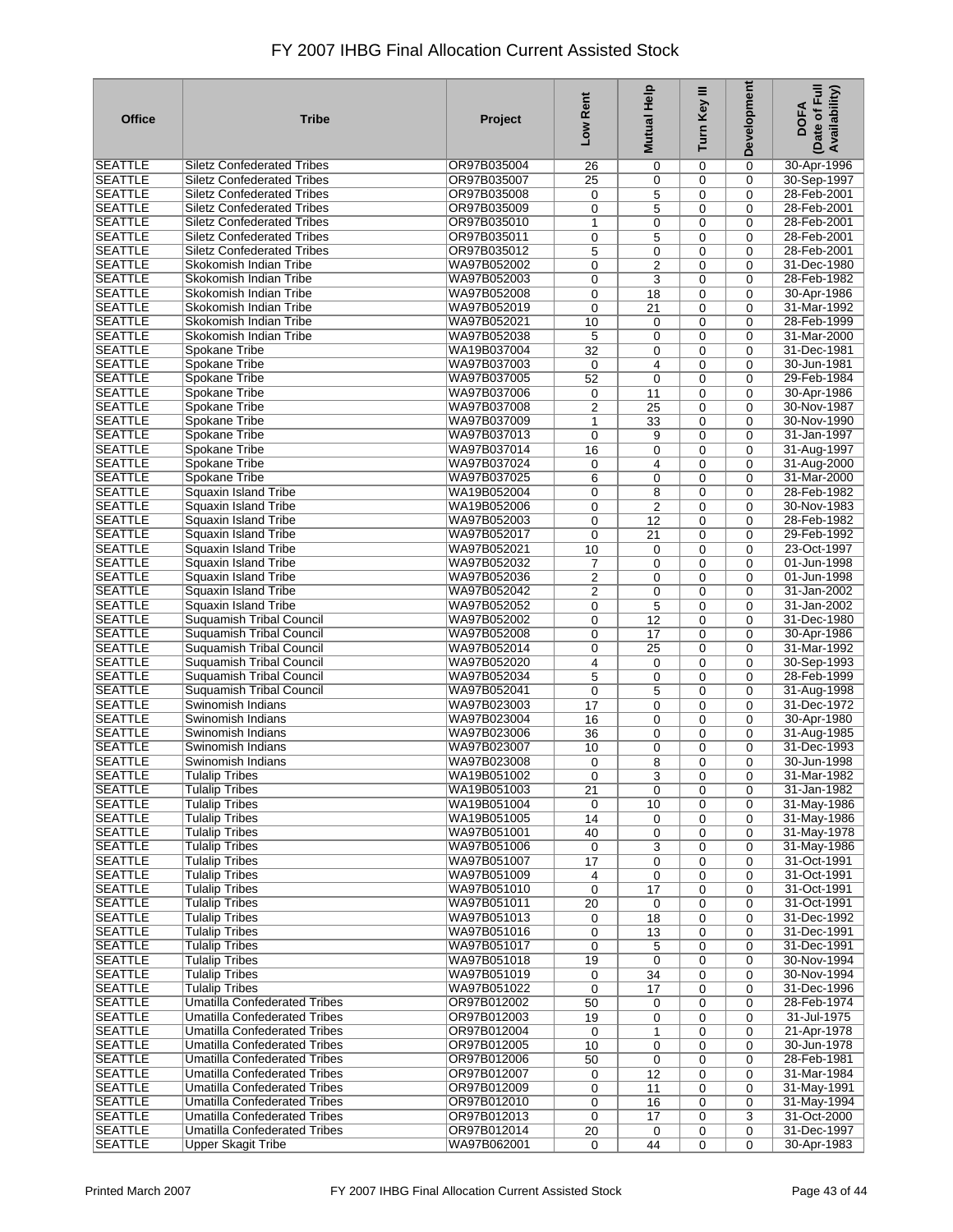| <b>Office</b>                    | <b>Tribe</b>                                                               | Project                    | Low Rent                | <b>Mutual Help</b>    | Turn Key III | Development                | Date of Full<br>Availability)<br><b>DOFA</b> |
|----------------------------------|----------------------------------------------------------------------------|----------------------------|-------------------------|-----------------------|--------------|----------------------------|----------------------------------------------|
| SEATTLE                          | <b>Siletz Confederated Tribes</b>                                          | OR97B035004                | 26                      | $\mathbf 0$           | 0            | 0                          | 30-Apr-1996                                  |
| <b>SEATTLE</b>                   | <b>Siletz Confederated Tribes</b>                                          | OR97B035007                | 25                      | $\mathbf 0$           | 0            | $\mathbf 0$                | 30-Sep-1997                                  |
| <b>SEATTLE</b>                   | <b>Siletz Confederated Tribes</b>                                          | OR97B035008                | 0                       | 5                     | 0            | $\mathbf 0$                | 28-Feb-2001                                  |
| <b>SEATTLE</b><br><b>SEATTLE</b> | <b>Siletz Confederated Tribes</b><br><b>Siletz Confederated Tribes</b>     | OR97B035009<br>OR97B035010 | 0<br>1                  | 5<br>$\mathbf 0$      | 0<br>0       | $\mathbf 0$<br>$\mathbf 0$ | 28-Feb-2001<br>28-Feb-2001                   |
| <b>SEATTLE</b>                   | <b>Siletz Confederated Tribes</b>                                          | OR97B035011                | 0                       | 5                     | 0            | $\mathbf 0$                | 28-Feb-2001                                  |
| <b>SEATTLE</b>                   | <b>Siletz Confederated Tribes</b>                                          | OR97B035012                | 5                       | 0                     | 0            | $\mathbf 0$                | 28-Feb-2001                                  |
| <b>SEATTLE</b>                   | Skokomish Indian Tribe                                                     | WA97B052002                | 0                       | $\overline{2}$        | 0            | $\mathbf 0$                | 31-Dec-1980                                  |
| <b>SEATTLE</b>                   | Skokomish Indian Tribe                                                     | WA97B052003                | 0                       | 3                     | 0            | $\Omega$                   | 28-Feb-1982                                  |
| <b>SEATTLE</b>                   | Skokomish Indian Tribe                                                     | WA97B052008                | 0                       | 18                    | 0            | $\mathbf 0$                | 30-Apr-1986                                  |
| <b>SEATTLE</b>                   | Skokomish Indian Tribe                                                     | WA97B052019                | 0                       | 21                    | 0            | $\Omega$                   | 31-Mar-1992                                  |
| <b>SEATTLE</b>                   | Skokomish Indian Tribe                                                     | WA97B052021                | 10                      | 0                     | 0            | $\mathbf 0$                | 28-Feb-1999                                  |
| <b>SEATTLE</b><br><b>SEATTLE</b> | Skokomish Indian Tribe<br>Spokane Tribe                                    | WA97B052038<br>WA19B037004 | 5                       | $\mathbf 0$           | 0            | $\Omega$                   | 31-Mar-2000                                  |
| <b>SEATTLE</b>                   | Spokane Tribe                                                              | WA97B037003                | 32<br>0                 | $\mathbf 0$<br>4      | 0<br>0       | $\mathbf 0$<br>$\Omega$    | 31-Dec-1981<br>30-Jun-1981                   |
| <b>SEATTLE</b>                   | Spokane Tribe                                                              | WA97B037005                | 52                      | $\mathbf 0$           | 0            | $\mathbf 0$                | 29-Feb-1984                                  |
| <b>SEATTLE</b>                   | Spokane Tribe                                                              | WA97B037006                | 0                       | 11                    | 0            | $\Omega$                   | 30-Apr-1986                                  |
| <b>SEATTLE</b>                   | Spokane Tribe                                                              | WA97B037008                | 2                       | 25                    | 0            | $\mathbf 0$                | 30-Nov-1987                                  |
| <b>SEATTLE</b>                   | Spokane Tribe                                                              | WA97B037009                | 1                       | $\overline{33}$       | 0            | $\mathbf 0$                | 30-Nov-1990                                  |
| <b>SEATTLE</b>                   | Spokane Tribe                                                              | WA97B037013                | $\mathbf 0$             | 9                     | 0            | $\Omega$                   | 31-Jan-1997                                  |
| <b>SEATTLE</b>                   | Spokane Tribe                                                              | WA97B037014                | 16                      | $\mathbf 0$           | 0            | 0                          | 31-Aug-1997                                  |
| <b>SEATTLE</b>                   | Spokane Tribe                                                              | WA97B037024                | 0                       | 4                     | 0            | $\mathbf 0$                | 31-Aug-2000                                  |
| <b>SEATTLE</b>                   | Spokane Tribe                                                              | WA97B037025<br>WA19B052004 | 6                       | $\mathbf 0$           | 0            | $\mathbf 0$                | 31-Mar-2000                                  |
| <b>SEATTLE</b><br><b>SEATTLE</b> | Squaxin Island Tribe<br><b>Squaxin Island Tribe</b>                        | WA19B052006                | 0<br>0                  | 8<br>$\overline{2}$   | 0<br>0       | $\Omega$<br>$\mathbf 0$    | 28-Feb-1982<br>30-Nov-1983                   |
| <b>SEATTLE</b>                   | Squaxin Island Tribe                                                       | WA97B052003                | 0                       | 12                    | 0            | $\mathbf 0$                | 28-Feb-1982                                  |
| <b>SEATTLE</b>                   | Squaxin Island Tribe                                                       | WA97B052017                | 0                       | 21                    | 0            | $\mathbf 0$                | 29-Feb-1992                                  |
| <b>SEATTLE</b>                   | Squaxin Island Tribe                                                       | WA97B052021                | 10                      | $\mathbf 0$           | 0            | $\mathbf 0$                | 23-Oct-1997                                  |
| <b>SEATTLE</b>                   | Squaxin Island Tribe                                                       | WA97B052032                | 7                       | $\mathbf 0$           | 0            | $\mathbf 0$                | 01-Jun-1998                                  |
| <b>SEATTLE</b>                   | Squaxin Island Tribe                                                       | WA97B052036                | $\overline{\mathbf{c}}$ | $\mathbf 0$           | 0            | $\Omega$                   | 01-Jun-1998                                  |
| <b>SEATTLE</b>                   | <b>Squaxin Island Tribe</b>                                                | WA97B052042                | $\overline{2}$          | 0                     | 0            | $\mathbf 0$                | 31-Jan-2002                                  |
| <b>SEATTLE</b>                   | <b>Squaxin Island Tribe</b>                                                | WA97B052052                | 0                       | 5                     | 0            | $\Omega$                   | 31-Jan-2002                                  |
| <b>SEATTLE</b><br><b>SEATTLE</b> | Suquamish Tribal Council<br><b>Suquamish Tribal Council</b>                | WA97B052002<br>WA97B052008 | 0<br>0                  | 12<br>$\overline{17}$ | 0<br>0       | $\mathbf 0$<br>$\Omega$    | 31-Dec-1980<br>30-Apr-1986                   |
| <b>SEATTLE</b>                   | <b>Suquamish Tribal Council</b>                                            | WA97B052014                | 0                       | 25                    | 0            | $\mathbf 0$                | 31-Mar-1992                                  |
| <b>SEATTLE</b>                   | <b>Suquamish Tribal Council</b>                                            | WA97B052020                | 4                       | $\mathbf 0$           | 0            | $\Omega$                   | 30-Sep-1993                                  |
| <b>SEATTLE</b>                   | <b>Suquamish Tribal Council</b>                                            | WA97B052034                | 5                       | $\mathbf 0$           | 0            | $\mathbf 0$                | 28-Feb-1999                                  |
| <b>SEATTLE</b>                   | <b>Suquamish Tribal Council</b>                                            | WA97B052041                | 0                       | 5                     | 0            | $\mathbf 0$                | 31-Aug-1998                                  |
| <b>SEATTLE</b>                   | Swinomish Indians                                                          | WA97B023003                | 17                      | $\mathbf 0$           | 0            | $\mathbf 0$                | 31-Dec-1972                                  |
| <b>SEATTLE</b>                   | Swinomish Indians                                                          | WA97B023004                | 16                      | $\mathbf 0$           | 0            | $\mathbf 0$                | 30-Apr-1980                                  |
| <b>SEATTLE</b>                   | Swinomish Indians                                                          | WA97B023006                | 36                      | $\mathbf 0$           | 0            | $\mathbf 0$                | 31-Aug-1985                                  |
| <b>SEATTLE</b><br><b>SEATTLE</b> | Swinomish Indians<br>Swinomish Indians                                     | WA97B023007<br>WA97B023008 | 10<br>0                 | $\mathbf 0$<br>8      | 0<br>0       | $\Omega$<br>$\mathbf 0$    | 31-Dec-1993<br>30-Jun-1998                   |
| <b>SEATTLE</b>                   | Tulalip Tribes                                                             | WA19B051002                | 0                       | 3                     | 0            | 0                          | 31-Mar-1982                                  |
| <b>SEATTLE</b>                   | <b>Tulalip Tribes</b>                                                      | WA19B051003                | 21                      | $\mathbf 0$           | 0            | 0                          | 31-Jan-1982                                  |
| <b>SEATTLE</b>                   | <b>Tulalip Tribes</b>                                                      | WA19B051004                | 0                       | 10                    | 0            | 0                          | 31-May-1986                                  |
| <b>SEATTLE</b>                   | <b>Tulalip Tribes</b>                                                      | WA19B051005                | 14                      | 0                     | 0            | 0                          | 31-May-1986                                  |
| SEATTLE                          | <b>Tulalip Tribes</b>                                                      | WA97B051001                | 40                      | $\mathbf 0$           | 0            | $\mathbf 0$                | 31-May-1978                                  |
| <b>SEATTLE</b>                   | <b>Tulalip Tribes</b>                                                      | WA97B051006                | 0                       | 3                     | 0            | $\mathbf 0$                | 31-May-1986                                  |
| <b>SEATTLE</b>                   | <b>Tulalip Tribes</b>                                                      | WA97B051007                | 17                      | $\mathbf 0$           | 0            | $\mathbf 0$                | 31-Oct-1991                                  |
| <b>SEATTLE</b><br><b>SEATTLE</b> | <b>Tulalip Tribes</b><br><b>Tulalip Tribes</b>                             | WA97B051009<br>WA97B051010 | 4                       | 0                     | 0            | $\mathbf 0$                | 31-Oct-1991<br>31-Oct-1991                   |
| <b>SEATTLE</b>                   | <b>Tulalip Tribes</b>                                                      | WA97B051011                | 0<br>20                 | 17<br>$\mathbf 0$     | 0<br>0       | 0<br>$\mathbf 0$           | 31-Oct-1991                                  |
| <b>SEATTLE</b>                   | <b>Tulalip Tribes</b>                                                      | WA97B051013                | 0                       | 18                    | 0            | 0                          | 31-Dec-1992                                  |
| <b>SEATTLE</b>                   | <b>Tulalip Tribes</b>                                                      | WA97B051016                | 0                       | 13                    | 0            | $\mathbf 0$                | 31-Dec-1991                                  |
| <b>SEATTLE</b>                   | <b>Tulalip Tribes</b>                                                      | WA97B051017                | 0                       | 5                     | 0            | 0                          | 31-Dec-1991                                  |
| <b>SEATTLE</b>                   | <b>Tulalip Tribes</b>                                                      | WA97B051018                | 19                      | $\mathbf 0$           | 0            | $\mathbf 0$                | 30-Nov-1994                                  |
| <b>SEATTLE</b>                   | <b>Tulalip Tribes</b>                                                      | WA97B051019                | 0                       | 34                    | 0            | 0                          | 30-Nov-1994                                  |
| <b>SEATTLE</b>                   | <b>Tulalip Tribes</b>                                                      | WA97B051022                | $\mathbf 0$             | 17                    | 0            | $\mathbf 0$                | 31-Dec-1996                                  |
| <b>SEATTLE</b>                   | <b>Umatilla Confederated Tribes</b>                                        | OR97B012002                | 50                      | 0                     | 0            | 0                          | 28-Feb-1974                                  |
| <b>SEATTLE</b><br><b>SEATTLE</b> | <b>Umatilla Confederated Tribes</b><br><b>Umatilla Confederated Tribes</b> | OR97B012003<br>OR97B012004 | 19<br>$\mathbf 0$       | 0                     | 0<br>0       | $\mathbf 0$<br>$\mathbf 0$ | 31-Jul-1975<br>21-Apr-1978                   |
| <b>SEATTLE</b>                   | <b>Umatilla Confederated Tribes</b>                                        | OR97B012005                | 10                      | 1<br>0                | 0            | $\mathbf 0$                | 30-Jun-1978                                  |
| <b>SEATTLE</b>                   | <b>Umatilla Confederated Tribes</b>                                        | OR97B012006                | 50                      | $\mathbf 0$           | 0            | 0                          | 28-Feb-1981                                  |
| <b>SEATTLE</b>                   | <b>Umatilla Confederated Tribes</b>                                        | OR97B012007                | 0                       | 12                    | 0            | $\mathbf 0$                | 31-Mar-1984                                  |
| <b>SEATTLE</b>                   | <b>Umatilla Confederated Tribes</b>                                        | OR97B012009                | 0                       | 11                    | 0            | $\mathbf 0$                | 31-May-1991                                  |
| <b>SEATTLE</b>                   | <b>Umatilla Confederated Tribes</b>                                        | OR97B012010                | 0                       | 16                    | 0            | $\mathbf 0$                | 31-May-1994                                  |
| <b>SEATTLE</b>                   | <b>Umatilla Confederated Tribes</b>                                        | OR97B012013                | 0                       | 17                    | 0            | 3                          | 31-Oct-2000                                  |
| <b>SEATTLE</b>                   | <b>Umatilla Confederated Tribes</b>                                        | OR97B012014                | 20                      | 0                     | 0            | 0                          | 31-Dec-1997                                  |
| <b>SEATTLE</b>                   | <b>Upper Skagit Tribe</b>                                                  | WA97B062001                | 0                       | 44                    | 0            | $\mathbf 0$                | 30-Apr-1983                                  |